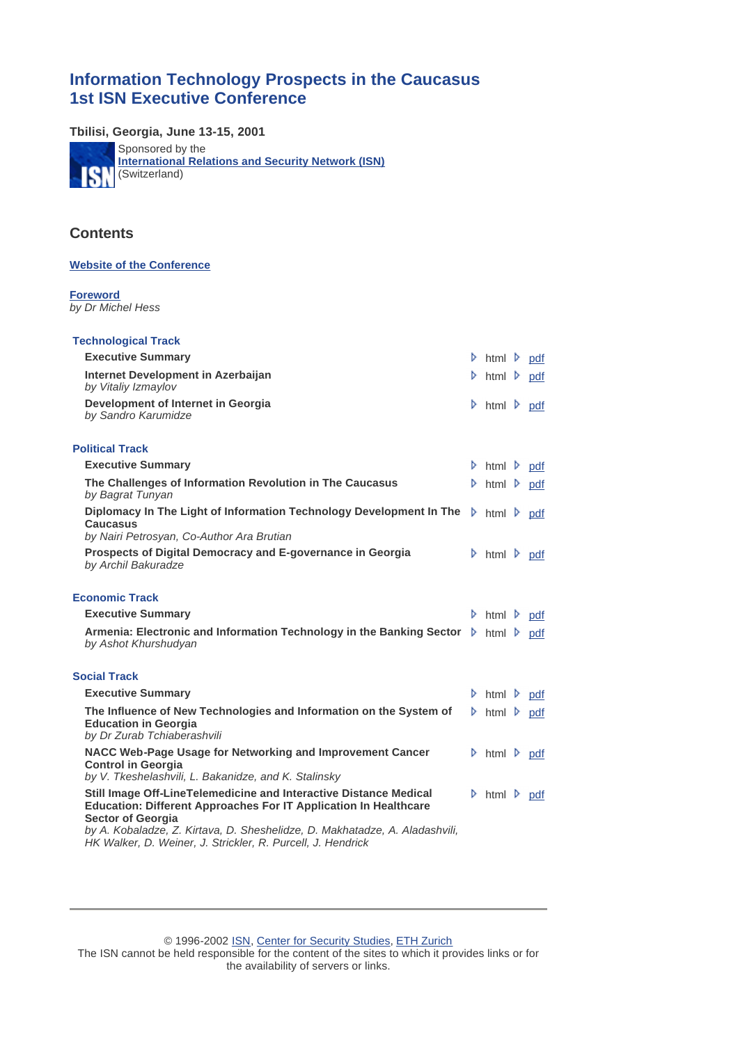# **Information Technology Prospects in the Caucasus 1st ISN Executive Conference**

**Tbilisi, Georgia, June 13-15, 2001**

Sponsored by the **[International Relations and Security Network \(ISN\)](http://www.isn.ethz.ch/) ISN** (Switzerland)

# **Contents**

#### **[Website of the Conference](http://www.isn.ethz.ch/caucasus/index.htm)**

#### **Foreword** *by Dr Michel Hess*

| <b>Technological Track</b>                                                                                                                                               |                                            |  |
|--------------------------------------------------------------------------------------------------------------------------------------------------------------------------|--------------------------------------------|--|
| <b>Executive Summary</b>                                                                                                                                                 | $\triangleright$ html $\triangleright$ pdf |  |
| Internet Development in Azerbaijan<br>by Vitaliy Izmaylov                                                                                                                | $\triangleright$ html $\triangleright$ pdf |  |
| Development of Internet in Georgia<br>by Sandro Karumidze                                                                                                                | $\triangleright$ html $\triangleright$ pdf |  |
| <b>Political Track</b>                                                                                                                                                   |                                            |  |
| <b>Executive Summary</b>                                                                                                                                                 | $\triangleright$ html $\triangleright$ pdf |  |
| The Challenges of Information Revolution in The Caucasus<br>by Bagrat Tunyan                                                                                             | $\triangleright$ html $\triangleright$ pdf |  |
| Diplomacy In The Light of Information Technology Development In The<br><b>Caucasus</b><br>by Nairi Petrosyan, Co-Author Ara Brutian                                      | $\triangleright$ html $\triangleright$ pdf |  |
| Prospects of Digital Democracy and E-governance in Georgia<br>by Archil Bakuradze                                                                                        | $\triangleright$ html $\triangleright$ pdf |  |
| <b>Economic Track</b>                                                                                                                                                    |                                            |  |
| <b>Executive Summary</b>                                                                                                                                                 | $\triangleright$ html $\triangleright$ pdf |  |
| Armenia: Electronic and Information Technology in the Banking Sector ▶ html ▶ pdf<br>by Ashot Khurshudyan                                                                |                                            |  |
| <b>Social Track</b>                                                                                                                                                      |                                            |  |
| <b>Executive Summary</b>                                                                                                                                                 | $\triangleright$ html $\triangleright$ pdf |  |
| The Influence of New Technologies and Information on the System of<br><b>Education in Georgia</b><br>by Dr Zurab Tchiaberashvili                                         | $\triangleright$ html $\triangleright$ pdf |  |
| NACC Web-Page Usage for Networking and Improvement Cancer<br><b>Control in Georgia</b><br>by V. Tkeshelashvili, L. Bakanidze, and K. Stalinsky                           | $\triangleright$ html $\triangleright$ pdf |  |
| Still Image Off-LineTelemedicine and Interactive Distance Medical<br><b>Education: Different Approaches For IT Application In Healthcare</b><br><b>Sector of Georgia</b> | $\triangleright$ html $\triangleright$ pdf |  |
| by A. Kobaladze, Z. Kirtava, D. Sheshelidze, D. Makhatadze, A. Aladashvili,<br>HK Walker, D. Weiner, J. Strickler, R. Purcell, J. Hendrick                               |                                            |  |

© 1996-2002 ISN, Center for Security Studies, ETH Zurich The ISN cannot be held responsible for the content of the sites to which it provides links or for the availability of servers or links.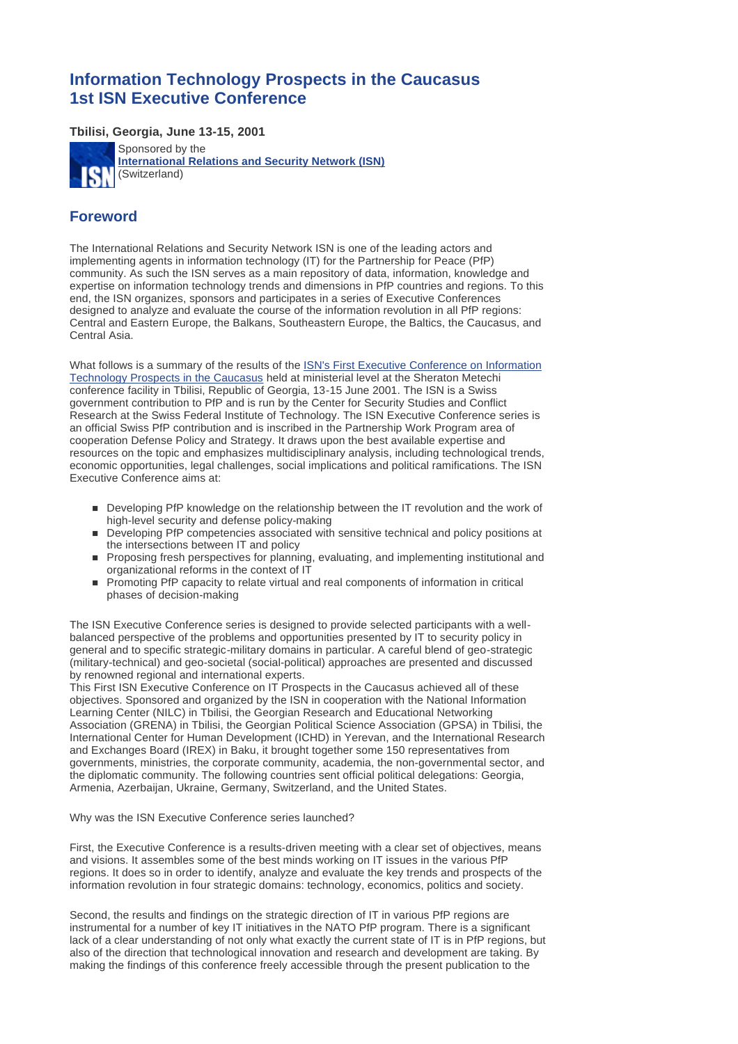# **Information Technology Prospects in the Caucasus 1st ISN Executive Conference**

**Tbilisi, Georgia, June 13-15, 2001**



# **Foreword**

The International Relations and Security Network ISN is one of the leading actors and implementing agents in information technology (IT) for the Partnership for Peace (PfP) community. As such the ISN serves as a main repository of data, information, knowledge and expertise on information technology trends and dimensions in PfP countries and regions. To this end, the ISN organizes, sponsors and participates in a series of Executive Conferences designed to analyze and evaluate the course of the information revolution in all PfP regions: Central and Eastern Europe, the Balkans, Southeastern Europe, the Baltics, the Caucasus, and Central Asia.

[What follows is a summary of the results of the ISN's First Executive Conference on Information](http://www.isn.ethz.ch/caucasus/index.htm)  Technology Prospects in the Caucasus held at ministerial level at the Sheraton Metechi conference facility in Tbilisi, Republic of Georgia, 13-15 June 2001. The ISN is a Swiss government contribution to PfP and is run by the Center for Security Studies and Conflict Research at the Swiss Federal Institute of Technology. The ISN Executive Conference series is an official Swiss PfP contribution and is inscribed in the Partnership Work Program area of cooperation Defense Policy and Strategy. It draws upon the best available expertise and resources on the topic and emphasizes multidisciplinary analysis, including technological trends, economic opportunities, legal challenges, social implications and political ramifications. The ISN Executive Conference aims at:

- n Developing PfP knowledge on the relationship between the IT revolution and the work of high-level security and defense policy-making
- n Developing PfP competencies associated with sensitive technical and policy positions at the intersections between IT and policy
- n Proposing fresh perspectives for planning, evaluating, and implementing institutional and organizational reforms in the context of IT
- n Promoting PfP capacity to relate virtual and real components of information in critical phases of decision-making

The ISN Executive Conference series is designed to provide selected participants with a wellbalanced perspective of the problems and opportunities presented by IT to security policy in general and to specific strategic-military domains in particular. A careful blend of geo-strategic (military-technical) and geo-societal (social-political) approaches are presented and discussed by renowned regional and international experts.

This First ISN Executive Conference on IT Prospects in the Caucasus achieved all of these objectives. Sponsored and organized by the ISN in cooperation with the National Information Learning Center (NILC) in Tbilisi, the Georgian Research and Educational Networking Association (GRENA) in Tbilisi, the Georgian Political Science Association (GPSA) in Tbilisi, the International Center for Human Development (ICHD) in Yerevan, and the International Research and Exchanges Board (IREX) in Baku, it brought together some 150 representatives from governments, ministries, the corporate community, academia, the non-governmental sector, and the diplomatic community. The following countries sent official political delegations: Georgia, Armenia, Azerbaijan, Ukraine, Germany, Switzerland, and the United States.

Why was the ISN Executive Conference series launched?

First, the Executive Conference is a results-driven meeting with a clear set of objectives, means and visions. It assembles some of the best minds working on IT issues in the various PfP regions. It does so in order to identify, analyze and evaluate the key trends and prospects of the information revolution in four strategic domains: technology, economics, politics and society.

Second, the results and findings on the strategic direction of IT in various PfP regions are instrumental for a number of key IT initiatives in the NATO PfP program. There is a significant lack of a clear understanding of not only what exactly the current state of IT is in PfP regions, but also of the direction that technological innovation and research and development are taking. By making the findings of this conference freely accessible through the present publication to the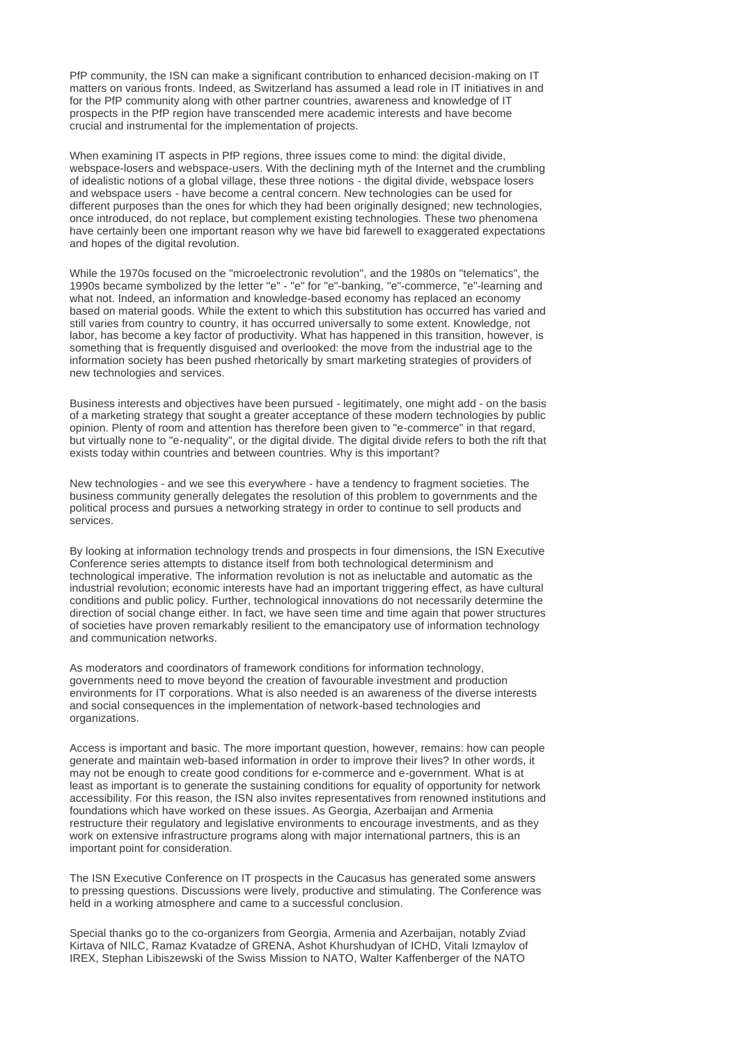PfP community, the ISN can make a significant contribution to enhanced decision-making on IT matters on various fronts. Indeed, as Switzerland has assumed a lead role in IT initiatives in and for the PfP community along with other partner countries, awareness and knowledge of IT prospects in the PfP region have transcended mere academic interests and have become crucial and instrumental for the implementation of projects.

When examining IT aspects in PfP regions, three issues come to mind: the digital divide, webspace-losers and webspace-users. With the declining myth of the Internet and the crumbling of idealistic notions of a global village, these three notions - the digital divide, webspace losers and webspace users - have become a central concern. New technologies can be used for different purposes than the ones for which they had been originally designed; new technologies, once introduced, do not replace, but complement existing technologies. These two phenomena have certainly been one important reason why we have bid farewell to exaggerated expectations and hopes of the digital revolution.

While the 1970s focused on the "microelectronic revolution", and the 1980s on "telematics", the 1990s became symbolized by the letter "e" - "e" for "e"-banking, "e"-commerce, "e"-learning and what not. Indeed, an information and knowledge-based economy has replaced an economy based on material goods. While the extent to which this substitution has occurred has varied and still varies from country to country, it has occurred universally to some extent. Knowledge, not labor, has become a key factor of productivity. What has happened in this transition, however, is something that is frequently disquised and overlooked: the move from the industrial age to the information society has been pushed rhetorically by smart marketing strategies of providers of new technologies and services.

Business interests and objectives have been pursued - legitimately, one might add - on the basis of a marketing strategy that sought a greater acceptance of these modern technologies by public opinion. Plenty of room and attention has therefore been given to "e-commerce" in that regard, but virtually none to "e-nequality", or the digital divide. The digital divide refers to both the rift that exists today within countries and between countries. Why is this important?

New technologies - and we see this everywhere - have a tendency to fragment societies. The business community generally delegates the resolution of this problem to governments and the political process and pursues a networking strategy in order to continue to sell products and services.

By looking at information technology trends and prospects in four dimensions, the ISN Executive Conference series attempts to distance itself from both technological determinism and technological imperative. The information revolution is not as ineluctable and automatic as the industrial revolution; economic interests have had an important triggering effect, as have cultural conditions and public policy. Further, technological innovations do not necessarily determine the direction of social change either. In fact, we have seen time and time again that power structures of societies have proven remarkably resilient to the emancipatory use of information technology and communication networks.

As moderators and coordinators of framework conditions for information technology, governments need to move beyond the creation of favourable investment and production environments for IT corporations. What is also needed is an awareness of the diverse interests and social consequences in the implementation of network-based technologies and organizations.

Access is important and basic. The more important question, however, remains: how can people generate and maintain web-based information in order to improve their lives? In other words, it may not be enough to create good conditions for e-commerce and e-government. What is at least as important is to generate the sustaining conditions for equality of opportunity for network accessibility. For this reason, the ISN also invites representatives from renowned institutions and foundations which have worked on these issues. As Georgia, Azerbaijan and Armenia restructure their regulatory and legislative environments to encourage investments, and as they work on extensive infrastructure programs along with major international partners, this is an important point for consideration.

The ISN Executive Conference on IT prospects in the Caucasus has generated some answers to pressing questions. Discussions were lively, productive and stimulating. The Conference was held in a working atmosphere and came to a successful conclusion.

Special thanks go to the co-organizers from Georgia, Armenia and Azerbaijan, notably Zviad Kirtava of NILC, Ramaz Kvatadze of GRENA, Ashot Khurshudyan of ICHD, Vitali Izmaylov of IREX, Stephan Libiszewski of the Swiss Mission to NATO, Walter Kaffenberger of the NATO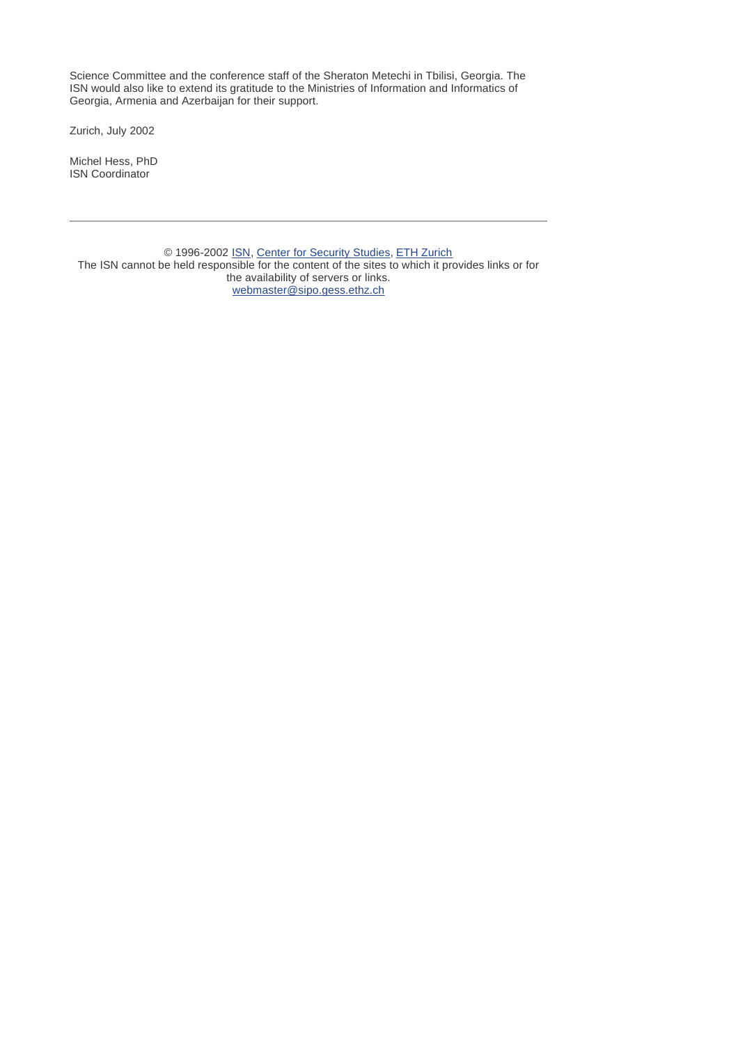Science Committee and the conference staff of the Sheraton Metechi in Tbilisi, Georgia. The ISN would also like to extend its gratitude to the Ministries of Information and Informatics of Georgia, Armenia and Azerbaijan for their support.

Zurich, July 2002

Michel Hess, PhD ISN Coordinator

© 1996-2002 ISN, Center for Security Studies, ETH Zurich The ISN cannot be held responsible for the content of the sites to which it provides links or for the availability of servers or links. webmaster@sipo.gess.ethz.ch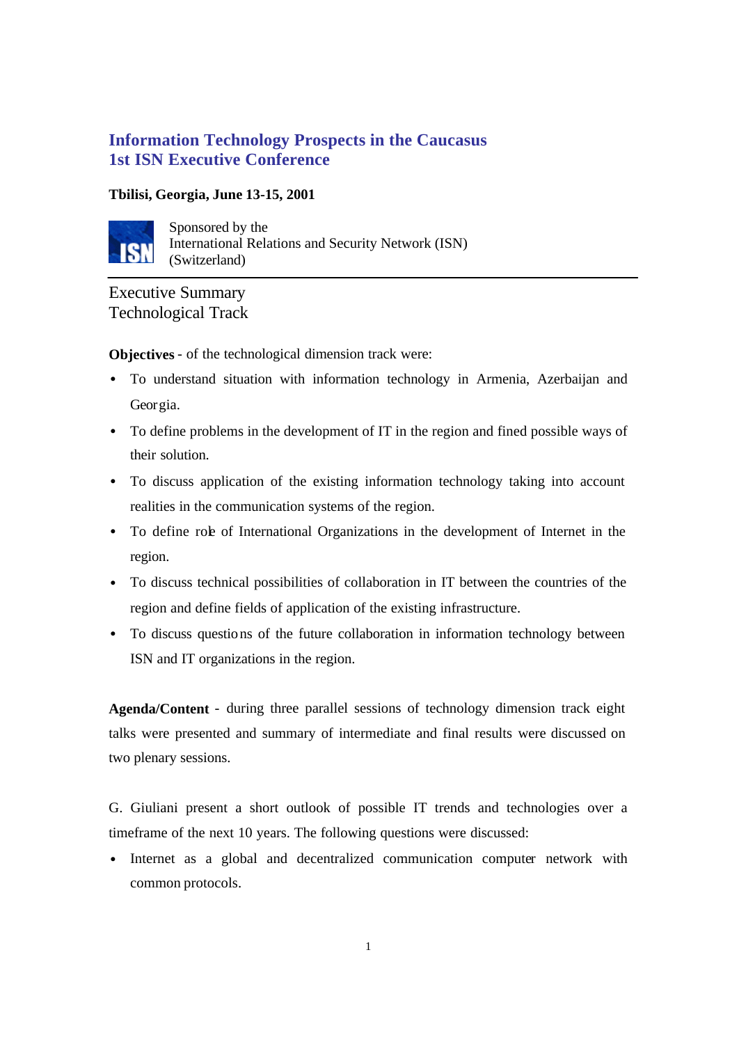# **Information Technology Prospects in the Caucasus 1st ISN Executive Conference**

# **Tbilisi, Georgia, June 13-15, 2001**



Sponsored by the International Relations and Security Network (ISN) (Switzerland)

# Executive Summary Technological Track

**Objectives** - of the technological dimension track were:

- To understand situation with information technology in Armenia, Azerbaijan and Georgia.
- To define problems in the development of IT in the region and fined possible ways of their solution.
- To discuss application of the existing information technology taking into account realities in the communication systems of the region.
- To define role of International Organizations in the development of Internet in the region.
- To discuss technical possibilities of collaboration in IT between the countries of the region and define fields of application of the existing infrastructure.
- To discuss questions of the future collaboration in information technology between ISN and IT organizations in the region.

**Agenda/Content** - during three parallel sessions of technology dimension track eight talks were presented and summary of intermediate and final results were discussed on two plenary sessions.

G. Giuliani present a short outlook of possible IT trends and technologies over a timeframe of the next 10 years. The following questions were discussed:

Internet as a global and decentralized communication computer network with common protocols.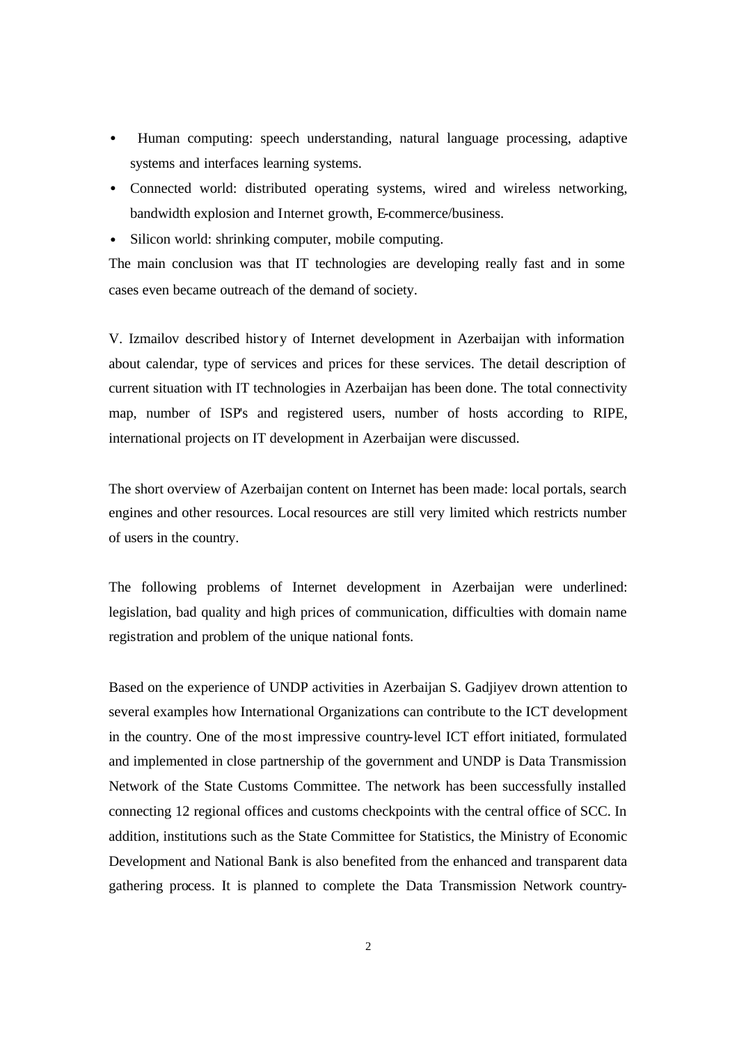- Human computing: speech understanding, natural language processing, adaptive systems and interfaces learning systems.
- Connected world: distributed operating systems, wired and wireless networking, bandwidth explosion and Internet growth, E-commerce/business.
- Silicon world: shrinking computer, mobile computing.

The main conclusion was that IT technologies are developing really fast and in some cases even became outreach of the demand of society.

V. Izmailov described history of Internet development in Azerbaijan with information about calendar, type of services and prices for these services. The detail description of current situation with IT technologies in Azerbaijan has been done. The total connectivity map, number of ISP's and registered users, number of hosts according to RIPE, international projects on IT development in Azerbaijan were discussed.

The short overview of Azerbaijan content on Internet has been made: local portals, search engines and other resources. Local resources are still very limited which restricts number of users in the country.

The following problems of Internet development in Azerbaijan were underlined: legislation, bad quality and high prices of communication, difficulties with domain name registration and problem of the unique national fonts.

Based on the experience of UNDP activities in Azerbaijan S. Gadjiyev drown attention to several examples how International Organizations can contribute to the ICT development in the country. One of the most impressive country-level ICT effort initiated, formulated and implemented in close partnership of the government and UNDP is Data Transmission Network of the State Customs Committee. The network has been successfully installed connecting 12 regional offices and customs checkpoints with the central office of SCC. In addition, institutions such as the State Committee for Statistics, the Ministry of Economic Development and National Bank is also benefited from the enhanced and transparent data gathering process. It is planned to complete the Data Transmission Network country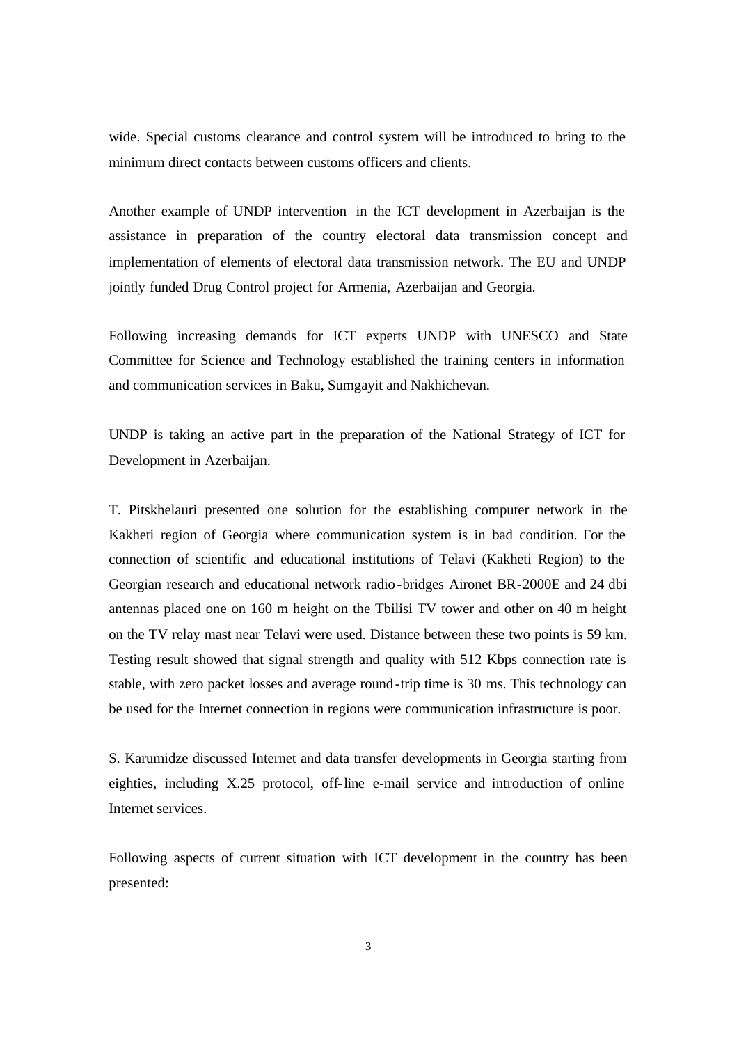wide. Special customs clearance and control system will be introduced to bring to the minimum direct contacts between customs officers and clients.

Another example of UNDP intervention in the ICT development in Azerbaijan is the assistance in preparation of the country electoral data transmission concept and implementation of elements of electoral data transmission network. The EU and UNDP jointly funded Drug Control project for Armenia, Azerbaijan and Georgia.

Following increasing demands for ICT experts UNDP with UNESCO and State Committee for Science and Technology established the training centers in information and communication services in Baku, Sumgayit and Nakhichevan.

UNDP is taking an active part in the preparation of the National Strategy of ICT for Development in Azerbaijan.

T. Pitskhelauri presented one solution for the establishing computer network in the Kakheti region of Georgia where communication system is in bad condition. For the connection of scientific and educational institutions of Telavi (Kakheti Region) to the Georgian research and educational network radio-bridges Aironet BR-2000E and 24 dbi antennas placed one on 160 m height on the Tbilisi TV tower and other on 40 m height on the TV relay mast near Telavi were used. Distance between these two points is 59 km. Testing result showed that signal strength and quality with 512 Kbps connection rate is stable, with zero packet losses and average round-trip time is 30 ms. This technology can be used for the Internet connection in regions were communication infrastructure is poor.

S. Karumidze discussed Internet and data transfer developments in Georgia starting from eighties, including X.25 protocol, off-line e-mail service and introduction of online Internet services.

Following aspects of current situation with ICT development in the country has been presented: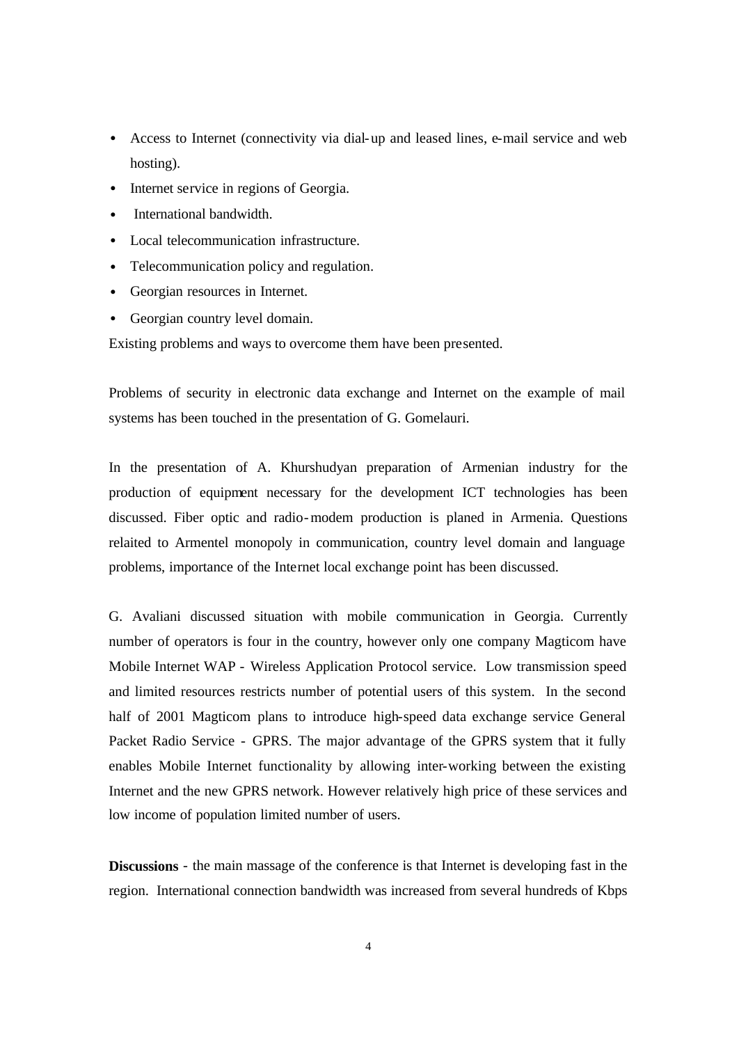- Access to Internet (connectivity via dial-up and leased lines, e-mail service and web hosting).
- Internet service in regions of Georgia.
- International bandwidth.
- Local telecommunication infrastructure.
- Telecommunication policy and regulation.
- Georgian resources in Internet.
- Georgian country level domain.

Existing problems and ways to overcome them have been presented.

Problems of security in electronic data exchange and Internet on the example of mail systems has been touched in the presentation of G. Gomelauri.

In the presentation of A. Khurshudyan preparation of Armenian industry for the production of equipment necessary for the development ICT technologies has been discussed. Fiber optic and radio-modem production is planed in Armenia. Questions relaited to Armentel monopoly in communication, country level domain and language problems, importance of the Internet local exchange point has been discussed.

G. Avaliani discussed situation with mobile communication in Georgia. Currently number of operators is four in the country, however only one company Magticom have Mobile Internet WAP - Wireless Application Protocol service. Low transmission speed and limited resources restricts number of potential users of this system. In the second half of 2001 Magticom plans to introduce high-speed data exchange service General Packet Radio Service - GPRS. The major advantage of the GPRS system that it fully enables Mobile Internet functionality by allowing inter-working between the existing Internet and the new GPRS network. However relatively high price of these services and low income of population limited number of users.

**Discussions** - the main massage of the conference is that Internet is developing fast in the region. International connection bandwidth was increased from several hundreds of Kbps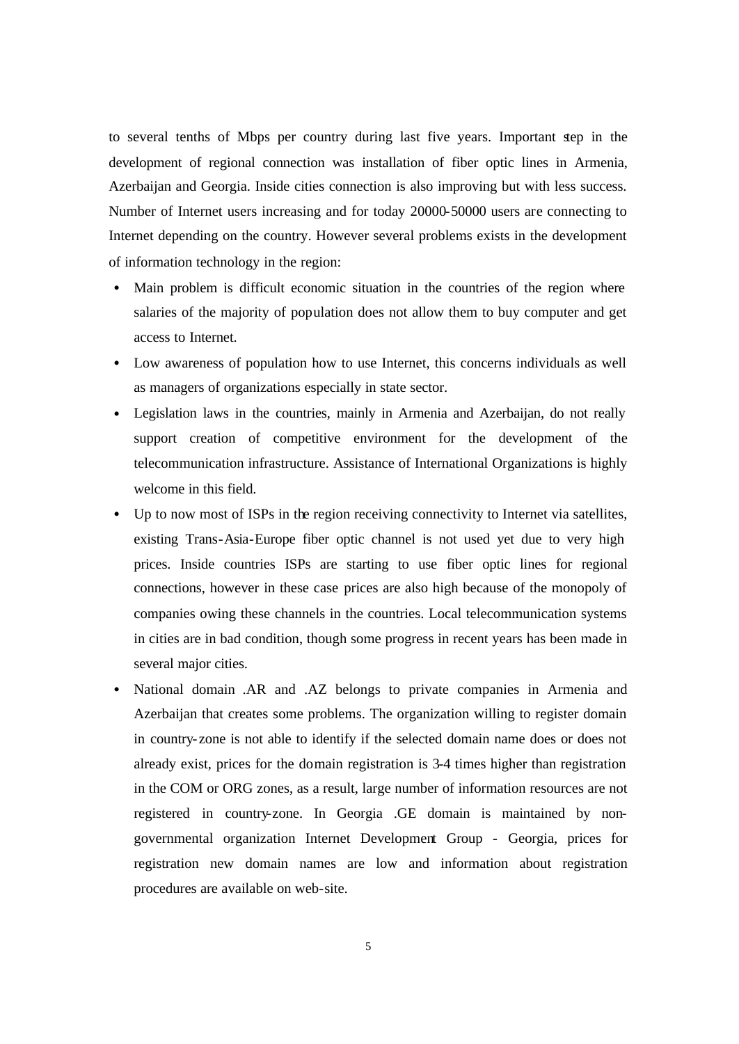to several tenths of Mbps per country during last five years. Important step in the development of regional connection was installation of fiber optic lines in Armenia, Azerbaijan and Georgia. Inside cities connection is also improving but with less success. Number of Internet users increasing and for today 20000-50000 users are connecting to Internet depending on the country. However several problems exists in the development of information technology in the region:

- Main problem is difficult economic situation in the countries of the region where salaries of the majority of population does not allow them to buy computer and get access to Internet.
- Low awareness of population how to use Internet, this concerns individuals as well as managers of organizations especially in state sector.
- Legislation laws in the countries, mainly in Armenia and Azerbaijan, do not really support creation of competitive environment for the development of the telecommunication infrastructure. Assistance of International Organizations is highly welcome in this field.
- Up to now most of ISPs in the region receiving connectivity to Internet via satellites, existing Trans-Asia-Europe fiber optic channel is not used yet due to very high prices. Inside countries ISPs are starting to use fiber optic lines for regional connections, however in these case prices are also high because of the monopoly of companies owing these channels in the countries. Local telecommunication systems in cities are in bad condition, though some progress in recent years has been made in several major cities.
- National domain .AR and .AZ belongs to private companies in Armenia and Azerbaijan that creates some problems. The organization willing to register domain in country- zone is not able to identify if the selected domain name does or does not already exist, prices for the domain registration is 3-4 times higher than registration in the COM or ORG zones, as a result, large number of information resources are not registered in country-zone. In Georgia .GE domain is maintained by nongovernmental organization Internet Development Group - Georgia, prices for registration new domain names are low and information about registration procedures are available on web-site.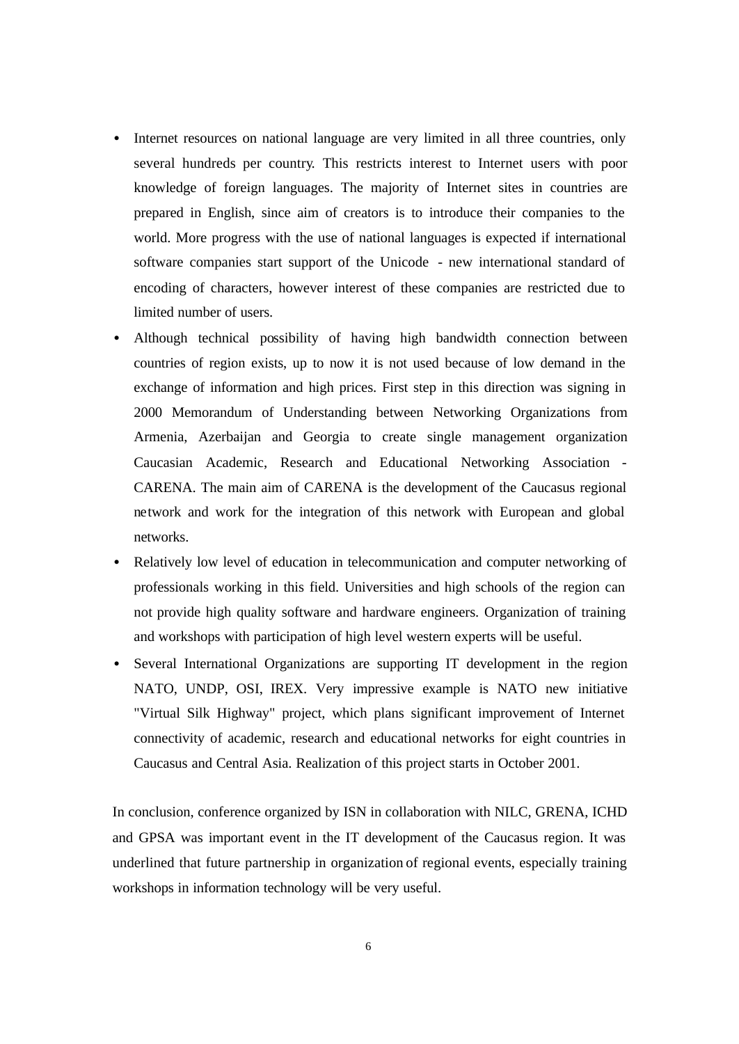- Internet resources on national language are very limited in all three countries, only several hundreds per country. This restricts interest to Internet users with poor knowledge of foreign languages. The majority of Internet sites in countries are prepared in English, since aim of creators is to introduce their companies to the world. More progress with the use of national languages is expected if international software companies start support of the Unicode - new international standard of encoding of characters, however interest of these companies are restricted due to limited number of users.
- Although technical possibility of having high bandwidth connection between countries of region exists, up to now it is not used because of low demand in the exchange of information and high prices. First step in this direction was signing in 2000 Memorandum of Understanding between Networking Organizations from Armenia, Azerbaijan and Georgia to create single management organization Caucasian Academic, Research and Educational Networking Association - CARENA. The main aim of CARENA is the development of the Caucasus regional network and work for the integration of this network with European and global networks.
- Relatively low level of education in telecommunication and computer networking of professionals working in this field. Universities and high schools of the region can not provide high quality software and hardware engineers. Organization of training and workshops with participation of high level western experts will be useful.
- Several International Organizations are supporting IT development in the region NATO, UNDP, OSI, IREX. Very impressive example is NATO new initiative "Virtual Silk Highway" project, which plans significant improvement of Internet connectivity of academic, research and educational networks for eight countries in Caucasus and Central Asia. Realization of this project starts in October 2001.

In conclusion, conference organized by ISN in collaboration with NILC, GRENA, ICHD and GPSA was important event in the IT development of the Caucasus region. It was underlined that future partnership in organization of regional events, especially training workshops in information technology will be very useful.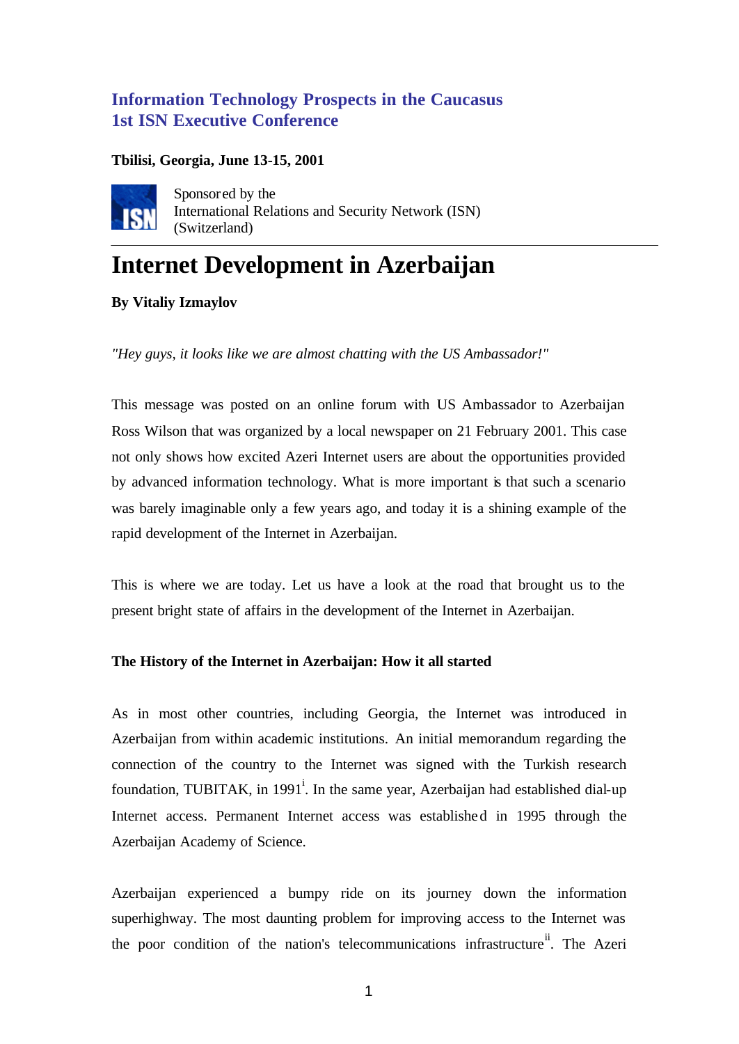# **Information Technology Prospects in the Caucasus 1st ISN Executive Conference**

# **Tbilisi, Georgia, June 13-15, 2001**



Sponsored by the International Relations and Security Network (ISN) (Switzerland)

# **Internet Development in Azerbaijan**

**By Vitaliy Izmaylov**

*"Hey guys, it looks like we are almost chatting with the US Ambassador!"*

This message was posted on an online forum with US Ambassador to Azerbaijan Ross Wilson that was organized by a local newspaper on 21 February 2001. This case not only shows how excited Azeri Internet users are about the opportunities provided by advanced information technology. What is more important is that such a scenario was barely imaginable only a few years ago, and today it is a shining example of the rapid development of the Internet in Azerbaijan.

This is where we are today. Let us have a look at the road that brought us to the present bright state of affairs in the development of the Internet in Azerbaijan.

# **The History of the Internet in Azerbaijan: How it all started**

As in most other countries, including Georgia, the Internet was introduced in Azerbaijan from within academic institutions. An initial memorandum regarding the connection of the country to the Internet was signed with the Turkish research foundation, TUBITAK, in 1991<sup>i</sup>. In the same year, Azerbaijan had established dial-up Internet access. Permanent Internet access was established in 1995 through the Azerbaijan Academy of Science.

Azerbaijan experienced a bumpy ride on its journey down the information superhighway. The most daunting problem for improving access to the Internet was the poor condition of the nation's telecommunications infrastructure<sup> $n$ </sup>. The Azeri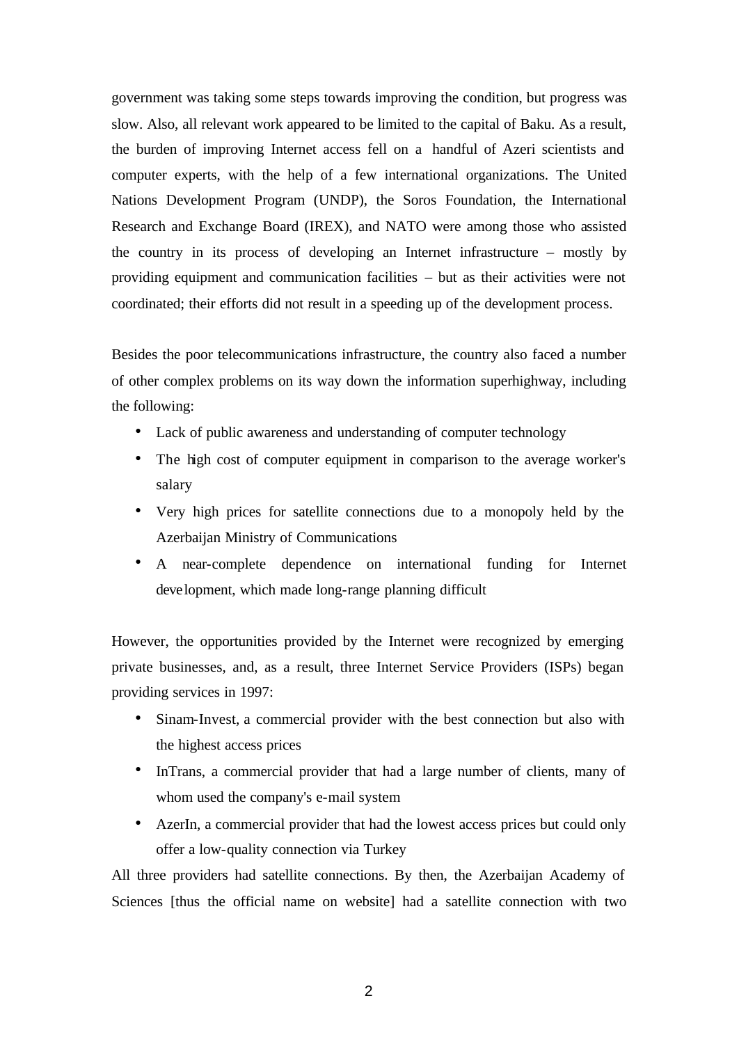government was taking some steps towards improving the condition, but progress was slow. Also, all relevant work appeared to be limited to the capital of Baku. As a result, the burden of improving Internet access fell on a handful of Azeri scientists and computer experts, with the help of a few international organizations. The United Nations Development Program (UNDP), the Soros Foundation, the International Research and Exchange Board (IREX), and NATO were among those who assisted the country in its process of developing an Internet infrastructure – mostly by providing equipment and communication facilities – but as their activities were not coordinated; their efforts did not result in a speeding up of the development process.

Besides the poor telecommunications infrastructure, the country also faced a number of other complex problems on its way down the information superhighway, including the following:

- Lack of public awareness and understanding of computer technology
- The high cost of computer equipment in comparison to the average worker's salary
- Very high prices for satellite connections due to a monopoly held by the Azerbaijan Ministry of Communications
- A near-complete dependence on international funding for Internet development, which made long-range planning difficult

However, the opportunities provided by the Internet were recognized by emerging private businesses, and, as a result, three Internet Service Providers (ISPs) began providing services in 1997:

- Sinam-Invest, a commercial provider with the best connection but also with the highest access prices
- InTrans, a commercial provider that had a large number of clients, many of whom used the company's e-mail system
- AzerIn, a commercial provider that had the lowest access prices but could only offer a low-quality connection via Turkey

All three providers had satellite connections. By then, the Azerbaijan Academy of Sciences [thus the official name on website] had a satellite connection with two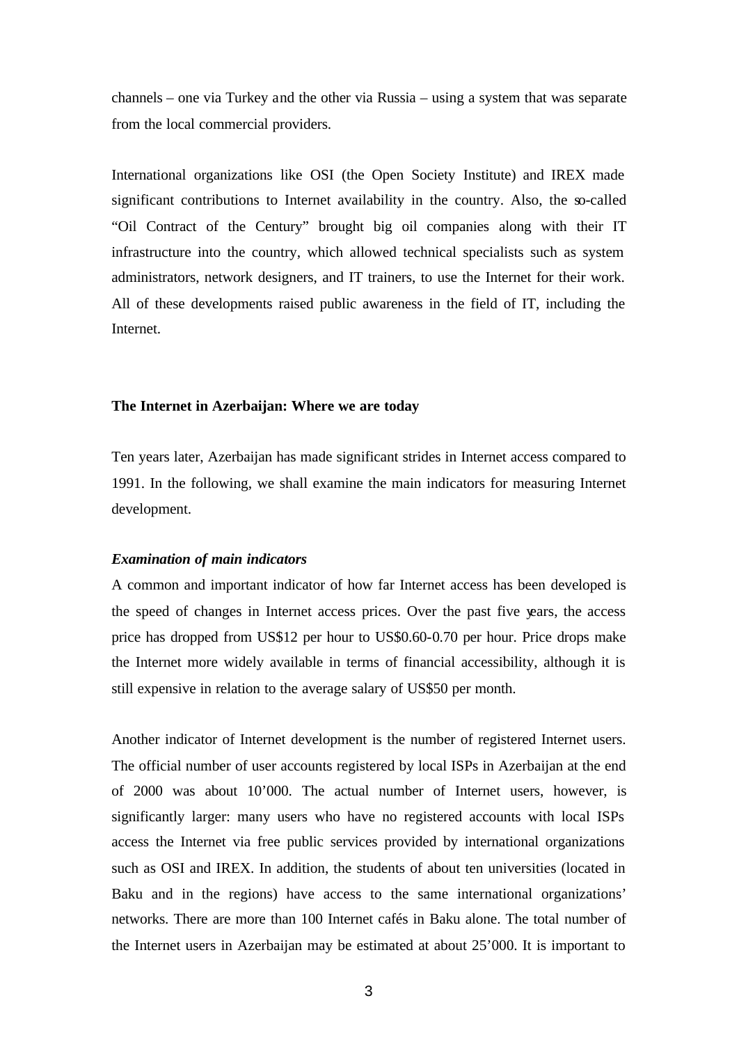channels – one via Turkey and the other via Russia – using a system that was separate from the local commercial providers.

International organizations like OSI (the Open Society Institute) and IREX made significant contributions to Internet availability in the country. Also, the so-called "Oil Contract of the Century" brought big oil companies along with their IT infrastructure into the country, which allowed technical specialists such as system administrators, network designers, and IT trainers, to use the Internet for their work. All of these developments raised public awareness in the field of IT, including the Internet.

#### **The Internet in Azerbaijan: Where we are today**

Ten years later, Azerbaijan has made significant strides in Internet access compared to 1991. In the following, we shall examine the main indicators for measuring Internet development.

#### *Examination of main indicators*

A common and important indicator of how far Internet access has been developed is the speed of changes in Internet access prices. Over the past five years, the access price has dropped from US\$12 per hour to US\$0.60-0.70 per hour. Price drops make the Internet more widely available in terms of financial accessibility, although it is still expensive in relation to the average salary of US\$50 per month.

Another indicator of Internet development is the number of registered Internet users. The official number of user accounts registered by local ISPs in Azerbaijan at the end of 2000 was about 10'000. The actual number of Internet users, however, is significantly larger: many users who have no registered accounts with local ISPs access the Internet via free public services provided by international organizations such as OSI and IREX. In addition, the students of about ten universities (located in Baku and in the regions) have access to the same international organizations' networks. There are more than 100 Internet cafés in Baku alone. The total number of the Internet users in Azerbaijan may be estimated at about 25'000. It is important to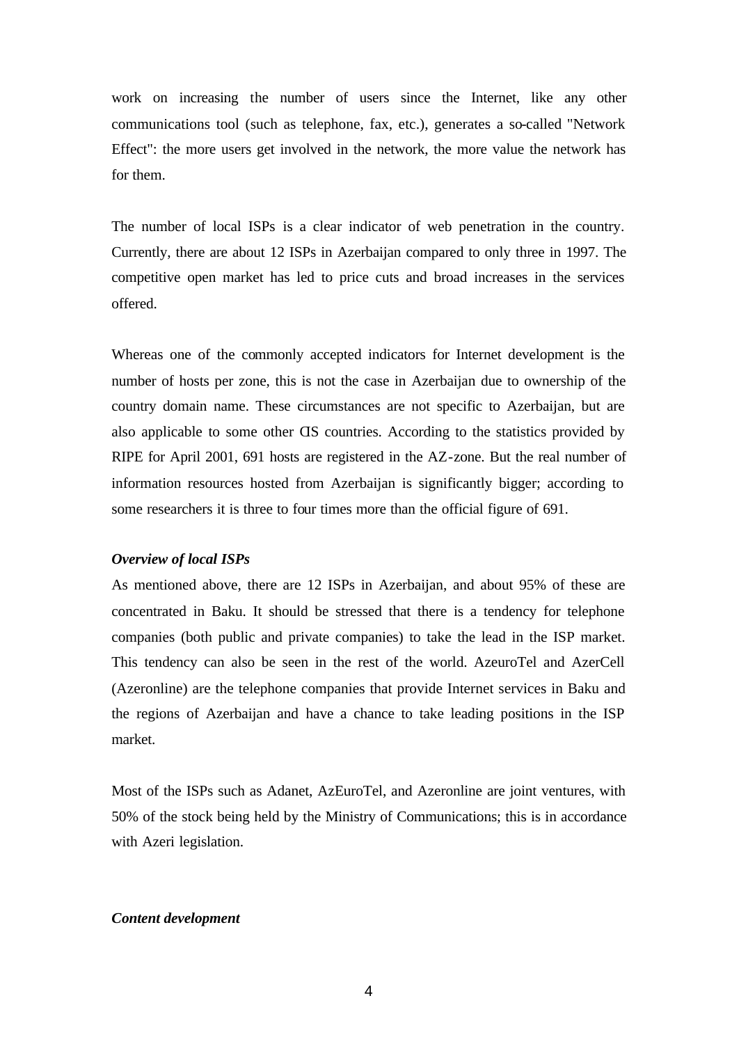work on increasing the number of users since the Internet, like any other communications tool (such as telephone, fax, etc.), generates a so-called "Network Effect": the more users get involved in the network, the more value the network has for them.

The number of local ISPs is a clear indicator of web penetration in the country. Currently, there are about 12 ISPs in Azerbaijan compared to only three in 1997. The competitive open market has led to price cuts and broad increases in the services offered.

Whereas one of the commonly accepted indicators for Internet development is the number of hosts per zone, this is not the case in Azerbaijan due to ownership of the country domain name. These circumstances are not specific to Azerbaijan, but are also applicable to some other CIS countries. According to the statistics provided by RIPE for April 2001, 691 hosts are registered in the AZ-zone. But the real number of information resources hosted from Azerbaijan is significantly bigger; according to some researchers it is three to four times more than the official figure of 691.

#### *Overview of local ISPs*

As mentioned above, there are 12 ISPs in Azerbaijan, and about 95% of these are concentrated in Baku. It should be stressed that there is a tendency for telephone companies (both public and private companies) to take the lead in the ISP market. This tendency can also be seen in the rest of the world. AzeuroTel and AzerCell (Azeronline) are the telephone companies that provide Internet services in Baku and the regions of Azerbaijan and have a chance to take leading positions in the ISP market.

Most of the ISPs such as Adanet, AzEuroTel, and Azeronline are joint ventures, with 50% of the stock being held by the Ministry of Communications; this is in accordance with Azeri legislation.

#### *Content development*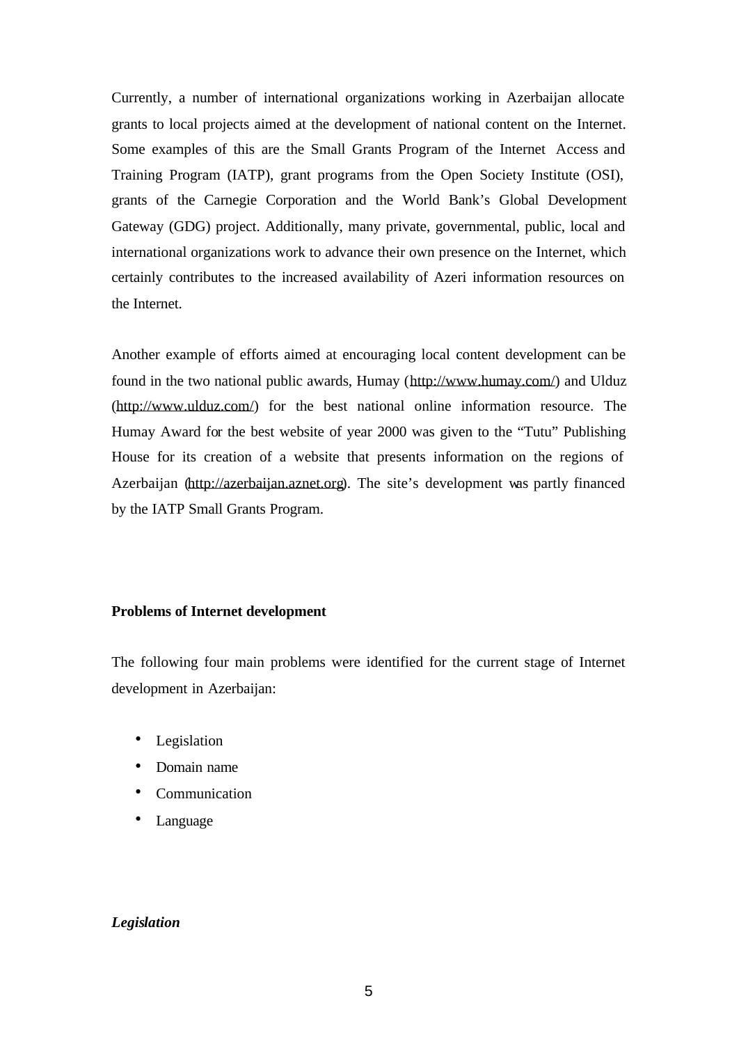Currently, a number of international organizations working in Azerbaijan allocate grants to local projects aimed at the development of national content on the Internet. Some examples of this are the Small Grants Program of the Internet Access and Training Program (IATP), grant programs from the Open Society Institute (OSI), grants of the Carnegie Corporation and the World Bank's Global Development Gateway (GDG) project. Additionally, many private, governmental, public, local and international organizations work to advance their own presence on the Internet, which certainly contributes to the increased availability of Azeri information resources on the Internet.

Another example of efforts aimed at encouraging local content development can be found in the two national public awards, Humay (http://www.humay.com/) and Ulduz (http://www.ulduz.com/) for the best national online information resource. The Humay Award for the best website of year 2000 was given to the "Tutu" Publishing House for its creation of a website that presents information on the regions of Azerbaijan (http://azerbaijan.aznet.org). The site's development was partly financed by the IATP Small Grants Program.

#### **Problems of Internet development**

The following four main problems were identified for the current stage of Internet development in Azerbaijan:

- Legislation
- Domain name
- Communication
- Language

# *Legislation*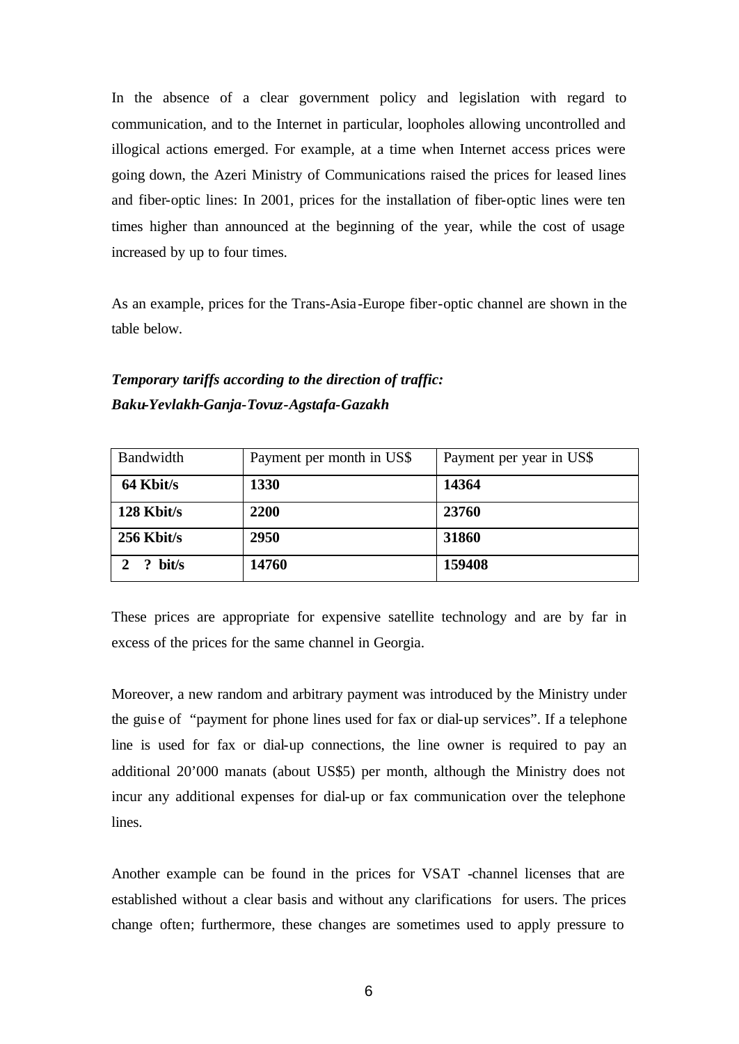In the absence of a clear government policy and legislation with regard to communication, and to the Internet in particular, loopholes allowing uncontrolled and illogical actions emerged. For example, at a time when Internet access prices were going down, the Azeri Ministry of Communications raised the prices for leased lines and fiber-optic lines: In 2001, prices for the installation of fiber-optic lines were ten times higher than announced at the beginning of the year, while the cost of usage increased by up to four times.

As an example, prices for the Trans-Asia-Europe fiber-optic channel are shown in the table below.

# *Temporary tariffs according to the direction of traffic: Baku-Yevlakh-Ganja-Tovuz-Agstafa-Gazakh*

| Bandwidth    | Payment per month in US\$ | Payment per year in US\$ |
|--------------|---------------------------|--------------------------|
| 64 Kbit/s    | 1330                      | 14364                    |
| 128 Kbit/s   | 2200                      | 23760                    |
| $256$ Kbit/s | 2950                      | 31860                    |
| bit/s        | 14760                     | 159408                   |

These prices are appropriate for expensive satellite technology and are by far in excess of the prices for the same channel in Georgia.

Moreover, a new random and arbitrary payment was introduced by the Ministry under the guise of "payment for phone lines used for fax or dial-up services". If a telephone line is used for fax or dial-up connections, the line owner is required to pay an additional 20'000 manats (about US\$5) per month, although the Ministry does not incur any additional expenses for dial-up or fax communication over the telephone lines.

Another example can be found in the prices for VSAT -channel licenses that are established without a clear basis and without any clarifications for users. The prices change often; furthermore, these changes are sometimes used to apply pressure to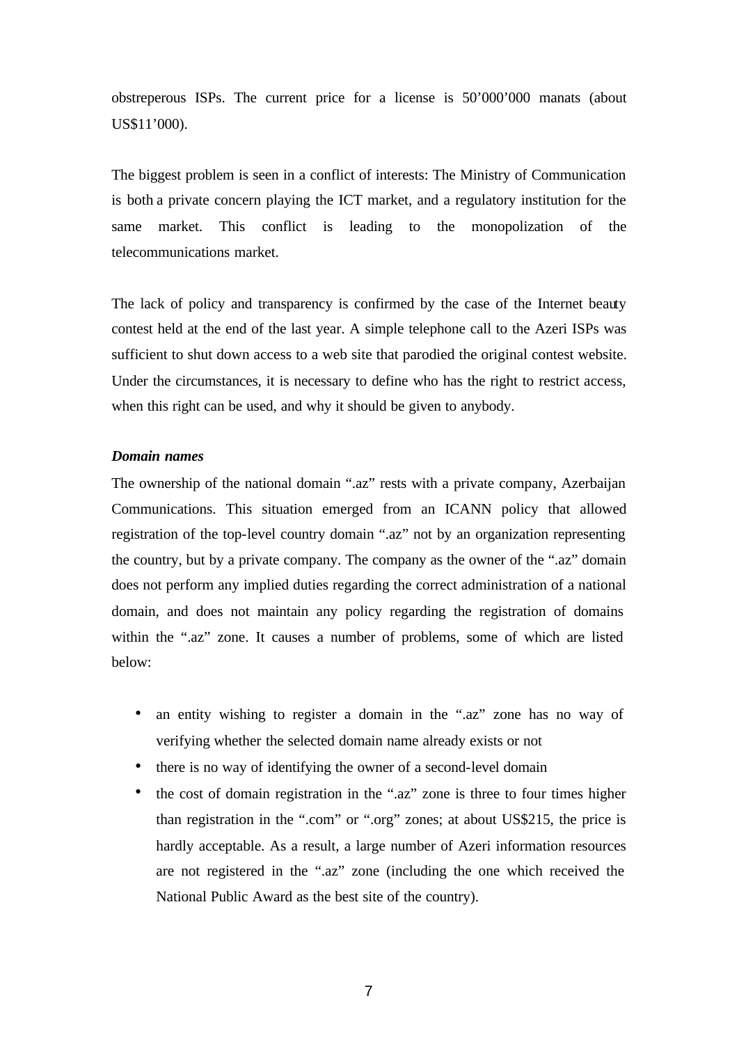obstreperous ISPs. The current price for a license is 50'000'000 manats (about US\$11'000).

The biggest problem is seen in a conflict of interests: The Ministry of Communication is both a private concern playing the ICT market, and a regulatory institution for the same market. This conflict is leading to the monopolization of the telecommunications market.

The lack of policy and transparency is confirmed by the case of the Internet beauty contest held at the end of the last year. A simple telephone call to the Azeri ISPs was sufficient to shut down access to a web site that parodied the original contest website. Under the circumstances, it is necessary to define who has the right to restrict access, when this right can be used, and why it should be given to anybody.

#### *Domain names*

The ownership of the national domain ".az" rests with a private company, Azerbaijan Communications. This situation emerged from an ICANN policy that allowed registration of the top-level country domain ".az" not by an organization representing the country, but by a private company. The company as the owner of the ".az" domain does not perform any implied duties regarding the correct administration of a national domain, and does not maintain any policy regarding the registration of domains within the ".az" zone. It causes a number of problems, some of which are listed below:

- an entity wishing to register a domain in the ".az" zone has no way of verifying whether the selected domain name already exists or not
- there is no way of identifying the owner of a second-level domain
- the cost of domain registration in the ".az" zone is three to four times higher than registration in the ".com" or ".org" zones; at about US\$215, the price is hardly acceptable. As a result, a large number of Azeri information resources are not registered in the ".az" zone (including the one which received the National Public Award as the best site of the country).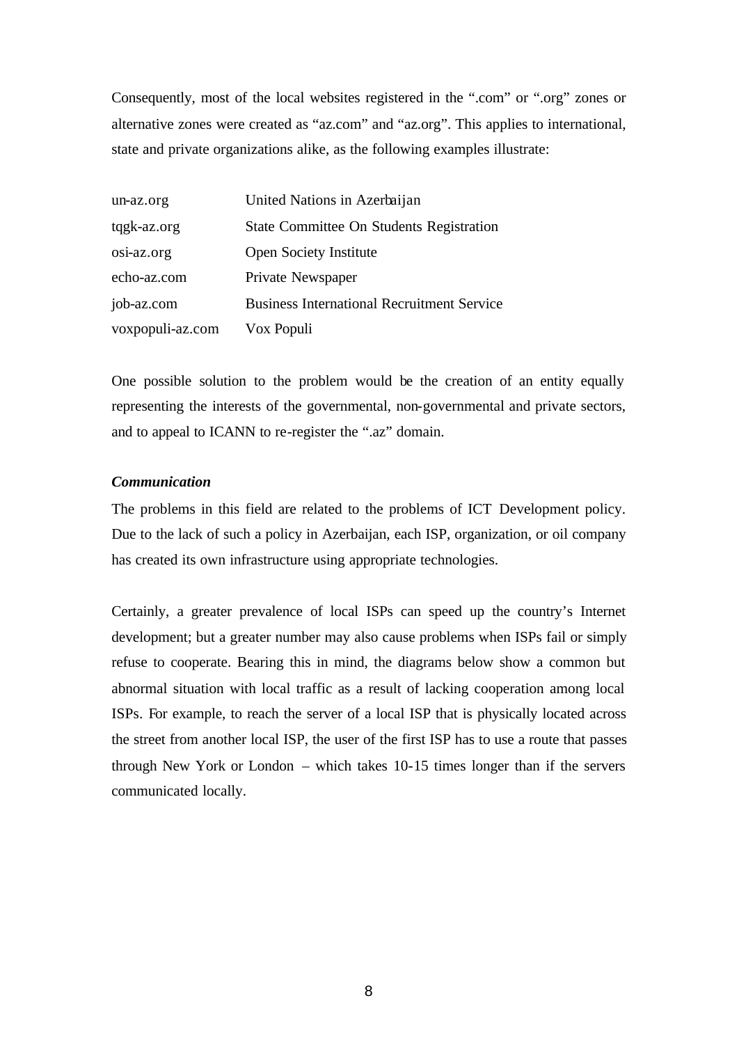Consequently, most of the local websites registered in the ".com" or ".org" zones or alternative zones were created as "az.com" and "az.org". This applies to international, state and private organizations alike, as the following examples illustrate:

| un-az.org        | United Nations in Azerbaijan                      |
|------------------|---------------------------------------------------|
| tqgk-az.org      | State Committee On Students Registration          |
| osi-az.org       | Open Society Institute                            |
| echo-az.com      | Private Newspaper                                 |
| job-az.com       | <b>Business International Recruitment Service</b> |
| voxpopuli-az.com | Vox Populi                                        |

One possible solution to the problem would be the creation of an entity equally representing the interests of the governmental, non-governmental and private sectors, and to appeal to ICANN to re-register the ".az" domain.

# *Communication*

The problems in this field are related to the problems of ICT Development policy. Due to the lack of such a policy in Azerbaijan, each ISP, organization, or oil company has created its own infrastructure using appropriate technologies.

Certainly, a greater prevalence of local ISPs can speed up the country's Internet development; but a greater number may also cause problems when ISPs fail or simply refuse to cooperate. Bearing this in mind, the diagrams below show a common but abnormal situation with local traffic as a result of lacking cooperation among local ISPs. For example, to reach the server of a local ISP that is physically located across the street from another local ISP, the user of the first ISP has to use a route that passes through New York or London – which takes 10-15 times longer than if the servers communicated locally.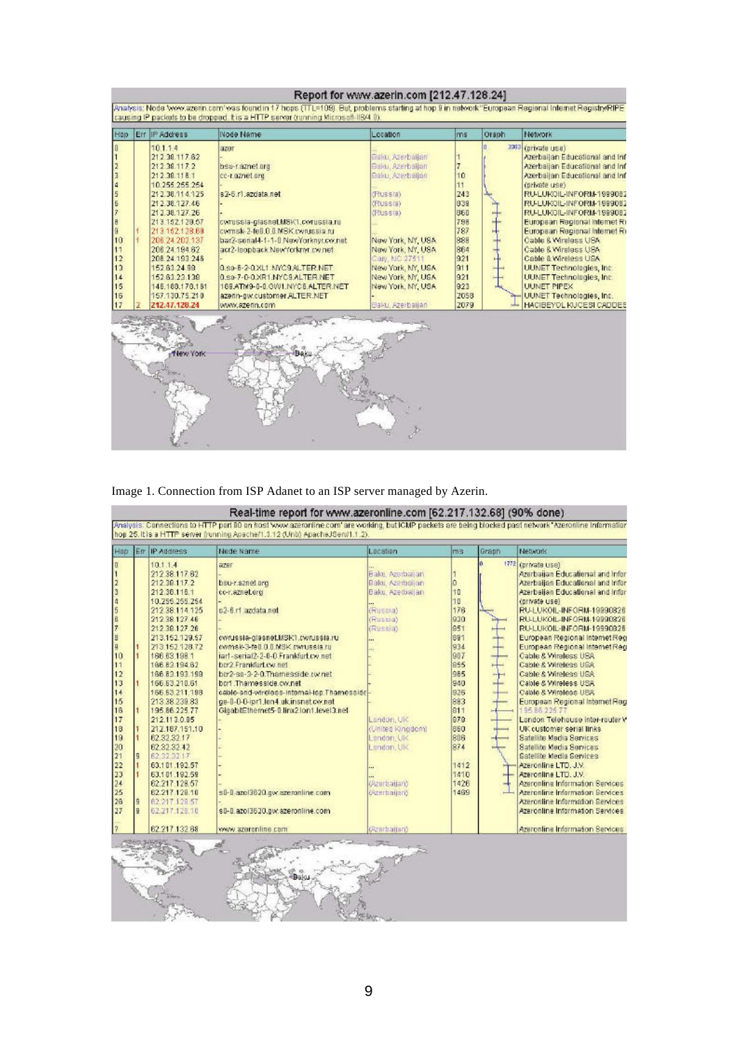|                                                                      | Report for www.azerin.com [212.47.128.24]<br>Analysis; Node Vww.azerin.com/was found in 17 hops (TTL=109). But, problems starting at hop 8 in rietwork "European Regional Internet Registry RIPE<br>causing IP packets to be dropped, this a HTTP server (running Microsoft-IIB/4.0). |                                                                                                                                                                                                                                                                                                                |                                                                                                                                                                                                                                                                                                                                                                        |                                                                                                                                                                                                                                               |                                                                                                       |       |                                                                                                                                                                                                                                                                                                                                                                                                                                                                                                                                   |
|----------------------------------------------------------------------|---------------------------------------------------------------------------------------------------------------------------------------------------------------------------------------------------------------------------------------------------------------------------------------|----------------------------------------------------------------------------------------------------------------------------------------------------------------------------------------------------------------------------------------------------------------------------------------------------------------|------------------------------------------------------------------------------------------------------------------------------------------------------------------------------------------------------------------------------------------------------------------------------------------------------------------------------------------------------------------------|-----------------------------------------------------------------------------------------------------------------------------------------------------------------------------------------------------------------------------------------------|-------------------------------------------------------------------------------------------------------|-------|-----------------------------------------------------------------------------------------------------------------------------------------------------------------------------------------------------------------------------------------------------------------------------------------------------------------------------------------------------------------------------------------------------------------------------------------------------------------------------------------------------------------------------------|
| Hop                                                                  |                                                                                                                                                                                                                                                                                       | Err IIP Address                                                                                                                                                                                                                                                                                                | Node Name                                                                                                                                                                                                                                                                                                                                                              | Location                                                                                                                                                                                                                                      | ms.                                                                                                   | Graph | Network                                                                                                                                                                                                                                                                                                                                                                                                                                                                                                                           |
| NERA<br>80 00<br>10<br>11<br>$\frac{12}{13}$<br>14<br>15<br>16<br>17 |                                                                                                                                                                                                                                                                                       | 10114<br>212.38.117.62<br>212 38 117 2<br>212 38 11 8 1<br>10.255.255.254<br>212.38.114.125<br>212.38.127.46<br>21 2.38.127.26<br>213.152.129.57<br>213 152 128.69<br>206 24 202 137<br>208.24.194.62<br>208.24.193.248<br>152.63.24.99<br>152.81.23.138<br>146.188.178.181<br>157.130.75.210<br>212.47.128.24 | azer<br>bsu-r.aznet.org<br>cc-r.aznet.org<br>s2-6.r1.azdata.net<br>cwrussia-glasnet.MSK1.cwrussia.ru<br>cvmsk-2-fe0.0.0.MSK.cvrussia.ru<br>bar2-senal4-1-1-0.NewYorknycon.net<br>acr2-loopback.NewYorkmr.cw.net<br>0.sp-B-2-0.XL1.NVC9.ALTER.NET<br>0.sp-7-0-0.XR1.NYC9.ALTER.NET<br>169.ATM9-0-0.OW1.NYC6.ALTER.NET<br>azerin-gw.customer.ALTER.NET<br>www.azerin.com | Baldi, Azerbaijan<br>Balo, Azerbaijan<br>Bailu, Azerbaijan<br>(Russia)<br>(Russia)<br>(Russia)<br>New York, NY, USA<br>New York, NY, USA<br>Carl, NC 27511<br>New York, NY, USA<br>New York, NY, USA<br>New York, NY, USA<br>Baku, Azerbailan | 10<br>11<br>243<br>838<br>860<br>798<br>787<br>888<br>864<br>921<br>911<br>921<br>923<br>2058<br>2079 |       | 2393 (private use)<br>Azerbaijan Educational and Inf<br>Azerbaijan Educational and Inf<br>Azerbaijan Educational and Inf<br>(private use)<br>RU-LUKOIL-INFORM-1999082<br>RU-LUKOIL-INFORM-1999082<br>RU-LUKOIL-INFORM-1999082<br>European Regional Internet Ri<br>European Regional Internet Ri<br>Cable & Virginss USA<br>Cable & Véreless USA<br>Cable & Wireless USA<br><b>UUNET Technologies, Inc.</b><br><b>UUNET Technologies, Inc.</b><br><b>UUNET PIPEX</b><br>UUNET Technologies, Inc.<br><b>HACIBEYOL KUCESI CADDES</b> |
|                                                                      |                                                                                                                                                                                                                                                                                       | Hew York                                                                                                                                                                                                                                                                                                       |                                                                                                                                                                                                                                                                                                                                                                        |                                                                                                                                                                                                                                               |                                                                                                       |       |                                                                                                                                                                                                                                                                                                                                                                                                                                                                                                                                   |

Image 1. Connection from ISP Adanet to an ISP server managed by Azerin.

|                                                                                                                                                                                              |                                                                                                                                                                                                                                                                                                                                                                                                                                                                                                   | Node Name                                                                                                                                                                                                                                                                                                                                                                                                                                                                                        | Lacation                                                                                                                                                                                                               | ms                                                                                                                                                            | Graph | Network                                                                                                                                                                                                                                                                                                                                                                                                                                                                                                                                                                                                                                                                                                                                                                                                                                                                           |
|----------------------------------------------------------------------------------------------------------------------------------------------------------------------------------------------|---------------------------------------------------------------------------------------------------------------------------------------------------------------------------------------------------------------------------------------------------------------------------------------------------------------------------------------------------------------------------------------------------------------------------------------------------------------------------------------------------|--------------------------------------------------------------------------------------------------------------------------------------------------------------------------------------------------------------------------------------------------------------------------------------------------------------------------------------------------------------------------------------------------------------------------------------------------------------------------------------------------|------------------------------------------------------------------------------------------------------------------------------------------------------------------------------------------------------------------------|---------------------------------------------------------------------------------------------------------------------------------------------------------------|-------|-----------------------------------------------------------------------------------------------------------------------------------------------------------------------------------------------------------------------------------------------------------------------------------------------------------------------------------------------------------------------------------------------------------------------------------------------------------------------------------------------------------------------------------------------------------------------------------------------------------------------------------------------------------------------------------------------------------------------------------------------------------------------------------------------------------------------------------------------------------------------------------|
| 4<br>ß<br>Z<br>Ø<br>9<br>10<br>11<br>12<br>13<br>14<br>15<br>16<br>17<br>18<br>19<br>20<br>21<br>g<br>22<br>23<br>24<br>25<br>26<br>$\overline{a}$<br>27<br>$\overline{u}$<br>$\overline{2}$ | 10.1.1.4<br>212.38.117.62<br>212.38.117.2<br>212.38.116.1<br>10.255.255.254<br>212 38 114 125<br>212.38.127.46<br>212.38.127.26<br>213.152.129.57<br>213 152 128 72<br>166.63.198.1<br>166.83.194.62<br>166.83.193.199<br>166.63.210.61<br>166.63.211.198<br>213.38.239.83<br>195.86.225.77<br>212.113.0.85<br>212.187.151.10<br>62.32.32.17<br>62.32.32.42<br>62.32.32.17<br>63.101.192.57<br>63.101.192.59<br>62.217.128.57<br>62.217.128.10<br>62.217 128.57<br>62.217.128.10<br>62.217.132.68 | azer<br>bsu-r.aznet.org<br>co-r.aznet.org<br>s2-8 r1 azdata.net<br>cwrussia-glasnet.MSK1.cwrussia.ru<br>ownsk-3-fell.0.0.MSK ownussia.ru<br>iarl-serial2-2-0-0.Frankfurt.cv.net<br>ber2.Frankfurt.cv.net<br>ber2-se-3-2-0.Thamesside.rw.net<br>bort Thamesside.ow.net<br>cable-and-wireless-internal-lap.Thamesside<br>ge-8-0-0-jpr1.lan4.ukinsnatow.net<br>GigabitEthemet5-0.linx2.lon1.level3.net<br>s0-0.azol3620.qvr.azeronline.com<br>s0-0.azol3620.gw.azeronline.com<br>yww.azeronline.com | Baku, Azərbanan<br>Baku, Azerbaijan<br>Baku, Azerbahan<br>(Russia)<br>(Russia)<br>(Russia)<br>Landon, UK<br>(United Kingdom)<br>London, UK<br>Landon, UK<br>(Azerbaijan)<br><i><b>Dererbanari</b></i><br>(Azerbailari) | ٥<br>10<br>10<br>176<br>920<br>851<br>891<br>934<br>907<br>855<br>985<br>940<br>926<br>883<br>811<br>979<br>850<br>808<br>874<br>1412<br>1410<br>1426<br>1469 |       | 1772 (private USB)<br>Azerbaijan Educational and Infor-<br>Azerbaijan Educational and Infor-<br>Azerbaijan Educational and infor-<br>(grivate use)<br>RU-LUKOIL-INFORM-19990826<br>RU-LUKOIL-INFORM-19990828<br>RU-LUKOIL-INFORM-19990925<br>European Regional Internet Reg<br>European Regional Internet Reg<br>Cable & Wireless USA<br>Cable & Wireless USA<br>Cable & Wireless USA<br>Cable & Wireless USA<br>Cable & Wireless USA<br>European Regional Internet Reg<br>195.86.226.77<br>Landon Telehause inter-rauter V<br>UK customer serial links.<br><b>Satellite Media Services</b><br>Satellite Media Services<br>Satellite Media Services<br>Azeronline LTD, J.V.<br>Azeronline LTD, J.V.<br>Azeronline Information Services<br>Azeronline Information Benices<br>Azeronline Information Services<br>Azeronline Information Services<br>Azeronline Information Services |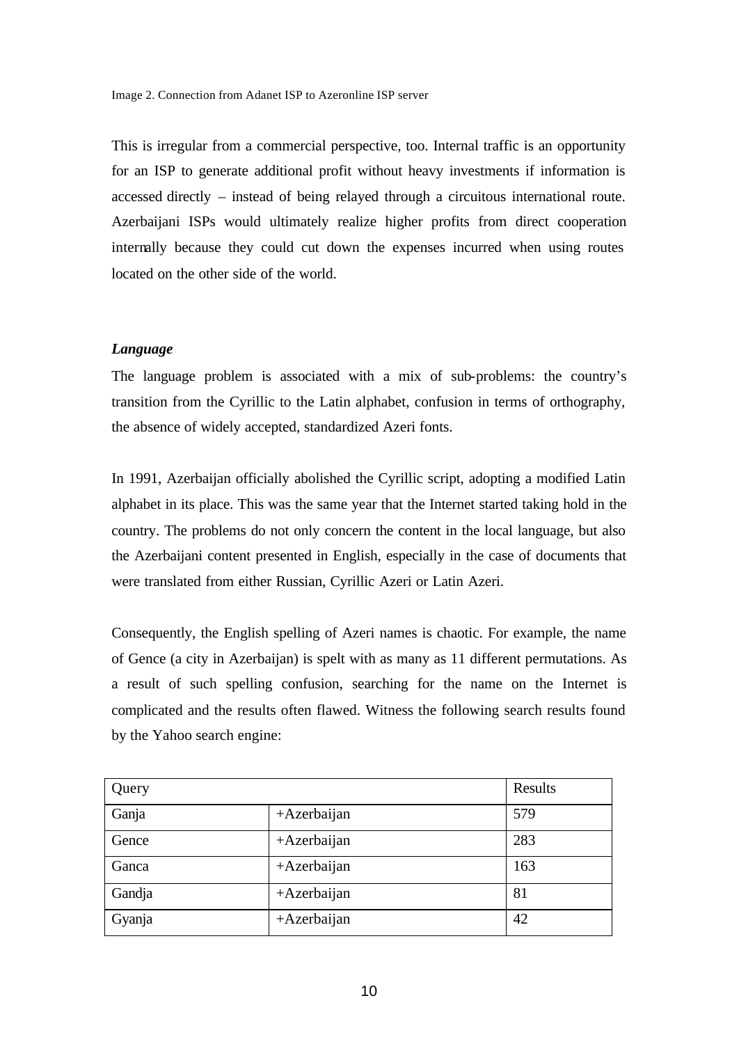This is irregular from a commercial perspective, too. Internal traffic is an opportunity for an ISP to generate additional profit without heavy investments if information is accessed directly – instead of being relayed through a circuitous international route. Azerbaijani ISPs would ultimately realize higher profits from direct cooperation internally because they could cut down the expenses incurred when using routes located on the other side of the world.

# *Language*

The language problem is associated with a mix of sub-problems: the country's transition from the Cyrillic to the Latin alphabet, confusion in terms of orthography, the absence of widely accepted, standardized Azeri fonts.

In 1991, Azerbaijan officially abolished the Cyrillic script, adopting a modified Latin alphabet in its place. This was the same year that the Internet started taking hold in the country. The problems do not only concern the content in the local language, but also the Azerbaijani content presented in English, especially in the case of documents that were translated from either Russian, Cyrillic Azeri or Latin Azeri.

Consequently, the English spelling of Azeri names is chaotic. For example, the name of Gence (a city in Azerbaijan) is spelt with as many as 11 different permutations. As a result of such spelling confusion, searching for the name on the Internet is complicated and the results often flawed. Witness the following search results found by the Yahoo search engine:

| Query  |                | Results |
|--------|----------------|---------|
| Ganja  | $+$ Azerbaijan | 579     |
| Gence  | $+$ Azerbaijan | 283     |
| Ganca  | $+$ Azerbaijan | 163     |
| Gandja | $+$ Azerbaijan | 81      |
| Gyanja | +Azerbaijan    | 42      |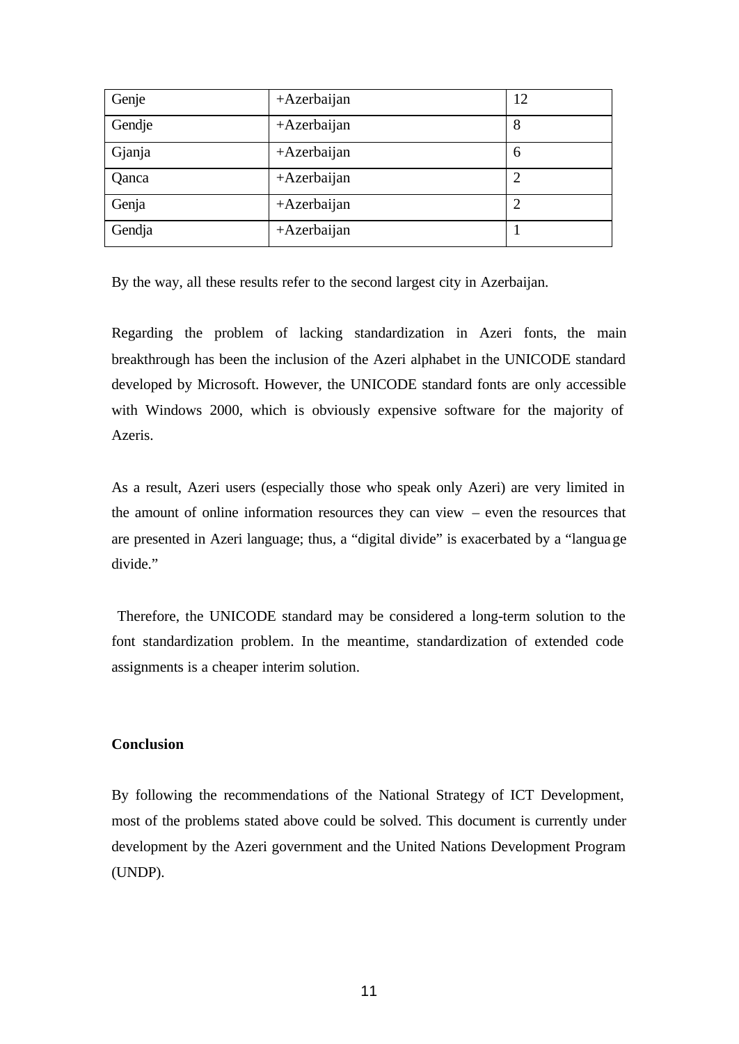| Genje  | $+$ Azerbaijan | 12             |
|--------|----------------|----------------|
| Gendje | $+$ Azerbaijan | 8              |
| Gjanja | $+$ Azerbaijan | 6              |
| Qanca  | $+$ Azerbaijan | 2              |
| Genja  | $+$ Azerbaijan | $\overline{2}$ |
| Gendja | +Azerbaijan    |                |

By the way, all these results refer to the second largest city in Azerbaijan.

Regarding the problem of lacking standardization in Azeri fonts, the main breakthrough has been the inclusion of the Azeri alphabet in the UNICODE standard developed by Microsoft. However, the UNICODE standard fonts are only accessible with Windows 2000, which is obviously expensive software for the majority of Azeris.

As a result, Azeri users (especially those who speak only Azeri) are very limited in the amount of online information resources they can view – even the resources that are presented in Azeri language; thus, a "digital divide" is exacerbated by a "language divide."

 Therefore, the UNICODE standard may be considered a long-term solution to the font standardization problem. In the meantime, standardization of extended code assignments is a cheaper interim solution.

## **Conclusion**

By following the recommendations of the National Strategy of ICT Development, most of the problems stated above could be solved. This document is currently under development by the Azeri government and the United Nations Development Program (UNDP).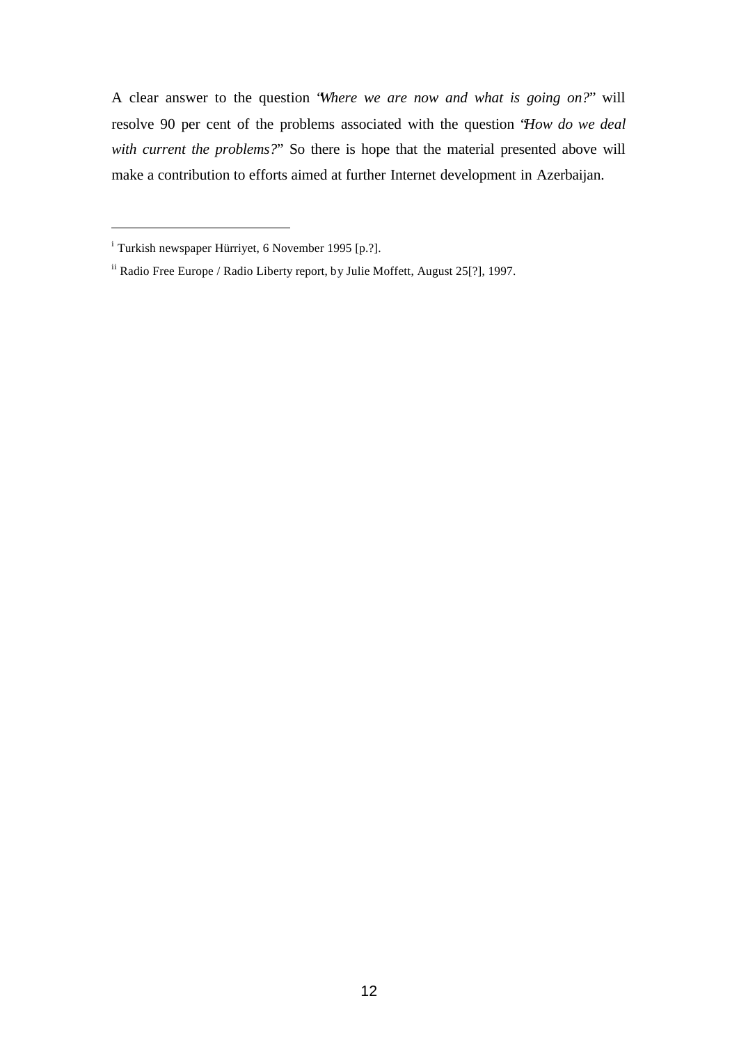A clear answer to the question "*Where we are now and what is going on?*" will resolve 90 per cent of the problems associated with the question "*How do we deal with current the problems?*" So there is hope that the material presented above will make a contribution to efforts aimed at further Internet development in Azerbaijan.

l

<sup>&</sup>lt;sup>i</sup> Turkish newspaper Hürriyet, 6 November 1995 [p.?].

ii Radio Free Europe / Radio Liberty report, by Julie Moffett, August 25[?], 1997.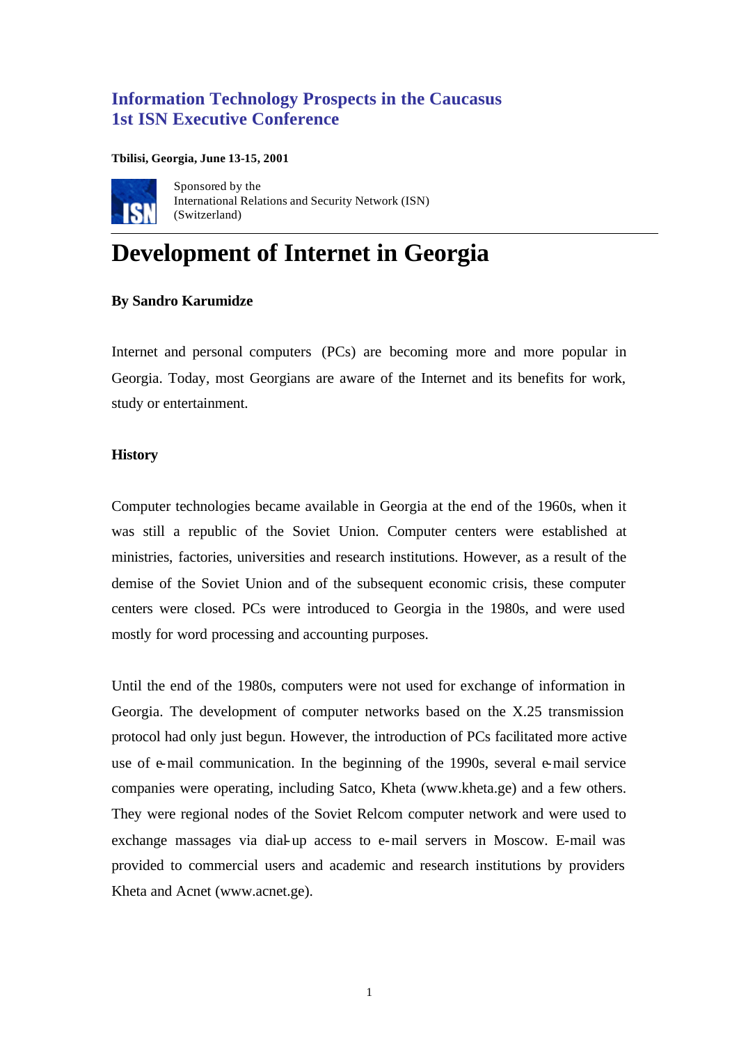# **Information Technology Prospects in the Caucasus 1st ISN Executive Conference**

**Tbilisi, Georgia, June 13-15, 2001**



Sponsored by the International Relations and Security Network (ISN) (Switzerland)

# **Development of Internet in Georgia**

# **By Sandro Karumidze**

Internet and personal computers (PCs) are becoming more and more popular in Georgia. Today, most Georgians are aware of the Internet and its benefits for work, study or entertainment.

# **History**

Computer technologies became available in Georgia at the end of the 1960s, when it was still a republic of the Soviet Union. Computer centers were established at ministries, factories, universities and research institutions. However, as a result of the demise of the Soviet Union and of the subsequent economic crisis, these computer centers were closed. PCs were introduced to Georgia in the 1980s, and were used mostly for word processing and accounting purposes.

Until the end of the 1980s, computers were not used for exchange of information in Georgia. The development of computer networks based on the X.25 transmission protocol had only just begun. However, the introduction of PCs facilitated more active use of e-mail communication. In the beginning of the 1990s, several e-mail service companies were operating, including Satco, Kheta (www.kheta.ge) and a few others. They were regional nodes of the Soviet Relcom computer network and were used to exchange massages via dial-up access to e-mail servers in Moscow. E-mail was provided to commercial users and academic and research institutions by providers Kheta and Acnet (www.acnet.ge).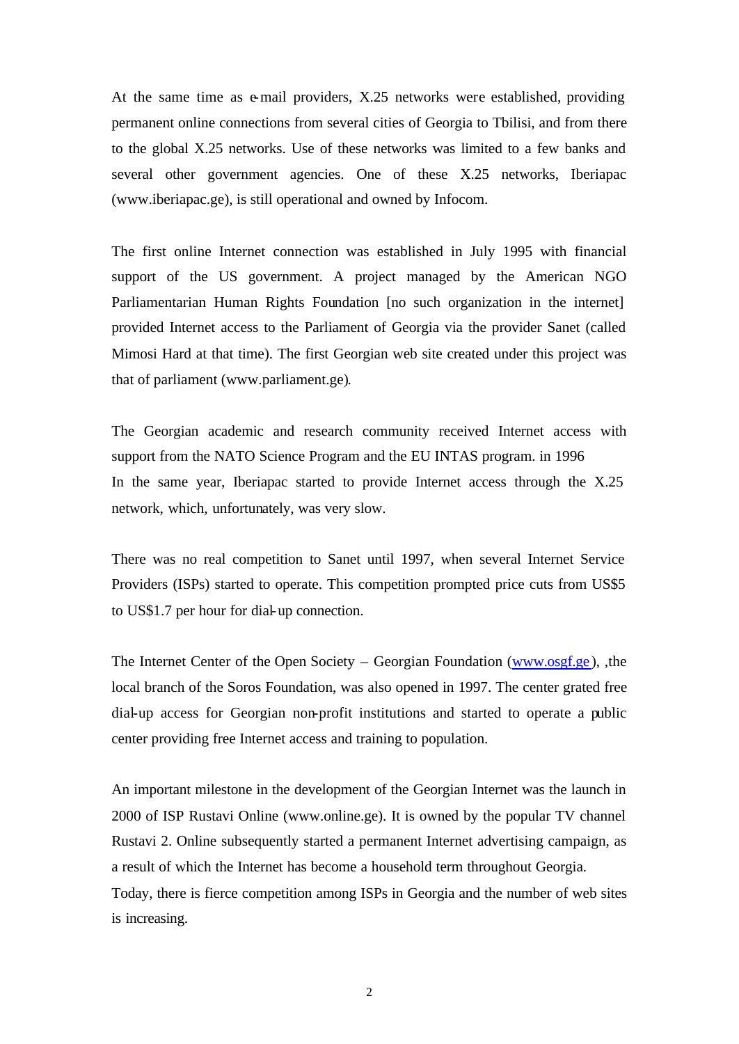At the same time as e-mail providers, X.25 networks were established, providing permanent online connections from several cities of Georgia to Tbilisi, and from there to the global X.25 networks. Use of these networks was limited to a few banks and several other government agencies. One of these X.25 networks, Iberiapac (www.iberiapac.ge), is still operational and owned by Infocom.

The first online Internet connection was established in July 1995 with financial support of the US government. A project managed by the American NGO Parliamentarian Human Rights Foundation [no such organization in the internet] provided Internet access to the Parliament of Georgia via the provider Sanet (called Mimosi Hard at that time). The first Georgian web site created under this project was that of parliament (www.parliament.ge).

The Georgian academic and research community received Internet access with support from the NATO Science Program and the EU INTAS program. in 1996 In the same year, Iberiapac started to provide Internet access through the X.25 network, which, unfortunately, was very slow.

There was no real competition to Sanet until 1997, when several Internet Service Providers (ISPs) started to operate. This competition prompted price cuts from US\$5 to US\$1.7 per hour for dial-up connection.

The Internet Center of the Open Society – Georgian Foundation (www.osgf.ge ), ,the local branch of the Soros Foundation, was also opened in 1997. The center grated free dial-up access for Georgian non-profit institutions and started to operate a public center providing free Internet access and training to population.

An important milestone in the development of the Georgian Internet was the launch in 2000 of ISP Rustavi Online (www.online.ge). It is owned by the popular TV channel Rustavi 2. Online subsequently started a permanent Internet advertising campaign, as a result of which the Internet has become a household term throughout Georgia. Today, there is fierce competition among ISPs in Georgia and the number of web sites is increasing.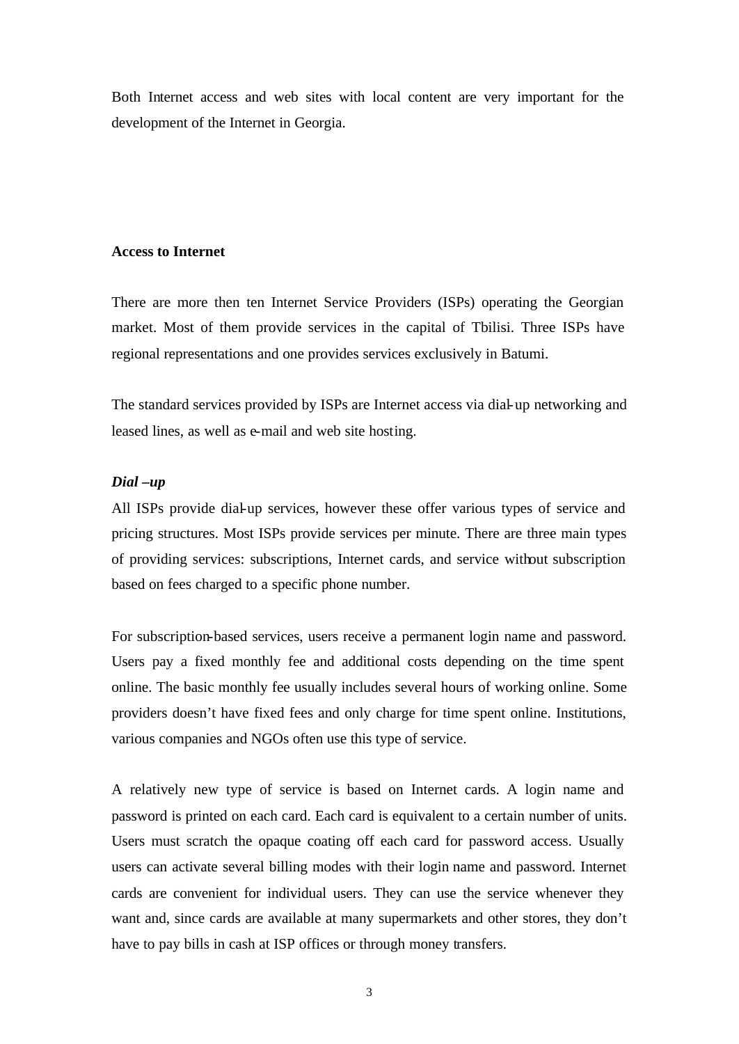Both Internet access and web sites with local content are very important for the development of the Internet in Georgia.

## **Access to Internet**

There are more then ten Internet Service Providers (ISPs) operating the Georgian market. Most of them provide services in the capital of Tbilisi. Three ISPs have regional representations and one provides services exclusively in Batumi.

The standard services provided by ISPs are Internet access via dial-up networking and leased lines, as well as e-mail and web site hosting.

## *Dial –up*

All ISPs provide dial-up services, however these offer various types of service and pricing structures. Most ISPs provide services per minute. There are three main types of providing services: subscriptions, Internet cards, and service without subscription based on fees charged to a specific phone number.

For subscription-based services, users receive a permanent login name and password. Users pay a fixed monthly fee and additional costs depending on the time spent online. The basic monthly fee usually includes several hours of working online. Some providers doesn't have fixed fees and only charge for time spent online. Institutions, various companies and NGOs often use this type of service.

A relatively new type of service is based on Internet cards. A login name and password is printed on each card. Each card is equivalent to a certain number of units. Users must scratch the opaque coating off each card for password access. Usually users can activate several billing modes with their login name and password. Internet cards are convenient for individual users. They can use the service whenever they want and, since cards are available at many supermarkets and other stores, they don't have to pay bills in cash at ISP offices or through money transfers.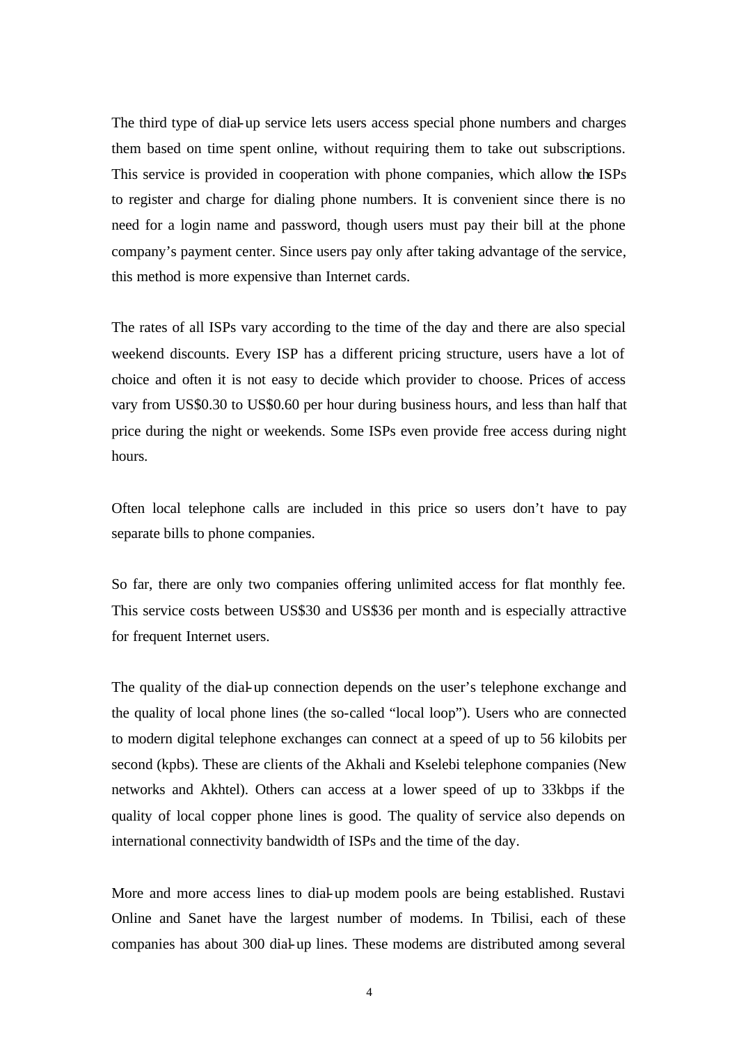The third type of dial-up service lets users access special phone numbers and charges them based on time spent online, without requiring them to take out subscriptions. This service is provided in cooperation with phone companies, which allow the ISPs to register and charge for dialing phone numbers. It is convenient since there is no need for a login name and password, though users must pay their bill at the phone company's payment center. Since users pay only after taking advantage of the service, this method is more expensive than Internet cards.

The rates of all ISPs vary according to the time of the day and there are also special weekend discounts. Every ISP has a different pricing structure, users have a lot of choice and often it is not easy to decide which provider to choose. Prices of access vary from US\$0.30 to US\$0.60 per hour during business hours, and less than half that price during the night or weekends. Some ISPs even provide free access during night hours.

Often local telephone calls are included in this price so users don't have to pay separate bills to phone companies.

So far, there are only two companies offering unlimited access for flat monthly fee. This service costs between US\$30 and US\$36 per month and is especially attractive for frequent Internet users.

The quality of the dial-up connection depends on the user's telephone exchange and the quality of local phone lines (the so-called "local loop"). Users who are connected to modern digital telephone exchanges can connect at a speed of up to 56 kilobits per second (kpbs). These are clients of the Akhali and Kselebi telephone companies (New networks and Akhtel). Others can access at a lower speed of up to 33kbps if the quality of local copper phone lines is good. The quality of service also depends on international connectivity bandwidth of ISPs and the time of the day.

More and more access lines to dial-up modem pools are being established. Rustavi Online and Sanet have the largest number of modems. In Tbilisi, each of these companies has about 300 dial-up lines. These modems are distributed among several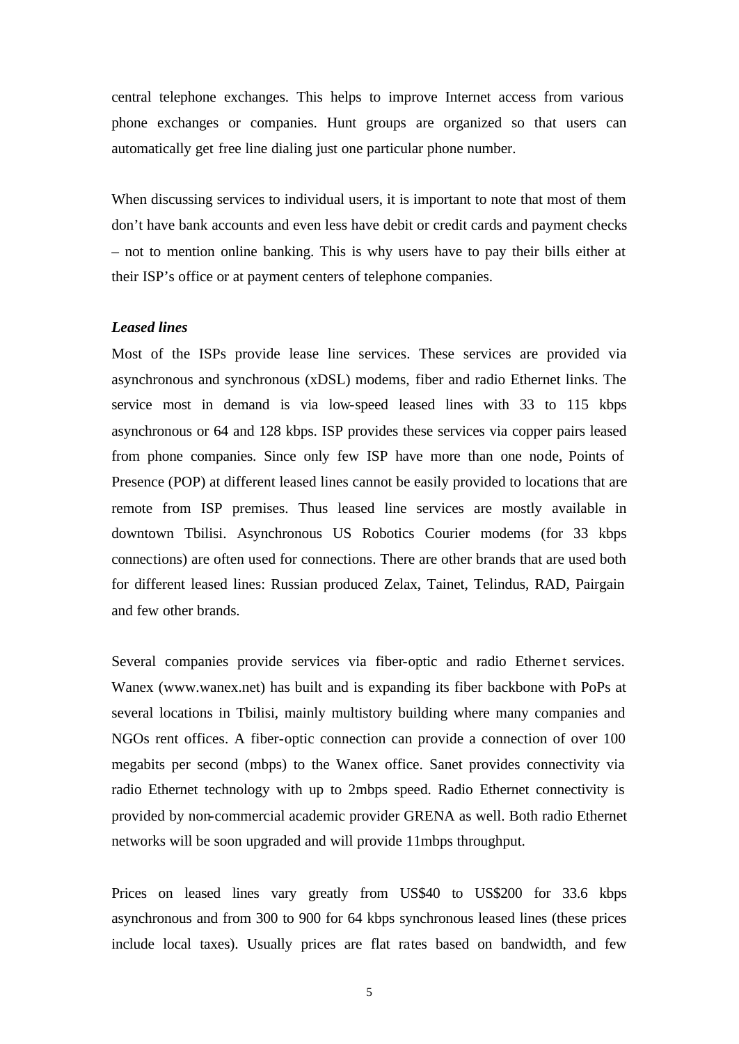central telephone exchanges. This helps to improve Internet access from various phone exchanges or companies. Hunt groups are organized so that users can automatically get free line dialing just one particular phone number.

When discussing services to individual users, it is important to note that most of them don't have bank accounts and even less have debit or credit cards and payment checks – not to mention online banking. This is why users have to pay their bills either at their ISP's office or at payment centers of telephone companies.

# *Leased lines*

Most of the ISPs provide lease line services. These services are provided via asynchronous and synchronous (xDSL) modems, fiber and radio Ethernet links. The service most in demand is via low-speed leased lines with 33 to 115 kbps asynchronous or 64 and 128 kbps. ISP provides these services via copper pairs leased from phone companies. Since only few ISP have more than one node, Points of Presence (POP) at different leased lines cannot be easily provided to locations that are remote from ISP premises. Thus leased line services are mostly available in downtown Tbilisi. Asynchronous US Robotics Courier modems (for 33 kbps connections) are often used for connections. There are other brands that are used both for different leased lines: Russian produced Zelax, Tainet, Telindus, RAD, Pairgain and few other brands.

Several companies provide services via fiber-optic and radio Ethernet services. Wanex (www.wanex.net) has built and is expanding its fiber backbone with PoPs at several locations in Tbilisi, mainly multistory building where many companies and NGOs rent offices. A fiber-optic connection can provide a connection of over 100 megabits per second (mbps) to the Wanex office. Sanet provides connectivity via radio Ethernet technology with up to 2mbps speed. Radio Ethernet connectivity is provided by non-commercial academic provider GRENA as well. Both radio Ethernet networks will be soon upgraded and will provide 11mbps throughput.

Prices on leased lines vary greatly from US\$40 to US\$200 for 33.6 kbps asynchronous and from 300 to 900 for 64 kbps synchronous leased lines (these prices include local taxes). Usually prices are flat rates based on bandwidth, and few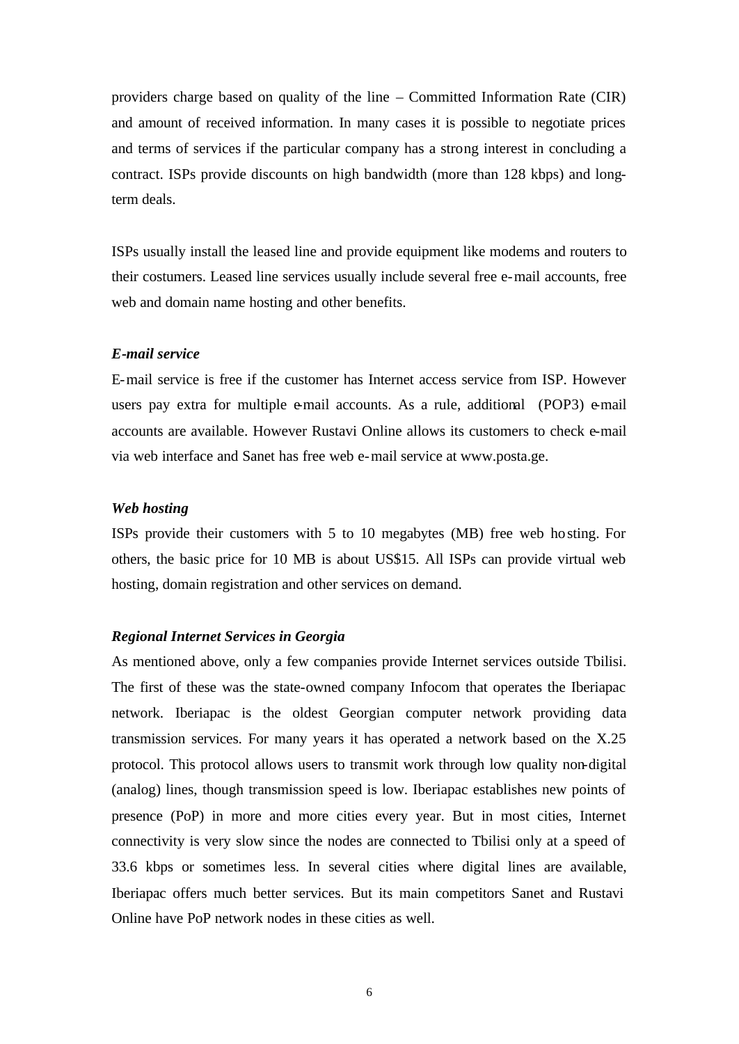providers charge based on quality of the line – Committed Information Rate (CIR) and amount of received information. In many cases it is possible to negotiate prices and terms of services if the particular company has a strong interest in concluding a contract. ISPs provide discounts on high bandwidth (more than 128 kbps) and longterm deals.

ISPs usually install the leased line and provide equipment like modems and routers to their costumers. Leased line services usually include several free e-mail accounts, free web and domain name hosting and other benefits.

## *E-mail service*

E-mail service is free if the customer has Internet access service from ISP. However users pay extra for multiple e-mail accounts. As a rule, additional (POP3) e-mail accounts are available. However Rustavi Online allows its customers to check e-mail via web interface and Sanet has free web e-mail service at www.posta.ge.

## *Web hosting*

ISPs provide their customers with 5 to 10 megabytes (MB) free web hosting. For others, the basic price for 10 MB is about US\$15. All ISPs can provide virtual web hosting, domain registration and other services on demand.

## *Regional Internet Services in Georgia*

As mentioned above, only a few companies provide Internet services outside Tbilisi. The first of these was the state-owned company Infocom that operates the Iberiapac network. Iberiapac is the oldest Georgian computer network providing data transmission services. For many years it has operated a network based on the X.25 protocol. This protocol allows users to transmit work through low quality non-digital (analog) lines, though transmission speed is low. Iberiapac establishes new points of presence (PoP) in more and more cities every year. But in most cities, Internet connectivity is very slow since the nodes are connected to Tbilisi only at a speed of 33.6 kbps or sometimes less. In several cities where digital lines are available, Iberiapac offers much better services. But its main competitors Sanet and Rustavi Online have PoP network nodes in these cities as well.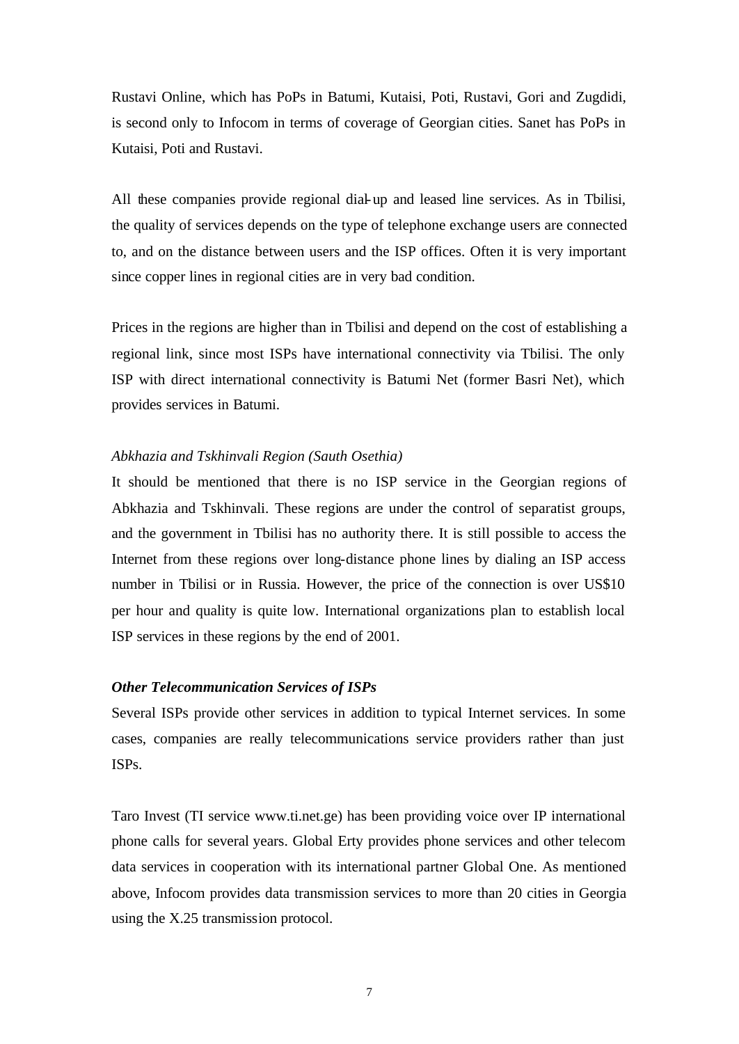Rustavi Online, which has PoPs in Batumi, Kutaisi, Poti, Rustavi, Gori and Zugdidi, is second only to Infocom in terms of coverage of Georgian cities. Sanet has PoPs in Kutaisi, Poti and Rustavi.

All these companies provide regional dial-up and leased line services. As in Tbilisi, the quality of services depends on the type of telephone exchange users are connected to, and on the distance between users and the ISP offices. Often it is very important since copper lines in regional cities are in very bad condition.

Prices in the regions are higher than in Tbilisi and depend on the cost of establishing a regional link, since most ISPs have international connectivity via Tbilisi. The only ISP with direct international connectivity is Batumi Net (former Basri Net), which provides services in Batumi.

#### *Abkhazia and Tskhinvali Region (Sauth Osethia)*

It should be mentioned that there is no ISP service in the Georgian regions of Abkhazia and Tskhinvali. These regions are under the control of separatist groups, and the government in Tbilisi has no authority there. It is still possible to access the Internet from these regions over long-distance phone lines by dialing an ISP access number in Tbilisi or in Russia. However, the price of the connection is over US\$10 per hour and quality is quite low. International organizations plan to establish local ISP services in these regions by the end of 2001.

#### *Other Telecommunication Services of ISPs*

Several ISPs provide other services in addition to typical Internet services. In some cases, companies are really telecommunications service providers rather than just ISPs.

Taro Invest (TI service www.ti.net.ge) has been providing voice over IP international phone calls for several years. Global Erty provides phone services and other telecom data services in cooperation with its international partner Global One. As mentioned above, Infocom provides data transmission services to more than 20 cities in Georgia using the X.25 transmission protocol.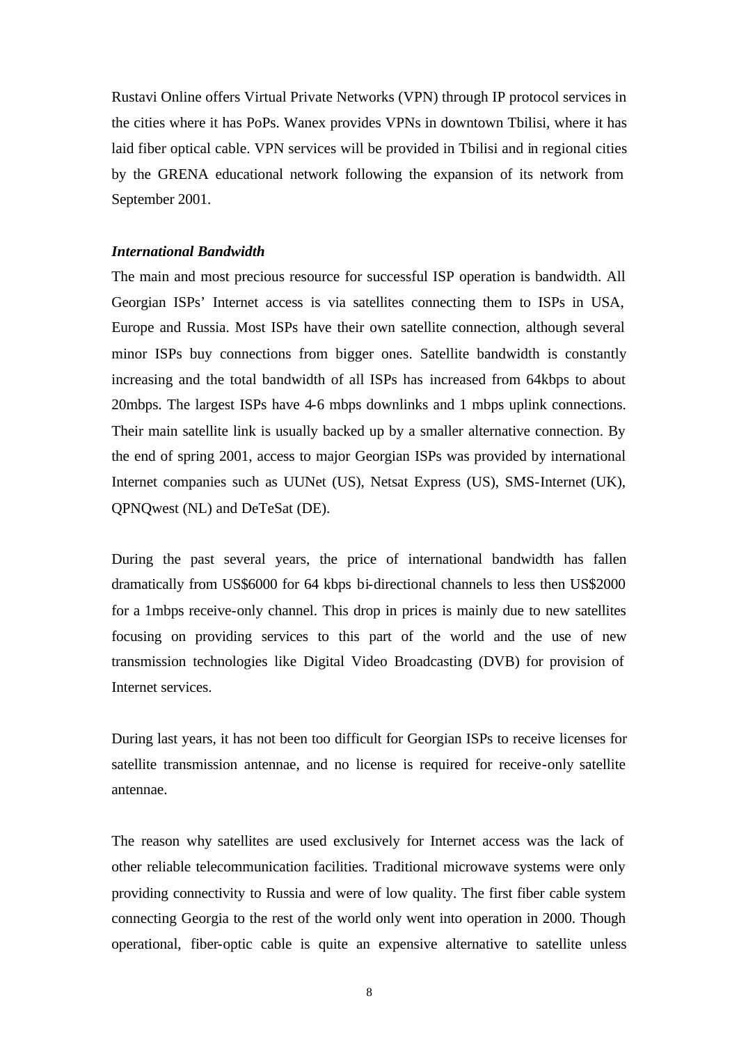Rustavi Online offers Virtual Private Networks (VPN) through IP protocol services in the cities where it has PoPs. Wanex provides VPNs in downtown Tbilisi, where it has laid fiber optical cable. VPN services will be provided in Tbilisi and in regional cities by the GRENA educational network following the expansion of its network from September 2001.

# *International Bandwidth*

The main and most precious resource for successful ISP operation is bandwidth. All Georgian ISPs' Internet access is via satellites connecting them to ISPs in USA, Europe and Russia. Most ISPs have their own satellite connection, although several minor ISPs buy connections from bigger ones. Satellite bandwidth is constantly increasing and the total bandwidth of all ISPs has increased from 64kbps to about 20mbps. The largest ISPs have 4-6 mbps downlinks and 1 mbps uplink connections. Their main satellite link is usually backed up by a smaller alternative connection. By the end of spring 2001, access to major Georgian ISPs was provided by international Internet companies such as UUNet (US), Netsat Express (US), SMS-Internet (UK), QPNQwest (NL) and DeTeSat (DE).

During the past several years, the price of international bandwidth has fallen dramatically from US\$6000 for 64 kbps bi-directional channels to less then US\$2000 for a 1mbps receive-only channel. This drop in prices is mainly due to new satellites focusing on providing services to this part of the world and the use of new transmission technologies like Digital Video Broadcasting (DVB) for provision of Internet services.

During last years, it has not been too difficult for Georgian ISPs to receive licenses for satellite transmission antennae, and no license is required for receive-only satellite antennae.

The reason why satellites are used exclusively for Internet access was the lack of other reliable telecommunication facilities. Traditional microwave systems were only providing connectivity to Russia and were of low quality. The first fiber cable system connecting Georgia to the rest of the world only went into operation in 2000. Though operational, fiber-optic cable is quite an expensive alternative to satellite unless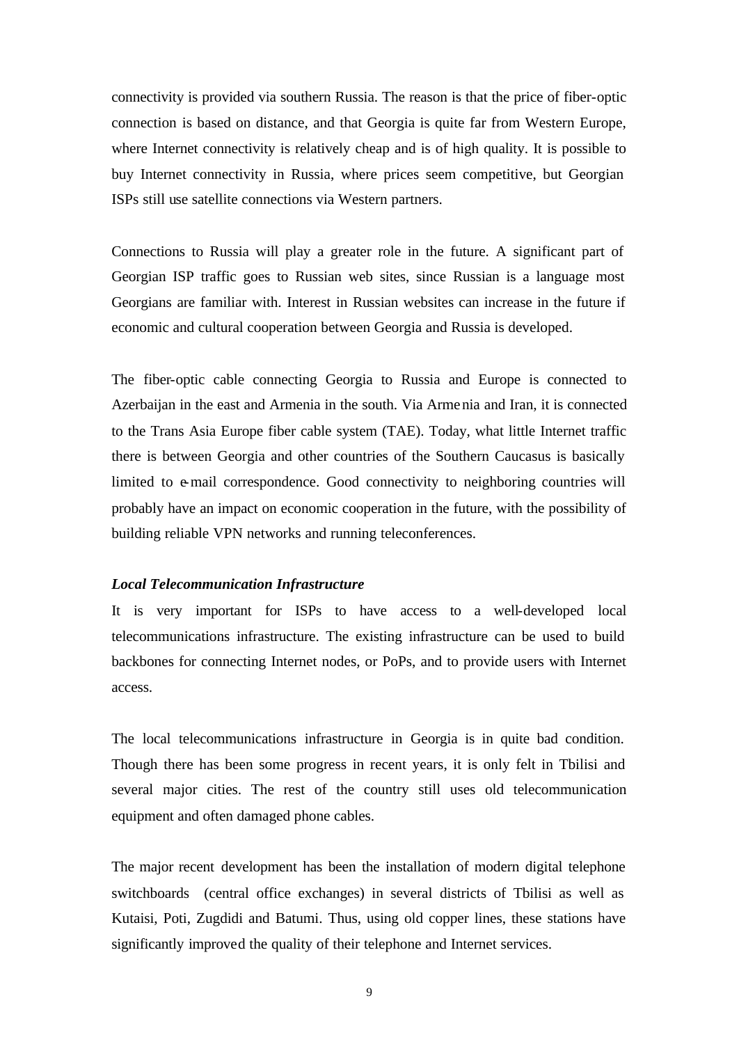connectivity is provided via southern Russia. The reason is that the price of fiber-optic connection is based on distance, and that Georgia is quite far from Western Europe, where Internet connectivity is relatively cheap and is of high quality. It is possible to buy Internet connectivity in Russia, where prices seem competitive, but Georgian ISPs still use satellite connections via Western partners.

Connections to Russia will play a greater role in the future. A significant part of Georgian ISP traffic goes to Russian web sites, since Russian is a language most Georgians are familiar with. Interest in Russian websites can increase in the future if economic and cultural cooperation between Georgia and Russia is developed.

The fiber-optic cable connecting Georgia to Russia and Europe is connected to Azerbaijan in the east and Armenia in the south. Via Armenia and Iran, it is connected to the Trans Asia Europe fiber cable system (TAE). Today, what little Internet traffic there is between Georgia and other countries of the Southern Caucasus is basically limited to e-mail correspondence. Good connectivity to neighboring countries will probably have an impact on economic cooperation in the future, with the possibility of building reliable VPN networks and running teleconferences.

#### *Local Telecommunication Infrastructure*

It is very important for ISPs to have access to a well-developed local telecommunications infrastructure. The existing infrastructure can be used to build backbones for connecting Internet nodes, or PoPs, and to provide users with Internet access.

The local telecommunications infrastructure in Georgia is in quite bad condition. Though there has been some progress in recent years, it is only felt in Tbilisi and several major cities. The rest of the country still uses old telecommunication equipment and often damaged phone cables.

The major recent development has been the installation of modern digital telephone switchboards (central office exchanges) in several districts of Tbilisi as well as Kutaisi, Poti, Zugdidi and Batumi. Thus, using old copper lines, these stations have significantly improved the quality of their telephone and Internet services.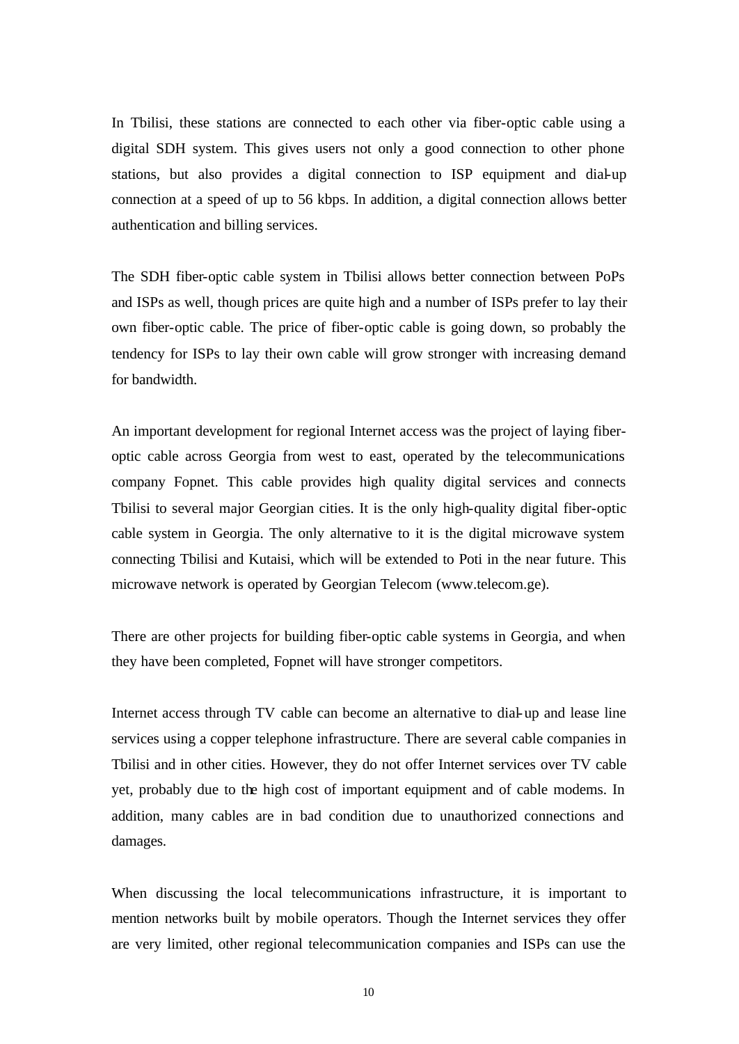In Tbilisi, these stations are connected to each other via fiber-optic cable using a digital SDH system. This gives users not only a good connection to other phone stations, but also provides a digital connection to ISP equipment and dial-up connection at a speed of up to 56 kbps. In addition, a digital connection allows better authentication and billing services.

The SDH fiber-optic cable system in Tbilisi allows better connection between PoPs and ISPs as well, though prices are quite high and a number of ISPs prefer to lay their own fiber-optic cable. The price of fiber-optic cable is going down, so probably the tendency for ISPs to lay their own cable will grow stronger with increasing demand for bandwidth.

An important development for regional Internet access was the project of laying fiberoptic cable across Georgia from west to east, operated by the telecommunications company Fopnet. This cable provides high quality digital services and connects Tbilisi to several major Georgian cities. It is the only high-quality digital fiber-optic cable system in Georgia. The only alternative to it is the digital microwave system connecting Tbilisi and Kutaisi, which will be extended to Poti in the near future. This microwave network is operated by Georgian Telecom (www.telecom.ge).

There are other projects for building fiber-optic cable systems in Georgia, and when they have been completed, Fopnet will have stronger competitors.

Internet access through TV cable can become an alternative to dial-up and lease line services using a copper telephone infrastructure. There are several cable companies in Tbilisi and in other cities. However, they do not offer Internet services over TV cable yet, probably due to the high cost of important equipment and of cable modems. In addition, many cables are in bad condition due to unauthorized connections and damages.

When discussing the local telecommunications infrastructure, it is important to mention networks built by mobile operators. Though the Internet services they offer are very limited, other regional telecommunication companies and ISPs can use the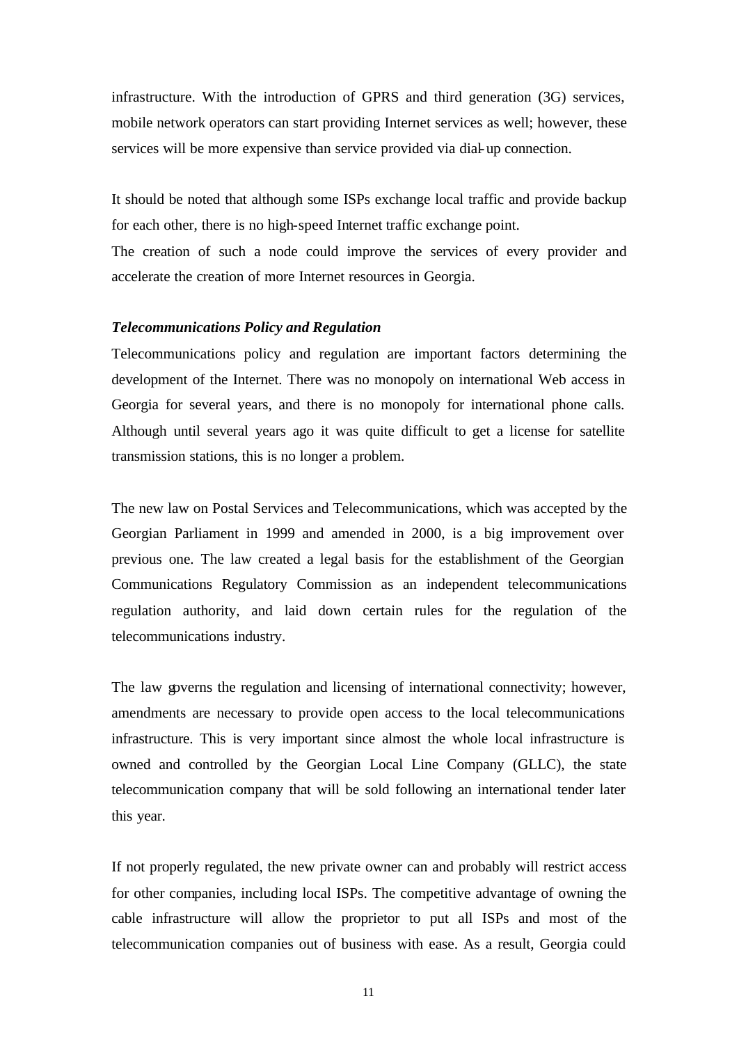infrastructure. With the introduction of GPRS and third generation (3G) services, mobile network operators can start providing Internet services as well; however, these services will be more expensive than service provided via dial-up connection.

It should be noted that although some ISPs exchange local traffic and provide backup for each other, there is no high-speed Internet traffic exchange point.

The creation of such a node could improve the services of every provider and accelerate the creation of more Internet resources in Georgia.

#### *Telecommunications Policy and Regulation*

Telecommunications policy and regulation are important factors determining the development of the Internet. There was no monopoly on international Web access in Georgia for several years, and there is no monopoly for international phone calls. Although until several years ago it was quite difficult to get a license for satellite transmission stations, this is no longer a problem.

The new law on Postal Services and Telecommunications, which was accepted by the Georgian Parliament in 1999 and amended in 2000, is a big improvement over previous one. The law created a legal basis for the establishment of the Georgian Communications Regulatory Commission as an independent telecommunications regulation authority, and laid down certain rules for the regulation of the telecommunications industry.

The law governs the regulation and licensing of international connectivity; however, amendments are necessary to provide open access to the local telecommunications infrastructure. This is very important since almost the whole local infrastructure is owned and controlled by the Georgian Local Line Company (GLLC), the state telecommunication company that will be sold following an international tender later this year.

If not properly regulated, the new private owner can and probably will restrict access for other companies, including local ISPs. The competitive advantage of owning the cable infrastructure will allow the proprietor to put all ISPs and most of the telecommunication companies out of business with ease. As a result, Georgia could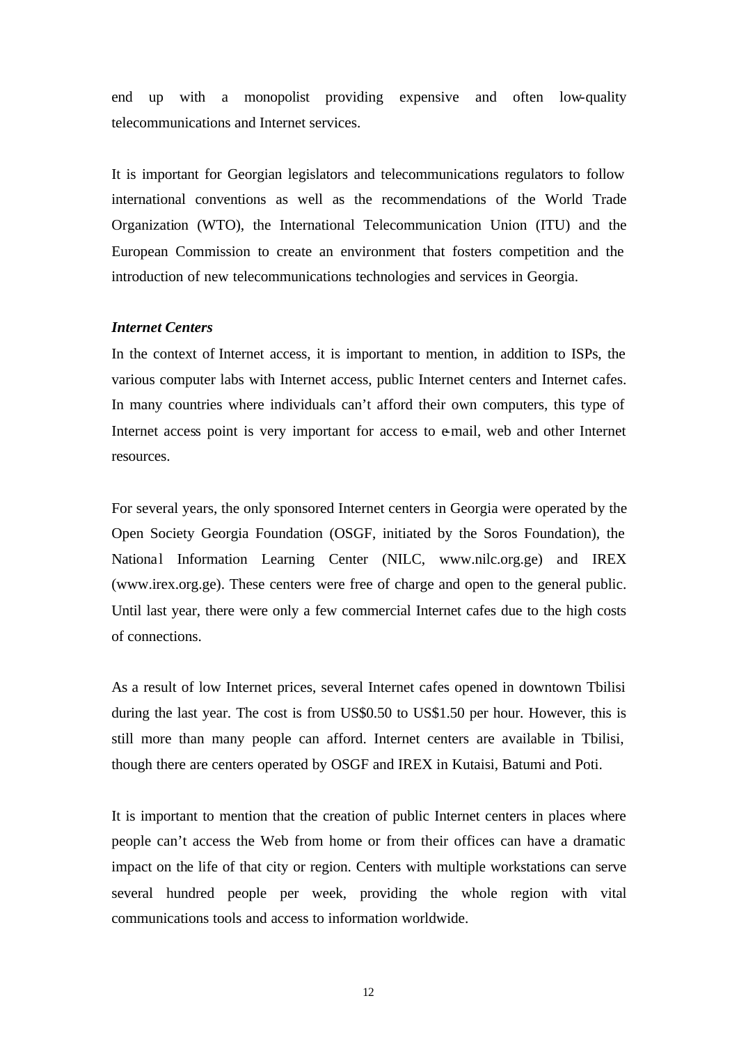end up with a monopolist providing expensive and often low-quality telecommunications and Internet services.

It is important for Georgian legislators and telecommunications regulators to follow international conventions as well as the recommendations of the World Trade Organization (WTO), the International Telecommunication Union (ITU) and the European Commission to create an environment that fosters competition and the introduction of new telecommunications technologies and services in Georgia.

## *Internet Centers*

In the context of Internet access, it is important to mention, in addition to ISPs, the various computer labs with Internet access, public Internet centers and Internet cafes. In many countries where individuals can't afford their own computers, this type of Internet access point is very important for access to e-mail, web and other Internet resources.

For several years, the only sponsored Internet centers in Georgia were operated by the Open Society Georgia Foundation (OSGF, initiated by the Soros Foundation), the National Information Learning Center (NILC, www.nilc.org.ge) and IREX (www.irex.org.ge). These centers were free of charge and open to the general public. Until last year, there were only a few commercial Internet cafes due to the high costs of connections.

As a result of low Internet prices, several Internet cafes opened in downtown Tbilisi during the last year. The cost is from US\$0.50 to US\$1.50 per hour. However, this is still more than many people can afford. Internet centers are available in Tbilisi, though there are centers operated by OSGF and IREX in Kutaisi, Batumi and Poti.

It is important to mention that the creation of public Internet centers in places where people can't access the Web from home or from their offices can have a dramatic impact on the life of that city or region. Centers with multiple workstations can serve several hundred people per week, providing the whole region with vital communications tools and access to information worldwide.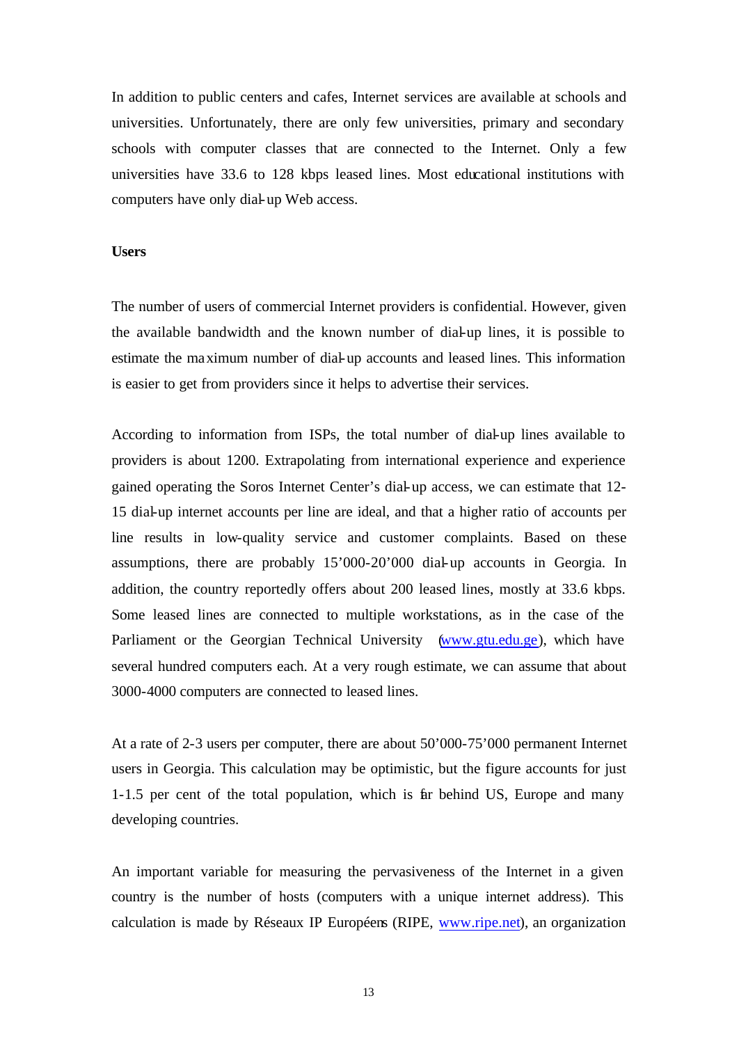In addition to public centers and cafes, Internet services are available at schools and universities. Unfortunately, there are only few universities, primary and secondary schools with computer classes that are connected to the Internet. Only a few universities have 33.6 to 128 kbps leased lines. Most educational institutions with computers have only dial-up Web access.

# **Users**

The number of users of commercial Internet providers is confidential. However, given the available bandwidth and the known number of dial-up lines, it is possible to estimate the maximum number of dial-up accounts and leased lines. This information is easier to get from providers since it helps to advertise their services.

According to information from ISPs, the total number of dial-up lines available to providers is about 1200. Extrapolating from international experience and experience gained operating the Soros Internet Center's dial-up access, we can estimate that 12- 15 dial-up internet accounts per line are ideal, and that a higher ratio of accounts per line results in low-quality service and customer complaints. Based on these assumptions, there are probably 15'000-20'000 dial-up accounts in Georgia. In addition, the country reportedly offers about 200 leased lines, mostly at 33.6 kbps. Some leased lines are connected to multiple workstations, as in the case of the Parliament or the Georgian Technical University (www.gtu.edu.ge), which have several hundred computers each. At a very rough estimate, we can assume that about 3000-4000 computers are connected to leased lines.

At a rate of 2-3 users per computer, there are about 50'000-75'000 permanent Internet users in Georgia. This calculation may be optimistic, but the figure accounts for just 1-1.5 per cent of the total population, which is far behind US, Europe and many developing countries.

An important variable for measuring the pervasiveness of the Internet in a given country is the number of hosts (computers with a unique internet address). This calculation is made by Réseaux IP Européens (RIPE, www.ripe.net), an organization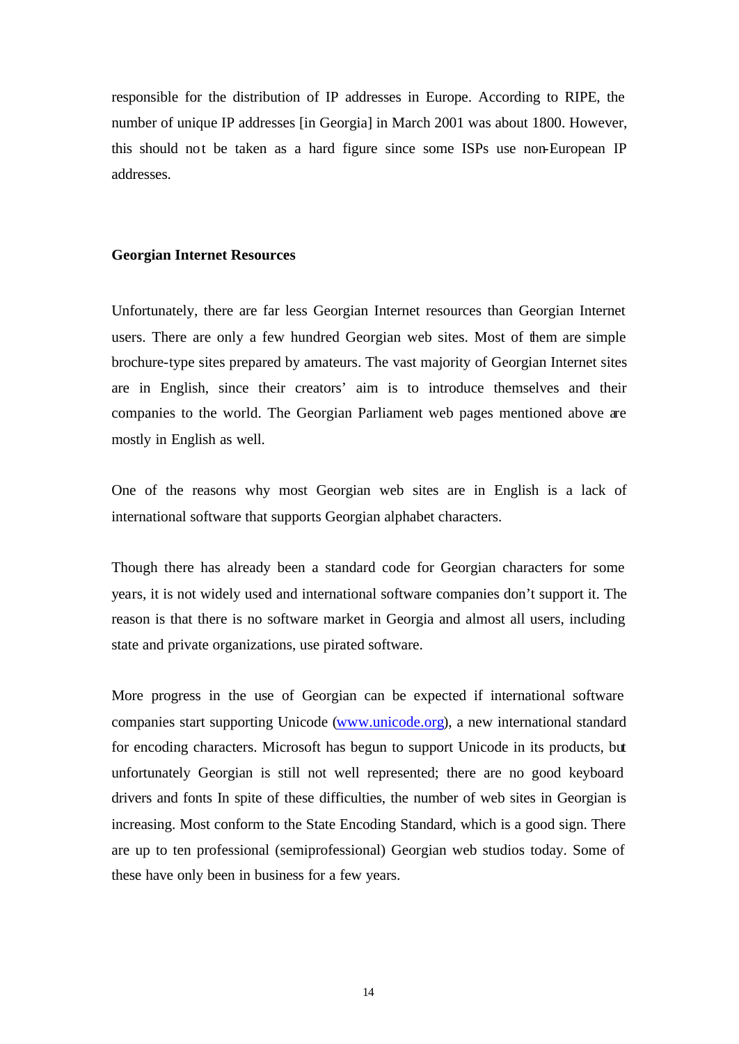responsible for the distribution of IP addresses in Europe. According to RIPE, the number of unique IP addresses [in Georgia] in March 2001 was about 1800. However, this should not be taken as a hard figure since some ISPs use non-European IP addresses.

#### **Georgian Internet Resources**

Unfortunately, there are far less Georgian Internet resources than Georgian Internet users. There are only a few hundred Georgian web sites. Most of them are simple brochure-type sites prepared by amateurs. The vast majority of Georgian Internet sites are in English, since their creators' aim is to introduce themselves and their companies to the world. The Georgian Parliament web pages mentioned above are mostly in English as well.

One of the reasons why most Georgian web sites are in English is a lack of international software that supports Georgian alphabet characters.

Though there has already been a standard code for Georgian characters for some years, it is not widely used and international software companies don't support it. The reason is that there is no software market in Georgia and almost all users, including state and private organizations, use pirated software.

More progress in the use of Georgian can be expected if international software companies start supporting Unicode (www.unicode.org), a new international standard for encoding characters. Microsoft has begun to support Unicode in its products, but unfortunately Georgian is still not well represented; there are no good keyboard drivers and fonts In spite of these difficulties, the number of web sites in Georgian is increasing. Most conform to the State Encoding Standard, which is a good sign. There are up to ten professional (semiprofessional) Georgian web studios today. Some of these have only been in business for a few years.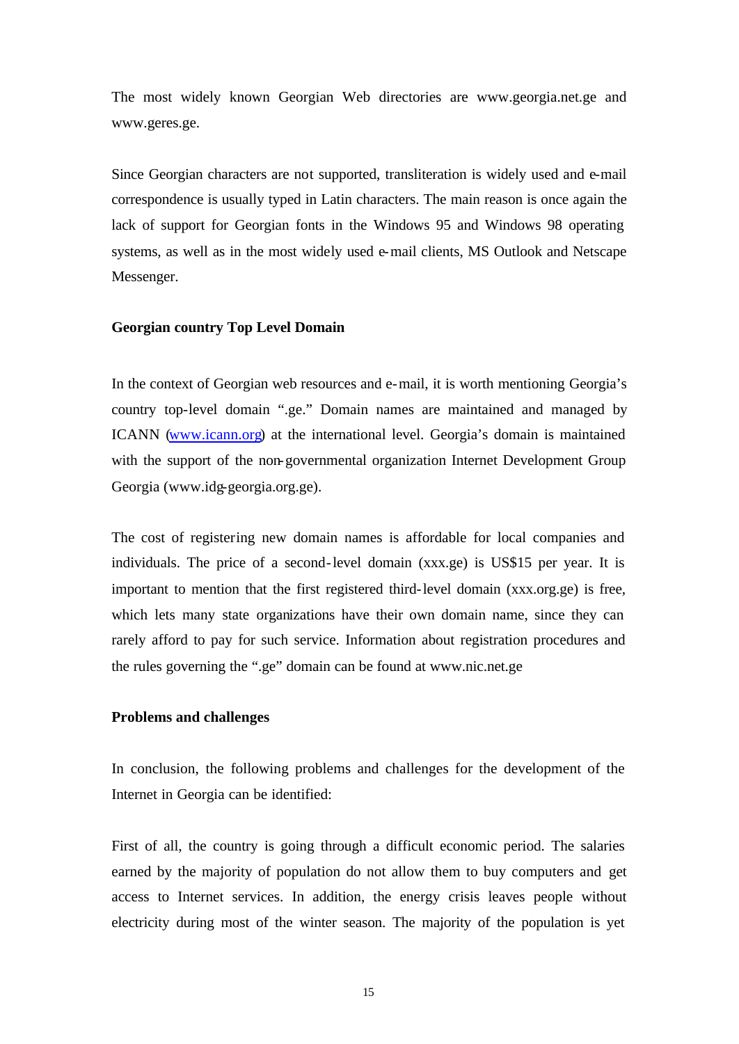The most widely known Georgian Web directories are www.georgia.net.ge and www.geres.ge.

Since Georgian characters are not supported, transliteration is widely used and e-mail correspondence is usually typed in Latin characters. The main reason is once again the lack of support for Georgian fonts in the Windows 95 and Windows 98 operating systems, as well as in the most widely used e-mail clients, MS Outlook and Netscape Messenger.

#### **Georgian country Top Level Domain**

In the context of Georgian web resources and e-mail, it is worth mentioning Georgia's country top-level domain ".ge." Domain names are maintained and managed by ICANN (www.icann.org) at the international level. Georgia's domain is maintained with the support of the non-governmental organization Internet Development Group Georgia (www.idg-georgia.org.ge).

The cost of registering new domain names is affordable for local companies and individuals. The price of a second-level domain (xxx.ge) is US\$15 per year. It is important to mention that the first registered third-level domain (xxx.org.ge) is free, which lets many state organizations have their own domain name, since they can rarely afford to pay for such service. Information about registration procedures and the rules governing the ".ge" domain can be found at www.nic.net.ge

#### **Problems and challenges**

In conclusion, the following problems and challenges for the development of the Internet in Georgia can be identified:

First of all, the country is going through a difficult economic period. The salaries earned by the majority of population do not allow them to buy computers and get access to Internet services. In addition, the energy crisis leaves people without electricity during most of the winter season. The majority of the population is yet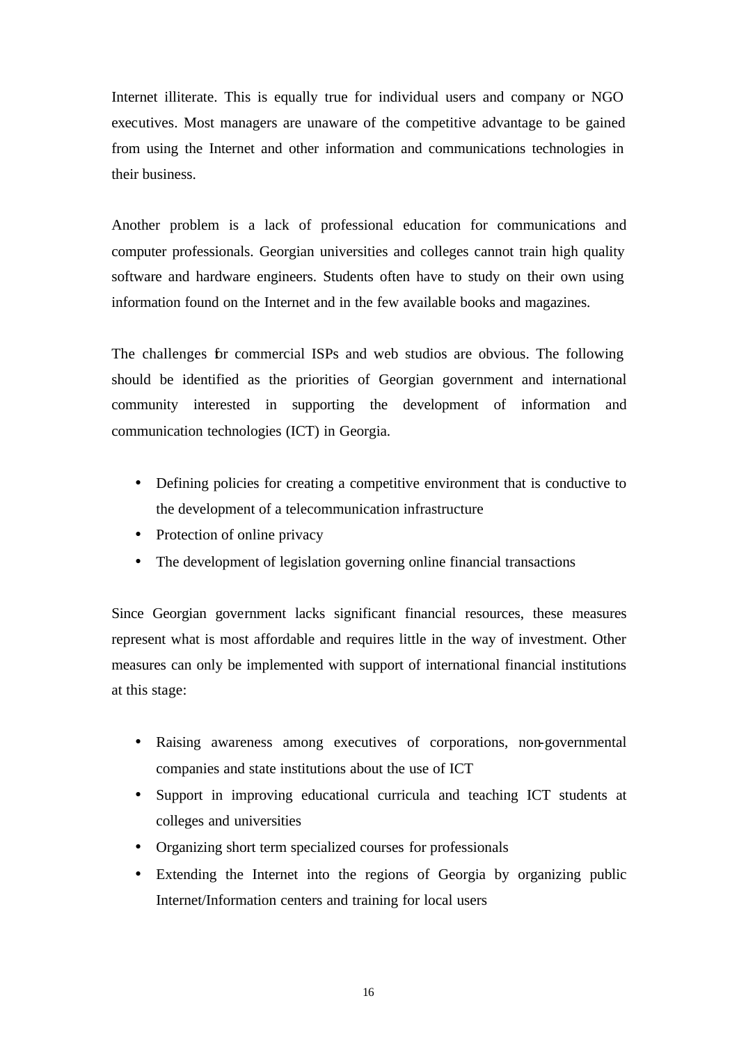Internet illiterate. This is equally true for individual users and company or NGO executives. Most managers are unaware of the competitive advantage to be gained from using the Internet and other information and communications technologies in their business.

Another problem is a lack of professional education for communications and computer professionals. Georgian universities and colleges cannot train high quality software and hardware engineers. Students often have to study on their own using information found on the Internet and in the few available books and magazines.

The challenges for commercial ISPs and web studios are obvious. The following should be identified as the priorities of Georgian government and international community interested in supporting the development of information and communication technologies (ICT) in Georgia.

- Defining policies for creating a competitive environment that is conductive to the development of a telecommunication infrastructure
- Protection of online privacy
- The development of legislation governing online financial transactions

Since Georgian government lacks significant financial resources, these measures represent what is most affordable and requires little in the way of investment. Other measures can only be implemented with support of international financial institutions at this stage:

- Raising awareness among executives of corporations, non-governmental companies and state institutions about the use of ICT
- Support in improving educational curricula and teaching ICT students at colleges and universities
- Organizing short term specialized courses for professionals
- Extending the Internet into the regions of Georgia by organizing public Internet/Information centers and training for local users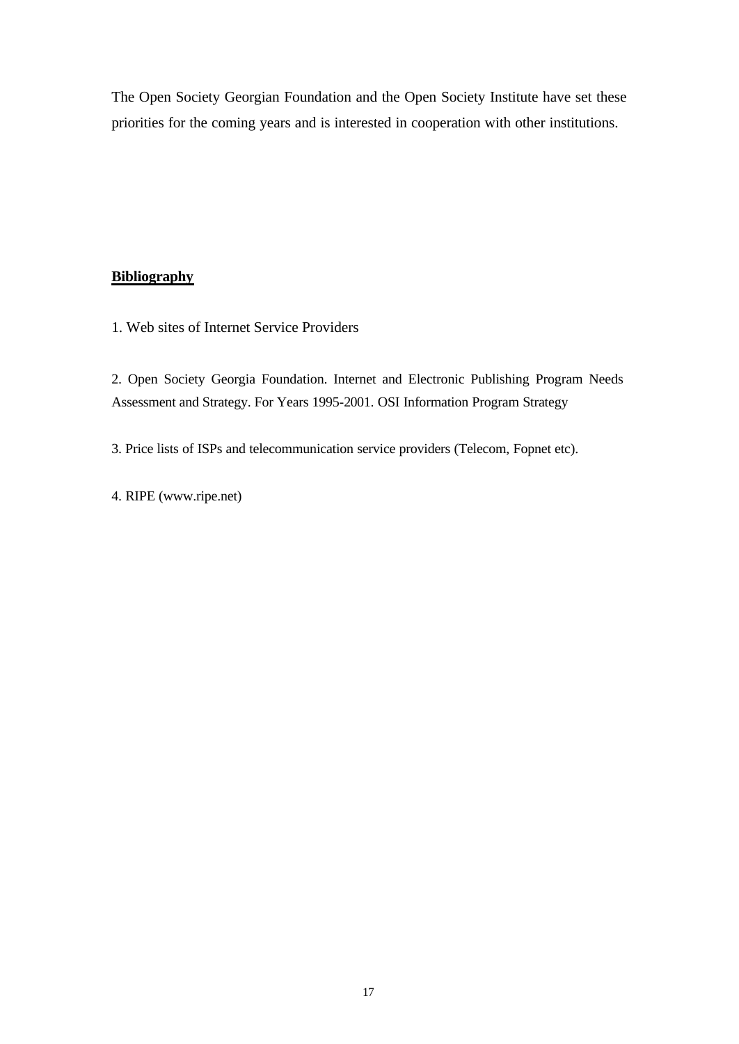The Open Society Georgian Foundation and the Open Society Institute have set these priorities for the coming years and is interested in cooperation with other institutions.

## **Bibliography**

1. Web sites of Internet Service Providers

2. Open Society Georgia Foundation. Internet and Electronic Publishing Program Needs Assessment and Strategy. For Years 1995-2001. OSI Information Program Strategy

3. Price lists of ISPs and telecommunication service providers (Telecom, Fopnet etc).

4. RIPE (www.ripe.net)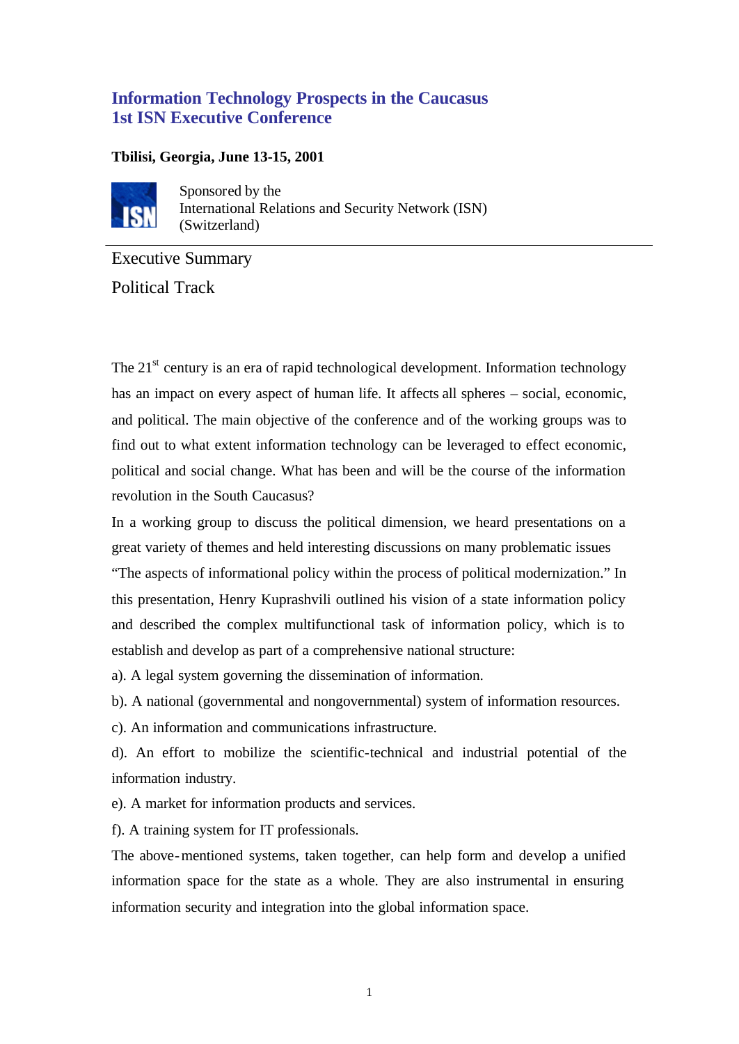# **Information Technology Prospects in the Caucasus 1st ISN Executive Conference**

# **Tbilisi, Georgia, June 13-15, 2001**



Sponsored by the International Relations and Security Network (ISN) (Switzerland)

Executive Summary Political Track

The 21<sup>st</sup> century is an era of rapid technological development. Information technology has an impact on every aspect of human life. It affects all spheres – social, economic, and political. The main objective of the conference and of the working groups was to find out to what extent information technology can be leveraged to effect economic, political and social change. What has been and will be the course of the information revolution in the South Caucasus?

In a working group to discuss the political dimension, we heard presentations on a great variety of themes and held interesting discussions on many problematic issues

"The aspects of informational policy within the process of political modernization." In this presentation, Henry Kuprashvili outlined his vision of a state information policy and described the complex multifunctional task of information policy, which is to establish and develop as part of a comprehensive national structure:

a). A legal system governing the dissemination of information.

b). A national (governmental and nongovernmental) system of information resources.

c). An information and communications infrastructure.

d). An effort to mobilize the scientific-technical and industrial potential of the information industry.

e). A market for information products and services.

f). A training system for IT professionals.

The above-mentioned systems, taken together, can help form and develop a unified information space for the state as a whole. They are also instrumental in ensuring information security and integration into the global information space.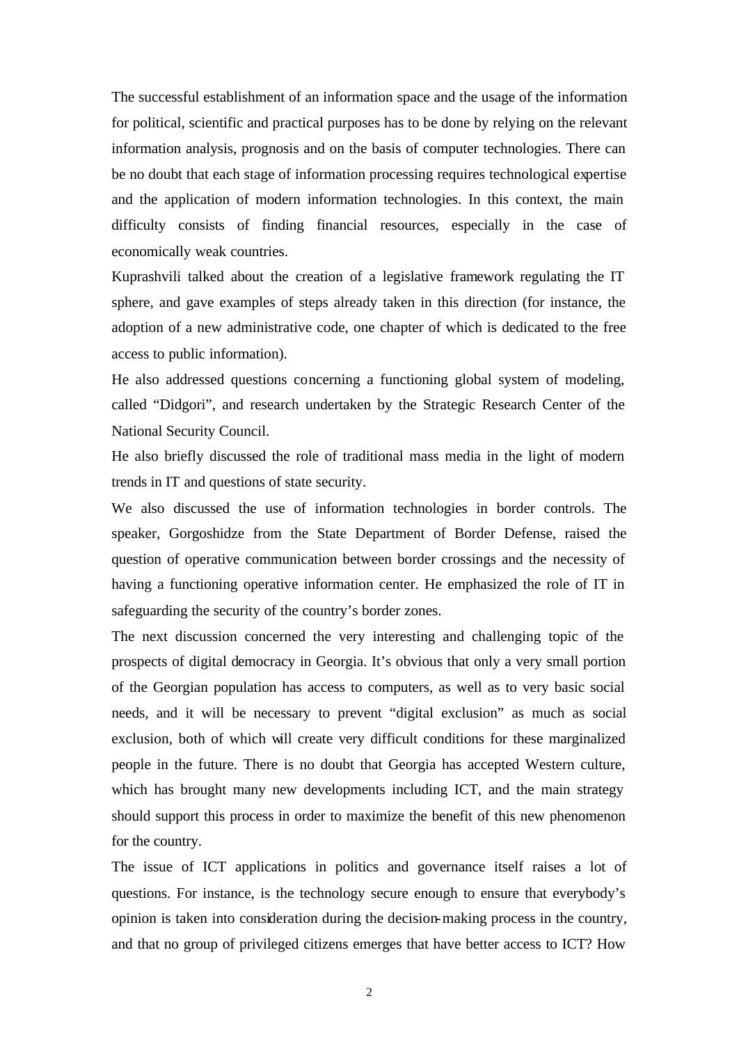The successful establishment of an information space and the usage of the information for political, scientific and practical purposes has to be done by relying on the relevant information analysis, prognosis and on the basis of computer technologies. There can be no doubt that each stage of information processing requires technological expertise and the application of modern information technologies. In this context, the main difficulty consists of finding financial resources, especially in the case of economically weak countries.

Kuprashvili talked about the creation of a legislative framework regulating the IT sphere, and gave examples of steps already taken in this direction (for instance, the adoption of a new administrative code, one chapter of which is dedicated to the free access to public information).

He also addressed questions concerning a functioning global system of modeling, called "Didgori", and research undertaken by the Strategic Research Center of the National Security Council.

He also briefly discussed the role of traditional mass media in the light of modern trends in IT and questions of state security.

We also discussed the use of information technologies in border controls. The speaker, Gorgoshidze from the State Department of Border Defense, raised the question of operative communication between border crossings and the necessity of having a functioning operative information center. He emphasized the role of IT in safeguarding the security of the country's border zones.

The next discussion concerned the very interesting and challenging topic of the prospects of digital democracy in Georgia. It's obvious that only a very small portion of the Georgian population has access to computers, as well as to very basic social needs, and it will be necessary to prevent "digital exclusion" as much as social exclusion, both of which will create very difficult conditions for these marginalized people in the future. There is no doubt that Georgia has accepted Western culture, which has brought many new developments including ICT, and the main strategy should support this process in order to maximize the benefit of this new phenomenon for the country.

The issue of ICT applications in politics and governance itself raises a lot of questions. For instance, is the technology secure enough to ensure that everybody's opinion is taken into consideration during the decision-making process in the country, and that no group of privileged citizens emerges that have better access to ICT? How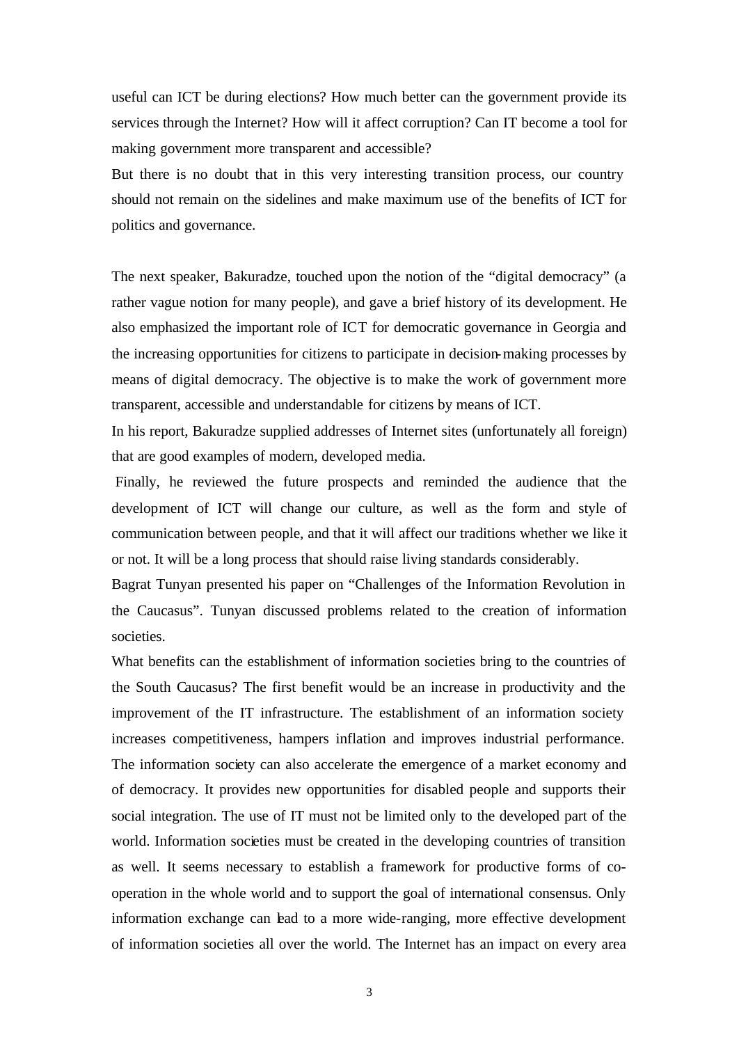useful can ICT be during elections? How much better can the government provide its services through the Internet? How will it affect corruption? Can IT become a tool for making government more transparent and accessible?

But there is no doubt that in this very interesting transition process, our country should not remain on the sidelines and make maximum use of the benefits of ICT for politics and governance.

The next speaker, Bakuradze, touched upon the notion of the "digital democracy" (a rather vague notion for many people), and gave a brief history of its development. He also emphasized the important role of ICT for democratic governance in Georgia and the increasing opportunities for citizens to participate in decision-making processes by means of digital democracy. The objective is to make the work of government more transparent, accessible and understandable for citizens by means of ICT.

In his report, Bakuradze supplied addresses of Internet sites (unfortunately all foreign) that are good examples of modern, developed media.

 Finally, he reviewed the future prospects and reminded the audience that the development of ICT will change our culture, as well as the form and style of communication between people, and that it will affect our traditions whether we like it or not. It will be a long process that should raise living standards considerably.

Bagrat Tunyan presented his paper on "Challenges of the Information Revolution in the Caucasus". Tunyan discussed problems related to the creation of information societies.

What benefits can the establishment of information societies bring to the countries of the South Caucasus? The first benefit would be an increase in productivity and the improvement of the IT infrastructure. The establishment of an information society increases competitiveness, hampers inflation and improves industrial performance. The information society can also accelerate the emergence of a market economy and of democracy. It provides new opportunities for disabled people and supports their social integration. The use of IT must not be limited only to the developed part of the world. Information societies must be created in the developing countries of transition as well. It seems necessary to establish a framework for productive forms of cooperation in the whole world and to support the goal of international consensus. Only information exchange can lead to a more wide-ranging, more effective development of information societies all over the world. The Internet has an impact on every area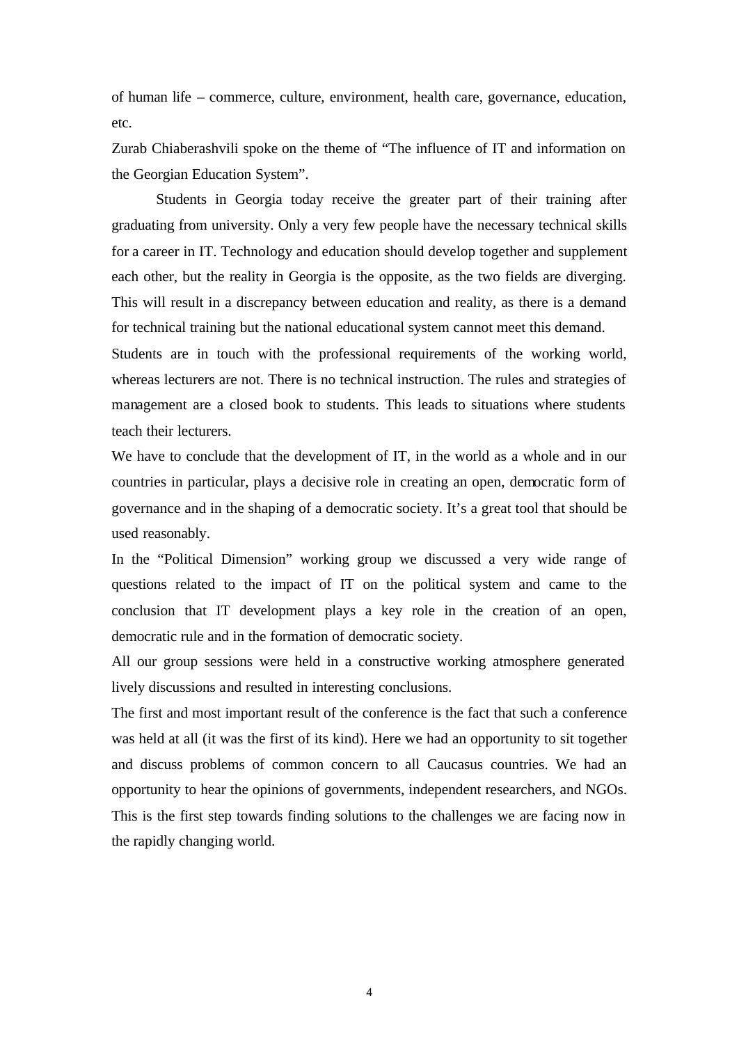of human life – commerce, culture, environment, health care, governance, education, etc.

Zurab Chiaberashvili spoke on the theme of "The influence of IT and information on the Georgian Education System".

Students in Georgia today receive the greater part of their training after graduating from university. Only a very few people have the necessary technical skills for a career in IT. Technology and education should develop together and supplement each other, but the reality in Georgia is the opposite, as the two fields are diverging. This will result in a discrepancy between education and reality, as there is a demand for technical training but the national educational system cannot meet this demand.

Students are in touch with the professional requirements of the working world, whereas lecturers are not. There is no technical instruction. The rules and strategies of management are a closed book to students. This leads to situations where students teach their lecturers.

We have to conclude that the development of IT, in the world as a whole and in our countries in particular, plays a decisive role in creating an open, democratic form of governance and in the shaping of a democratic society. It's a great tool that should be used reasonably.

In the "Political Dimension" working group we discussed a very wide range of questions related to the impact of IT on the political system and came to the conclusion that IT development plays a key role in the creation of an open, democratic rule and in the formation of democratic society.

All our group sessions were held in a constructive working atmosphere generated lively discussions and resulted in interesting conclusions.

The first and most important result of the conference is the fact that such a conference was held at all (it was the first of its kind). Here we had an opportunity to sit together and discuss problems of common concern to all Caucasus countries. We had an opportunity to hear the opinions of governments, independent researchers, and NGOs. This is the first step towards finding solutions to the challenges we are facing now in the rapidly changing world.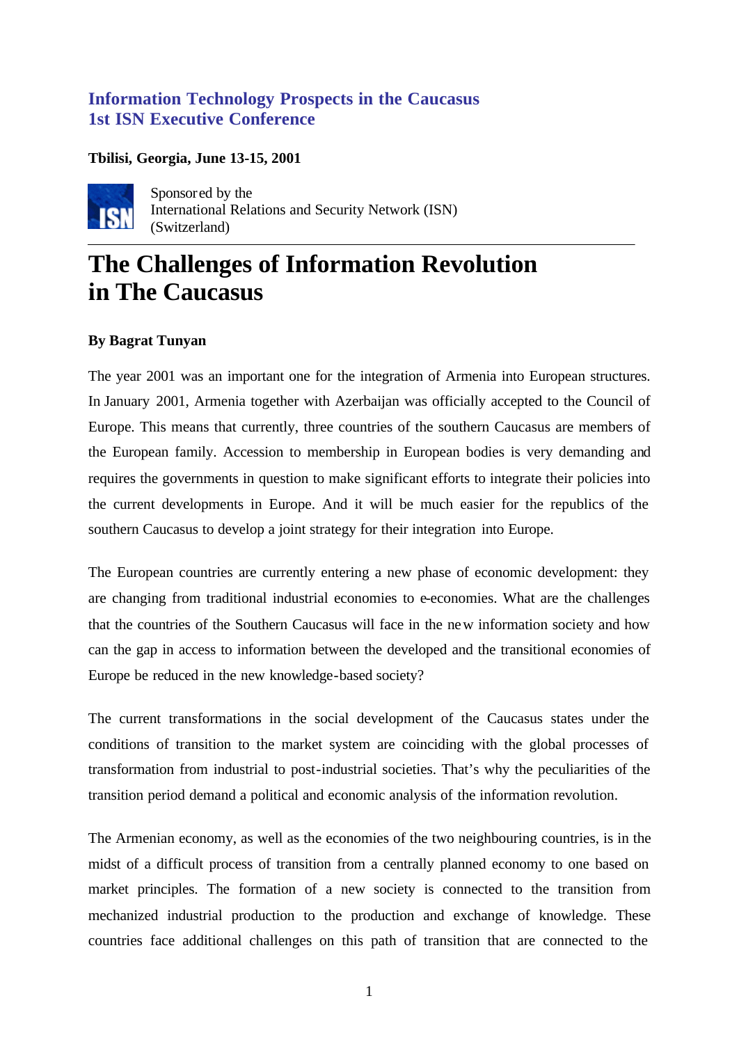# **Information Technology Prospects in the Caucasus 1st ISN Executive Conference**

## **Tbilisi, Georgia, June 13-15, 2001**



Sponsored by the International Relations and Security Network (ISN) (Switzerland)

# **The Challenges of Information Revolution in The Caucasus**

## **By Bagrat Tunyan**

The year 2001 was an important one for the integration of Armenia into European structures. In January 2001, Armenia together with Azerbaijan was officially accepted to the Council of Europe. This means that currently, three countries of the southern Caucasus are members of the European family. Accession to membership in European bodies is very demanding and requires the governments in question to make significant efforts to integrate their policies into the current developments in Europe. And it will be much easier for the republics of the southern Caucasus to develop a joint strategy for their integration into Europe.

The European countries are currently entering a new phase of economic development: they are changing from traditional industrial economies to e-economies. What are the challenges that the countries of the Southern Caucasus will face in the new information society and how can the gap in access to information between the developed and the transitional economies of Europe be reduced in the new knowledge-based society?

The current transformations in the social development of the Caucasus states under the conditions of transition to the market system are coinciding with the global processes of transformation from industrial to post-industrial societies. That's why the peculiarities of the transition period demand a political and economic analysis of the information revolution.

The Armenian economy, as well as the economies of the two neighbouring countries, is in the midst of a difficult process of transition from a centrally planned economy to one based on market principles. The formation of a new society is connected to the transition from mechanized industrial production to the production and exchange of knowledge. These countries face additional challenges on this path of transition that are connected to the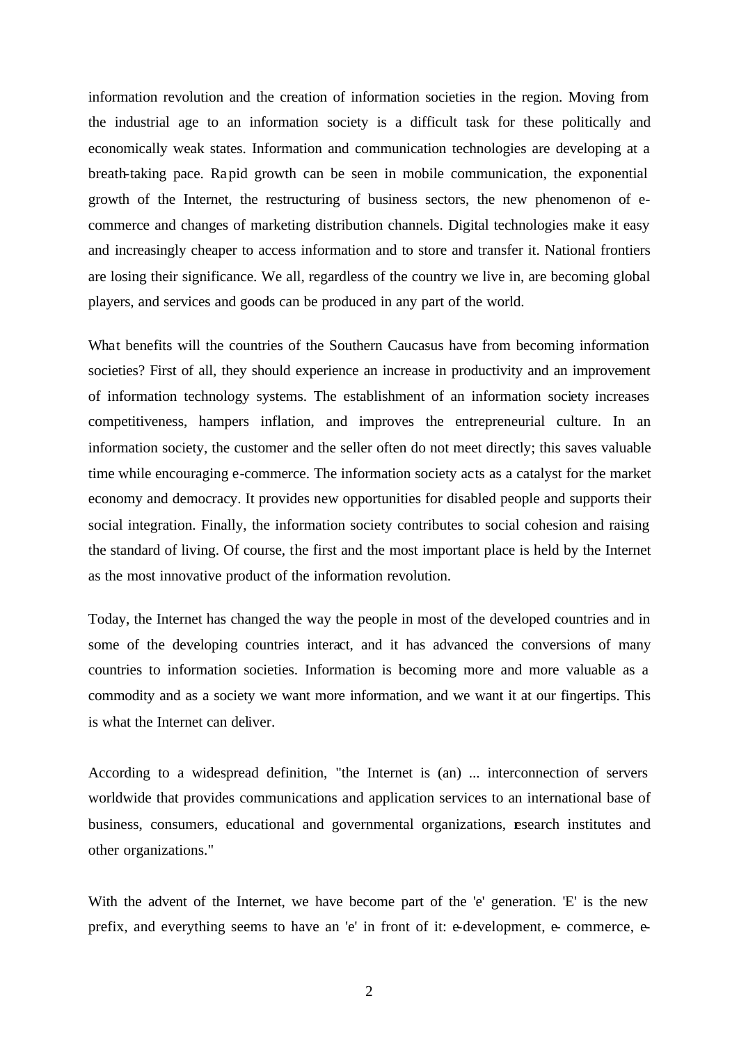information revolution and the creation of information societies in the region. Moving from the industrial age to an information society is a difficult task for these politically and economically weak states. Information and communication technologies are developing at a breath-taking pace. Rapid growth can be seen in mobile communication, the exponential growth of the Internet, the restructuring of business sectors, the new phenomenon of ecommerce and changes of marketing distribution channels. Digital technologies make it easy and increasingly cheaper to access information and to store and transfer it. National frontiers are losing their significance. We all, regardless of the country we live in, are becoming global players, and services and goods can be produced in any part of the world.

What benefits will the countries of the Southern Caucasus have from becoming information societies? First of all, they should experience an increase in productivity and an improvement of information technology systems. The establishment of an information society increases competitiveness, hampers inflation, and improves the entrepreneurial culture. In an information society, the customer and the seller often do not meet directly; this saves valuable time while encouraging e-commerce. The information society acts as a catalyst for the market economy and democracy. It provides new opportunities for disabled people and supports their social integration. Finally, the information society contributes to social cohesion and raising the standard of living. Of course, the first and the most important place is held by the Internet as the most innovative product of the information revolution.

Today, the Internet has changed the way the people in most of the developed countries and in some of the developing countries interact, and it has advanced the conversions of many countries to information societies. Information is becoming more and more valuable as a commodity and as a society we want more information, and we want it at our fingertips. This is what the Internet can deliver.

According to a widespread definition, "the Internet is (an) ... interconnection of servers worldwide that provides communications and application services to an international base of business, consumers, educational and governmental organizations, esearch institutes and other organizations."

With the advent of the Internet, we have become part of the 'e' generation. 'E' is the new prefix, and everything seems to have an 'e' in front of it: e-development, e- commerce, e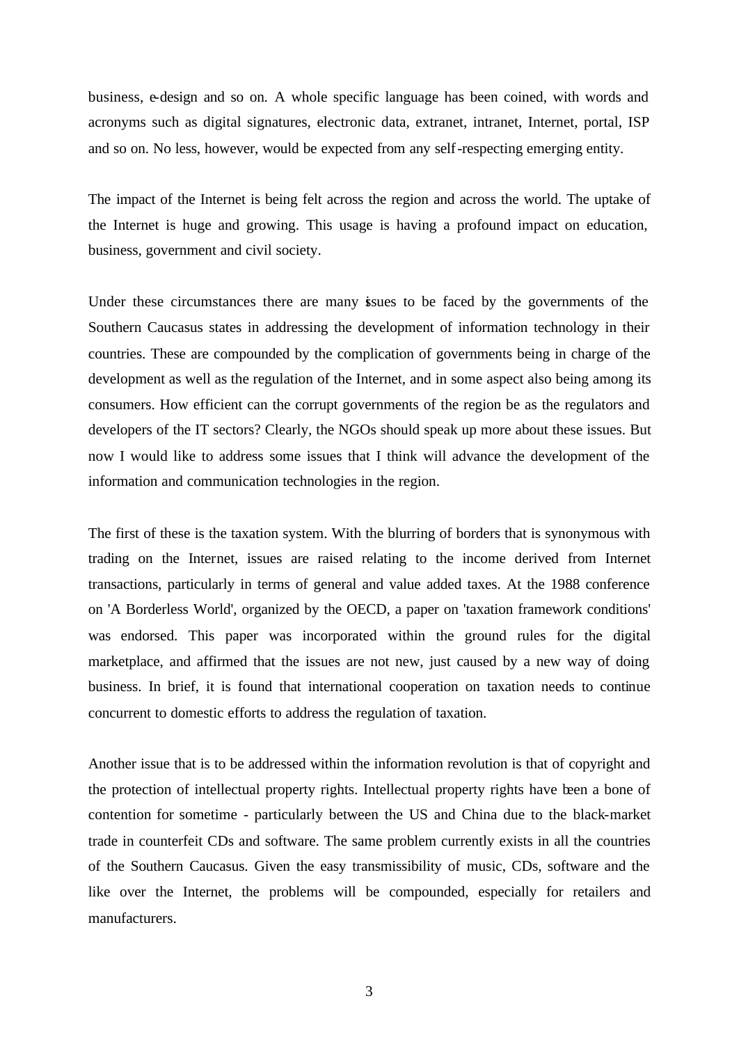business, e-design and so on. A whole specific language has been coined, with words and acronyms such as digital signatures, electronic data, extranet, intranet, Internet, portal, ISP and so on. No less, however, would be expected from any self-respecting emerging entity.

The impact of the Internet is being felt across the region and across the world. The uptake of the Internet is huge and growing. This usage is having a profound impact on education, business, government and civil society.

Under these circumstances there are many issues to be faced by the governments of the Southern Caucasus states in addressing the development of information technology in their countries. These are compounded by the complication of governments being in charge of the development as well as the regulation of the Internet, and in some aspect also being among its consumers. How efficient can the corrupt governments of the region be as the regulators and developers of the IT sectors? Clearly, the NGOs should speak up more about these issues. But now I would like to address some issues that I think will advance the development of the information and communication technologies in the region.

The first of these is the taxation system. With the blurring of borders that is synonymous with trading on the Internet, issues are raised relating to the income derived from Internet transactions, particularly in terms of general and value added taxes. At the 1988 conference on 'A Borderless World', organized by the OECD, a paper on 'taxation framework conditions' was endorsed. This paper was incorporated within the ground rules for the digital marketplace, and affirmed that the issues are not new, just caused by a new way of doing business. In brief, it is found that international cooperation on taxation needs to continue concurrent to domestic efforts to address the regulation of taxation.

Another issue that is to be addressed within the information revolution is that of copyright and the protection of intellectual property rights. Intellectual property rights have been a bone of contention for sometime - particularly between the US and China due to the black-market trade in counterfeit CDs and software. The same problem currently exists in all the countries of the Southern Caucasus. Given the easy transmissibility of music, CDs, software and the like over the Internet, the problems will be compounded, especially for retailers and manufacturers.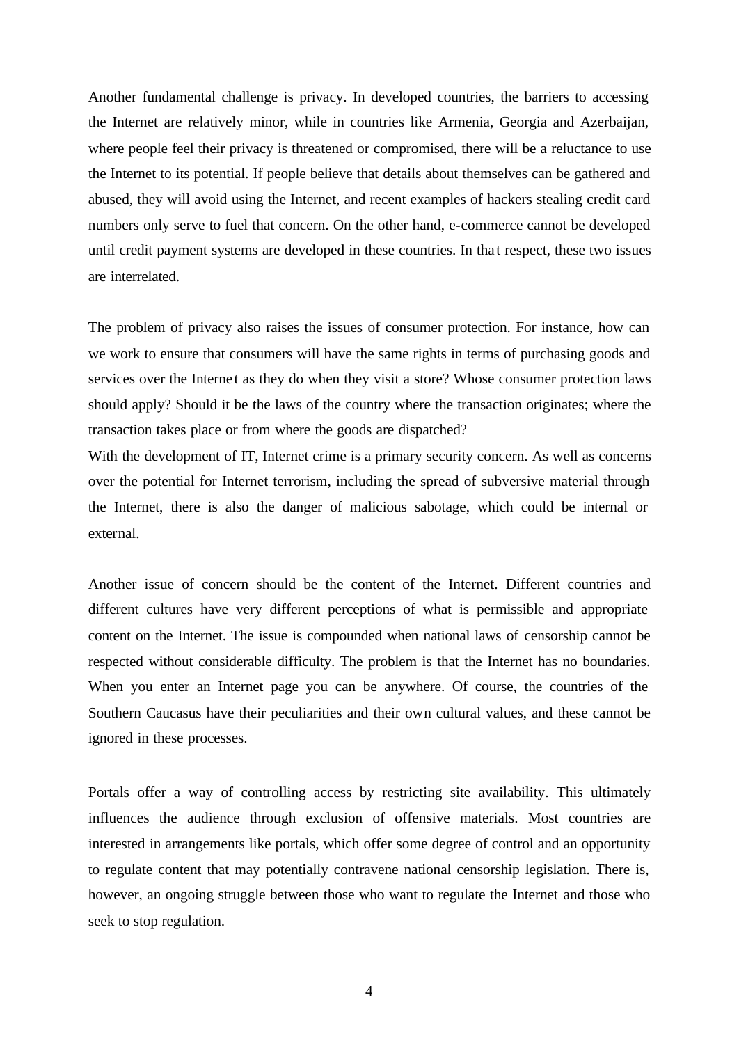Another fundamental challenge is privacy. In developed countries, the barriers to accessing the Internet are relatively minor, while in countries like Armenia, Georgia and Azerbaijan, where people feel their privacy is threatened or compromised, there will be a reluctance to use the Internet to its potential. If people believe that details about themselves can be gathered and abused, they will avoid using the Internet, and recent examples of hackers stealing credit card numbers only serve to fuel that concern. On the other hand, e-commerce cannot be developed until credit payment systems are developed in these countries. In that respect, these two issues are interrelated.

The problem of privacy also raises the issues of consumer protection. For instance, how can we work to ensure that consumers will have the same rights in terms of purchasing goods and services over the Internet as they do when they visit a store? Whose consumer protection laws should apply? Should it be the laws of the country where the transaction originates; where the transaction takes place or from where the goods are dispatched?

With the development of IT, Internet crime is a primary security concern. As well as concerns over the potential for Internet terrorism, including the spread of subversive material through the Internet, there is also the danger of malicious sabotage, which could be internal or external.

Another issue of concern should be the content of the Internet. Different countries and different cultures have very different perceptions of what is permissible and appropriate content on the Internet. The issue is compounded when national laws of censorship cannot be respected without considerable difficulty. The problem is that the Internet has no boundaries. When you enter an Internet page you can be anywhere. Of course, the countries of the Southern Caucasus have their peculiarities and their own cultural values, and these cannot be ignored in these processes.

Portals offer a way of controlling access by restricting site availability. This ultimately influences the audience through exclusion of offensive materials. Most countries are interested in arrangements like portals, which offer some degree of control and an opportunity to regulate content that may potentially contravene national censorship legislation. There is, however, an ongoing struggle between those who want to regulate the Internet and those who seek to stop regulation.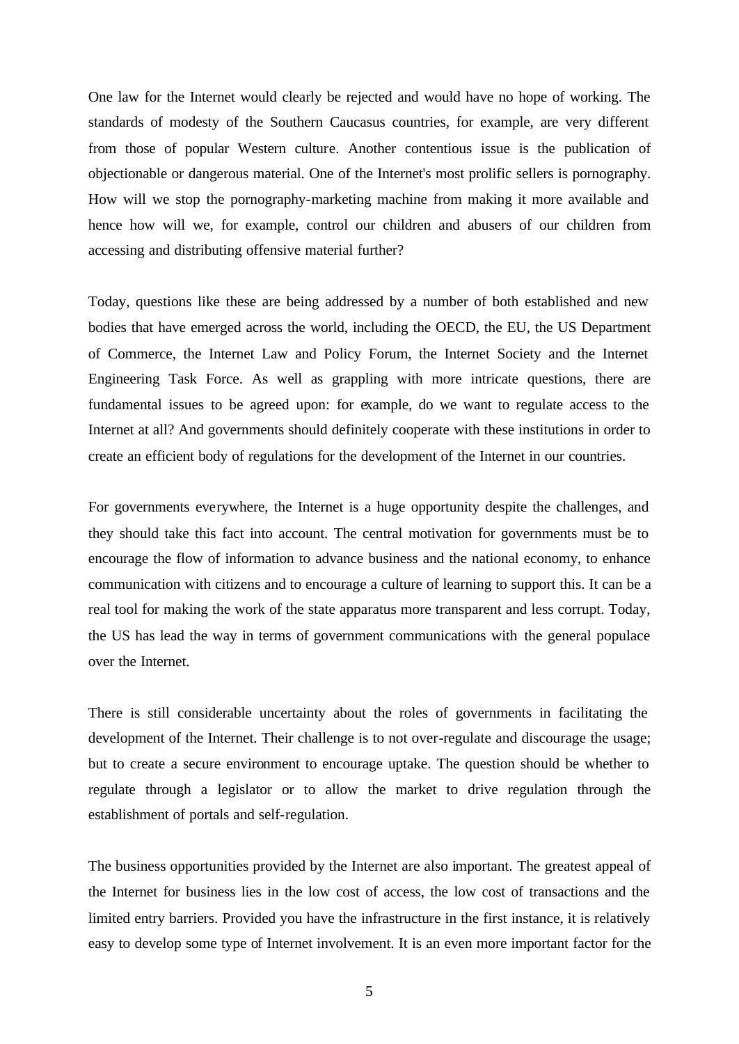One law for the Internet would clearly be rejected and would have no hope of working. The standards of modesty of the Southern Caucasus countries, for example, are very different from those of popular Western culture. Another contentious issue is the publication of objectionable or dangerous material. One of the Internet's most prolific sellers is pornography. How will we stop the pornography-marketing machine from making it more available and hence how will we, for example, control our children and abusers of our children from accessing and distributing offensive material further?

Today, questions like these are being addressed by a number of both established and new bodies that have emerged across the world, including the OECD, the EU, the US Department of Commerce, the Internet Law and Policy Forum, the Internet Society and the Internet Engineering Task Force. As well as grappling with more intricate questions, there are fundamental issues to be agreed upon: for example, do we want to regulate access to the Internet at all? And governments should definitely cooperate with these institutions in order to create an efficient body of regulations for the development of the Internet in our countries.

For governments everywhere, the Internet is a huge opportunity despite the challenges, and they should take this fact into account. The central motivation for governments must be to encourage the flow of information to advance business and the national economy, to enhance communication with citizens and to encourage a culture of learning to support this. It can be a real tool for making the work of the state apparatus more transparent and less corrupt. Today, the US has lead the way in terms of government communications with the general populace over the Internet.

There is still considerable uncertainty about the roles of governments in facilitating the development of the Internet. Their challenge is to not over-regulate and discourage the usage; but to create a secure environment to encourage uptake. The question should be whether to regulate through a legislator or to allow the market to drive regulation through the establishment of portals and self-regulation.

The business opportunities provided by the Internet are also important. The greatest appeal of the Internet for business lies in the low cost of access, the low cost of transactions and the limited entry barriers. Provided you have the infrastructure in the first instance, it is relatively easy to develop some type of Internet involvement. It is an even more important factor for the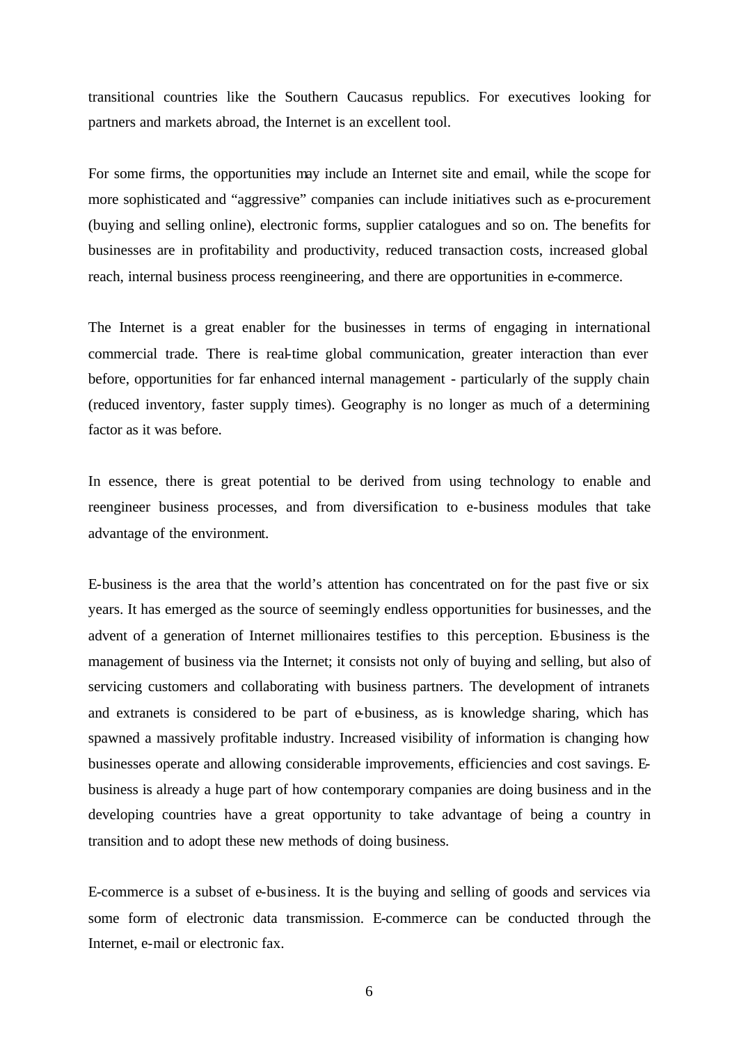transitional countries like the Southern Caucasus republics. For executives looking for partners and markets abroad, the Internet is an excellent tool.

For some firms, the opportunities may include an Internet site and email, while the scope for more sophisticated and "aggressive" companies can include initiatives such as e-procurement (buying and selling online), electronic forms, supplier catalogues and so on. The benefits for businesses are in profitability and productivity, reduced transaction costs, increased global reach, internal business process reengineering, and there are opportunities in e-commerce.

The Internet is a great enabler for the businesses in terms of engaging in international commercial trade. There is real-time global communication, greater interaction than ever before, opportunities for far enhanced internal management - particularly of the supply chain (reduced inventory, faster supply times). Geography is no longer as much of a determining factor as it was before.

In essence, there is great potential to be derived from using technology to enable and reengineer business processes, and from diversification to e-business modules that take advantage of the environment.

E-business is the area that the world's attention has concentrated on for the past five or six years. It has emerged as the source of seemingly endless opportunities for businesses, and the advent of a generation of Internet millionaires testifies to this perception. Ebusiness is the management of business via the Internet; it consists not only of buying and selling, but also of servicing customers and collaborating with business partners. The development of intranets and extranets is considered to be part of e-business, as is knowledge sharing, which has spawned a massively profitable industry. Increased visibility of information is changing how businesses operate and allowing considerable improvements, efficiencies and cost savings. Ebusiness is already a huge part of how contemporary companies are doing business and in the developing countries have a great opportunity to take advantage of being a country in transition and to adopt these new methods of doing business.

E-commerce is a subset of e-business. It is the buying and selling of goods and services via some form of electronic data transmission. E-commerce can be conducted through the Internet, e-mail or electronic fax.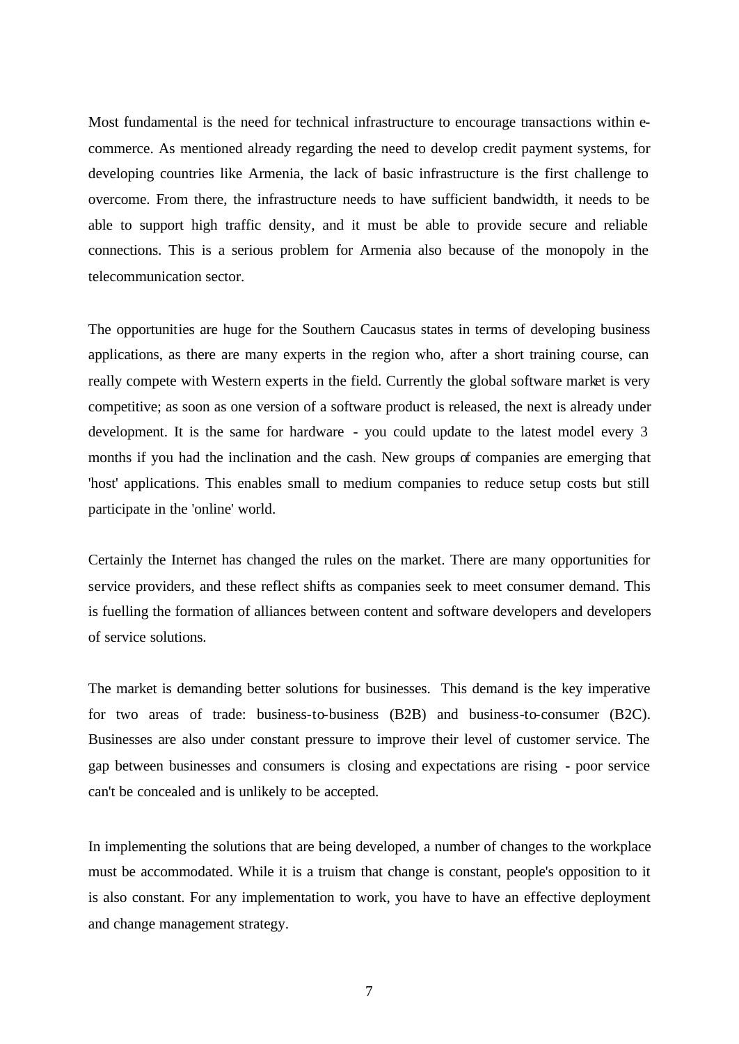Most fundamental is the need for technical infrastructure to encourage transactions within ecommerce. As mentioned already regarding the need to develop credit payment systems, for developing countries like Armenia, the lack of basic infrastructure is the first challenge to overcome. From there, the infrastructure needs to have sufficient bandwidth, it needs to be able to support high traffic density, and it must be able to provide secure and reliable connections. This is a serious problem for Armenia also because of the monopoly in the telecommunication sector.

The opportunities are huge for the Southern Caucasus states in terms of developing business applications, as there are many experts in the region who, after a short training course, can really compete with Western experts in the field. Currently the global software market is very competitive; as soon as one version of a software product is released, the next is already under development. It is the same for hardware - you could update to the latest model every 3 months if you had the inclination and the cash. New groups of companies are emerging that 'host' applications. This enables small to medium companies to reduce setup costs but still participate in the 'online' world.

Certainly the Internet has changed the rules on the market. There are many opportunities for service providers, and these reflect shifts as companies seek to meet consumer demand. This is fuelling the formation of alliances between content and software developers and developers of service solutions.

The market is demanding better solutions for businesses. This demand is the key imperative for two areas of trade: business-to-business (B2B) and business-to-consumer (B2C). Businesses are also under constant pressure to improve their level of customer service. The gap between businesses and consumers is closing and expectations are rising - poor service can't be concealed and is unlikely to be accepted.

In implementing the solutions that are being developed, a number of changes to the workplace must be accommodated. While it is a truism that change is constant, people's opposition to it is also constant. For any implementation to work, you have to have an effective deployment and change management strategy.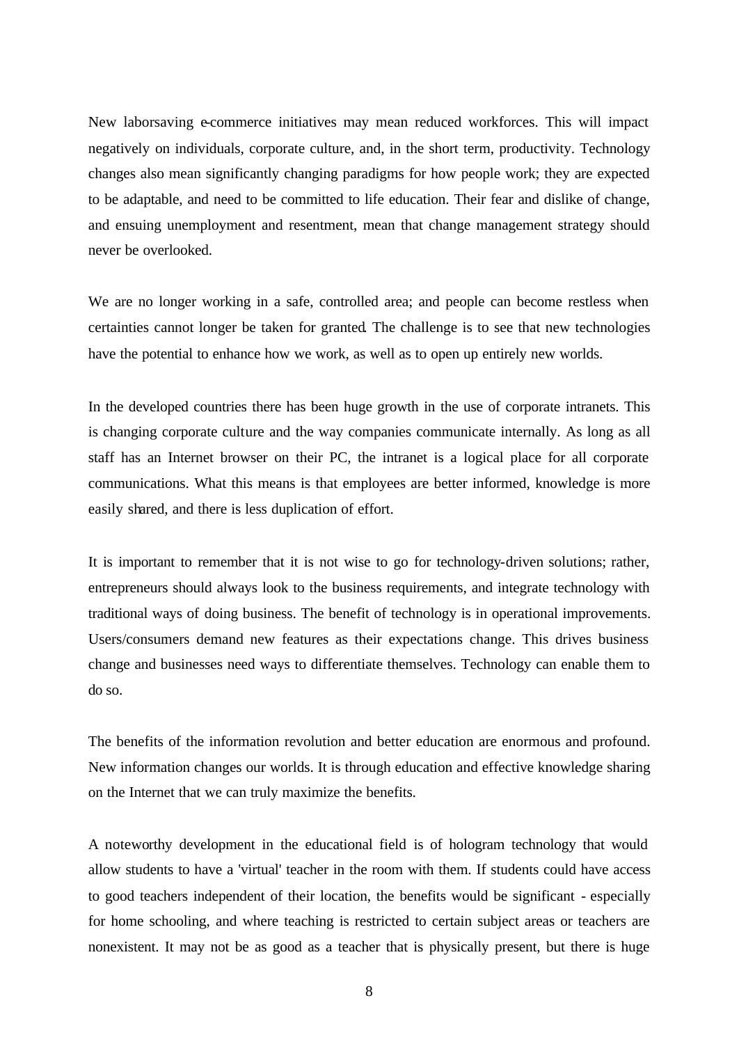New laborsaving e-commerce initiatives may mean reduced workforces. This will impact negatively on individuals, corporate culture, and, in the short term, productivity. Technology changes also mean significantly changing paradigms for how people work; they are expected to be adaptable, and need to be committed to life education. Their fear and dislike of change, and ensuing unemployment and resentment, mean that change management strategy should never be overlooked.

We are no longer working in a safe, controlled area; and people can become restless when certainties cannot longer be taken for granted. The challenge is to see that new technologies have the potential to enhance how we work, as well as to open up entirely new worlds.

In the developed countries there has been huge growth in the use of corporate intranets. This is changing corporate culture and the way companies communicate internally. As long as all staff has an Internet browser on their PC, the intranet is a logical place for all corporate communications. What this means is that employees are better informed, knowledge is more easily shared, and there is less duplication of effort.

It is important to remember that it is not wise to go for technology-driven solutions; rather, entrepreneurs should always look to the business requirements, and integrate technology with traditional ways of doing business. The benefit of technology is in operational improvements. Users/consumers demand new features as their expectations change. This drives business change and businesses need ways to differentiate themselves. Technology can enable them to do so.

The benefits of the information revolution and better education are enormous and profound. New information changes our worlds. It is through education and effective knowledge sharing on the Internet that we can truly maximize the benefits.

A noteworthy development in the educational field is of hologram technology that would allow students to have a 'virtual' teacher in the room with them. If students could have access to good teachers independent of their location, the benefits would be significant - especially for home schooling, and where teaching is restricted to certain subject areas or teachers are nonexistent. It may not be as good as a teacher that is physically present, but there is huge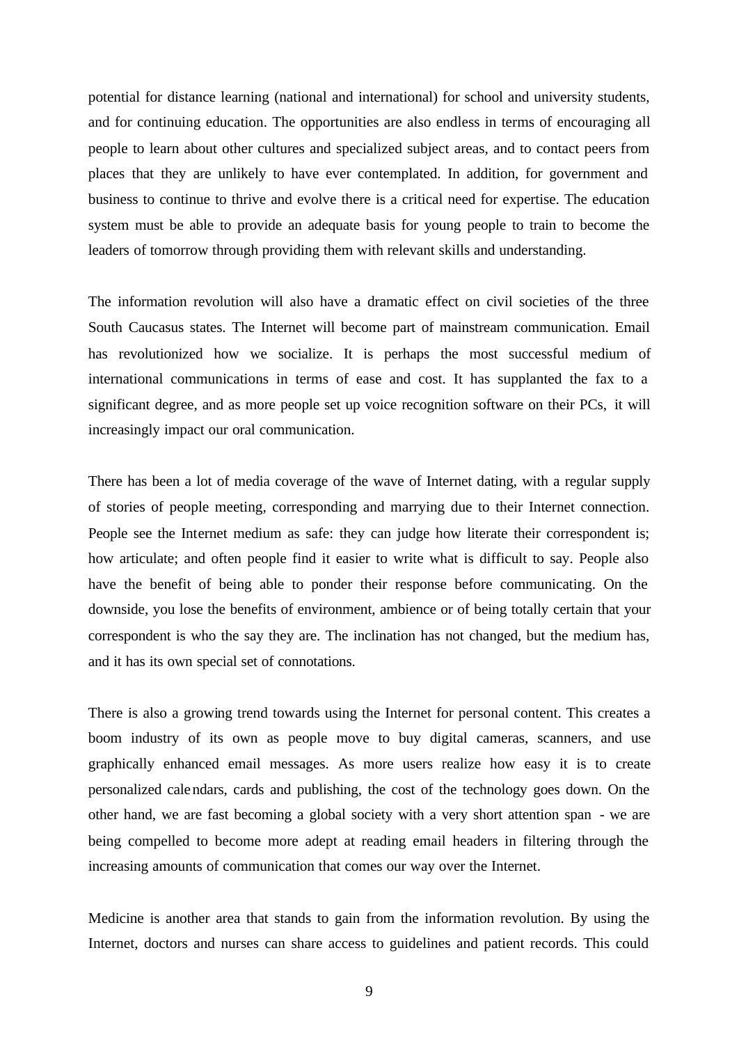potential for distance learning (national and international) for school and university students, and for continuing education. The opportunities are also endless in terms of encouraging all people to learn about other cultures and specialized subject areas, and to contact peers from places that they are unlikely to have ever contemplated. In addition, for government and business to continue to thrive and evolve there is a critical need for expertise. The education system must be able to provide an adequate basis for young people to train to become the leaders of tomorrow through providing them with relevant skills and understanding.

The information revolution will also have a dramatic effect on civil societies of the three South Caucasus states. The Internet will become part of mainstream communication. Email has revolutionized how we socialize. It is perhaps the most successful medium of international communications in terms of ease and cost. It has supplanted the fax to a significant degree, and as more people set up voice recognition software on their PCs, it will increasingly impact our oral communication.

There has been a lot of media coverage of the wave of Internet dating, with a regular supply of stories of people meeting, corresponding and marrying due to their Internet connection. People see the Internet medium as safe: they can judge how literate their correspondent is; how articulate; and often people find it easier to write what is difficult to say. People also have the benefit of being able to ponder their response before communicating. On the downside, you lose the benefits of environment, ambience or of being totally certain that your correspondent is who the say they are. The inclination has not changed, but the medium has, and it has its own special set of connotations.

There is also a growing trend towards using the Internet for personal content. This creates a boom industry of its own as people move to buy digital cameras, scanners, and use graphically enhanced email messages. As more users realize how easy it is to create personalized calendars, cards and publishing, the cost of the technology goes down. On the other hand, we are fast becoming a global society with a very short attention span - we are being compelled to become more adept at reading email headers in filtering through the increasing amounts of communication that comes our way over the Internet.

Medicine is another area that stands to gain from the information revolution. By using the Internet, doctors and nurses can share access to guidelines and patient records. This could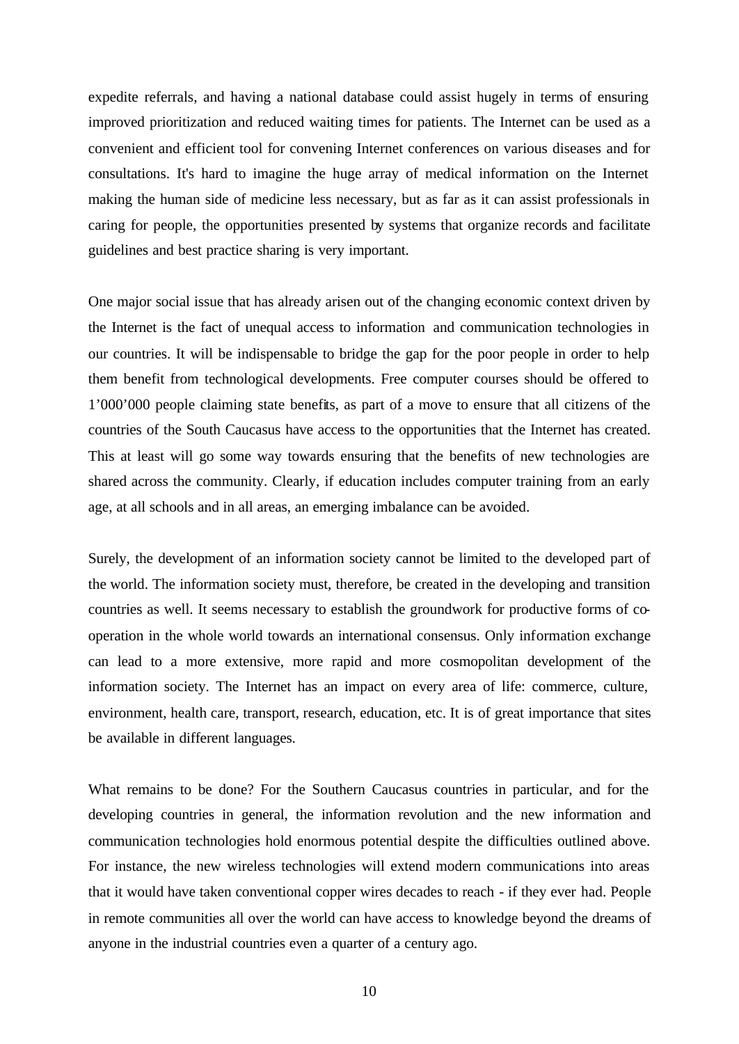expedite referrals, and having a national database could assist hugely in terms of ensuring improved prioritization and reduced waiting times for patients. The Internet can be used as a convenient and efficient tool for convening Internet conferences on various diseases and for consultations. It's hard to imagine the huge array of medical information on the Internet making the human side of medicine less necessary, but as far as it can assist professionals in caring for people, the opportunities presented by systems that organize records and facilitate guidelines and best practice sharing is very important.

One major social issue that has already arisen out of the changing economic context driven by the Internet is the fact of unequal access to information and communication technologies in our countries. It will be indispensable to bridge the gap for the poor people in order to help them benefit from technological developments. Free computer courses should be offered to 1'000'000 people claiming state benefits, as part of a move to ensure that all citizens of the countries of the South Caucasus have access to the opportunities that the Internet has created. This at least will go some way towards ensuring that the benefits of new technologies are shared across the community. Clearly, if education includes computer training from an early age, at all schools and in all areas, an emerging imbalance can be avoided.

Surely, the development of an information society cannot be limited to the developed part of the world. The information society must, therefore, be created in the developing and transition countries as well. It seems necessary to establish the groundwork for productive forms of cooperation in the whole world towards an international consensus. Only information exchange can lead to a more extensive, more rapid and more cosmopolitan development of the information society. The Internet has an impact on every area of life: commerce, culture, environment, health care, transport, research, education, etc. It is of great importance that sites be available in different languages.

What remains to be done? For the Southern Caucasus countries in particular, and for the developing countries in general, the information revolution and the new information and communication technologies hold enormous potential despite the difficulties outlined above. For instance, the new wireless technologies will extend modern communications into areas that it would have taken conventional copper wires decades to reach - if they ever had. People in remote communities all over the world can have access to knowledge beyond the dreams of anyone in the industrial countries even a quarter of a century ago.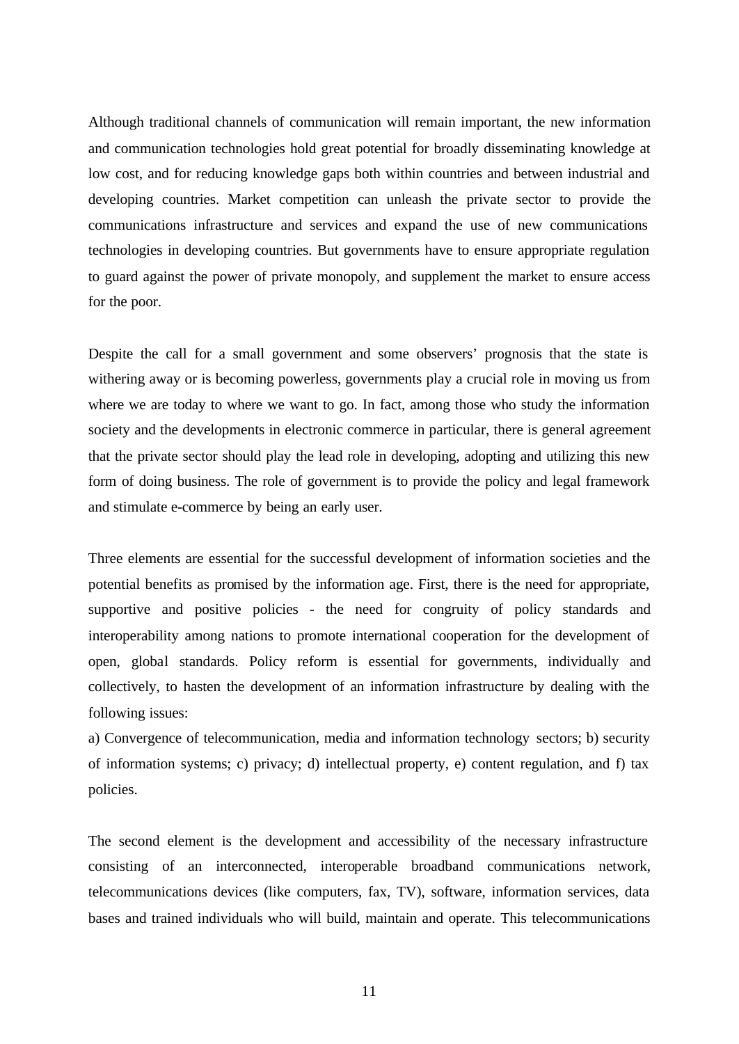Although traditional channels of communication will remain important, the new information and communication technologies hold great potential for broadly disseminating knowledge at low cost, and for reducing knowledge gaps both within countries and between industrial and developing countries. Market competition can unleash the private sector to provide the communications infrastructure and services and expand the use of new communications technologies in developing countries. But governments have to ensure appropriate regulation to guard against the power of private monopoly, and supplement the market to ensure access for the poor.

Despite the call for a small government and some observers' prognosis that the state is withering away or is becoming powerless, governments play a crucial role in moving us from where we are today to where we want to go. In fact, among those who study the information society and the developments in electronic commerce in particular, there is general agreement that the private sector should play the lead role in developing, adopting and utilizing this new form of doing business. The role of government is to provide the policy and legal framework and stimulate e-commerce by being an early user.

Three elements are essential for the successful development of information societies and the potential benefits as promised by the information age. First, there is the need for appropriate, supportive and positive policies - the need for congruity of policy standards and interoperability among nations to promote international cooperation for the development of open, global standards. Policy reform is essential for governments, individually and collectively, to hasten the development of an information infrastructure by dealing with the following issues:

a) Convergence of telecommunication, media and information technology sectors; b) security of information systems; c) privacy; d) intellectual property, e) content regulation, and f) tax policies.

The second element is the development and accessibility of the necessary infrastructure consisting of an interconnected, interoperable broadband communications network, telecommunications devices (like computers, fax, TV), software, information services, data bases and trained individuals who will build, maintain and operate. This telecommunications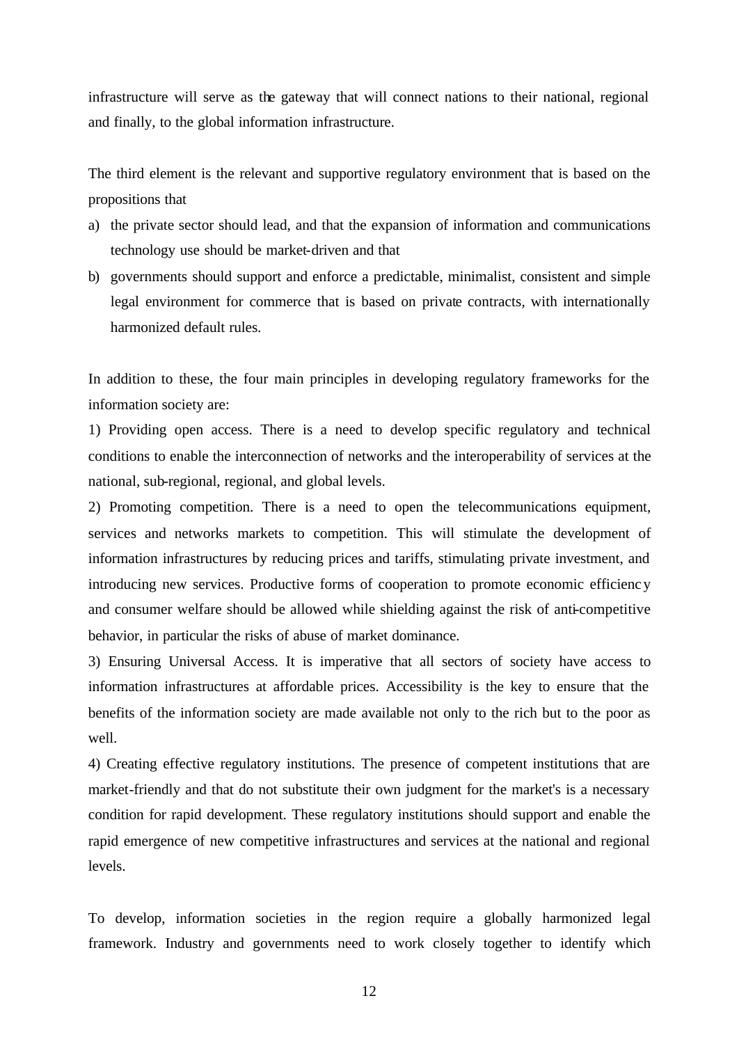infrastructure will serve as the gateway that will connect nations to their national, regional and finally, to the global information infrastructure.

The third element is the relevant and supportive regulatory environment that is based on the propositions that

- a) the private sector should lead, and that the expansion of information and communications technology use should be market-driven and that
- b) governments should support and enforce a predictable, minimalist, consistent and simple legal environment for commerce that is based on private contracts, with internationally harmonized default rules.

In addition to these, the four main principles in developing regulatory frameworks for the information society are:

1) Providing open access. There is a need to develop specific regulatory and technical conditions to enable the interconnection of networks and the interoperability of services at the national, sub-regional, regional, and global levels.

2) Promoting competition. There is a need to open the telecommunications equipment, services and networks markets to competition. This will stimulate the development of information infrastructures by reducing prices and tariffs, stimulating private investment, and introducing new services. Productive forms of cooperation to promote economic efficiency and consumer welfare should be allowed while shielding against the risk of anti-competitive behavior, in particular the risks of abuse of market dominance.

3) Ensuring Universal Access. It is imperative that all sectors of society have access to information infrastructures at affordable prices. Accessibility is the key to ensure that the benefits of the information society are made available not only to the rich but to the poor as well.

4) Creating effective regulatory institutions. The presence of competent institutions that are market-friendly and that do not substitute their own judgment for the market's is a necessary condition for rapid development. These regulatory institutions should support and enable the rapid emergence of new competitive infrastructures and services at the national and regional levels.

To develop, information societies in the region require a globally harmonized legal framework. Industry and governments need to work closely together to identify which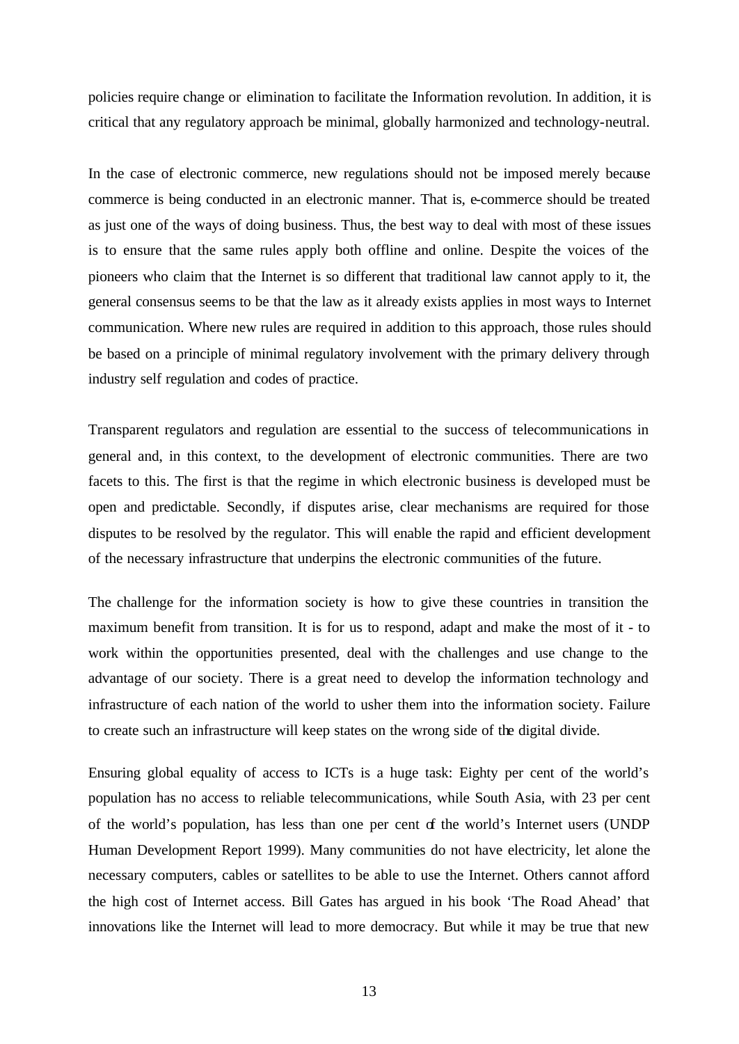policies require change or elimination to facilitate the Information revolution. In addition, it is critical that any regulatory approach be minimal, globally harmonized and technology-neutral.

In the case of electronic commerce, new regulations should not be imposed merely because commerce is being conducted in an electronic manner. That is, e-commerce should be treated as just one of the ways of doing business. Thus, the best way to deal with most of these issues is to ensure that the same rules apply both offline and online. Despite the voices of the pioneers who claim that the Internet is so different that traditional law cannot apply to it, the general consensus seems to be that the law as it already exists applies in most ways to Internet communication. Where new rules are required in addition to this approach, those rules should be based on a principle of minimal regulatory involvement with the primary delivery through industry self regulation and codes of practice.

Transparent regulators and regulation are essential to the success of telecommunications in general and, in this context, to the development of electronic communities. There are two facets to this. The first is that the regime in which electronic business is developed must be open and predictable. Secondly, if disputes arise, clear mechanisms are required for those disputes to be resolved by the regulator. This will enable the rapid and efficient development of the necessary infrastructure that underpins the electronic communities of the future.

The challenge for the information society is how to give these countries in transition the maximum benefit from transition. It is for us to respond, adapt and make the most of it - to work within the opportunities presented, deal with the challenges and use change to the advantage of our society. There is a great need to develop the information technology and infrastructure of each nation of the world to usher them into the information society. Failure to create such an infrastructure will keep states on the wrong side of the digital divide.

Ensuring global equality of access to ICTs is a huge task: Eighty per cent of the world's population has no access to reliable telecommunications, while South Asia, with 23 per cent of the world's population, has less than one per cent of the world's Internet users (UNDP Human Development Report 1999). Many communities do not have electricity, let alone the necessary computers, cables or satellites to be able to use the Internet. Others cannot afford the high cost of Internet access. Bill Gates has argued in his book 'The Road Ahead' that innovations like the Internet will lead to more democracy. But while it may be true that new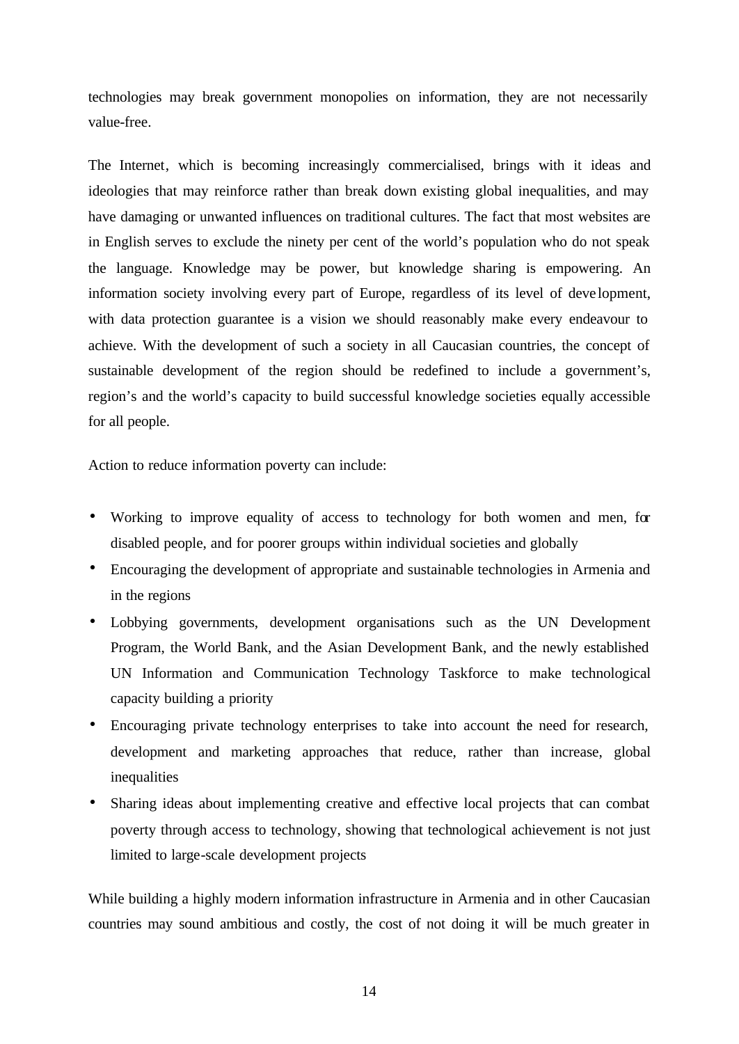technologies may break government monopolies on information, they are not necessarily value-free.

The Internet, which is becoming increasingly commercialised, brings with it ideas and ideologies that may reinforce rather than break down existing global inequalities, and may have damaging or unwanted influences on traditional cultures. The fact that most websites are in English serves to exclude the ninety per cent of the world's population who do not speak the language. Knowledge may be power, but knowledge sharing is empowering. An information society involving every part of Europe, regardless of its level of deve lopment, with data protection guarantee is a vision we should reasonably make every endeavour to achieve. With the development of such a society in all Caucasian countries, the concept of sustainable development of the region should be redefined to include a government's, region's and the world's capacity to build successful knowledge societies equally accessible for all people.

Action to reduce information poverty can include:

- Working to improve equality of access to technology for both women and men, for disabled people, and for poorer groups within individual societies and globally
- Encouraging the development of appropriate and sustainable technologies in Armenia and in the regions
- Lobbying governments, development organisations such as the UN Development Program, the World Bank, and the Asian Development Bank, and the newly established UN Information and Communication Technology Taskforce to make technological capacity building a priority
- Encouraging private technology enterprises to take into account the need for research, development and marketing approaches that reduce, rather than increase, global inequalities
- Sharing ideas about implementing creative and effective local projects that can combat poverty through access to technology, showing that technological achievement is not just limited to large-scale development projects

While building a highly modern information infrastructure in Armenia and in other Caucasian countries may sound ambitious and costly, the cost of not doing it will be much greater in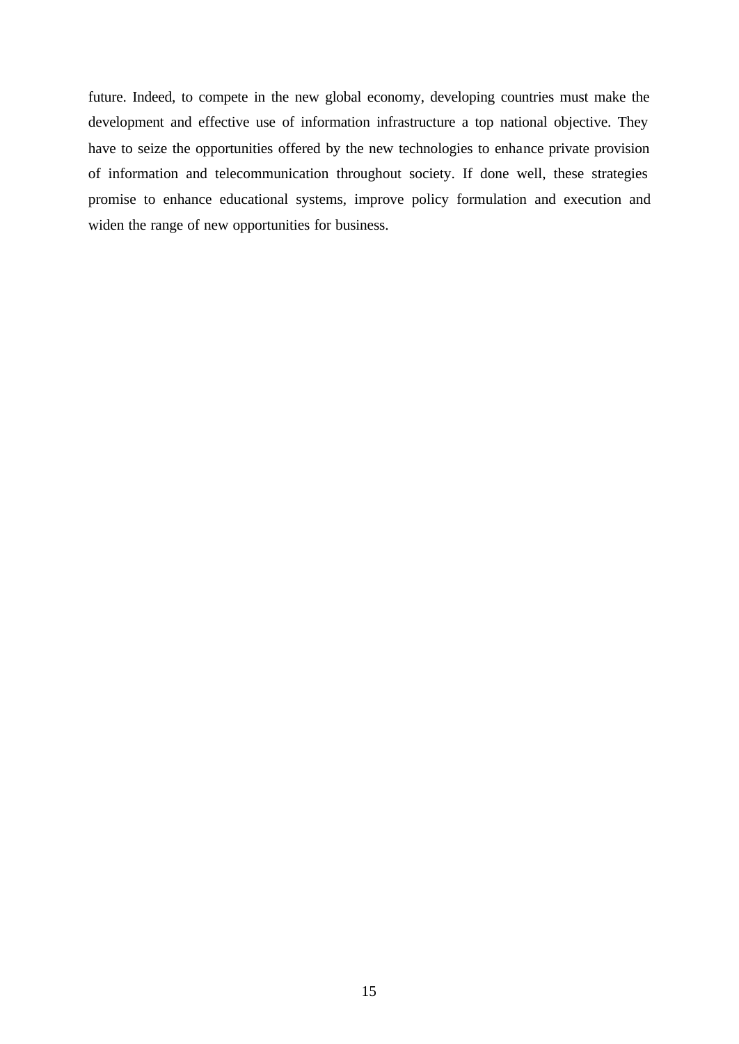future. Indeed, to compete in the new global economy, developing countries must make the development and effective use of information infrastructure a top national objective. They have to seize the opportunities offered by the new technologies to enhance private provision of information and telecommunication throughout society. If done well, these strategies promise to enhance educational systems, improve policy formulation and execution and widen the range of new opportunities for business.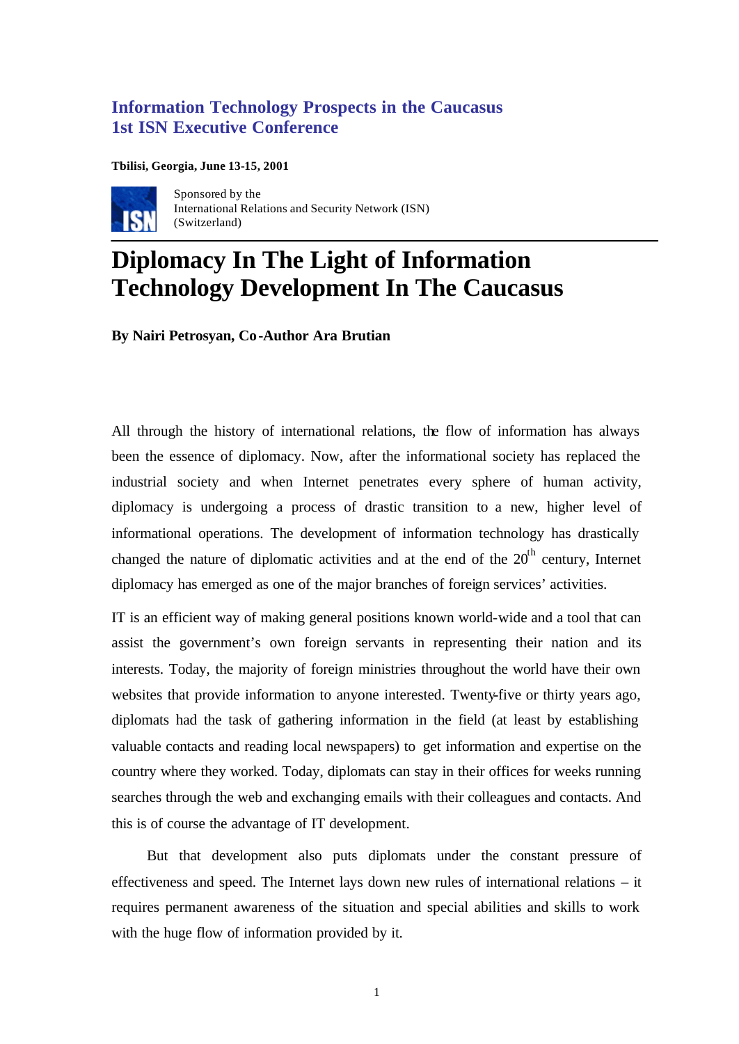# **Information Technology Prospects in the Caucasus 1st ISN Executive Conference**

#### **Tbilisi, Georgia, June 13-15, 2001**



Sponsored by the International Relations and Security Network (ISN) (Switzerland)

# **Diplomacy In The Light of Information Technology Development In The Caucasus**

**By Nairi Petrosyan, Co-Author Ara Brutian**

All through the history of international relations, the flow of information has always been the essence of diplomacy. Now, after the informational society has replaced the industrial society and when Internet penetrates every sphere of human activity, diplomacy is undergoing a process of drastic transition to a new, higher level of informational operations. The development of information technology has drastically changed the nature of diplomatic activities and at the end of the  $20<sup>th</sup>$  century. Internet diplomacy has emerged as one of the major branches of foreign services' activities.

IT is an efficient way of making general positions known world-wide and a tool that can assist the government's own foreign servants in representing their nation and its interests. Today, the majority of foreign ministries throughout the world have their own websites that provide information to anyone interested. Twenty-five or thirty years ago, diplomats had the task of gathering information in the field (at least by establishing valuable contacts and reading local newspapers) to get information and expertise on the country where they worked. Today, diplomats can stay in their offices for weeks running searches through the web and exchanging emails with their colleagues and contacts. And this is of course the advantage of IT development.

But that development also puts diplomats under the constant pressure of effectiveness and speed. The Internet lays down new rules of international relations – it requires permanent awareness of the situation and special abilities and skills to work with the huge flow of information provided by it.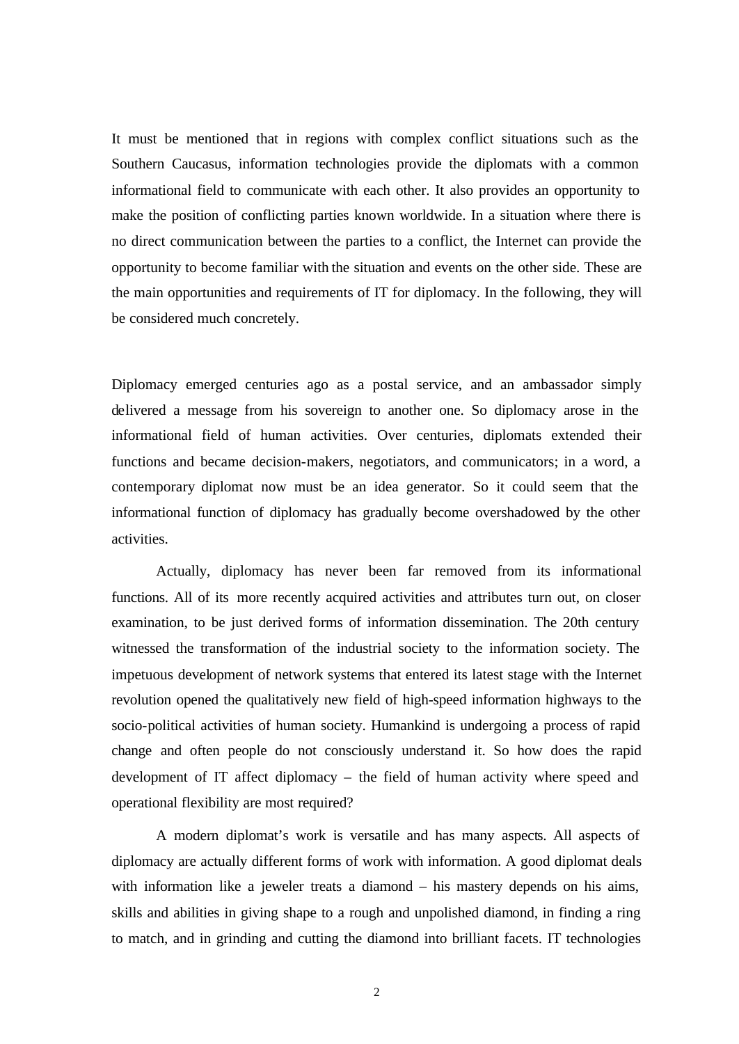It must be mentioned that in regions with complex conflict situations such as the Southern Caucasus, information technologies provide the diplomats with a common informational field to communicate with each other. It also provides an opportunity to make the position of conflicting parties known worldwide. In a situation where there is no direct communication between the parties to a conflict, the Internet can provide the opportunity to become familiar with the situation and events on the other side. These are the main opportunities and requirements of IT for diplomacy. In the following, they will be considered much concretely.

Diplomacy emerged centuries ago as a postal service, and an ambassador simply delivered a message from his sovereign to another one. So diplomacy arose in the informational field of human activities. Over centuries, diplomats extended their functions and became decision-makers, negotiators, and communicators; in a word, a contemporary diplomat now must be an idea generator. So it could seem that the informational function of diplomacy has gradually become overshadowed by the other activities.

Actually, diplomacy has never been far removed from its informational functions. All of its more recently acquired activities and attributes turn out, on closer examination, to be just derived forms of information dissemination. The 20th century witnessed the transformation of the industrial society to the information society. The impetuous development of network systems that entered its latest stage with the Internet revolution opened the qualitatively new field of high-speed information highways to the socio-political activities of human society. Humankind is undergoing a process of rapid change and often people do not consciously understand it. So how does the rapid development of IT affect diplomacy – the field of human activity where speed and operational flexibility are most required?

A modern diplomat's work is versatile and has many aspects. All aspects of diplomacy are actually different forms of work with information. A good diplomat deals with information like a jeweler treats a diamond – his mastery depends on his aims, skills and abilities in giving shape to a rough and unpolished diamond, in finding a ring to match, and in grinding and cutting the diamond into brilliant facets. IT technologies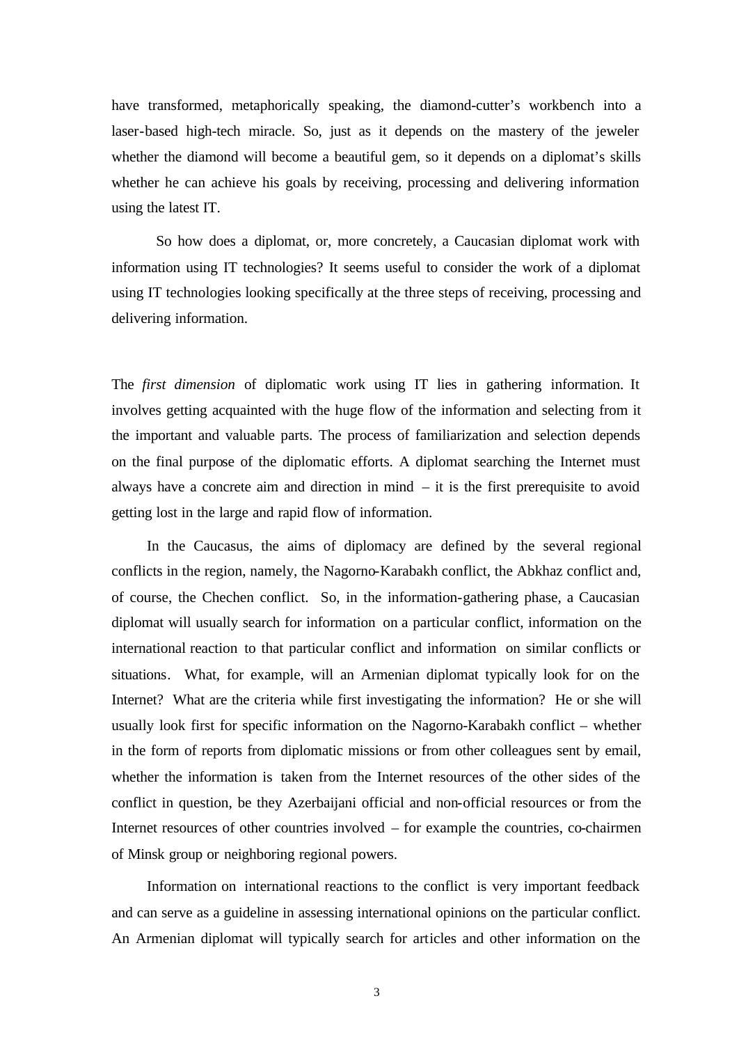have transformed, metaphorically speaking, the diamond-cutter's workbench into a laser-based high-tech miracle. So, just as it depends on the mastery of the jeweler whether the diamond will become a beautiful gem, so it depends on a diplomat's skills whether he can achieve his goals by receiving, processing and delivering information using the latest IT.

So how does a diplomat, or, more concretely, a Caucasian diplomat work with information using IT technologies? It seems useful to consider the work of a diplomat using IT technologies looking specifically at the three steps of receiving, processing and delivering information.

The *first dimension* of diplomatic work using IT lies in gathering information. It involves getting acquainted with the huge flow of the information and selecting from it the important and valuable parts. The process of familiarization and selection depends on the final purpose of the diplomatic efforts. A diplomat searching the Internet must always have a concrete aim and direction in mind  $-$  it is the first prerequisite to avoid getting lost in the large and rapid flow of information.

In the Caucasus, the aims of diplomacy are defined by the several regional conflicts in the region, namely, the Nagorno-Karabakh conflict, the Abkhaz conflict and, of course, the Chechen conflict. So, in the information-gathering phase, a Caucasian diplomat will usually search for information on a particular conflict, information on the international reaction to that particular conflict and information on similar conflicts or situations. What, for example, will an Armenian diplomat typically look for on the Internet? What are the criteria while first investigating the information? He or she will usually look first for specific information on the Nagorno-Karabakh conflict – whether in the form of reports from diplomatic missions or from other colleagues sent by email, whether the information is taken from the Internet resources of the other sides of the conflict in question, be they Azerbaijani official and non-official resources or from the Internet resources of other countries involved – for example the countries, co-chairmen of Minsk group or neighboring regional powers.

Information on international reactions to the conflict is very important feedback and can serve as a guideline in assessing international opinions on the particular conflict. An Armenian diplomat will typically search for articles and other information on the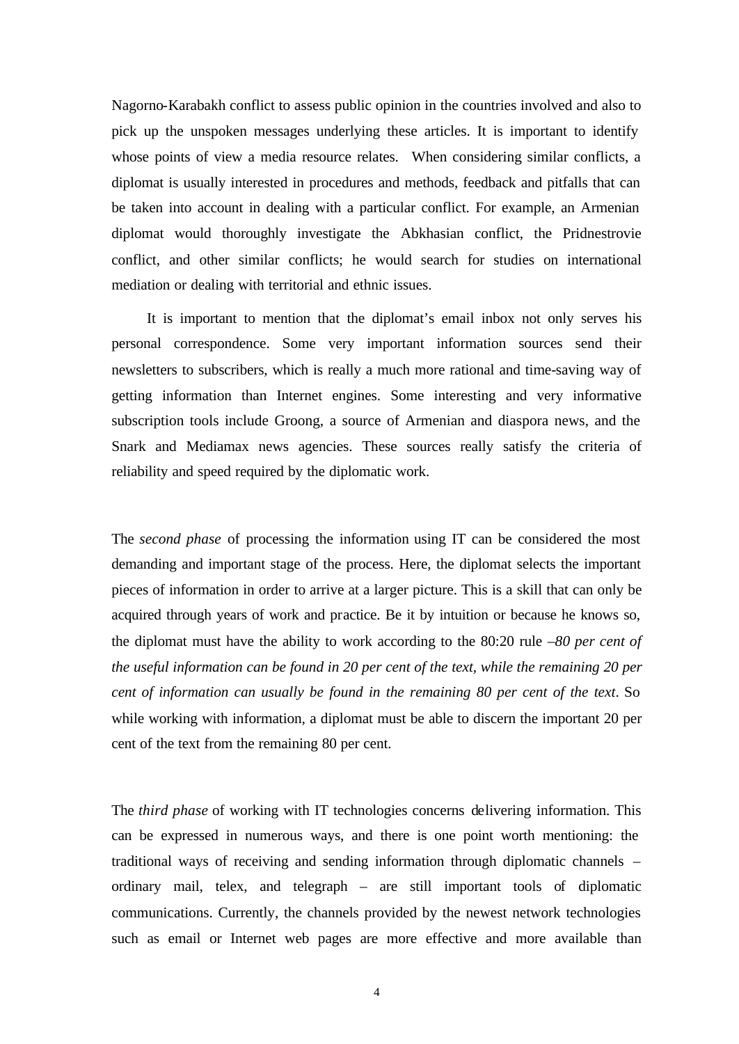Nagorno-Karabakh conflict to assess public opinion in the countries involved and also to pick up the unspoken messages underlying these articles. It is important to identify whose points of view a media resource relates. When considering similar conflicts, a diplomat is usually interested in procedures and methods, feedback and pitfalls that can be taken into account in dealing with a particular conflict. For example, an Armenian diplomat would thoroughly investigate the Abkhasian conflict, the Pridnestrovie conflict, and other similar conflicts; he would search for studies on international mediation or dealing with territorial and ethnic issues.

It is important to mention that the diplomat's email inbox not only serves his personal correspondence. Some very important information sources send their newsletters to subscribers, which is really a much more rational and time-saving way of getting information than Internet engines. Some interesting and very informative subscription tools include Groong, a source of Armenian and diaspora news, and the Snark and Mediamax news agencies. These sources really satisfy the criteria of reliability and speed required by the diplomatic work.

The *second phase* of processing the information using IT can be considered the most demanding and important stage of the process. Here, the diplomat selects the important pieces of information in order to arrive at a larger picture. This is a skill that can only be acquired through years of work and practice. Be it by intuition or because he knows so, the diplomat must have the ability to work according to the 80:20 rule –*80 per cent of the useful information can be found in 20 per cent of the text, while the remaining 20 per cent of information can usually be found in the remaining 80 per cent of the text*. So while working with information, a diplomat must be able to discern the important 20 per cent of the text from the remaining 80 per cent.

The *third phase* of working with IT technologies concerns delivering information. This can be expressed in numerous ways, and there is one point worth mentioning: the traditional ways of receiving and sending information through diplomatic channels – ordinary mail, telex, and telegraph – are still important tools of diplomatic communications. Currently, the channels provided by the newest network technologies such as email or Internet web pages are more effective and more available than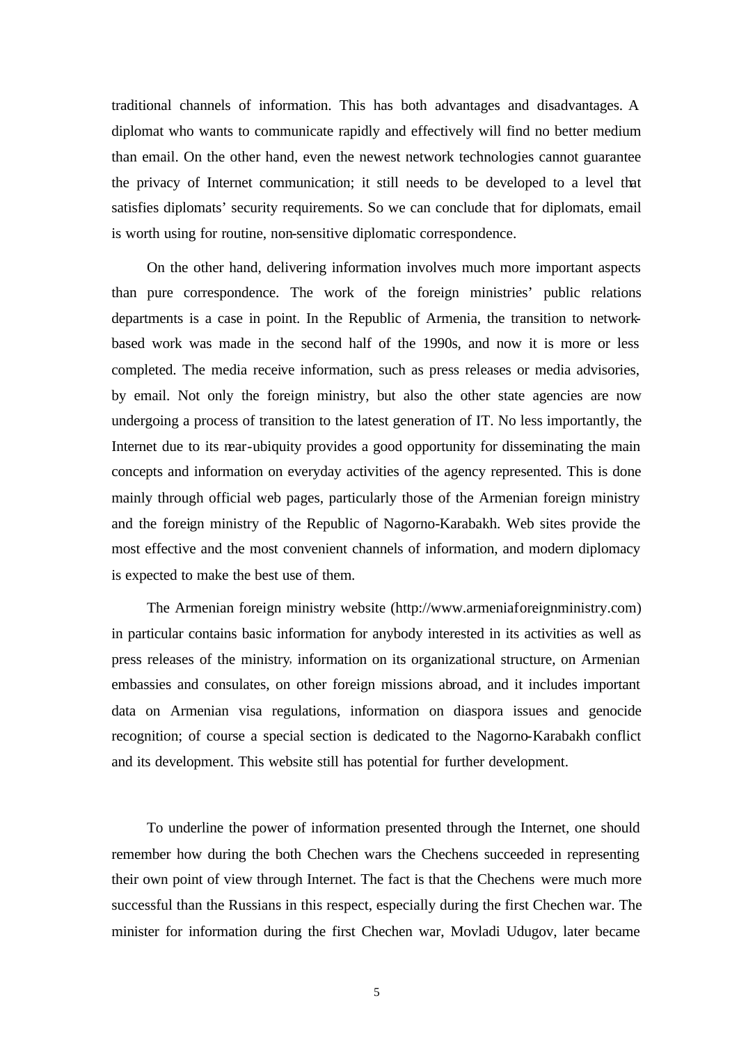traditional channels of information. This has both advantages and disadvantages. A diplomat who wants to communicate rapidly and effectively will find no better medium than email. On the other hand, even the newest network technologies cannot guarantee the privacy of Internet communication; it still needs to be developed to a level that satisfies diplomats' security requirements. So we can conclude that for diplomats, email is worth using for routine, non-sensitive diplomatic correspondence.

On the other hand, delivering information involves much more important aspects than pure correspondence. The work of the foreign ministries' public relations departments is a case in point. In the Republic of Armenia, the transition to networkbased work was made in the second half of the 1990s, and now it is more or less completed. The media receive information, such as press releases or media advisories, by email. Not only the foreign ministry, but also the other state agencies are now undergoing a process of transition to the latest generation of IT. No less importantly, the Internet due to its near-ubiquity provides a good opportunity for disseminating the main concepts and information on everyday activities of the agency represented. This is done mainly through official web pages, particularly those of the Armenian foreign ministry and the foreign ministry of the Republic of Nagorno-Karabakh. Web sites provide the most effective and the most convenient channels of information, and modern diplomacy is expected to make the best use of them.

The Armenian foreign ministry website (http://www.armeniaforeignministry.com) in particular contains basic information for anybody interested in its activities as well as press releases of the ministry, information on its organizational structure, on Armenian embassies and consulates, on other foreign missions abroad, and it includes important data on Armenian visa regulations, information on diaspora issues and genocide recognition; of course a special section is dedicated to the Nagorno-Karabakh conflict and its development. This website still has potential for further development.

To underline the power of information presented through the Internet, one should remember how during the both Chechen wars the Chechens succeeded in representing their own point of view through Internet. The fact is that the Chechens were much more successful than the Russians in this respect, especially during the first Chechen war. The minister for information during the first Chechen war, Movladi Udugov, later became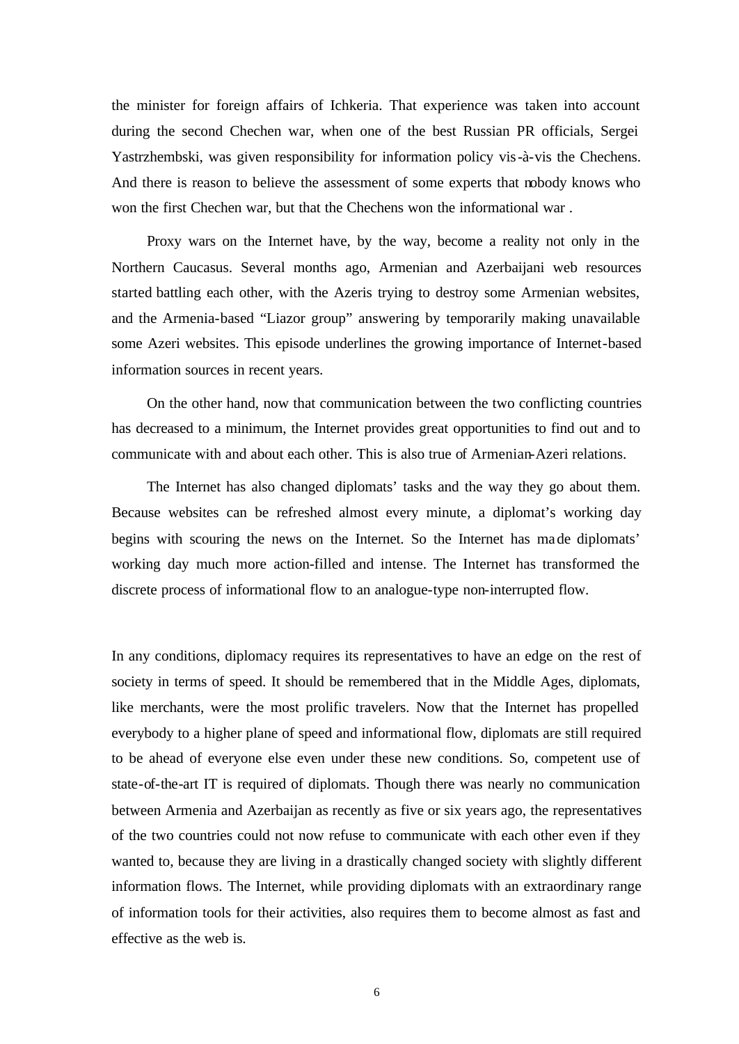the minister for foreign affairs of Ichkeria. That experience was taken into account during the second Chechen war, when one of the best Russian PR officials, Sergei Yastrzhembski, was given responsibility for information policy vis-à-vis the Chechens. And there is reason to believe the assessment of some experts that nobody knows who won the first Chechen war, but that the Chechens won the informational war .

Proxy wars on the Internet have, by the way, become a reality not only in the Northern Caucasus. Several months ago, Armenian and Azerbaijani web resources started battling each other, with the Azeris trying to destroy some Armenian websites, and the Armenia-based "Liazor group" answering by temporarily making unavailable some Azeri websites. This episode underlines the growing importance of Internet-based information sources in recent years.

On the other hand, now that communication between the two conflicting countries has decreased to a minimum, the Internet provides great opportunities to find out and to communicate with and about each other. This is also true of Armenian-Azeri relations.

The Internet has also changed diplomats' tasks and the way they go about them. Because websites can be refreshed almost every minute, a diplomat's working day begins with scouring the news on the Internet. So the Internet has made diplomats' working day much more action-filled and intense. The Internet has transformed the discrete process of informational flow to an analogue-type non-interrupted flow.

In any conditions, diplomacy requires its representatives to have an edge on the rest of society in terms of speed. It should be remembered that in the Middle Ages, diplomats, like merchants, were the most prolific travelers. Now that the Internet has propelled everybody to a higher plane of speed and informational flow, diplomats are still required to be ahead of everyone else even under these new conditions. So, competent use of state-of-the-art IT is required of diplomats. Though there was nearly no communication between Armenia and Azerbaijan as recently as five or six years ago, the representatives of the two countries could not now refuse to communicate with each other even if they wanted to, because they are living in a drastically changed society with slightly different information flows. The Internet, while providing diplomats with an extraordinary range of information tools for their activities, also requires them to become almost as fast and effective as the web is.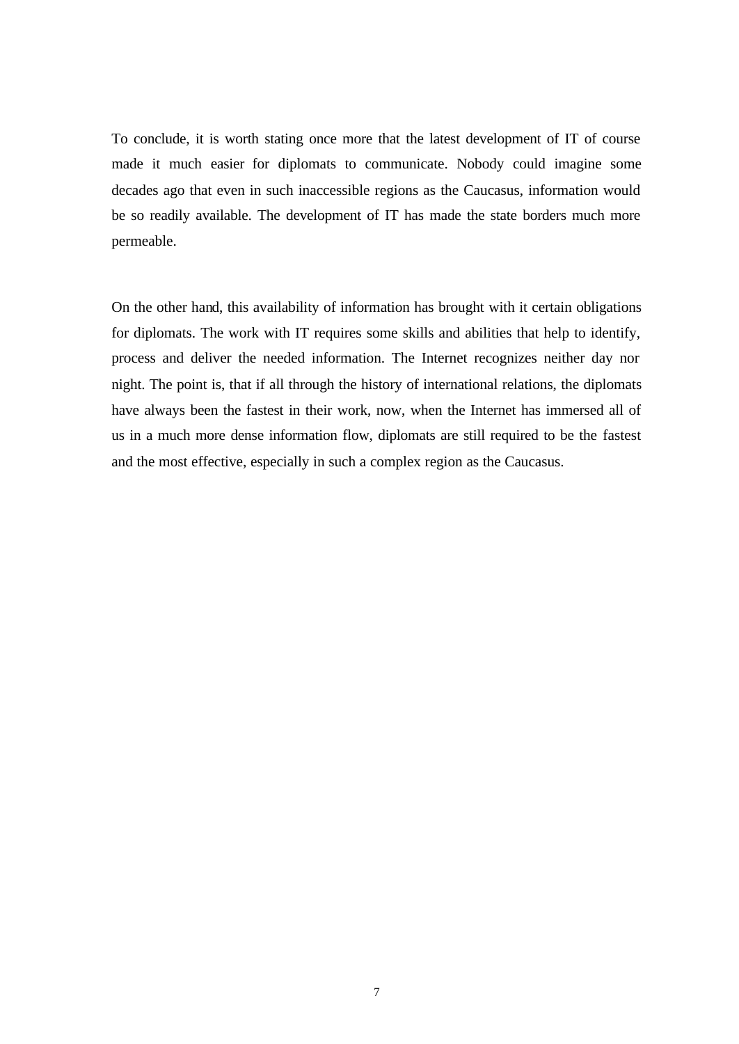To conclude, it is worth stating once more that the latest development of IT of course made it much easier for diplomats to communicate. Nobody could imagine some decades ago that even in such inaccessible regions as the Caucasus, information would be so readily available. The development of IT has made the state borders much more permeable.

On the other hand, this availability of information has brought with it certain obligations for diplomats. The work with IT requires some skills and abilities that help to identify, process and deliver the needed information. The Internet recognizes neither day nor night. The point is, that if all through the history of international relations, the diplomats have always been the fastest in their work, now, when the Internet has immersed all of us in a much more dense information flow, diplomats are still required to be the fastest and the most effective, especially in such a complex region as the Caucasus.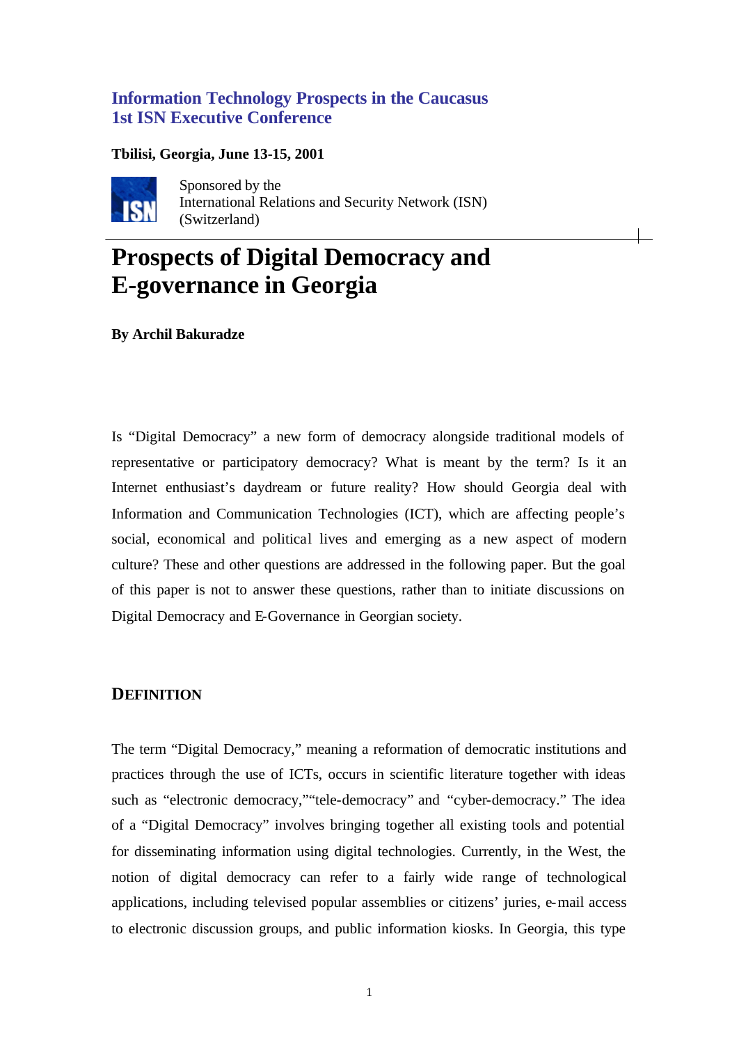# **Information Technology Prospects in the Caucasus 1st ISN Executive Conference**

## **Tbilisi, Georgia, June 13-15, 2001**



Sponsored by the International Relations and Security Network (ISN) (Switzerland)

# **Prospects of Digital Democracy and E-governance in Georgia**

**By Archil Bakuradze**

Is "Digital Democracy" a new form of democracy alongside traditional models of representative or participatory democracy? What is meant by the term? Is it an Internet enthusiast's daydream or future reality? How should Georgia deal with Information and Communication Technologies (ICT), which are affecting people's social, economical and political lives and emerging as a new aspect of modern culture? These and other questions are addressed in the following paper. But the goal of this paper is not to answer these questions, rather than to initiate discussions on Digital Democracy and E-Governance in Georgian society.

## **DEFINITION**

The term "Digital Democracy," meaning a reformation of democratic institutions and practices through the use of ICTs, occurs in scientific literature together with ideas such as "electronic democracy,""tele-democracy" and "cyber-democracy." The idea of a "Digital Democracy" involves bringing together all existing tools and potential for disseminating information using digital technologies. Currently, in the West, the notion of digital democracy can refer to a fairly wide range of technological applications, including televised popular assemblies or citizens' juries, e-mail access to electronic discussion groups, and public information kiosks. In Georgia, this type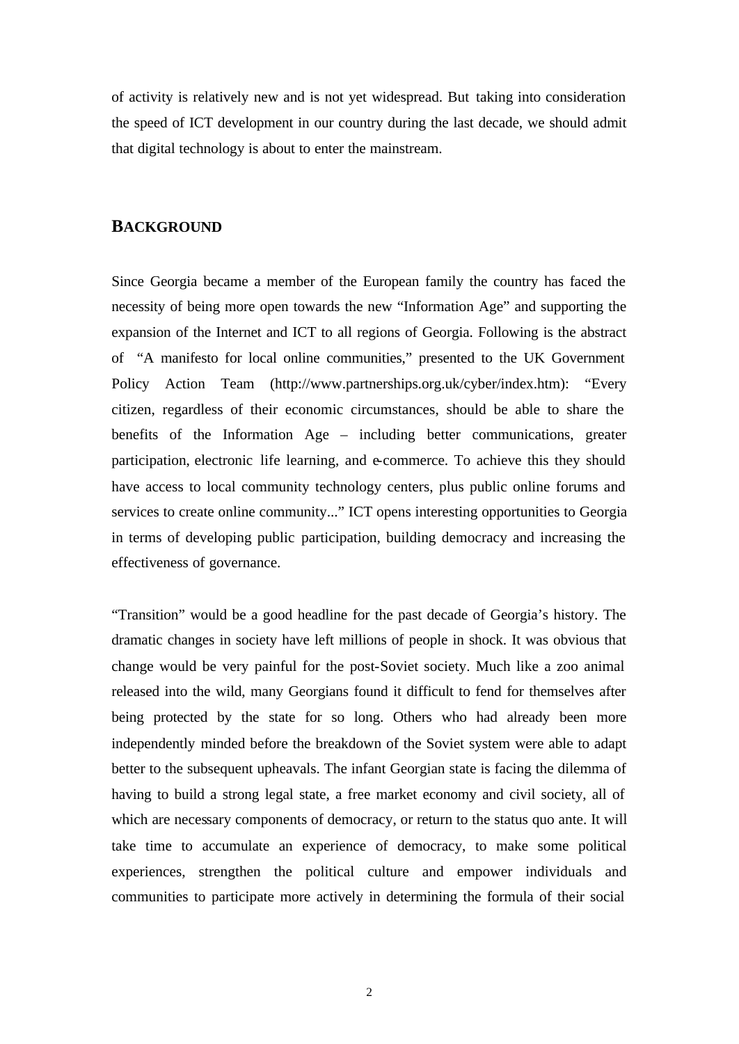of activity is relatively new and is not yet widespread. But taking into consideration the speed of ICT development in our country during the last decade, we should admit that digital technology is about to enter the mainstream.

### **BACKGROUND**

Since Georgia became a member of the European family the country has faced the necessity of being more open towards the new "Information Age" and supporting the expansion of the Internet and ICT to all regions of Georgia. Following is the abstract of "A manifesto for local online communities," presented to the UK Government Policy Action Team (http://www.partnerships.org.uk/cyber/index.htm): "Every citizen, regardless of their economic circumstances, should be able to share the benefits of the Information Age – including better communications, greater participation, electronic life learning, and e-commerce. To achieve this they should have access to local community technology centers, plus public online forums and services to create online community..." ICT opens interesting opportunities to Georgia in terms of developing public participation, building democracy and increasing the effectiveness of governance.

"Transition" would be a good headline for the past decade of Georgia's history. The dramatic changes in society have left millions of people in shock. It was obvious that change would be very painful for the post-Soviet society. Much like a zoo animal released into the wild, many Georgians found it difficult to fend for themselves after being protected by the state for so long. Others who had already been more independently minded before the breakdown of the Soviet system were able to adapt better to the subsequent upheavals. The infant Georgian state is facing the dilemma of having to build a strong legal state, a free market economy and civil society, all of which are necessary components of democracy, or return to the status quo ante. It will take time to accumulate an experience of democracy, to make some political experiences, strengthen the political culture and empower individuals and communities to participate more actively in determining the formula of their social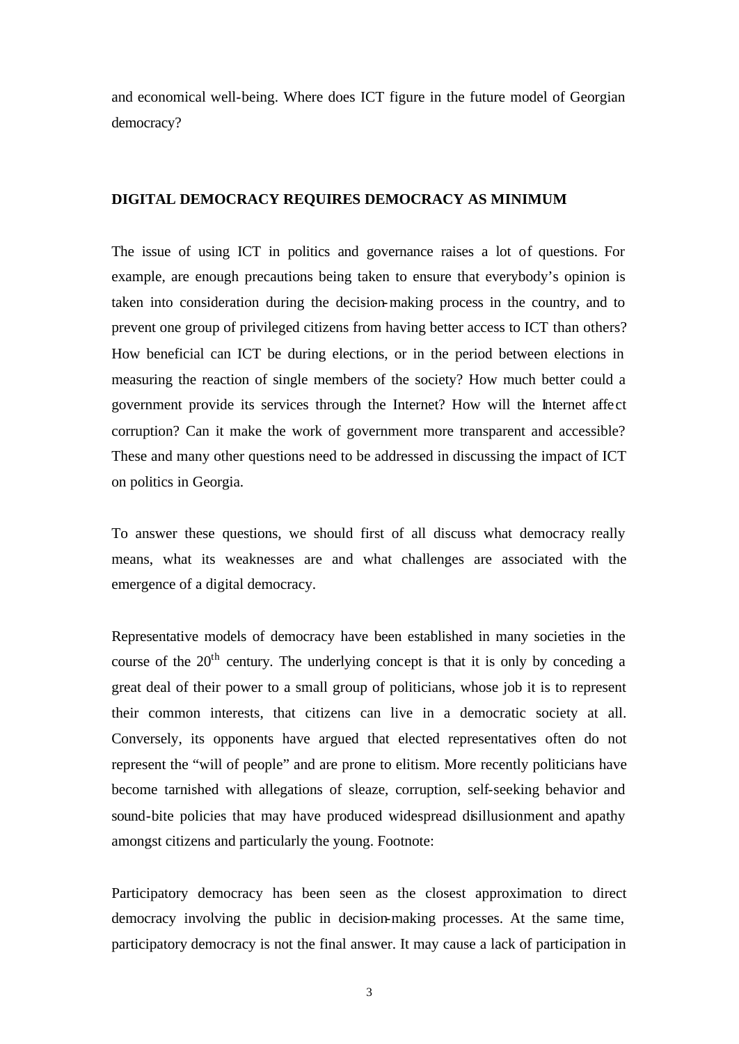and economical well-being. Where does ICT figure in the future model of Georgian democracy?

## **DIGITAL DEMOCRACY REQUIRES DEMOCRACY AS MINIMUM**

The issue of using ICT in politics and governance raises a lot of questions. For example, are enough precautions being taken to ensure that everybody's opinion is taken into consideration during the decision-making process in the country, and to prevent one group of privileged citizens from having better access to ICT than others? How beneficial can ICT be during elections, or in the period between elections in measuring the reaction of single members of the society? How much better could a government provide its services through the Internet? How will the Internet affect corruption? Can it make the work of government more transparent and accessible? These and many other questions need to be addressed in discussing the impact of ICT on politics in Georgia.

To answer these questions, we should first of all discuss what democracy really means, what its weaknesses are and what challenges are associated with the emergence of a digital democracy.

Representative models of democracy have been established in many societies in the course of the  $20<sup>th</sup>$  century. The underlying concept is that it is only by conceding a great deal of their power to a small group of politicians, whose job it is to represent their common interests, that citizens can live in a democratic society at all. Conversely, its opponents have argued that elected representatives often do not represent the "will of people" and are prone to elitism. More recently politicians have become tarnished with allegations of sleaze, corruption, self-seeking behavior and sound-bite policies that may have produced widespread disillusionment and apathy amongst citizens and particularly the young. Footnote:

Participatory democracy has been seen as the closest approximation to direct democracy involving the public in decision-making processes. At the same time, participatory democracy is not the final answer. It may cause a lack of participation in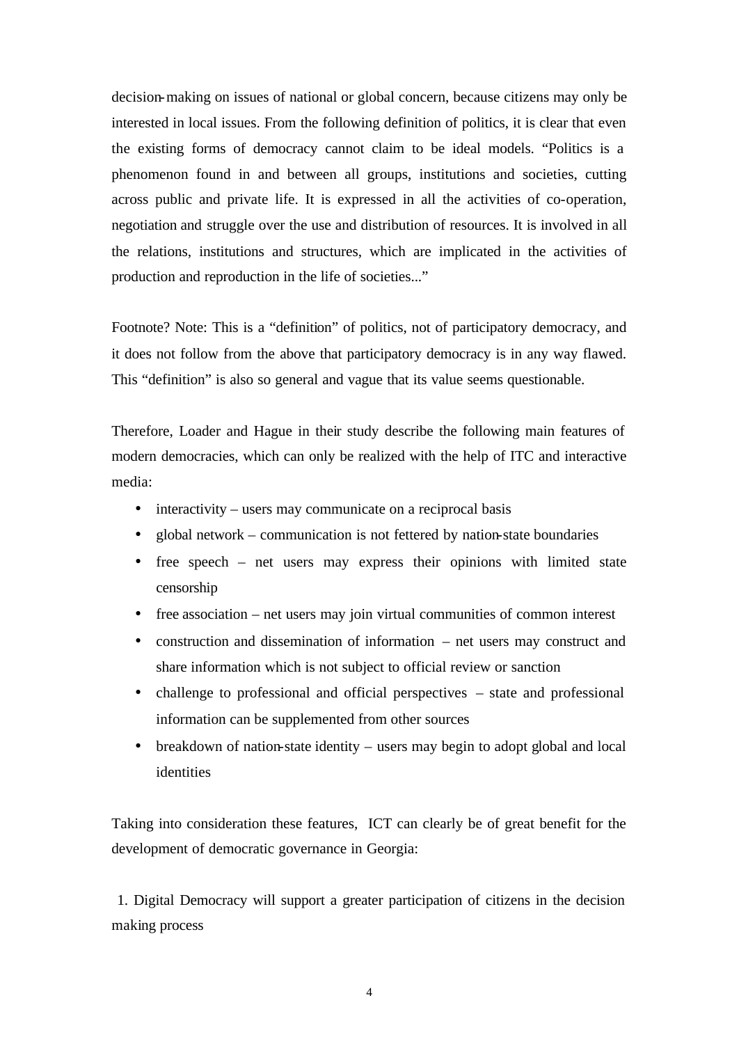decision-making on issues of national or global concern, because citizens may only be interested in local issues. From the following definition of politics, it is clear that even the existing forms of democracy cannot claim to be ideal models. "Politics is a phenomenon found in and between all groups, institutions and societies, cutting across public and private life. It is expressed in all the activities of co-operation, negotiation and struggle over the use and distribution of resources. It is involved in all the relations, institutions and structures, which are implicated in the activities of production and reproduction in the life of societies..."

Footnote? Note: This is a "definition" of politics, not of participatory democracy, and it does not follow from the above that participatory democracy is in any way flawed. This "definition" is also so general and vague that its value seems questionable.

Therefore, Loader and Hague in their study describe the following main features of modern democracies, which can only be realized with the help of ITC and interactive media:

- interactivity users may communicate on a reciprocal basis
- global network communication is not fettered by nation-state boundaries
- free speech net users may express their opinions with limited state censorship
- free association net users may join virtual communities of common interest
- construction and dissemination of information net users may construct and share information which is not subject to official review or sanction
- challenge to professional and official perspectives state and professional information can be supplemented from other sources
- breakdown of nation-state identity users may begin to adopt global and local identities

Taking into consideration these features, ICT can clearly be of great benefit for the development of democratic governance in Georgia:

 1. Digital Democracy will support a greater participation of citizens in the decision making process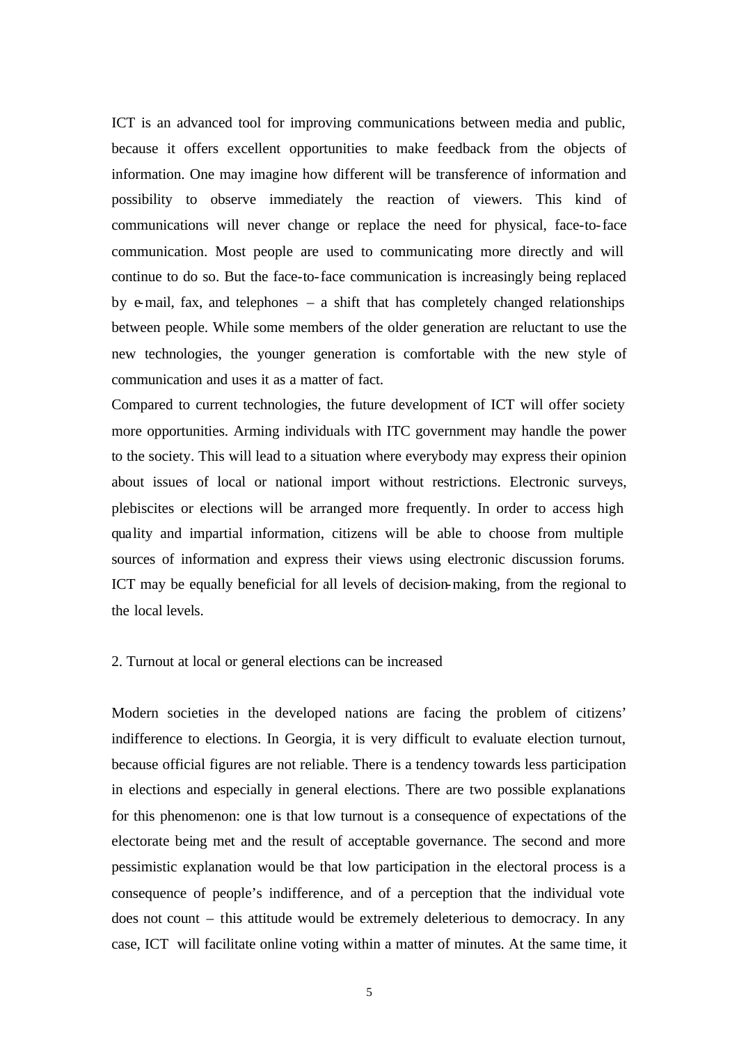ICT is an advanced tool for improving communications between media and public, because it offers excellent opportunities to make feedback from the objects of information. One may imagine how different will be transference of information and possibility to observe immediately the reaction of viewers. This kind of communications will never change or replace the need for physical, face-to-face communication. Most people are used to communicating more directly and will continue to do so. But the face-to-face communication is increasingly being replaced by  $e$ -mail, fax, and telephones – a shift that has completely changed relationships between people. While some members of the older generation are reluctant to use the new technologies, the younger generation is comfortable with the new style of communication and uses it as a matter of fact.

Compared to current technologies, the future development of ICT will offer society more opportunities. Arming individuals with ITC government may handle the power to the society. This will lead to a situation where everybody may express their opinion about issues of local or national import without restrictions. Electronic surveys, plebiscites or elections will be arranged more frequently. In order to access high quality and impartial information, citizens will be able to choose from multiple sources of information and express their views using electronic discussion forums. ICT may be equally beneficial for all levels of decision-making, from the regional to the local levels.

#### 2. Turnout at local or general elections can be increased

Modern societies in the developed nations are facing the problem of citizens' indifference to elections. In Georgia, it is very difficult to evaluate election turnout, because official figures are not reliable. There is a tendency towards less participation in elections and especially in general elections. There are two possible explanations for this phenomenon: one is that low turnout is a consequence of expectations of the electorate being met and the result of acceptable governance. The second and more pessimistic explanation would be that low participation in the electoral process is a consequence of people's indifference, and of a perception that the individual vote does not count – this attitude would be extremely deleterious to democracy. In any case, ICT will facilitate online voting within a matter of minutes. At the same time, it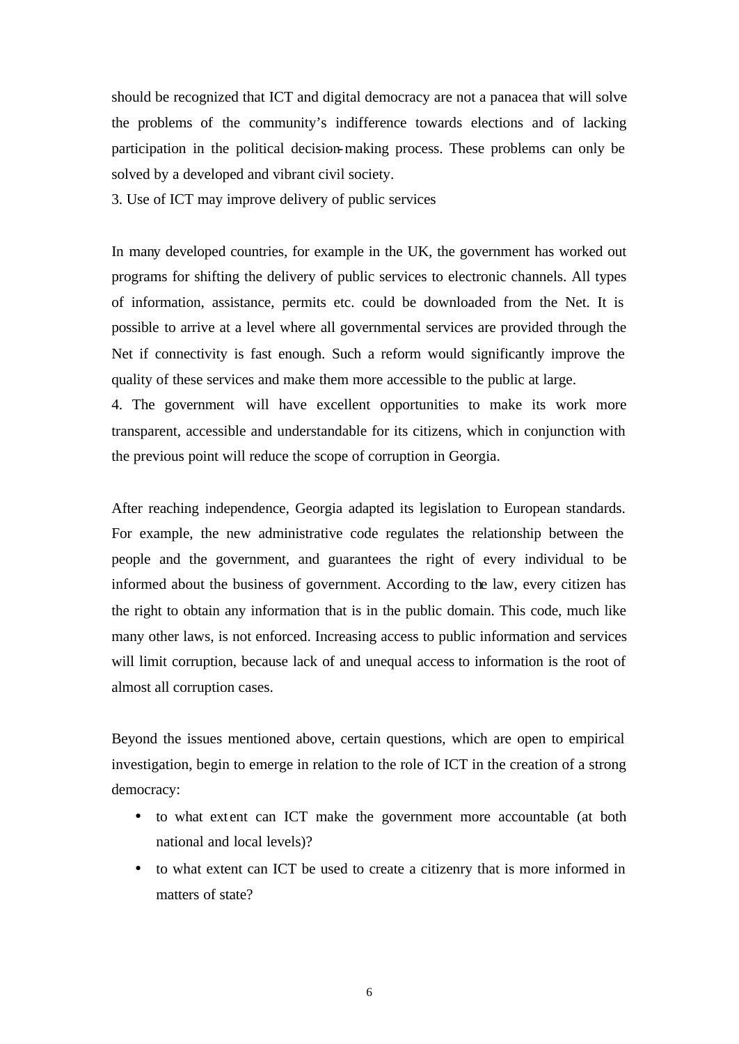should be recognized that ICT and digital democracy are not a panacea that will solve the problems of the community's indifference towards elections and of lacking participation in the political decision-making process. These problems can only be solved by a developed and vibrant civil society.

3. Use of ICT may improve delivery of public services

In many developed countries, for example in the UK, the government has worked out programs for shifting the delivery of public services to electronic channels. All types of information, assistance, permits etc. could be downloaded from the Net. It is possible to arrive at a level where all governmental services are provided through the Net if connectivity is fast enough. Such a reform would significantly improve the quality of these services and make them more accessible to the public at large.

4. The government will have excellent opportunities to make its work more transparent, accessible and understandable for its citizens, which in conjunction with the previous point will reduce the scope of corruption in Georgia.

After reaching independence, Georgia adapted its legislation to European standards. For example, the new administrative code regulates the relationship between the people and the government, and guarantees the right of every individual to be informed about the business of government. According to the law, every citizen has the right to obtain any information that is in the public domain. This code, much like many other laws, is not enforced. Increasing access to public information and services will limit corruption, because lack of and unequal access to information is the root of almost all corruption cases.

Beyond the issues mentioned above, certain questions, which are open to empirical investigation, begin to emerge in relation to the role of ICT in the creation of a strong democracy:

- to what extent can ICT make the government more accountable (at both national and local levels)?
- to what extent can ICT be used to create a citizenry that is more informed in matters of state?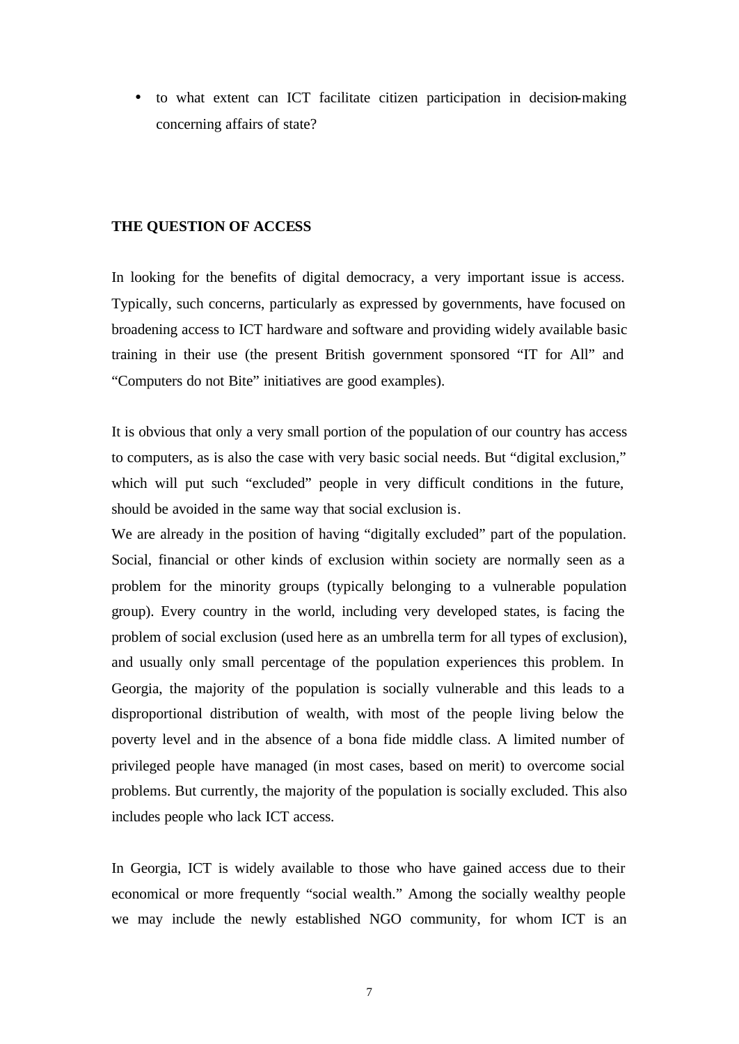• to what extent can ICT facilitate citizen participation in decision-making concerning affairs of state?

#### **THE QUESTION OF ACCESS**

In looking for the benefits of digital democracy, a very important issue is access. Typically, such concerns, particularly as expressed by governments, have focused on broadening access to ICT hardware and software and providing widely available basic training in their use (the present British government sponsored "IT for All" and "Computers do not Bite" initiatives are good examples).

It is obvious that only a very small portion of the population of our country has access to computers, as is also the case with very basic social needs. But "digital exclusion," which will put such "excluded" people in very difficult conditions in the future, should be avoided in the same way that social exclusion is.

We are already in the position of having "digitally excluded" part of the population. Social, financial or other kinds of exclusion within society are normally seen as a problem for the minority groups (typically belonging to a vulnerable population group). Every country in the world, including very developed states, is facing the problem of social exclusion (used here as an umbrella term for all types of exclusion), and usually only small percentage of the population experiences this problem. In Georgia, the majority of the population is socially vulnerable and this leads to a disproportional distribution of wealth, with most of the people living below the poverty level and in the absence of a bona fide middle class. A limited number of privileged people have managed (in most cases, based on merit) to overcome social problems. But currently, the majority of the population is socially excluded. This also includes people who lack ICT access.

In Georgia, ICT is widely available to those who have gained access due to their economical or more frequently "social wealth." Among the socially wealthy people we may include the newly established NGO community, for whom ICT is an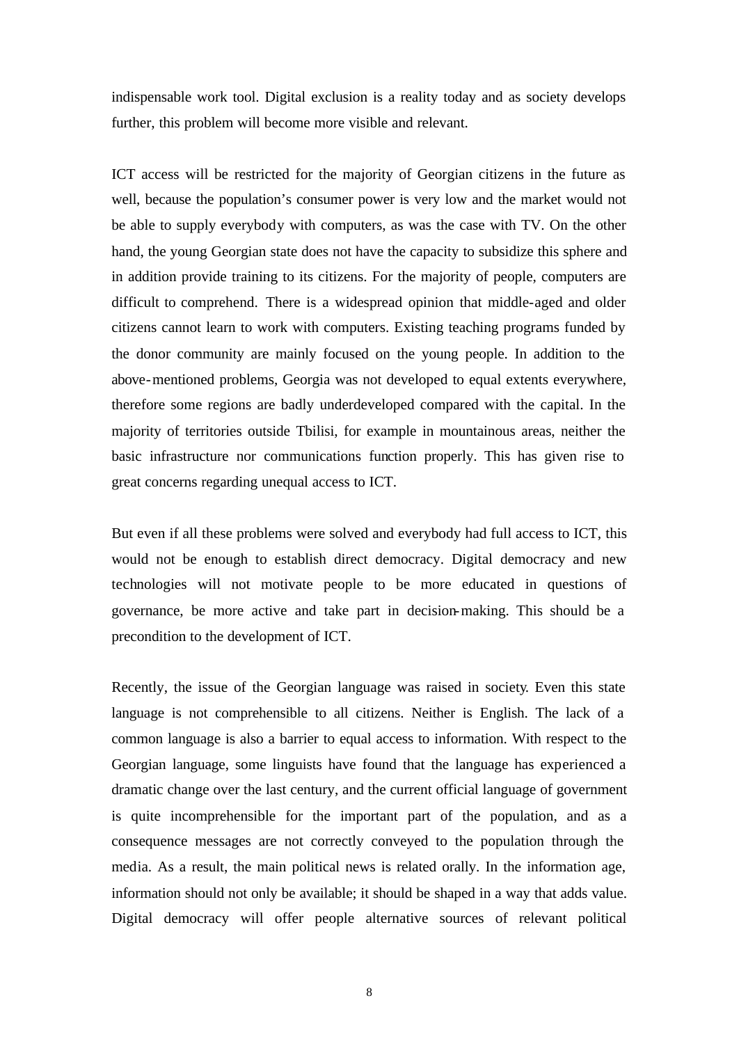indispensable work tool. Digital exclusion is a reality today and as society develops further, this problem will become more visible and relevant.

ICT access will be restricted for the majority of Georgian citizens in the future as well, because the population's consumer power is very low and the market would not be able to supply everybody with computers, as was the case with TV. On the other hand, the young Georgian state does not have the capacity to subsidize this sphere and in addition provide training to its citizens. For the majority of people, computers are difficult to comprehend. There is a widespread opinion that middle-aged and older citizens cannot learn to work with computers. Existing teaching programs funded by the donor community are mainly focused on the young people. In addition to the above-mentioned problems, Georgia was not developed to equal extents everywhere, therefore some regions are badly underdeveloped compared with the capital. In the majority of territories outside Tbilisi, for example in mountainous areas, neither the basic infrastructure nor communications function properly. This has given rise to great concerns regarding unequal access to ICT.

But even if all these problems were solved and everybody had full access to ICT, this would not be enough to establish direct democracy. Digital democracy and new technologies will not motivate people to be more educated in questions of governance, be more active and take part in decision-making. This should be a precondition to the development of ICT.

Recently, the issue of the Georgian language was raised in society. Even this state language is not comprehensible to all citizens. Neither is English. The lack of a common language is also a barrier to equal access to information. With respect to the Georgian language, some linguists have found that the language has experienced a dramatic change over the last century, and the current official language of government is quite incomprehensible for the important part of the population, and as a consequence messages are not correctly conveyed to the population through the media. As a result, the main political news is related orally. In the information age, information should not only be available; it should be shaped in a way that adds value. Digital democracy will offer people alternative sources of relevant political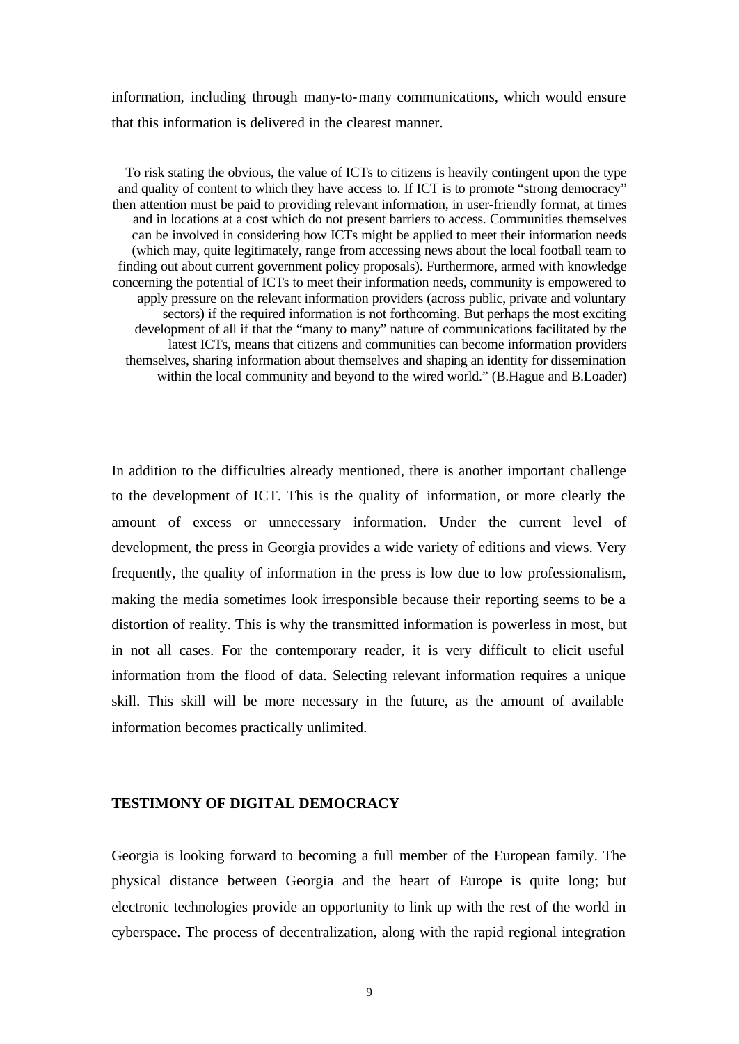information, including through many-to-many communications, which would ensure that this information is delivered in the clearest manner.

To risk stating the obvious, the value of ICTs to citizens is heavily contingent upon the type and quality of content to which they have access to. If ICT is to promote "strong democracy" then attention must be paid to providing relevant information, in user-friendly format, at times and in locations at a cost which do not present barriers to access. Communities themselves can be involved in considering how ICTs might be applied to meet their information needs (which may, quite legitimately, range from accessing news about the local football team to finding out about current government policy proposals). Furthermore, armed with knowledge concerning the potential of ICTs to meet their information needs, community is empowered to apply pressure on the relevant information providers (across public, private and voluntary sectors) if the required information is not forthcoming. But perhaps the most exciting development of all if that the "many to many" nature of communications facilitated by the latest ICTs, means that citizens and communities can become information providers themselves, sharing information about themselves and shaping an identity for dissemination within the local community and beyond to the wired world." (B.Hague and B.Loader)

In addition to the difficulties already mentioned, there is another important challenge to the development of ICT. This is the quality of information, or more clearly the amount of excess or unnecessary information. Under the current level of development, the press in Georgia provides a wide variety of editions and views. Very frequently, the quality of information in the press is low due to low professionalism, making the media sometimes look irresponsible because their reporting seems to be a distortion of reality. This is why the transmitted information is powerless in most, but in not all cases. For the contemporary reader, it is very difficult to elicit useful information from the flood of data. Selecting relevant information requires a unique skill. This skill will be more necessary in the future, as the amount of available information becomes practically unlimited.

## **TESTIMONY OF DIGITAL DEMOCRACY**

Georgia is looking forward to becoming a full member of the European family. The physical distance between Georgia and the heart of Europe is quite long; but electronic technologies provide an opportunity to link up with the rest of the world in cyberspace. The process of decentralization, along with the rapid regional integration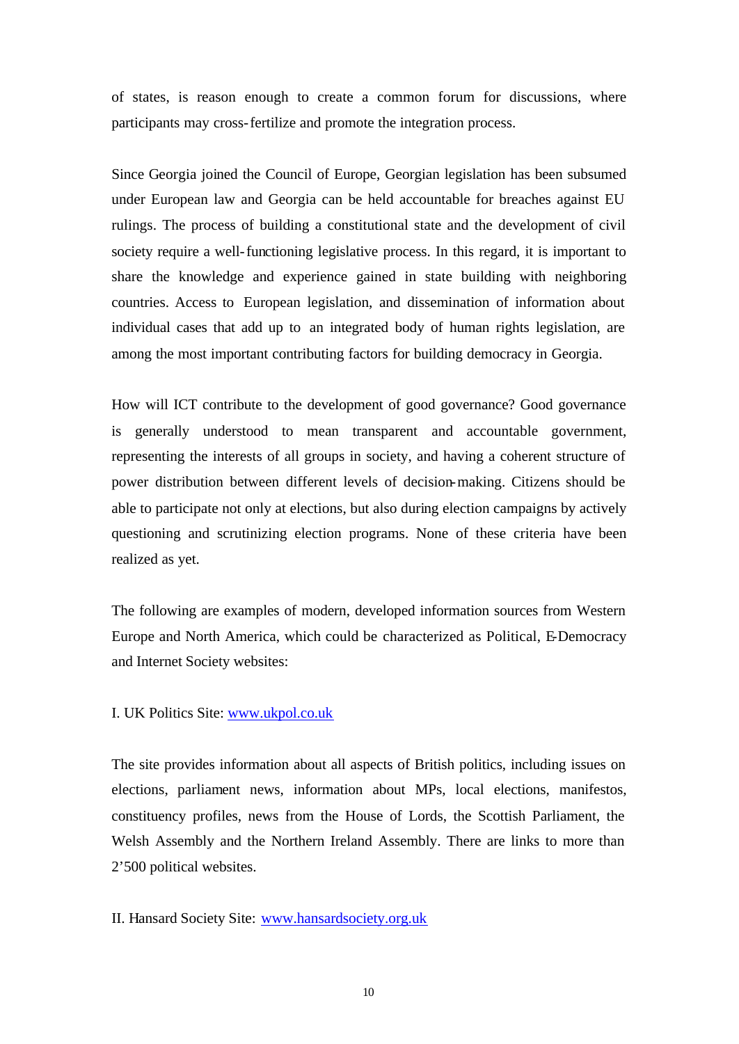of states, is reason enough to create a common forum for discussions, where participants may cross-fertilize and promote the integration process.

Since Georgia joined the Council of Europe, Georgian legislation has been subsumed under European law and Georgia can be held accountable for breaches against EU rulings. The process of building a constitutional state and the development of civil society require a well-functioning legislative process. In this regard, it is important to share the knowledge and experience gained in state building with neighboring countries. Access to European legislation, and dissemination of information about individual cases that add up to an integrated body of human rights legislation, are among the most important contributing factors for building democracy in Georgia.

How will ICT contribute to the development of good governance? Good governance is generally understood to mean transparent and accountable government, representing the interests of all groups in society, and having a coherent structure of power distribution between different levels of decision-making. Citizens should be able to participate not only at elections, but also during election campaigns by actively questioning and scrutinizing election programs. None of these criteria have been realized as yet.

The following are examples of modern, developed information sources from Western Europe and North America, which could be characterized as Political, E-Democracy and Internet Society websites:

## I. UK Politics Site: www.ukpol.co.uk

The site provides information about all aspects of British politics, including issues on elections, parliament news, information about MPs, local elections, manifestos, constituency profiles, news from the House of Lords, the Scottish Parliament, the Welsh Assembly and the Northern Ireland Assembly. There are links to more than 2'500 political websites.

II. Hansard Society Site: www.hansardsociety.org.uk

10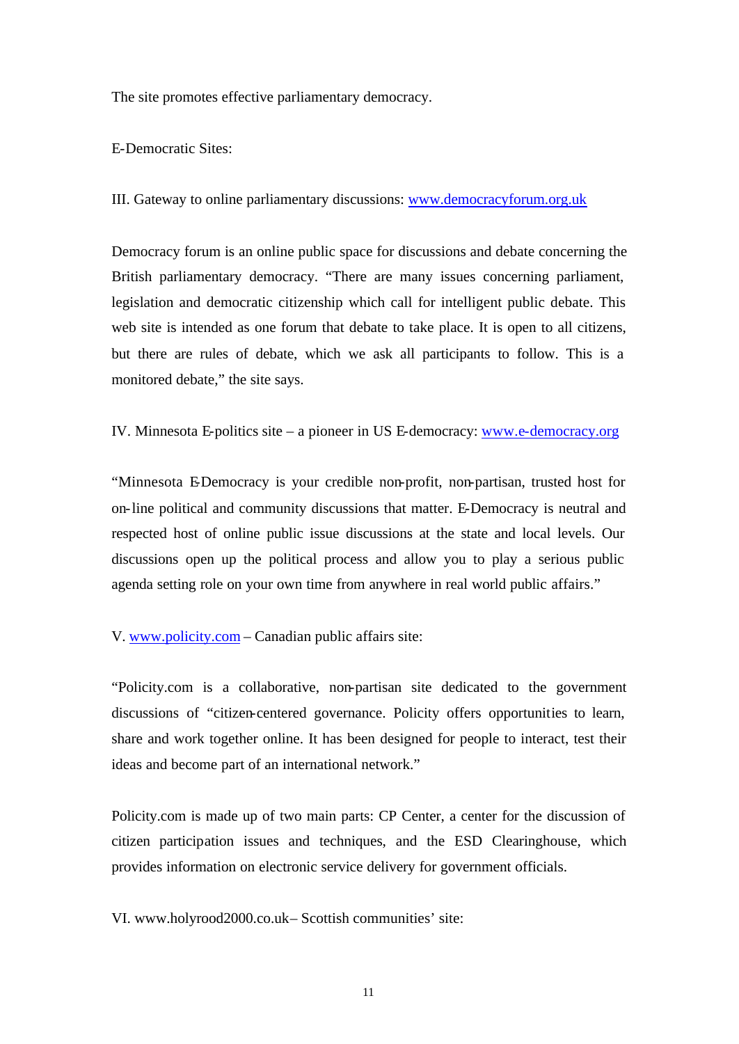The site promotes effective parliamentary democracy.

E-Democratic Sites:

III. Gateway to online parliamentary discussions: www.democracyforum.org.uk

Democracy forum is an online public space for discussions and debate concerning the British parliamentary democracy. "There are many issues concerning parliament, legislation and democratic citizenship which call for intelligent public debate. This web site is intended as one forum that debate to take place. It is open to all citizens, but there are rules of debate, which we ask all participants to follow. This is a monitored debate," the site says.

IV. Minnesota E-politics site – a pioneer in US E-democracy: www.e-democracy.org

"Minnesota E-Democracy is your credible non-profit, non-partisan, trusted host for on-line political and community discussions that matter. E-Democracy is neutral and respected host of online public issue discussions at the state and local levels. Our discussions open up the political process and allow you to play a serious public agenda setting role on your own time from anywhere in real world public affairs."

V. www.policity.com – Canadian public affairs site:

"Policity.com is a collaborative, non-partisan site dedicated to the government discussions of "citizen-centered governance. Policity offers opportunities to learn, share and work together online. It has been designed for people to interact, test their ideas and become part of an international network."

Policity.com is made up of two main parts: CP Center, a center for the discussion of citizen participation issues and techniques, and the ESD Clearinghouse, which provides information on electronic service delivery for government officials.

VI. www.holyrood2000.co.uk– Scottish communities' site: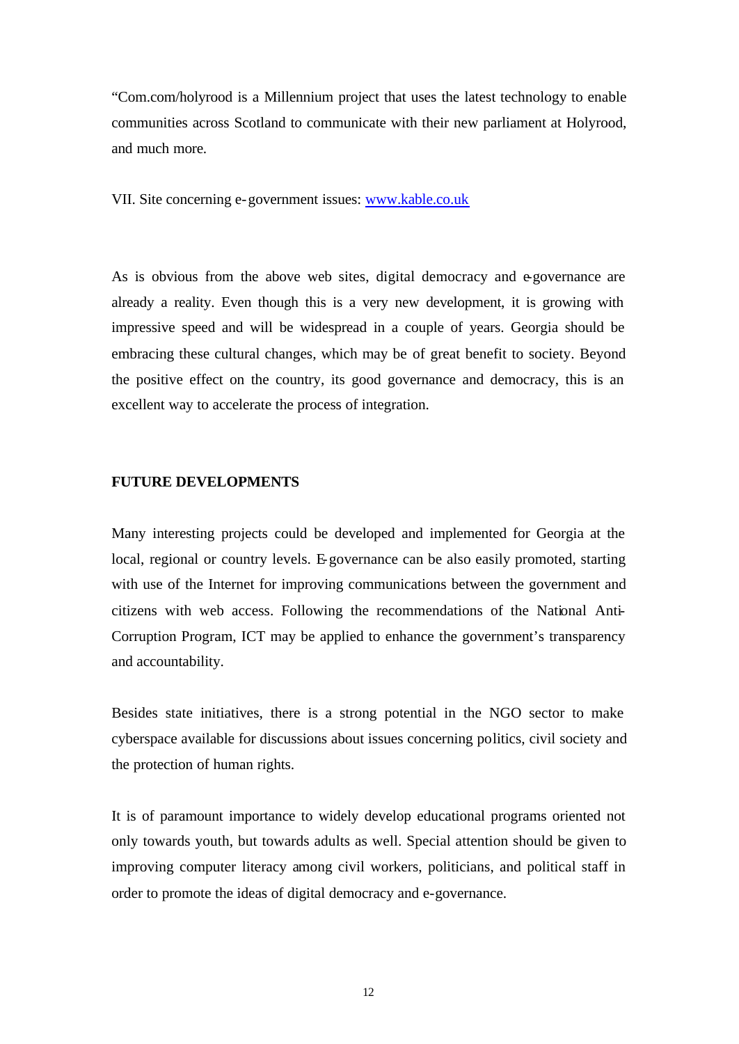"Com.com/holyrood is a Millennium project that uses the latest technology to enable communities across Scotland to communicate with their new parliament at Holyrood, and much more.

VII. Site concerning e-government issues: www.kable.co.uk

As is obvious from the above web sites, digital democracy and e-governance are already a reality. Even though this is a very new development, it is growing with impressive speed and will be widespread in a couple of years. Georgia should be embracing these cultural changes, which may be of great benefit to society. Beyond the positive effect on the country, its good governance and democracy, this is an excellent way to accelerate the process of integration.

# **FUTURE DEVELOPMENTS**

Many interesting projects could be developed and implemented for Georgia at the local, regional or country levels. E-governance can be also easily promoted, starting with use of the Internet for improving communications between the government and citizens with web access. Following the recommendations of the National Anti-Corruption Program, ICT may be applied to enhance the government's transparency and accountability.

Besides state initiatives, there is a strong potential in the NGO sector to make cyberspace available for discussions about issues concerning politics, civil society and the protection of human rights.

It is of paramount importance to widely develop educational programs oriented not only towards youth, but towards adults as well. Special attention should be given to improving computer literacy among civil workers, politicians, and political staff in order to promote the ideas of digital democracy and e-governance.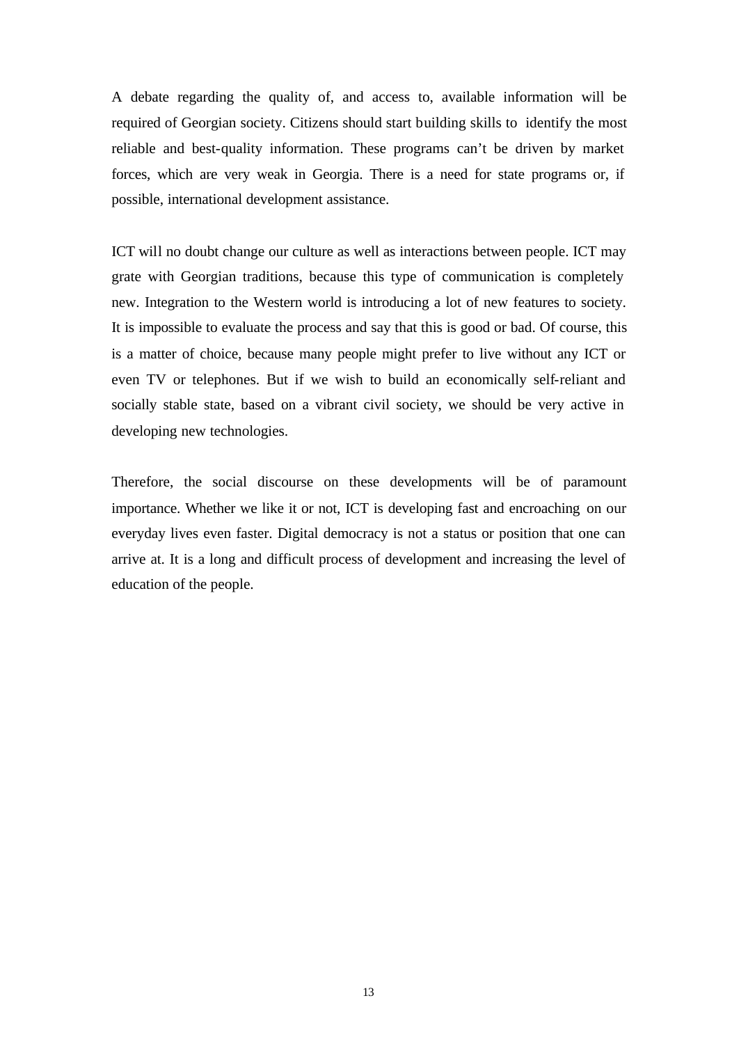A debate regarding the quality of, and access to, available information will be required of Georgian society. Citizens should start building skills to identify the most reliable and best-quality information. These programs can't be driven by market forces, which are very weak in Georgia. There is a need for state programs or, if possible, international development assistance.

ICT will no doubt change our culture as well as interactions between people. ICT may grate with Georgian traditions, because this type of communication is completely new. Integration to the Western world is introducing a lot of new features to society. It is impossible to evaluate the process and say that this is good or bad. Of course, this is a matter of choice, because many people might prefer to live without any ICT or even TV or telephones. But if we wish to build an economically self-reliant and socially stable state, based on a vibrant civil society, we should be very active in developing new technologies.

Therefore, the social discourse on these developments will be of paramount importance. Whether we like it or not, ICT is developing fast and encroaching on our everyday lives even faster. Digital democracy is not a status or position that one can arrive at. It is a long and difficult process of development and increasing the level of education of the people.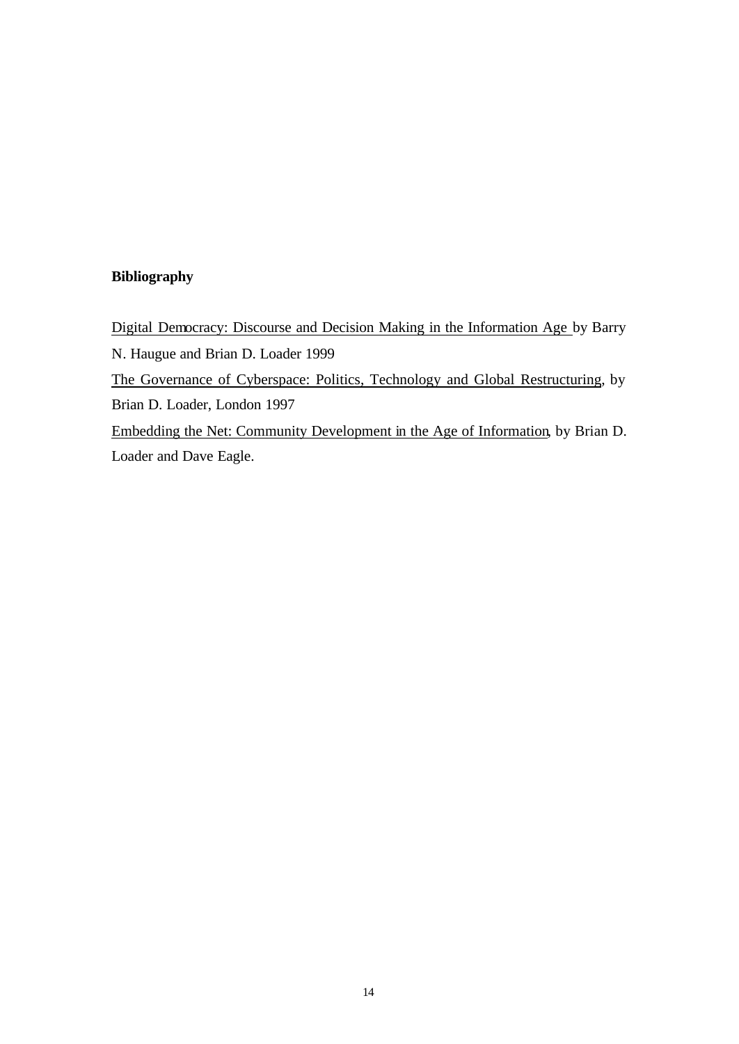# **Bibliography**

Digital Democracy: Discourse and Decision Making in the Information Age by Barry N. Haugue and Brian D. Loader 1999 The Governance of Cyberspace: Politics, Technology and Global Restructuring, by Brian D. Loader, London 1997 Embedding the Net: Community Development in the Age of Information, by Brian D. Loader and Dave Eagle.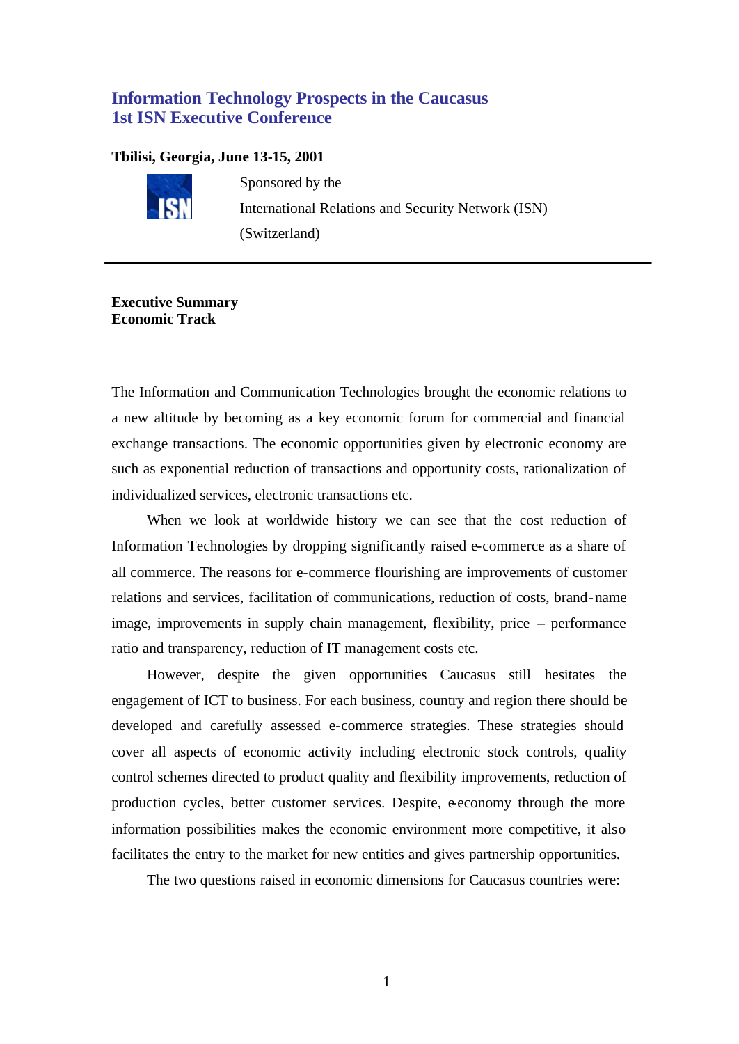# **Information Technology Prospects in the Caucasus 1st ISN Executive Conference**

### **Tbilisi, Georgia, June 13-15, 2001**



Sponsored by the International Relations and Security Network (ISN) (Switzerland)

# **Executive Summary Economic Track**

The Information and Communication Technologies brought the economic relations to a new altitude by becoming as a key economic forum for commercial and financial exchange transactions. The economic opportunities given by electronic economy are such as exponential reduction of transactions and opportunity costs, rationalization of individualized services, electronic transactions etc.

When we look at worldwide history we can see that the cost reduction of Information Technologies by dropping significantly raised e-commerce as a share of all commerce. The reasons for e-commerce flourishing are improvements of customer relations and services, facilitation of communications, reduction of costs, brand-name image, improvements in supply chain management, flexibility, price – performance ratio and transparency, reduction of IT management costs etc.

However, despite the given opportunities Caucasus still hesitates the engagement of ICT to business. For each business, country and region there should be developed and carefully assessed e-commerce strategies. These strategies should cover all aspects of economic activity including electronic stock controls, quality control schemes directed to product quality and flexibility improvements, reduction of production cycles, better customer services. Despite, e-economy through the more information possibilities makes the economic environment more competitive, it also facilitates the entry to the market for new entities and gives partnership opportunities.

The two questions raised in economic dimensions for Caucasus countries were: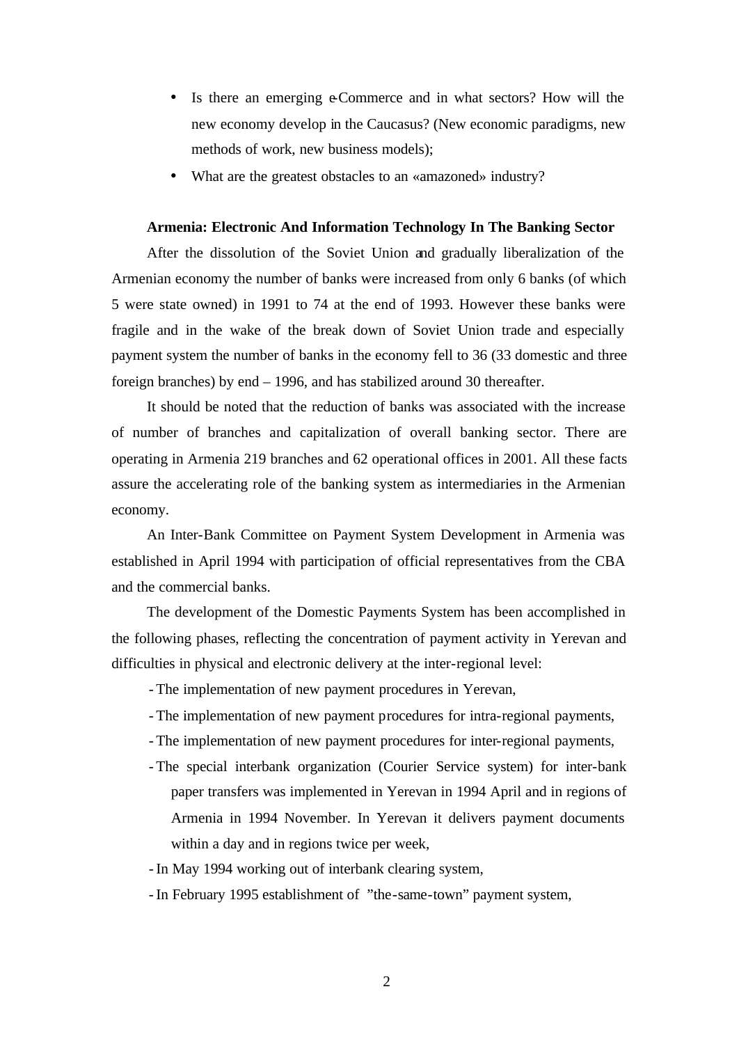- Is there an emerging e-Commerce and in what sectors? How will the new economy develop in the Caucasus? (New economic paradigms, new methods of work, new business models);
- What are the greatest obstacles to an «amazoned» industry?

### **Armenia: Electronic And Information Technology In The Banking Sector**

After the dissolution of the Soviet Union and gradually liberalization of the Armenian economy the number of banks were increased from only 6 banks (of which 5 were state owned) in 1991 to 74 at the end of 1993. However these banks were fragile and in the wake of the break down of Soviet Union trade and especially payment system the number of banks in the economy fell to 36 (33 domestic and three foreign branches) by end – 1996, and has stabilized around 30 thereafter.

It should be noted that the reduction of banks was associated with the increase of number of branches and capitalization of overall banking sector. There are operating in Armenia 219 branches and 62 operational offices in 2001. All these facts assure the accelerating role of the banking system as intermediaries in the Armenian economy.

An Inter-Bank Committee on Payment System Development in Armenia was established in April 1994 with participation of official representatives from the CBA and the commercial banks.

The development of the Domestic Payments System has been accomplished in the following phases, reflecting the concentration of payment activity in Yerevan and difficulties in physical and electronic delivery at the inter-regional level:

- The implementation of new payment procedures in Yerevan,

- The implementation of new payment procedures for intra-regional payments,
- The implementation of new payment procedures for inter-regional payments,
- The special interbank organization (Courier Service system) for inter-bank paper transfers was implemented in Yerevan in 1994 April and in regions of Armenia in 1994 November. In Yerevan it delivers payment documents within a day and in regions twice per week,

- In May 1994 working out of interbank clearing system,

- In February 1995 establishment of "the-same-town" payment system,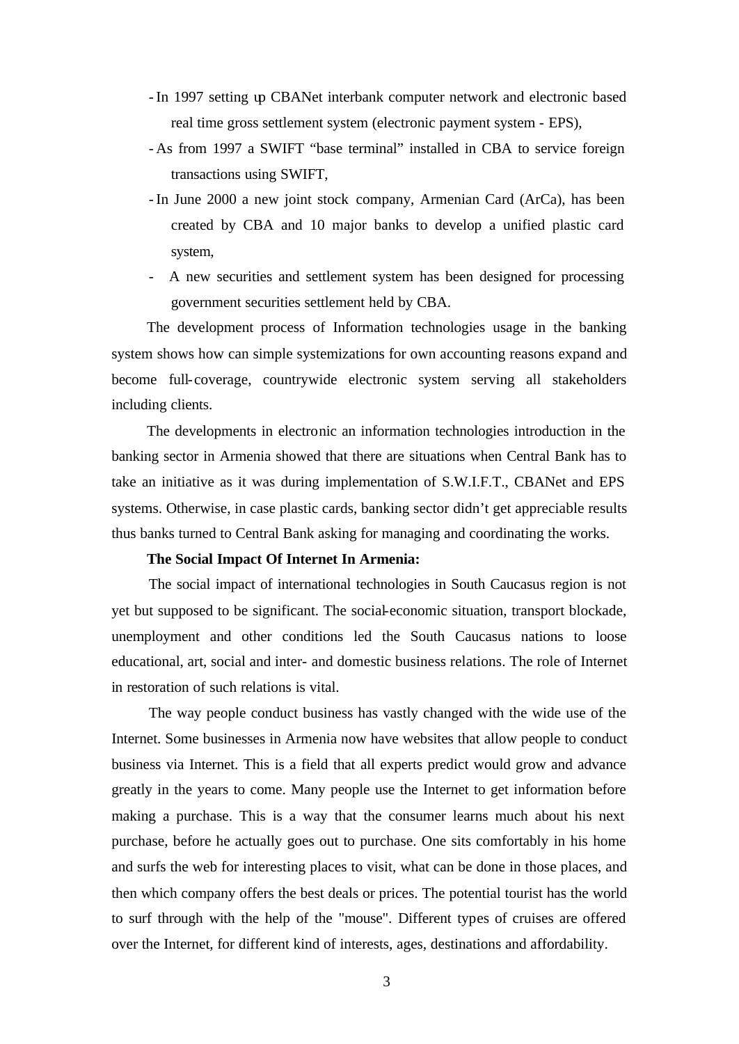- In 1997 setting up CBANet interbank computer network and electronic based real time gross settlement system (electronic payment system - EPS),
- As from 1997 a SWIFT "base terminal" installed in CBA to service foreign transactions using SWIFT,
- In June 2000 a new joint stock company, Armenian Card (ArCa), has been created by CBA and 10 major banks to develop a unified plastic card system,
- A new securities and settlement system has been designed for processing government securities settlement held by CBA.

The development process of Information technologies usage in the banking system shows how can simple systemizations for own accounting reasons expand and become full-coverage, countrywide electronic system serving all stakeholders including clients.

The developments in electronic an information technologies introduction in the banking sector in Armenia showed that there are situations when Central Bank has to take an initiative as it was during implementation of S.W.I.F.T., CBANet and EPS systems. Otherwise, in case plastic cards, banking sector didn't get appreciable results thus banks turned to Central Bank asking for managing and coordinating the works.

### **The Social Impact Of Internet In Armenia:**

The social impact of international technologies in South Caucasus region is not yet but supposed to be significant. The social-economic situation, transport blockade, unemployment and other conditions led the South Caucasus nations to loose educational, art, social and inter- and domestic business relations. The role of Internet in restoration of such relations is vital.

The way people conduct business has vastly changed with the wide use of the Internet. Some businesses in Armenia now have websites that allow people to conduct business via Internet. This is a field that all experts predict would grow and advance greatly in the years to come. Many people use the Internet to get information before making a purchase. This is a way that the consumer learns much about his next purchase, before he actually goes out to purchase. One sits comfortably in his home and surfs the web for interesting places to visit, what can be done in those places, and then which company offers the best deals or prices. The potential tourist has the world to surf through with the help of the "mouse". Different types of cruises are offered over the Internet, for different kind of interests, ages, destinations and affordability.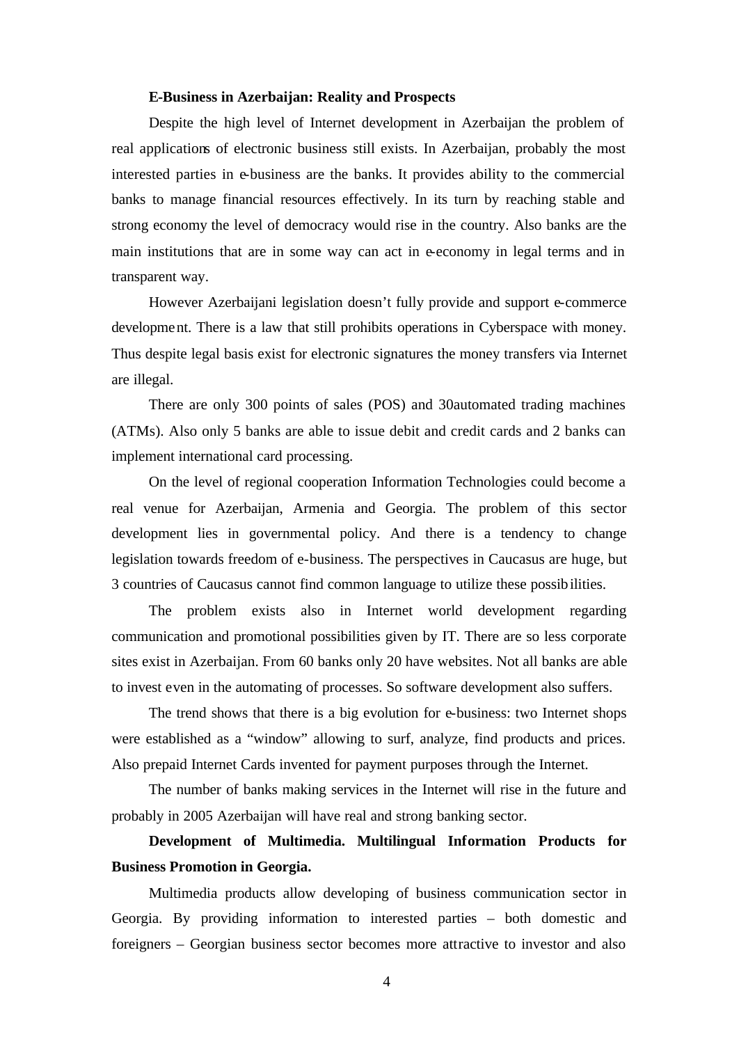#### **E-Business in Azerbaijan: Reality and Prospects**

Despite the high level of Internet development in Azerbaijan the problem of real applications of electronic business still exists. In Azerbaijan, probably the most interested parties in e-business are the banks. It provides ability to the commercial banks to manage financial resources effectively. In its turn by reaching stable and strong economy the level of democracy would rise in the country. Also banks are the main institutions that are in some way can act in e-economy in legal terms and in transparent way.

However Azerbaijani legislation doesn't fully provide and support e-commerce development. There is a law that still prohibits operations in Cyberspace with money. Thus despite legal basis exist for electronic signatures the money transfers via Internet are illegal.

There are only 300 points of sales (POS) and 30automated trading machines (ATMs). Also only 5 banks are able to issue debit and credit cards and 2 banks can implement international card processing.

On the level of regional cooperation Information Technologies could become a real venue for Azerbaijan, Armenia and Georgia. The problem of this sector development lies in governmental policy. And there is a tendency to change legislation towards freedom of e-business. The perspectives in Caucasus are huge, but 3 countries of Caucasus cannot find common language to utilize these possibilities.

The problem exists also in Internet world development regarding communication and promotional possibilities given by IT. There are so less corporate sites exist in Azerbaijan. From 60 banks only 20 have websites. Not all banks are able to invest even in the automating of processes. So software development also suffers.

The trend shows that there is a big evolution for e-business: two Internet shops were established as a "window" allowing to surf, analyze, find products and prices. Also prepaid Internet Cards invented for payment purposes through the Internet.

The number of banks making services in the Internet will rise in the future and probably in 2005 Azerbaijan will have real and strong banking sector.

# **Development of Multimedia. Multilingual Information Products for Business Promotion in Georgia.**

Multimedia products allow developing of business communication sector in Georgia. By providing information to interested parties – both domestic and foreigners – Georgian business sector becomes more attractive to investor and also

4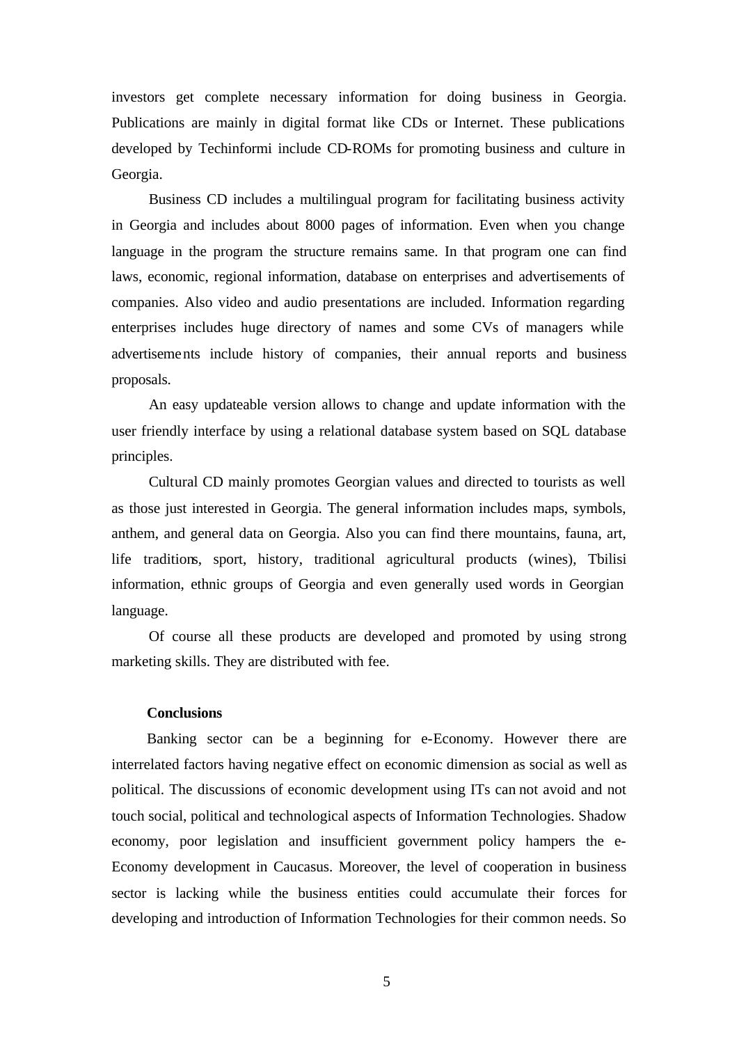investors get complete necessary information for doing business in Georgia. Publications are mainly in digital format like CDs or Internet. These publications developed by Techinformi include CD-ROMs for promoting business and culture in Georgia.

Business CD includes a multilingual program for facilitating business activity in Georgia and includes about 8000 pages of information. Even when you change language in the program the structure remains same. In that program one can find laws, economic, regional information, database on enterprises and advertisements of companies. Also video and audio presentations are included. Information regarding enterprises includes huge directory of names and some CVs of managers while advertisements include history of companies, their annual reports and business proposals.

An easy updateable version allows to change and update information with the user friendly interface by using a relational database system based on SQL database principles.

Cultural CD mainly promotes Georgian values and directed to tourists as well as those just interested in Georgia. The general information includes maps, symbols, anthem, and general data on Georgia. Also you can find there mountains, fauna, art, life traditions, sport, history, traditional agricultural products (wines), Tbilisi information, ethnic groups of Georgia and even generally used words in Georgian language.

Of course all these products are developed and promoted by using strong marketing skills. They are distributed with fee.

## **Conclusions**

Banking sector can be a beginning for e-Economy. However there are interrelated factors having negative effect on economic dimension as social as well as political. The discussions of economic development using ITs can not avoid and not touch social, political and technological aspects of Information Technologies. Shadow economy, poor legislation and insufficient government policy hampers the e-Economy development in Caucasus. Moreover, the level of cooperation in business sector is lacking while the business entities could accumulate their forces for developing and introduction of Information Technologies for their common needs. So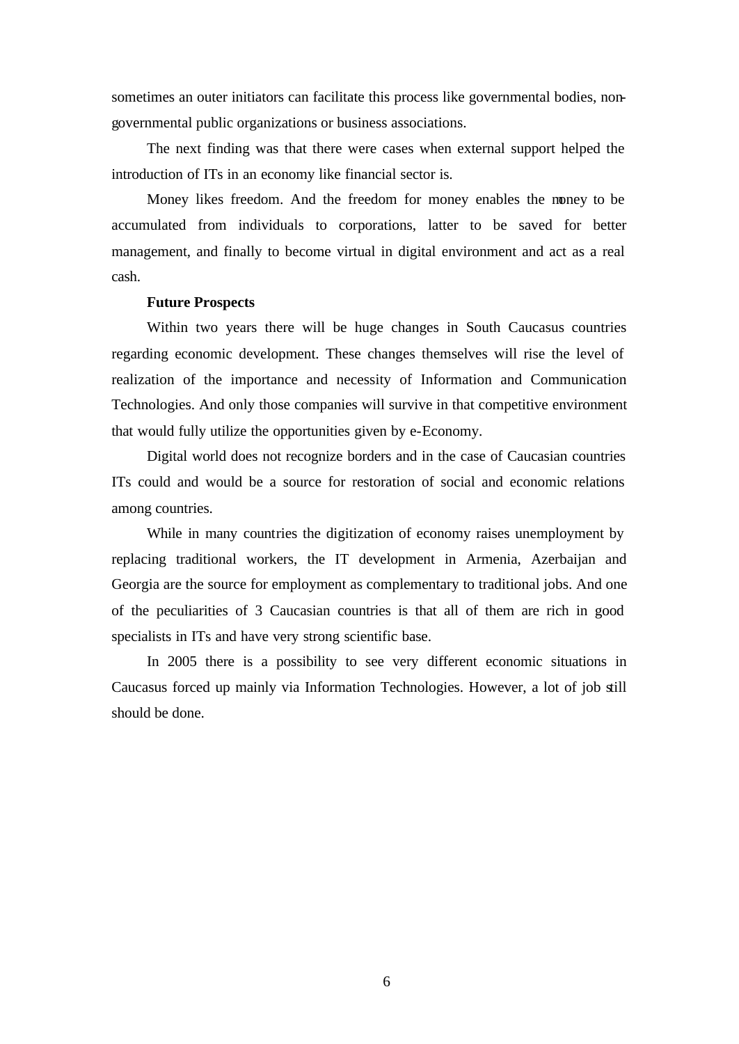sometimes an outer initiators can facilitate this process like governmental bodies, nongovernmental public organizations or business associations.

The next finding was that there were cases when external support helped the introduction of ITs in an economy like financial sector is.

Money likes freedom. And the freedom for money enables the money to be accumulated from individuals to corporations, latter to be saved for better management, and finally to become virtual in digital environment and act as a real cash.

### **Future Prospects**

Within two years there will be huge changes in South Caucasus countries regarding economic development. These changes themselves will rise the level of realization of the importance and necessity of Information and Communication Technologies. And only those companies will survive in that competitive environment that would fully utilize the opportunities given by e-Economy.

Digital world does not recognize borders and in the case of Caucasian countries ITs could and would be a source for restoration of social and economic relations among countries.

While in many countries the digitization of economy raises unemployment by replacing traditional workers, the IT development in Armenia, Azerbaijan and Georgia are the source for employment as complementary to traditional jobs. And one of the peculiarities of 3 Caucasian countries is that all of them are rich in good specialists in ITs and have very strong scientific base.

In 2005 there is a possibility to see very different economic situations in Caucasus forced up mainly via Information Technologies. However, a lot of job still should be done.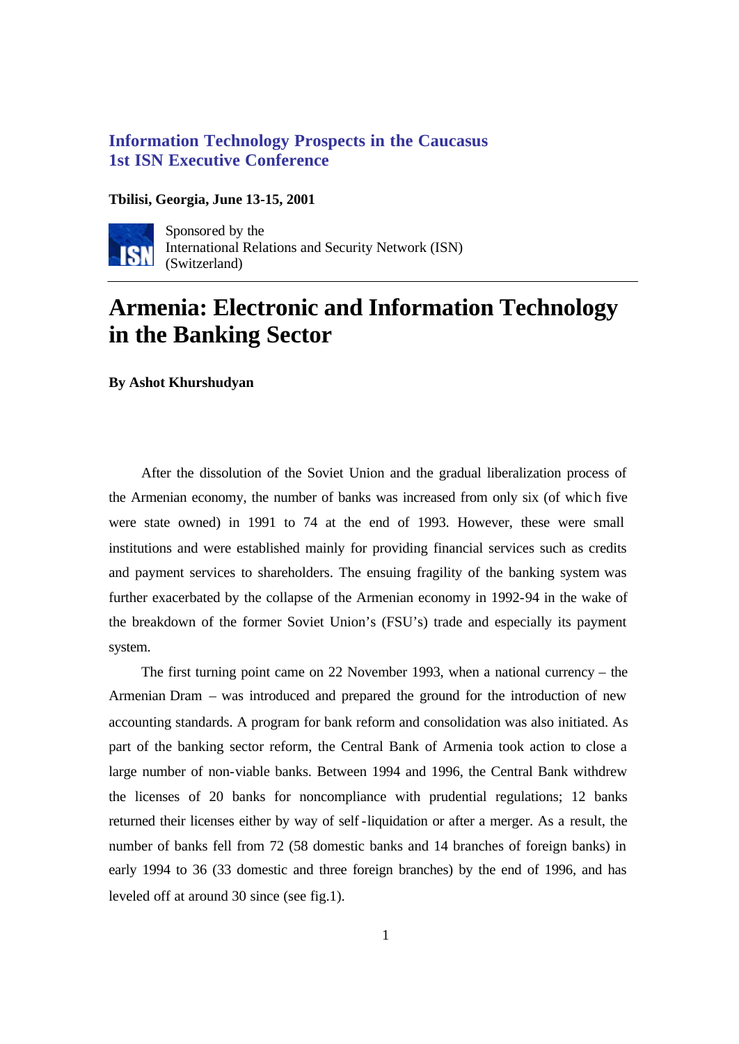# **Information Technology Prospects in the Caucasus 1st ISN Executive Conference**

## **Tbilisi, Georgia, June 13-15, 2001**



Sponsored by the International Relations and Security Network (ISN) (Switzerland)

# **Armenia: Electronic and Information Technology in the Banking Sector**

**By Ashot Khurshudyan**

After the dissolution of the Soviet Union and the gradual liberalization process of the Armenian economy, the number of banks was increased from only six (of which five were state owned) in 1991 to 74 at the end of 1993. However, these were small institutions and were established mainly for providing financial services such as credits and payment services to shareholders. The ensuing fragility of the banking system was further exacerbated by the collapse of the Armenian economy in 1992-94 in the wake of the breakdown of the former Soviet Union's (FSU's) trade and especially its payment system.

The first turning point came on 22 November 1993, when a national currency – the Armenian Dram – was introduced and prepared the ground for the introduction of new accounting standards. A program for bank reform and consolidation was also initiated. As part of the banking sector reform, the Central Bank of Armenia took action to close a large number of non-viable banks. Between 1994 and 1996, the Central Bank withdrew the licenses of 20 banks for noncompliance with prudential regulations; 12 banks returned their licenses either by way of self -liquidation or after a merger. As a result, the number of banks fell from 72 (58 domestic banks and 14 branches of foreign banks) in early 1994 to 36 (33 domestic and three foreign branches) by the end of 1996, and has leveled off at around 30 since (see fig.1).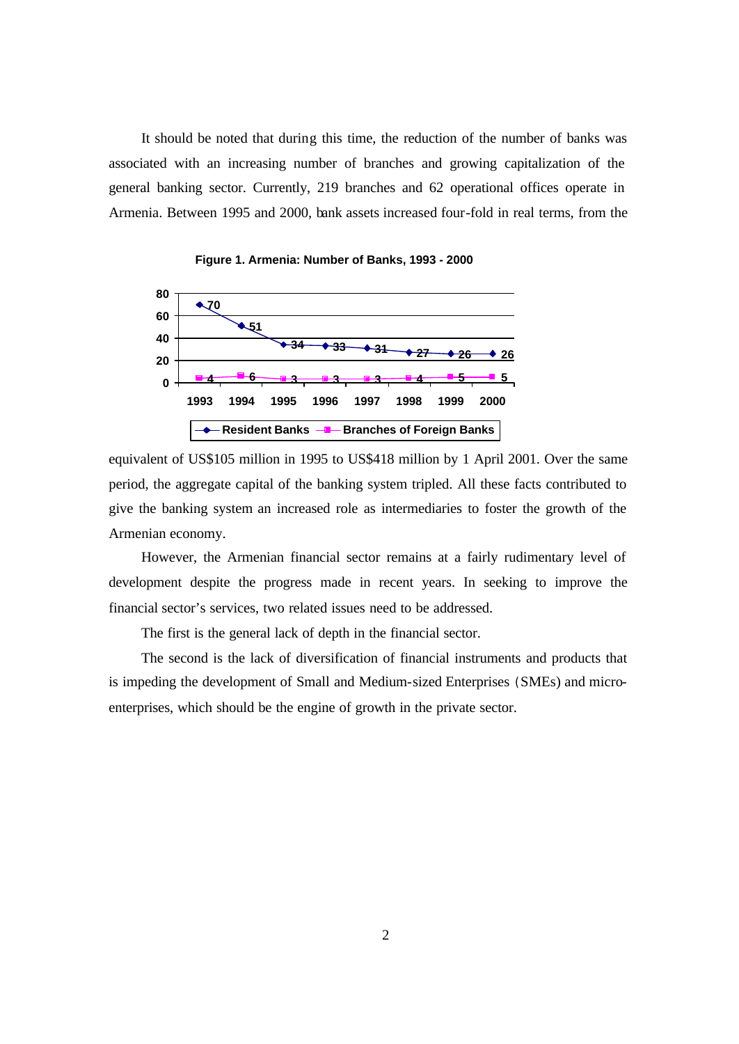It should be noted that during this time, the reduction of the number of banks was associated with an increasing number of branches and growing capitalization of the general banking sector. Currently, 219 branches and 62 operational offices operate in Armenia. Between 1995 and 2000, bank assets increased four-fold in real terms, from the



**Figure 1. Armenia: Number of Banks, 1993 - 2000**

equivalent of US\$105 million in 1995 to US\$418 million by 1 April 2001. Over the same period, the aggregate capital of the banking system tripled. All these facts contributed to give the banking system an increased role as intermediaries to foster the growth of the Armenian economy.

However, the Armenian financial sector remains at a fairly rudimentary level of development despite the progress made in recent years. In seeking to improve the financial sector's services, two related issues need to be addressed.

The first is the general lack of depth in the financial sector.

The second is the lack of diversification of financial instruments and products that is impeding the development of Small and Medium-sized Enterprises (SMEs) and microenterprises, which should be the engine of growth in the private sector.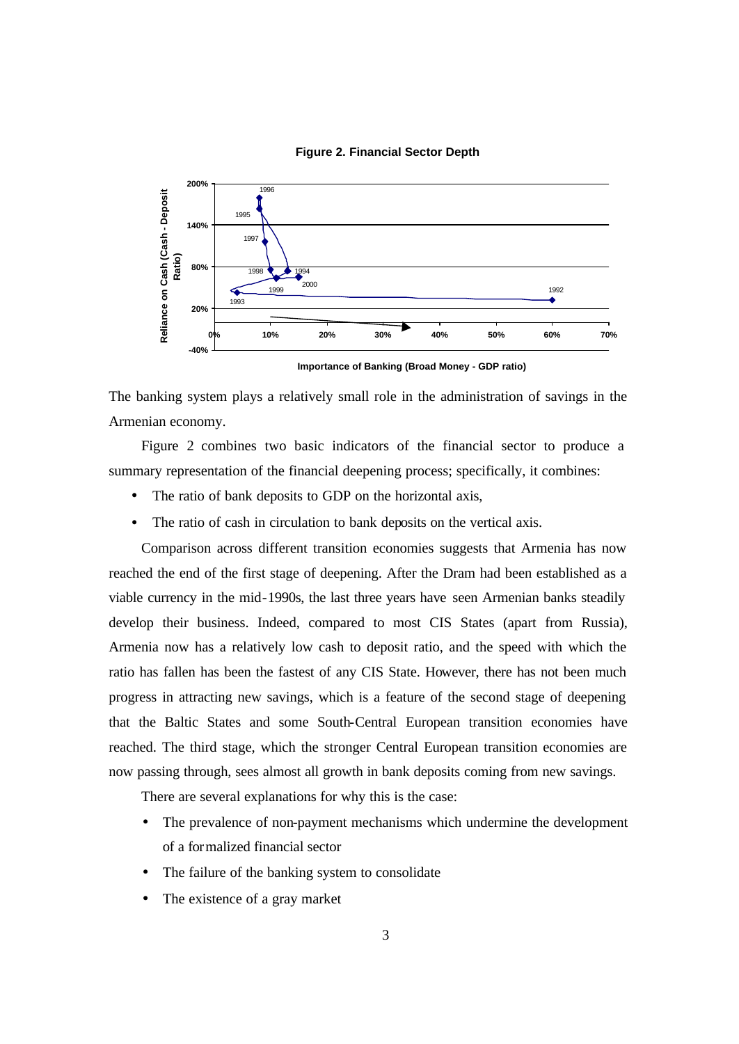



**Importance of Banking (Broad Money - GDP ratio)**

The banking system plays a relatively small role in the administration of savings in the Armenian economy.

Figure 2 combines two basic indicators of the financial sector to produce a summary representation of the financial deepening process; specifically, it combines:

- The ratio of bank deposits to GDP on the horizontal axis,
- The ratio of cash in circulation to bank deposits on the vertical axis.

Comparison across different transition economies suggests that Armenia has now reached the end of the first stage of deepening. After the Dram had been established as a viable currency in the mid-1990s, the last three years have seen Armenian banks steadily develop their business. Indeed, compared to most CIS States (apart from Russia), Armenia now has a relatively low cash to deposit ratio, and the speed with which the ratio has fallen has been the fastest of any CIS State. However, there has not been much progress in attracting new savings, which is a feature of the second stage of deepening that the Baltic States and some South-Central European transition economies have reached. The third stage, which the stronger Central European transition economies are now passing through, sees almost all growth in bank deposits coming from new savings.

There are several explanations for why this is the case:

- The prevalence of non-payment mechanisms which undermine the development of a formalized financial sector
- The failure of the banking system to consolidate
- The existence of a gray market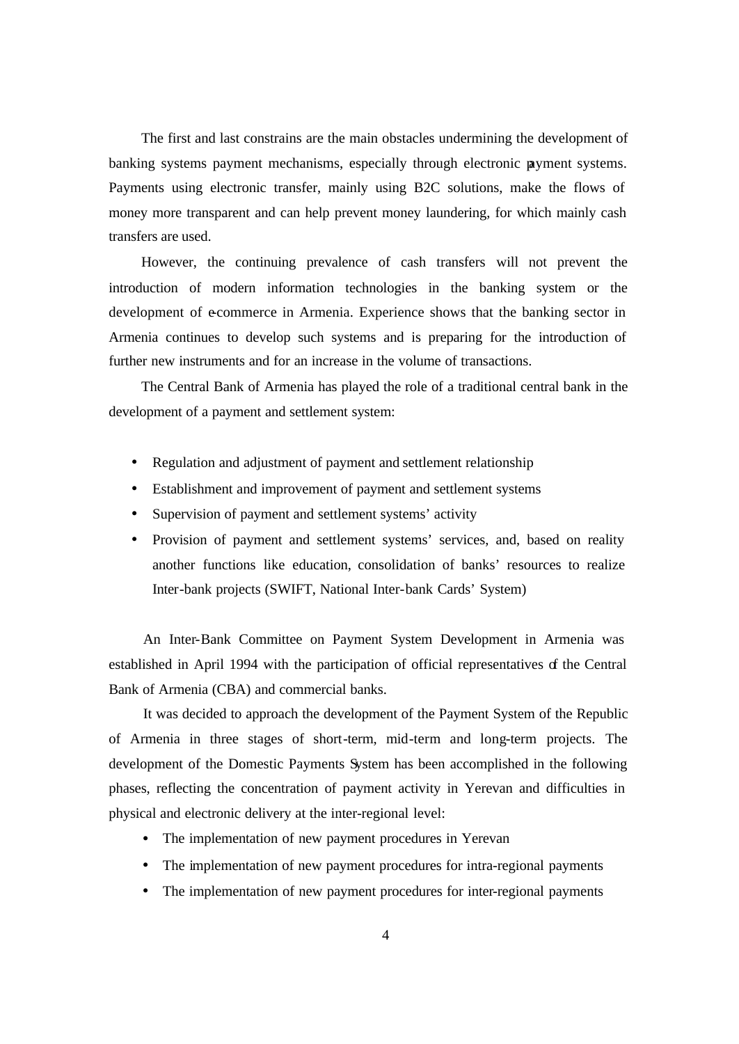The first and last constrains are the main obstacles undermining the development of banking systems payment mechanisms, especially through electronic payment systems. Payments using electronic transfer, mainly using B2C solutions, make the flows of money more transparent and can help prevent money laundering, for which mainly cash transfers are used.

However, the continuing prevalence of cash transfers will not prevent the introduction of modern information technologies in the banking system or the development of e-commerce in Armenia. Experience shows that the banking sector in Armenia continues to develop such systems and is preparing for the introduction of further new instruments and for an increase in the volume of transactions.

The Central Bank of Armenia has played the role of a traditional central bank in the development of a payment and settlement system:

- Regulation and adjustment of payment and settlement relationship
- Establishment and improvement of payment and settlement systems
- Supervision of payment and settlement systems' activity
- Provision of payment and settlement systems' services, and, based on reality another functions like education, consolidation of banks' resources to realize Inter-bank projects (SWIFT, National Inter-bank Cards' System)

An Inter-Bank Committee on Payment System Development in Armenia was established in April 1994 with the participation of official representatives of the Central Bank of Armenia (CBA) and commercial banks.

It was decided to approach the development of the Payment System of the Republic of Armenia in three stages of short-term, mid-term and long-term projects. The development of the Domestic Payments System has been accomplished in the following phases, reflecting the concentration of payment activity in Yerevan and difficulties in physical and electronic delivery at the inter-regional level:

- The implementation of new payment procedures in Yerevan
- The implementation of new payment procedures for intra-regional payments
- The implementation of new payment procedures for inter-regional payments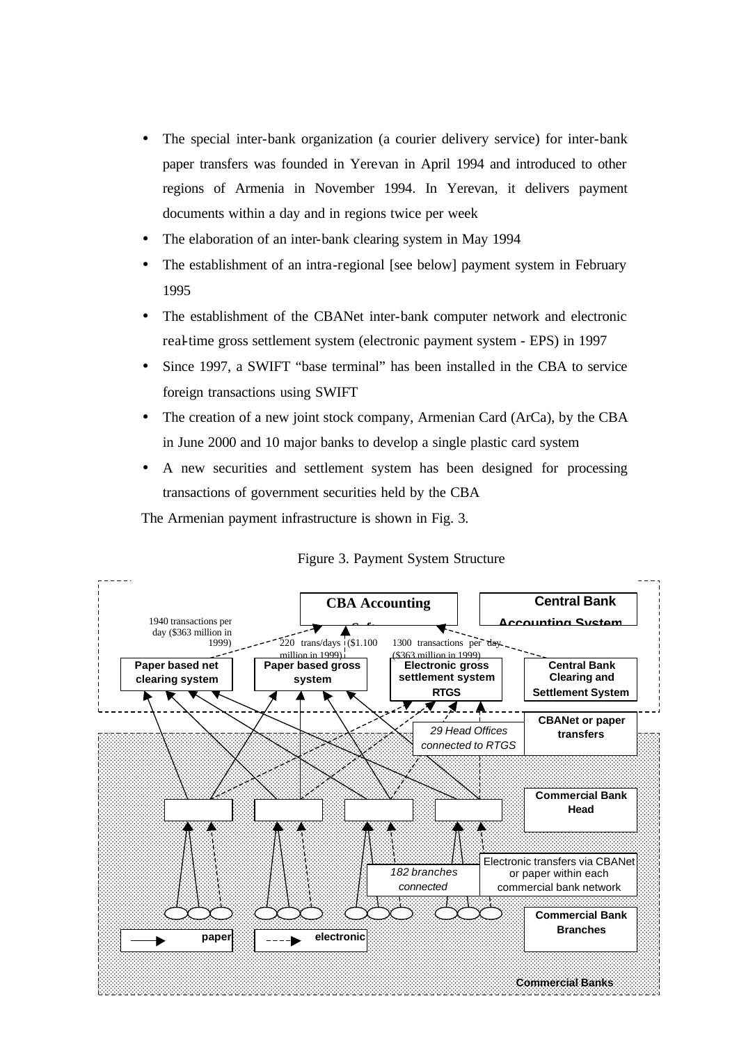- The special inter-bank organization (a courier delivery service) for inter-bank paper transfers was founded in Yerevan in April 1994 and introduced to other regions of Armenia in November 1994. In Yerevan, it delivers payment documents within a day and in regions twice per week
- The elaboration of an inter-bank clearing system in May 1994
- The establishment of an intra-regional [see below] payment system in February 1995
- The establishment of the CBANet inter-bank computer network and electronic real-time gross settlement system (electronic payment system - EPS) in 1997
- Since 1997, a SWIFT "base terminal" has been installed in the CBA to service foreign transactions using SWIFT
- The creation of a new joint stock company, Armenian Card (ArCa), by the CBA in June 2000 and 10 major banks to develop a single plastic card system
- A new securities and settlement system has been designed for processing transactions of government securities held by the CBA

The Armenian payment infrastructure is shown in Fig. 3.



## Figure 3. Payment System Structure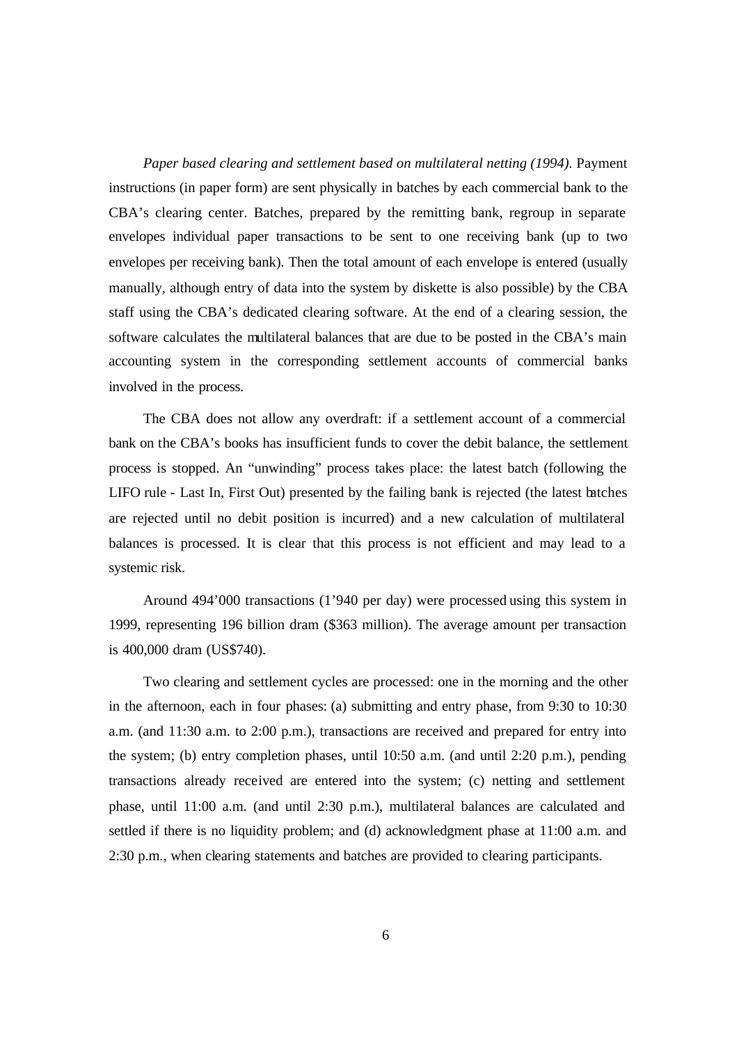*Paper based clearing and settlement based on multilateral netting (1994).* Payment instructions (in paper form) are sent physically in batches by each commercial bank to the CBA's clearing center. Batches, prepared by the remitting bank, regroup in separate envelopes individual paper transactions to be sent to one receiving bank (up to two envelopes per receiving bank). Then the total amount of each envelope is entered (usually manually, although entry of data into the system by diskette is also possible) by the CBA staff using the CBA's dedicated clearing software. At the end of a clearing session, the software calculates the multilateral balances that are due to be posted in the CBA's main accounting system in the corresponding settlement accounts of commercial banks involved in the process.

The CBA does not allow any overdraft: if a settlement account of a commercial bank on the CBA's books has insufficient funds to cover the debit balance, the settlement process is stopped. An "unwinding" process takes place: the latest batch (following the LIFO rule - Last In, First Out) presented by the failing bank is rejected (the latest batches are rejected until no debit position is incurred) and a new calculation of multilateral balances is processed. It is clear that this process is not efficient and may lead to a systemic risk.

Around 494'000 transactions (1'940 per day) were processed using this system in 1999, representing 196 billion dram (\$363 million). The average amount per transaction is 400,000 dram (US\$740).

Two clearing and settlement cycles are processed: one in the morning and the other in the afternoon, each in four phases: (a) submitting and entry phase, from 9:30 to 10:30 a.m. (and 11:30 a.m. to 2:00 p.m.), transactions are received and prepared for entry into the system; (b) entry completion phases, until 10:50 a.m. (and until 2:20 p.m.), pending transactions already received are entered into the system; (c) netting and settlement phase, until 11:00 a.m. (and until 2:30 p.m.), multilateral balances are calculated and settled if there is no liquidity problem; and (d) acknowledgment phase at 11:00 a.m. and 2:30 p.m., when clearing statements and batches are provided to clearing participants.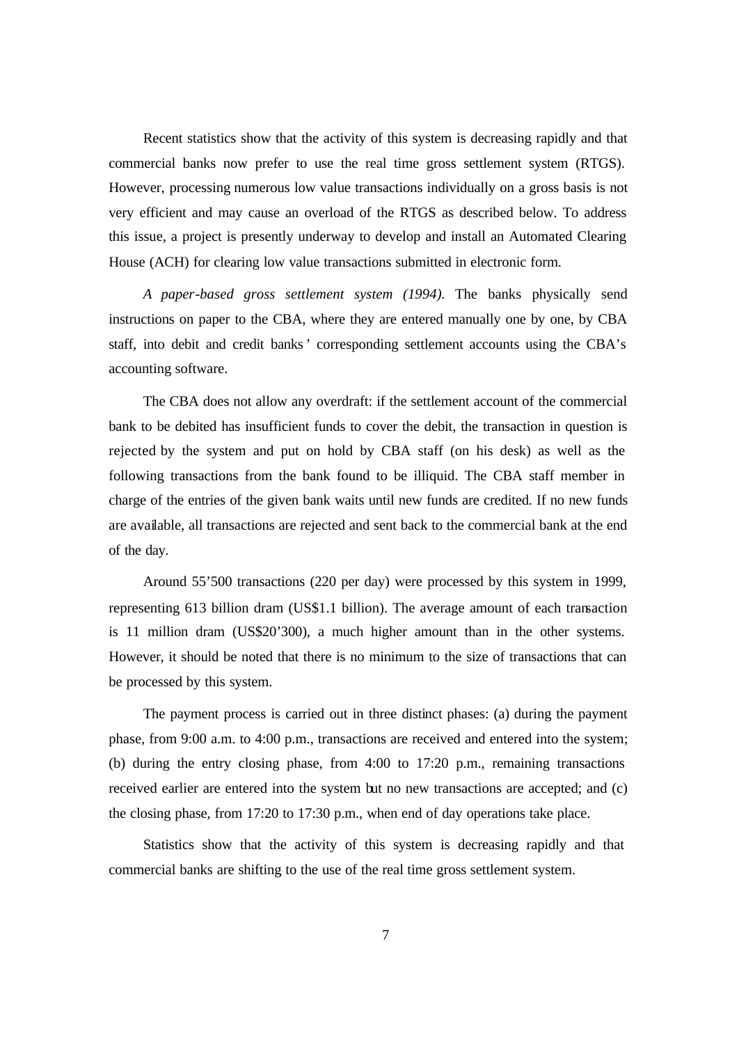Recent statistics show that the activity of this system is decreasing rapidly and that commercial banks now prefer to use the real time gross settlement system (RTGS). However, processing numerous low value transactions individually on a gross basis is not very efficient and may cause an overload of the RTGS as described below. To address this issue, a project is presently underway to develop and install an Automated Clearing House (ACH) for clearing low value transactions submitted in electronic form.

*A paper-based gross settlement system (1994).* The banks physically send instructions on paper to the CBA, where they are entered manually one by one, by CBA staff, into debit and credit banks' corresponding settlement accounts using the CBA's accounting software.

The CBA does not allow any overdraft: if the settlement account of the commercial bank to be debited has insufficient funds to cover the debit, the transaction in question is rejected by the system and put on hold by CBA staff (on his desk) as well as the following transactions from the bank found to be illiquid. The CBA staff member in charge of the entries of the given bank waits until new funds are credited. If no new funds are available, all transactions are rejected and sent back to the commercial bank at the end of the day.

Around 55'500 transactions (220 per day) were processed by this system in 1999, representing 613 billion dram (US\$1.1 billion). The average amount of each transaction is 11 million dram (US\$20'300), a much higher amount than in the other systems. However, it should be noted that there is no minimum to the size of transactions that can be processed by this system.

The payment process is carried out in three distinct phases: (a) during the payment phase, from 9:00 a.m. to 4:00 p.m., transactions are received and entered into the system; (b) during the entry closing phase, from 4:00 to 17:20 p.m., remaining transactions received earlier are entered into the system but no new transactions are accepted; and (c) the closing phase, from 17:20 to 17:30 p.m., when end of day operations take place.

Statistics show that the activity of this system is decreasing rapidly and that commercial banks are shifting to the use of the real time gross settlement system.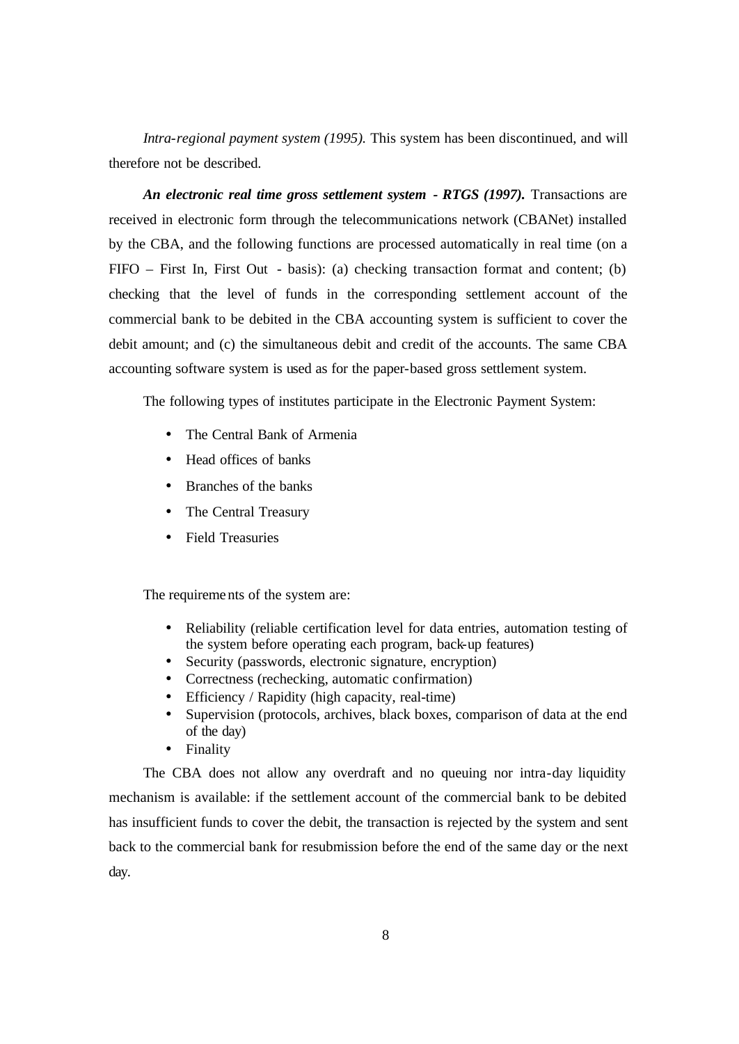*Intra-regional payment system (1995).* This system has been discontinued, and will therefore not be described.

An electronic real time gross settlement system - RTGS (1997). Transactions are received in electronic form through the telecommunications network (CBANet) installed by the CBA, and the following functions are processed automatically in real time (on a FIFO – First In, First Out - basis): (a) checking transaction format and content; (b) checking that the level of funds in the corresponding settlement account of the commercial bank to be debited in the CBA accounting system is sufficient to cover the debit amount; and (c) the simultaneous debit and credit of the accounts. The same CBA accounting software system is used as for the paper-based gross settlement system.

The following types of institutes participate in the Electronic Payment System:

- The Central Bank of Armenia
- Head offices of banks
- Branches of the banks
- The Central Treasury
- Field Treasuries

The requirements of the system are:

- Reliability (reliable certification level for data entries, automation testing of the system before operating each program, back-up features)
- Security (passwords, electronic signature, encryption)
- Correctness (rechecking, automatic confirmation)
- Efficiency / Rapidity (high capacity, real-time)
- Supervision (protocols, archives, black boxes, comparison of data at the end of the day)
- Finality

The CBA does not allow any overdraft and no queuing nor intra-day liquidity mechanism is available: if the settlement account of the commercial bank to be debited has insufficient funds to cover the debit, the transaction is rejected by the system and sent back to the commercial bank for resubmission before the end of the same day or the next day.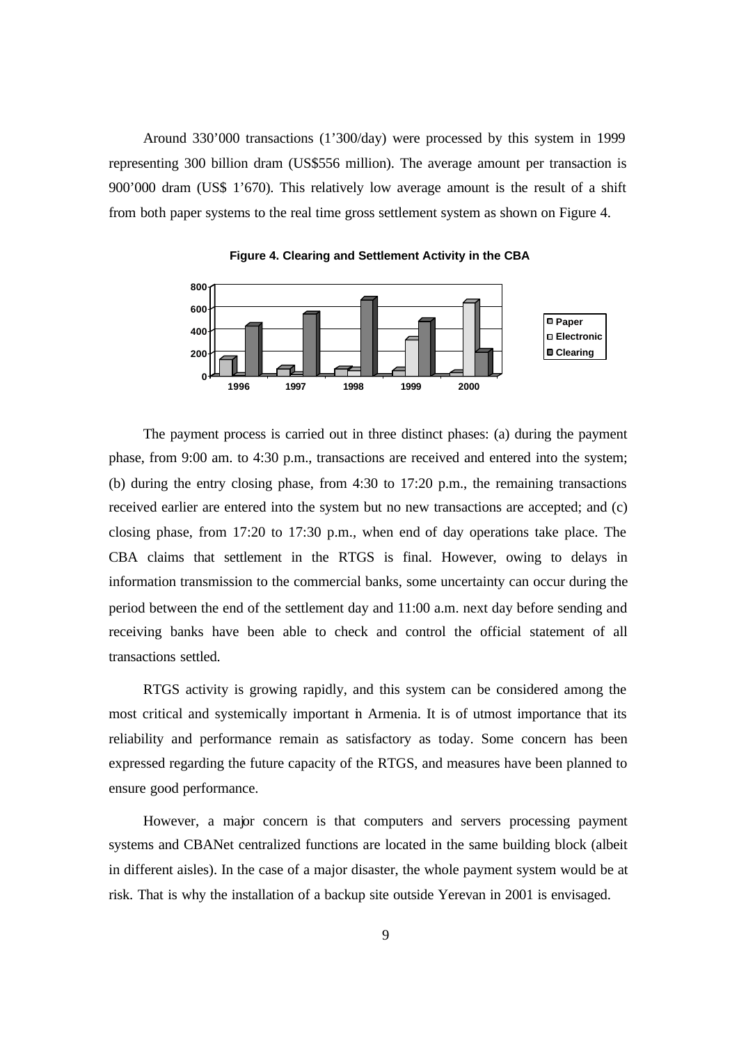Around 330'000 transactions (1'300/day) were processed by this system in 1999 representing 300 billion dram (US\$556 million). The average amount per transaction is 900'000 dram (US\$ 1'670). This relatively low average amount is the result of a shift from both paper systems to the real time gross settlement system as shown on Figure 4.



**Figure 4. Clearing and Settlement Activity in the CBA**

The payment process is carried out in three distinct phases: (a) during the payment phase, from 9:00 am. to 4:30 p.m., transactions are received and entered into the system; (b) during the entry closing phase, from 4:30 to 17:20 p.m., the remaining transactions received earlier are entered into the system but no new transactions are accepted; and (c) closing phase, from 17:20 to 17:30 p.m., when end of day operations take place. The CBA claims that settlement in the RTGS is final. However, owing to delays in information transmission to the commercial banks, some uncertainty can occur during the period between the end of the settlement day and 11:00 a.m. next day before sending and receiving banks have been able to check and control the official statement of all transactions settled.

RTGS activity is growing rapidly, and this system can be considered among the most critical and systemically important in Armenia. It is of utmost importance that its reliability and performance remain as satisfactory as today. Some concern has been expressed regarding the future capacity of the RTGS, and measures have been planned to ensure good performance.

However, a major concern is that computers and servers processing payment systems and CBANet centralized functions are located in the same building block (albeit in different aisles). In the case of a major disaster, the whole payment system would be at risk. That is why the installation of a backup site outside Yerevan in 2001 is envisaged.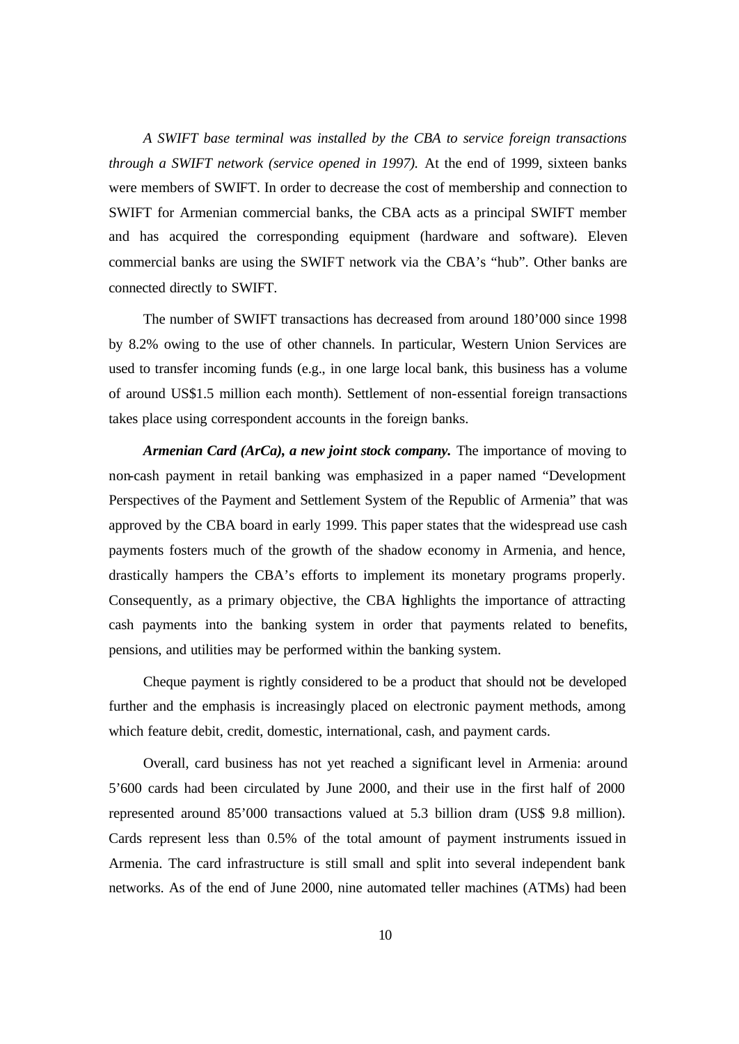*A SWIFT base terminal was installed by the CBA to service foreign transactions through a SWIFT network (service opened in 1997).* At the end of 1999, sixteen banks were members of SWIFT. In order to decrease the cost of membership and connection to SWIFT for Armenian commercial banks, the CBA acts as a principal SWIFT member and has acquired the corresponding equipment (hardware and software). Eleven commercial banks are using the SWIFT network via the CBA's "hub". Other banks are connected directly to SWIFT.

The number of SWIFT transactions has decreased from around 180'000 since 1998 by 8.2% owing to the use of other channels. In particular, Western Union Services are used to transfer incoming funds (e.g., in one large local bank, this business has a volume of around US\$1.5 million each month). Settlement of non-essential foreign transactions takes place using correspondent accounts in the foreign banks.

*Armenian Card (ArCa), a new joint stock company.* The importance of moving to non-cash payment in retail banking was emphasized in a paper named "Development Perspectives of the Payment and Settlement System of the Republic of Armenia" that was approved by the CBA board in early 1999. This paper states that the widespread use cash payments fosters much of the growth of the shadow economy in Armenia, and hence, drastically hampers the CBA's efforts to implement its monetary programs properly. Consequently, as a primary objective, the CBA highlights the importance of attracting cash payments into the banking system in order that payments related to benefits, pensions, and utilities may be performed within the banking system.

Cheque payment is rightly considered to be a product that should not be developed further and the emphasis is increasingly placed on electronic payment methods, among which feature debit, credit, domestic, international, cash, and payment cards.

Overall, card business has not yet reached a significant level in Armenia: around 5'600 cards had been circulated by June 2000, and their use in the first half of 2000 represented around 85'000 transactions valued at 5.3 billion dram (US\$ 9.8 million). Cards represent less than 0.5% of the total amount of payment instruments issued in Armenia. The card infrastructure is still small and split into several independent bank networks. As of the end of June 2000, nine automated teller machines (ATMs) had been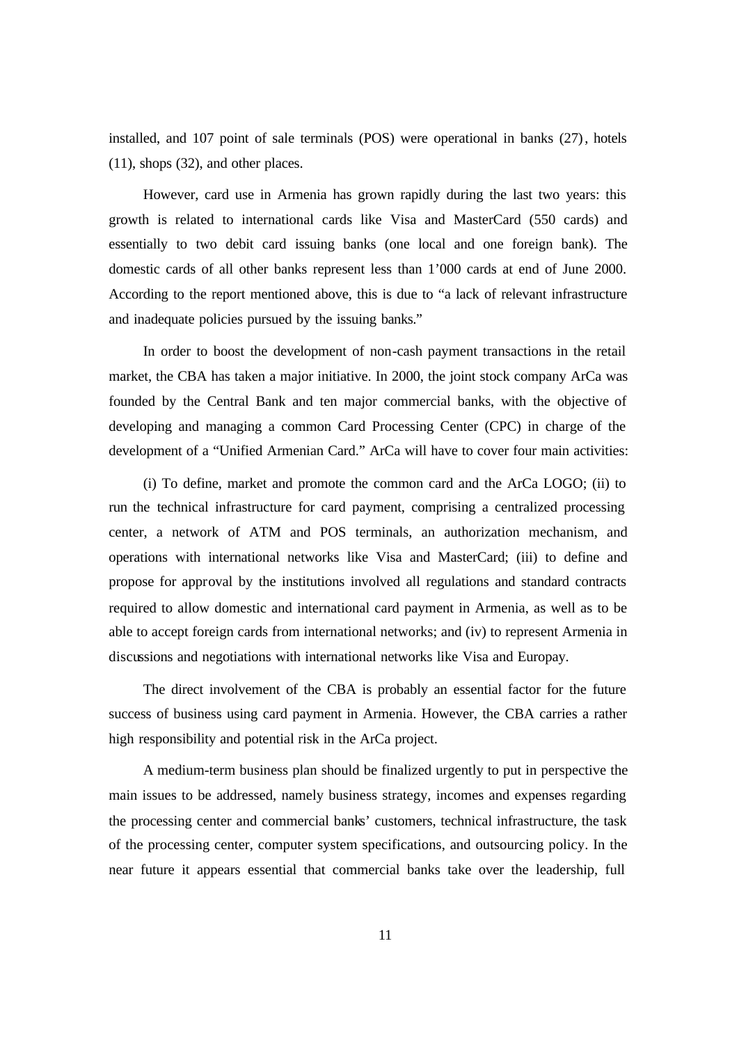installed, and 107 point of sale terminals (POS) were operational in banks (27), hotels (11), shops (32), and other places.

However, card use in Armenia has grown rapidly during the last two years: this growth is related to international cards like Visa and MasterCard (550 cards) and essentially to two debit card issuing banks (one local and one foreign bank). The domestic cards of all other banks represent less than 1'000 cards at end of June 2000. According to the report mentioned above, this is due to "a lack of relevant infrastructure and inadequate policies pursued by the issuing banks."

In order to boost the development of non-cash payment transactions in the retail market, the CBA has taken a major initiative. In 2000, the joint stock company ArCa was founded by the Central Bank and ten major commercial banks, with the objective of developing and managing a common Card Processing Center (CPC) in charge of the development of a "Unified Armenian Card." ArCa will have to cover four main activities:

(i) To define, market and promote the common card and the ArCa LOGO; (ii) to run the technical infrastructure for card payment, comprising a centralized processing center, a network of ATM and POS terminals, an authorization mechanism, and operations with international networks like Visa and MasterCard; (iii) to define and propose for approval by the institutions involved all regulations and standard contracts required to allow domestic and international card payment in Armenia, as well as to be able to accept foreign cards from international networks; and (iv) to represent Armenia in discussions and negotiations with international networks like Visa and Europay.

The direct involvement of the CBA is probably an essential factor for the future success of business using card payment in Armenia. However, the CBA carries a rather high responsibility and potential risk in the ArCa project.

A medium-term business plan should be finalized urgently to put in perspective the main issues to be addressed, namely business strategy, incomes and expenses regarding the processing center and commercial banks' customers, technical infrastructure, the task of the processing center, computer system specifications, and outsourcing policy. In the near future it appears essential that commercial banks take over the leadership, full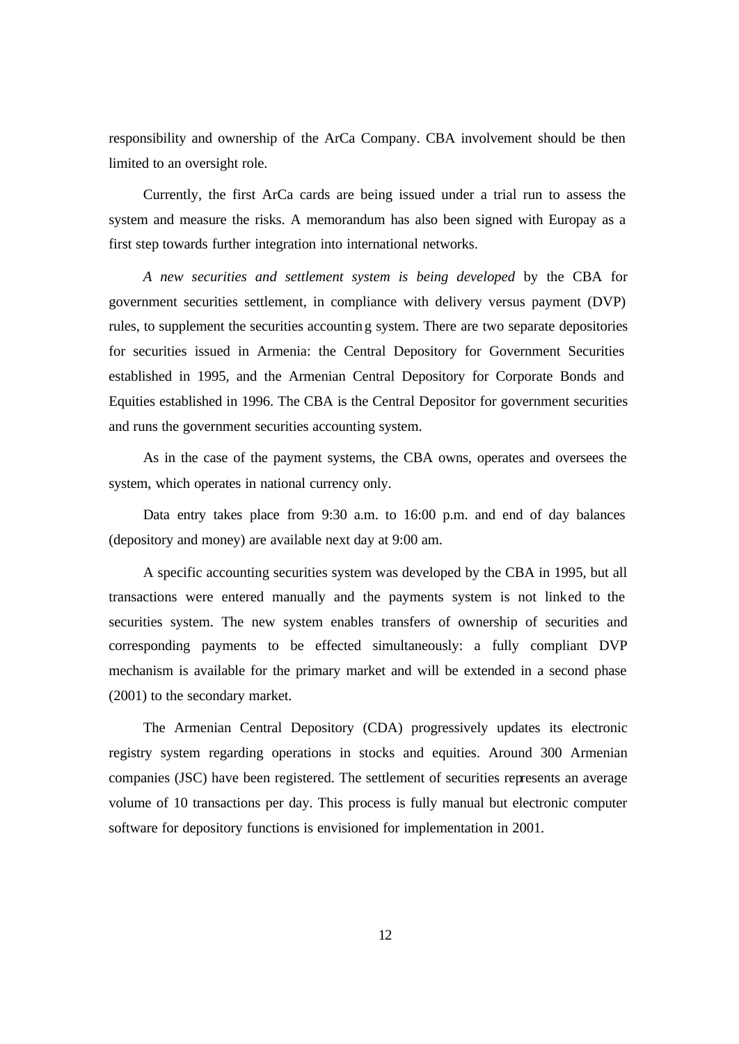responsibility and ownership of the ArCa Company. CBA involvement should be then limited to an oversight role.

Currently, the first ArCa cards are being issued under a trial run to assess the system and measure the risks. A memorandum has also been signed with Europay as a first step towards further integration into international networks.

*A new securities and settlement system is being developed* by the CBA for government securities settlement, in compliance with delivery versus payment (DVP) rules, to supplement the securities accounting system. There are two separate depositories for securities issued in Armenia: the Central Depository for Government Securities established in 1995, and the Armenian Central Depository for Corporate Bonds and Equities established in 1996. The CBA is the Central Depositor for government securities and runs the government securities accounting system.

As in the case of the payment systems, the CBA owns, operates and oversees the system, which operates in national currency only.

Data entry takes place from 9:30 a.m. to 16:00 p.m. and end of day balances (depository and money) are available next day at 9:00 am.

A specific accounting securities system was developed by the CBA in 1995, but all transactions were entered manually and the payments system is not linked to the securities system. The new system enables transfers of ownership of securities and corresponding payments to be effected simultaneously: a fully compliant DVP mechanism is available for the primary market and will be extended in a second phase (2001) to the secondary market.

The Armenian Central Depository (CDA) progressively updates its electronic registry system regarding operations in stocks and equities. Around 300 Armenian companies (JSC) have been registered. The settlement of securities represents an average volume of 10 transactions per day. This process is fully manual but electronic computer software for depository functions is envisioned for implementation in 2001.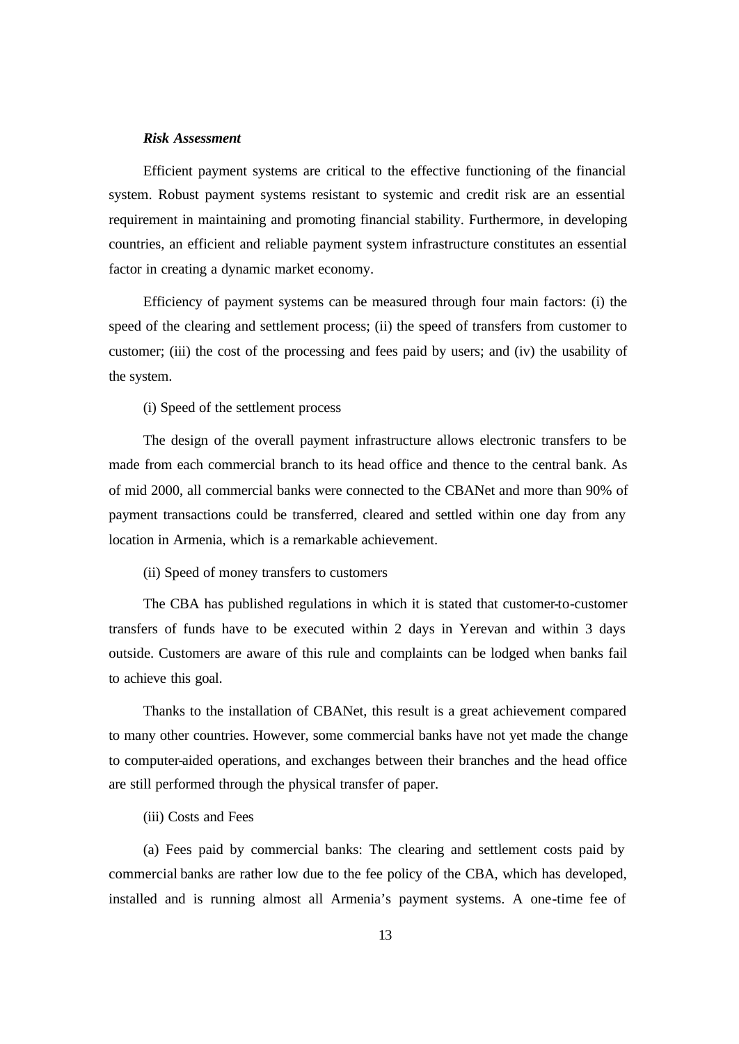### *Risk Assessment*

Efficient payment systems are critical to the effective functioning of the financial system. Robust payment systems resistant to systemic and credit risk are an essential requirement in maintaining and promoting financial stability. Furthermore, in developing countries, an efficient and reliable payment system infrastructure constitutes an essential factor in creating a dynamic market economy.

Efficiency of payment systems can be measured through four main factors: (i) the speed of the clearing and settlement process; (ii) the speed of transfers from customer to customer; (iii) the cost of the processing and fees paid by users; and (iv) the usability of the system.

(i) Speed of the settlement process

The design of the overall payment infrastructure allows electronic transfers to be made from each commercial branch to its head office and thence to the central bank. As of mid 2000, all commercial banks were connected to the CBANet and more than 90% of payment transactions could be transferred, cleared and settled within one day from any location in Armenia, which is a remarkable achievement.

(ii) Speed of money transfers to customers

The CBA has published regulations in which it is stated that customer-to-customer transfers of funds have to be executed within 2 days in Yerevan and within 3 days outside. Customers are aware of this rule and complaints can be lodged when banks fail to achieve this goal.

Thanks to the installation of CBANet, this result is a great achievement compared to many other countries. However, some commercial banks have not yet made the change to computer-aided operations, and exchanges between their branches and the head office are still performed through the physical transfer of paper.

(iii) Costs and Fees

(a) Fees paid by commercial banks: The clearing and settlement costs paid by commercial banks are rather low due to the fee policy of the CBA, which has developed, installed and is running almost all Armenia's payment systems. A one-time fee of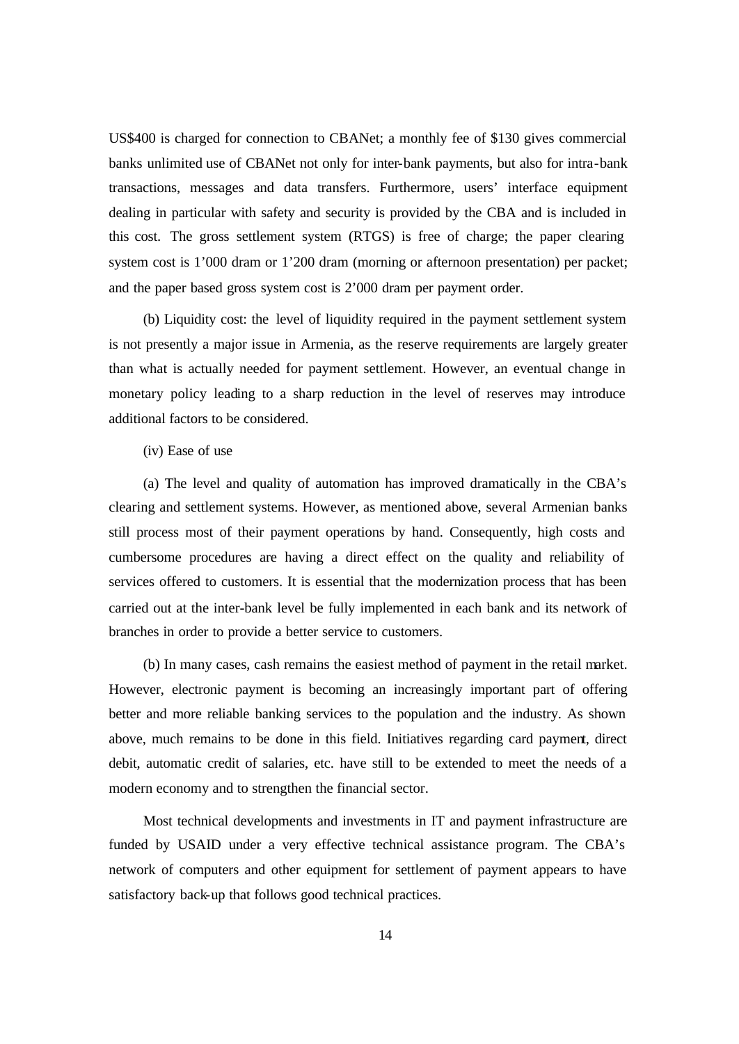US\$400 is charged for connection to CBANet; a monthly fee of \$130 gives commercial banks unlimited use of CBANet not only for inter-bank payments, but also for intra-bank transactions, messages and data transfers. Furthermore, users' interface equipment dealing in particular with safety and security is provided by the CBA and is included in this cost. The gross settlement system (RTGS) is free of charge; the paper clearing system cost is 1'000 dram or 1'200 dram (morning or afternoon presentation) per packet; and the paper based gross system cost is 2'000 dram per payment order.

(b) Liquidity cost: the level of liquidity required in the payment settlement system is not presently a major issue in Armenia, as the reserve requirements are largely greater than what is actually needed for payment settlement. However, an eventual change in monetary policy leading to a sharp reduction in the level of reserves may introduce additional factors to be considered.

(iv) Ease of use

(a) The level and quality of automation has improved dramatically in the CBA's clearing and settlement systems. However, as mentioned above, several Armenian banks still process most of their payment operations by hand. Consequently, high costs and cumbersome procedures are having a direct effect on the quality and reliability of services offered to customers. It is essential that the modernization process that has been carried out at the inter-bank level be fully implemented in each bank and its network of branches in order to provide a better service to customers.

(b) In many cases, cash remains the easiest method of payment in the retail market. However, electronic payment is becoming an increasingly important part of offering better and more reliable banking services to the population and the industry. As shown above, much remains to be done in this field. Initiatives regarding card payment, direct debit, automatic credit of salaries, etc. have still to be extended to meet the needs of a modern economy and to strengthen the financial sector.

Most technical developments and investments in IT and payment infrastructure are funded by USAID under a very effective technical assistance program. The CBA's network of computers and other equipment for settlement of payment appears to have satisfactory back-up that follows good technical practices.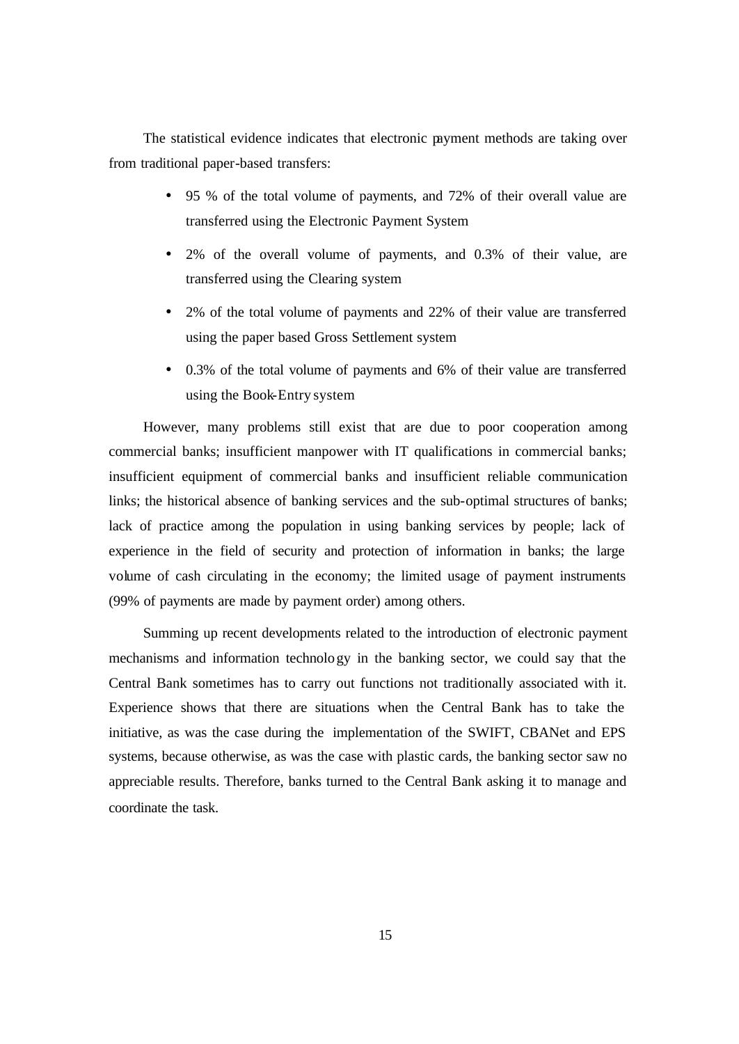The statistical evidence indicates that electronic payment methods are taking over from traditional paper-based transfers:

- 95 % of the total volume of payments, and 72% of their overall value are transferred using the Electronic Payment System
- 2% of the overall volume of payments, and 0.3% of their value, are transferred using the Clearing system
- 2% of the total volume of payments and 22% of their value are transferred using the paper based Gross Settlement system
- 0.3% of the total volume of payments and 6% of their value are transferred using the Book-Entry system

However, many problems still exist that are due to poor cooperation among commercial banks; insufficient manpower with IT qualifications in commercial banks; insufficient equipment of commercial banks and insufficient reliable communication links; the historical absence of banking services and the sub-optimal structures of banks; lack of practice among the population in using banking services by people; lack of experience in the field of security and protection of information in banks; the large volume of cash circulating in the economy; the limited usage of payment instruments (99% of payments are made by payment order) among others.

Summing up recent developments related to the introduction of electronic payment mechanisms and information technology in the banking sector, we could say that the Central Bank sometimes has to carry out functions not traditionally associated with it. Experience shows that there are situations when the Central Bank has to take the initiative, as was the case during the implementation of the SWIFT, CBANet and EPS systems, because otherwise, as was the case with plastic cards, the banking sector saw no appreciable results. Therefore, banks turned to the Central Bank asking it to manage and coordinate the task.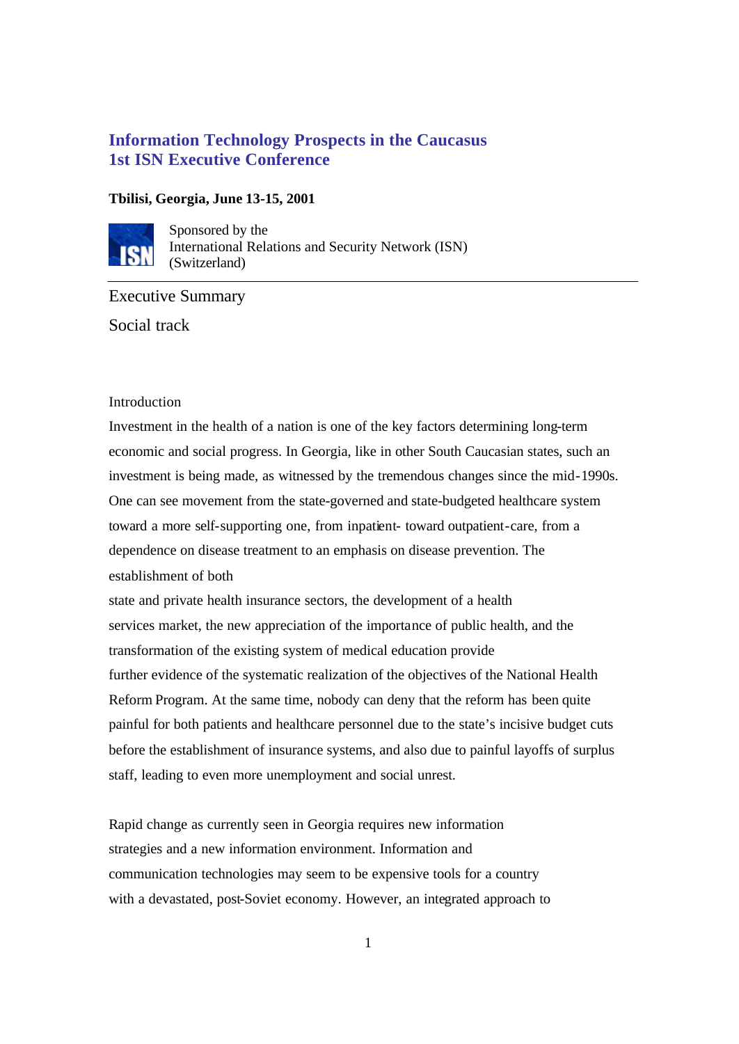# **Information Technology Prospects in the Caucasus 1st ISN Executive Conference**

## **Tbilisi, Georgia, June 13-15, 2001**



Sponsored by the International Relations and Security Network (ISN) **SW** (Switzerland)

Executive Summary Social track

## Introduction

Investment in the health of a nation is one of the key factors determining long-term economic and social progress. In Georgia, like in other South Caucasian states, such an investment is being made, as witnessed by the tremendous changes since the mid-1990s. One can see movement from the state-governed and state-budgeted healthcare system toward a more self-supporting one, from inpatient- toward outpatient-care, from a dependence on disease treatment to an emphasis on disease prevention. The establishment of both

state and private health insurance sectors, the development of a health services market, the new appreciation of the importance of public health, and the transformation of the existing system of medical education provide further evidence of the systematic realization of the objectives of the National Health Reform Program. At the same time, nobody can deny that the reform has been quite painful for both patients and healthcare personnel due to the state's incisive budget cuts before the establishment of insurance systems, and also due to painful layoffs of surplus staff, leading to even more unemployment and social unrest.

Rapid change as currently seen in Georgia requires new information strategies and a new information environment. Information and communication technologies may seem to be expensive tools for a country with a devastated, post-Soviet economy. However, an integrated approach to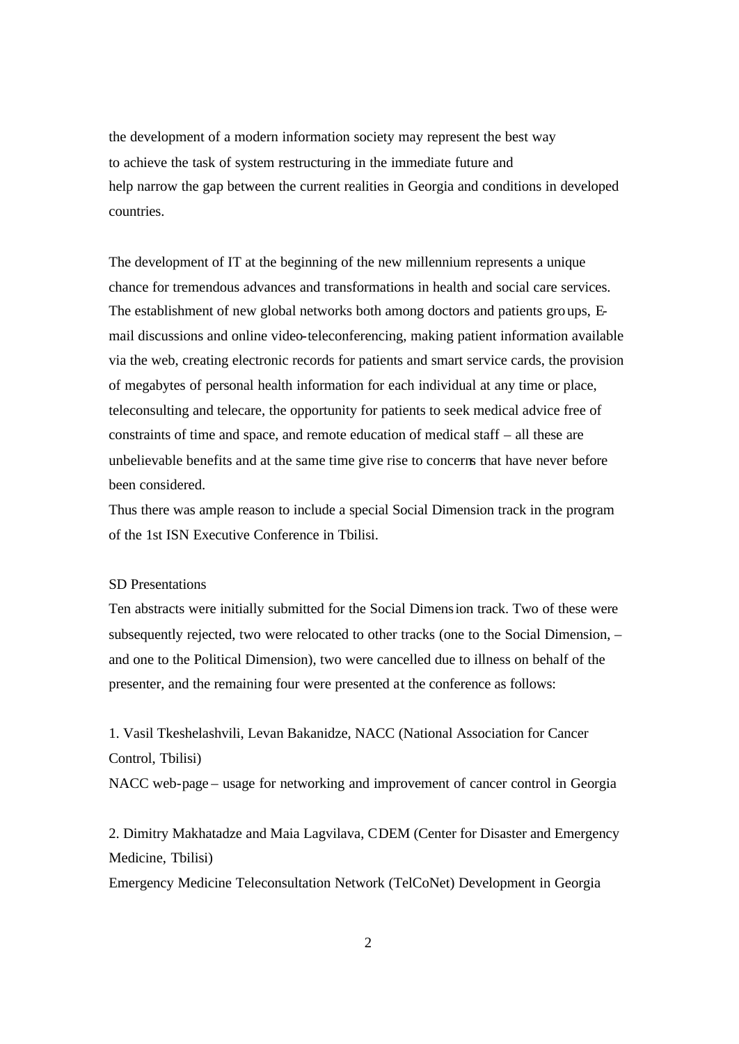the development of a modern information society may represent the best way to achieve the task of system restructuring in the immediate future and help narrow the gap between the current realities in Georgia and conditions in developed countries.

The development of IT at the beginning of the new millennium represents a unique chance for tremendous advances and transformations in health and social care services. The establishment of new global networks both among doctors and patients groups, Email discussions and online video-teleconferencing, making patient information available via the web, creating electronic records for patients and smart service cards, the provision of megabytes of personal health information for each individual at any time or place, teleconsulting and telecare, the opportunity for patients to seek medical advice free of constraints of time and space, and remote education of medical staff – all these are unbelievable benefits and at the same time give rise to concerns that have never before been considered.

Thus there was ample reason to include a special Social Dimension track in the program of the 1st ISN Executive Conference in Tbilisi.

#### SD Presentations

Ten abstracts were initially submitted for the Social Dimension track. Two of these were subsequently rejected, two were relocated to other tracks (one to the Social Dimension, – and one to the Political Dimension), two were cancelled due to illness on behalf of the presenter, and the remaining four were presented at the conference as follows:

1. Vasil Tkeshelashvili, Levan Bakanidze, NACC (National Association for Cancer Control, Tbilisi)

NACC web-page – usage for networking and improvement of cancer control in Georgia

2. Dimitry Makhatadze and Maia Lagvilava, CDEM (Center for Disaster and Emergency Medicine, Tbilisi)

Emergency Medicine Teleconsultation Network (TelCoNet) Development in Georgia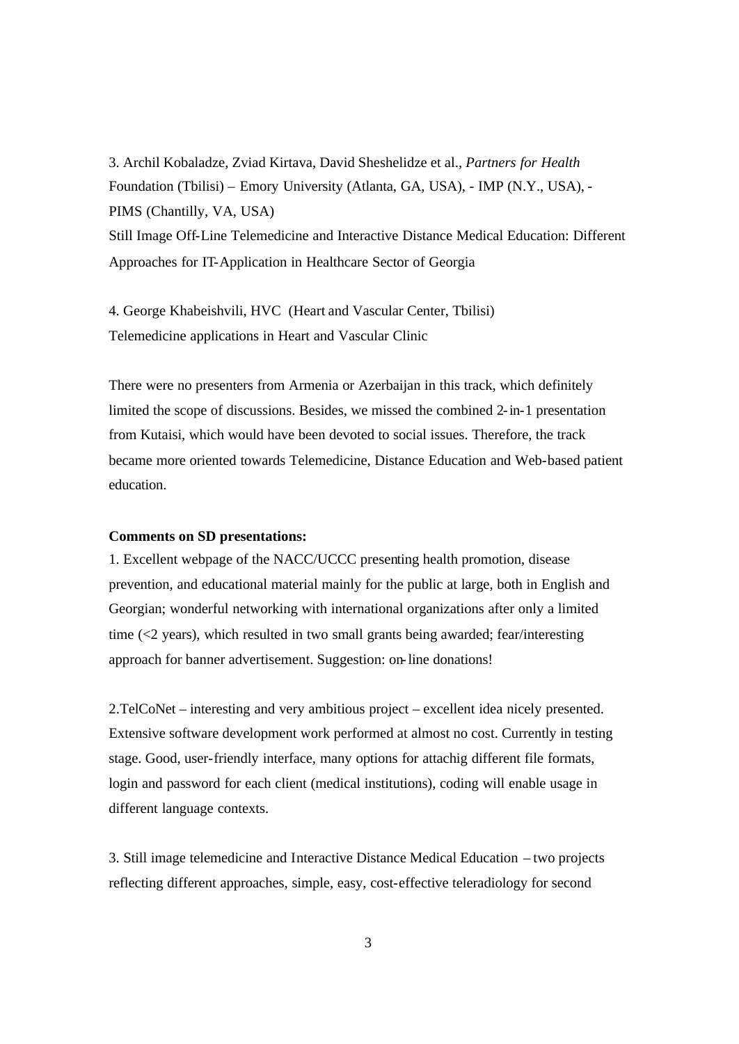3. Archil Kobaladze, Zviad Kirtava, David Sheshelidze et al., *Partners for Health* Foundation (Tbilisi) – Emory University (Atlanta, GA, USA), - IMP (N.Y., USA), - PIMS (Chantilly, VA, USA) Still Image Off-Line Telemedicine and Interactive Distance Medical Education: Different Approaches for IT-Application in Healthcare Sector of Georgia

4. George Khabeishvili, HVC (Heart and Vascular Center, Tbilisi) Telemedicine applications in Heart and Vascular Clinic

There were no presenters from Armenia or Azerbaijan in this track, which definitely limited the scope of discussions. Besides, we missed the combined 2-in-1 presentation from Kutaisi, which would have been devoted to social issues. Therefore, the track became more oriented towards Telemedicine, Distance Education and Web-based patient education.

### **Comments on SD presentations:**

1. Excellent webpage of the NACC/UCCC presenting health promotion, disease prevention, and educational material mainly for the public at large, both in English and Georgian; wonderful networking with international organizations after only a limited time (<2 years), which resulted in two small grants being awarded; fear/interesting approach for banner advertisement. Suggestion: on-line donations!

2.TelCoNet – interesting and very ambitious project – excellent idea nicely presented. Extensive software development work performed at almost no cost. Currently in testing stage. Good, user-friendly interface, many options for attachig different file formats, login and password for each client (medical institutions), coding will enable usage in different language contexts.

3. Still image telemedicine and Interactive Distance Medical Education – two projects reflecting different approaches, simple, easy, cost-effective teleradiology for second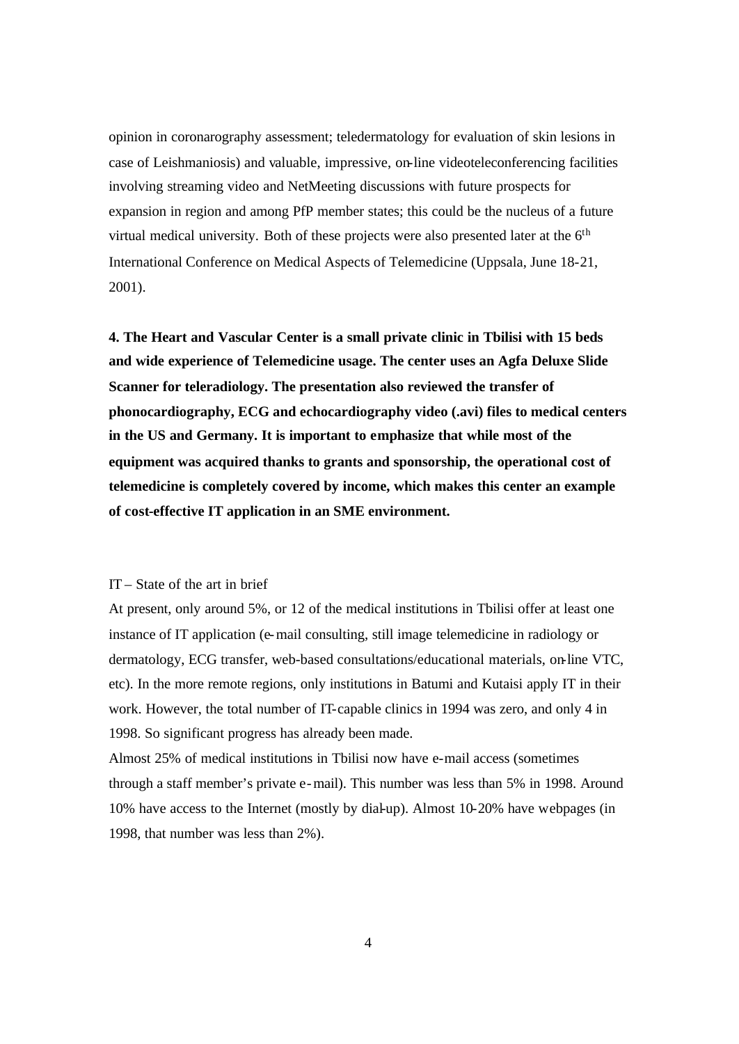opinion in coronarography assessment; teledermatology for evaluation of skin lesions in case of Leishmaniosis) and valuable, impressive, on-line videoteleconferencing facilities involving streaming video and NetMeeting discussions with future prospects for expansion in region and among PfP member states; this could be the nucleus of a future virtual medical university. Both of these projects were also presented later at the 6<sup>th</sup> International Conference on Medical Aspects of Telemedicine (Uppsala, June 18-21, 2001).

**4. The Heart and Vascular Center is a small private clinic in Tbilisi with 15 beds and wide experience of Telemedicine usage. The center uses an Agfa Deluxe Slide Scanner for teleradiology. The presentation also reviewed the transfer of phonocardiography, ECG and echocardiography video (.avi) files to medical centers in the US and Germany. It is important to emphasize that while most of the equipment was acquired thanks to grants and sponsorship, the operational cost of telemedicine is completely covered by income, which makes this center an example of cost-effective IT application in an SME environment.** 

### IT – State of the art in brief

At present, only around 5%, or 12 of the medical institutions in Tbilisi offer at least one instance of IT application (e-mail consulting, still image telemedicine in radiology or dermatology, ECG transfer, web-based consultations/educational materials, on-line VTC, etc). In the more remote regions, only institutions in Batumi and Kutaisi apply IT in their work. However, the total number of IT-capable clinics in 1994 was zero, and only 4 in 1998. So significant progress has already been made.

Almost 25% of medical institutions in Tbilisi now have e-mail access (sometimes through a staff member's private e-mail). This number was less than 5% in 1998. Around 10% have access to the Internet (mostly by dial-up). Almost 10-20% have webpages (in 1998, that number was less than 2%).

4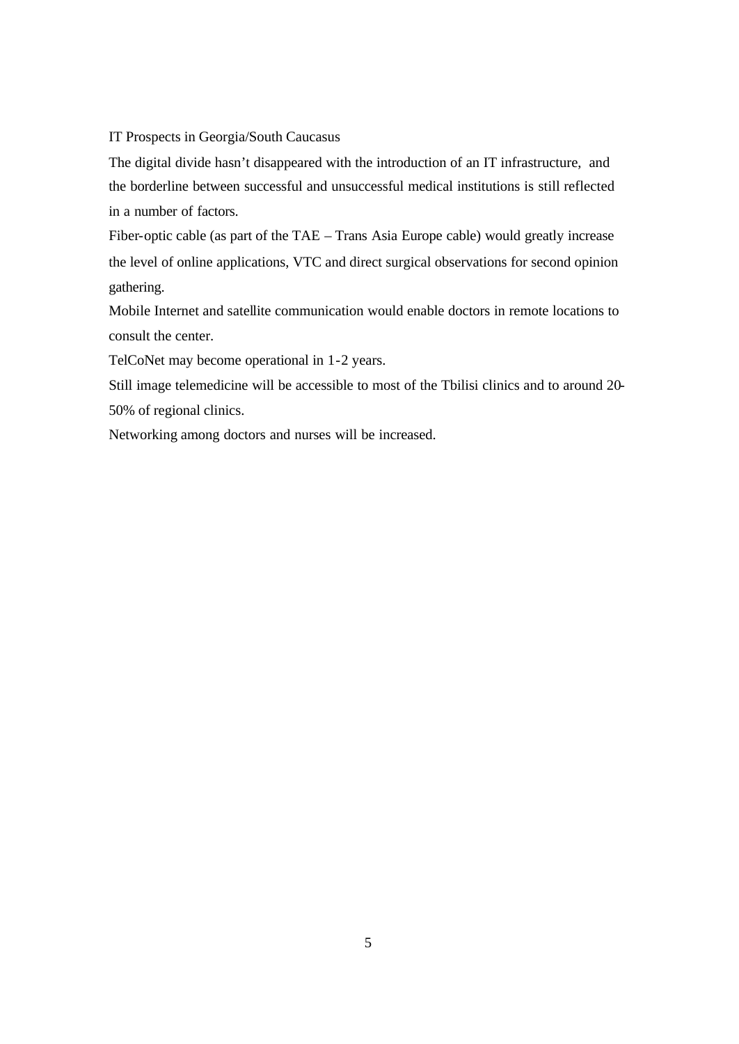## IT Prospects in Georgia/South Caucasus

The digital divide hasn't disappeared with the introduction of an IT infrastructure, and the borderline between successful and unsuccessful medical institutions is still reflected in a number of factors.

Fiber-optic cable (as part of the TAE – Trans Asia Europe cable) would greatly increase the level of online applications, VTC and direct surgical observations for second opinion gathering.

Mobile Internet and satellite communication would enable doctors in remote locations to consult the center.

TelCoNet may become operational in 1-2 years.

Still image telemedicine will be accessible to most of the Tbilisi clinics and to around 20- 50% of regional clinics.

Networking among doctors and nurses will be increased.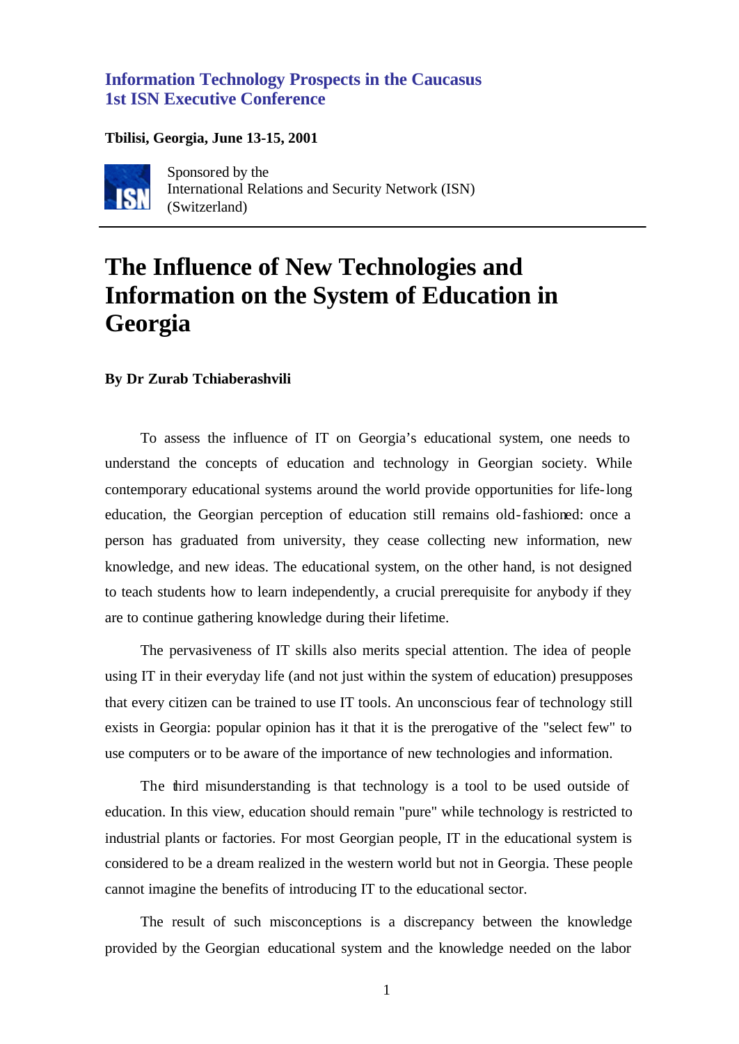# **Information Technology Prospects in the Caucasus 1st ISN Executive Conference**

## **Tbilisi, Georgia, June 13-15, 2001**



Sponsored by the International Relations and Security Network (ISN) (Switzerland)

# **The Influence of New Technologies and Information on the System of Education in Georgia**

### **By Dr Zurab Tchiaberashvili**

To assess the influence of IT on Georgia's educational system, one needs to understand the concepts of education and technology in Georgian society. While contemporary educational systems around the world provide opportunities for life-long education, the Georgian perception of education still remains old-fashioned: once a person has graduated from university, they cease collecting new information, new knowledge, and new ideas. The educational system, on the other hand, is not designed to teach students how to learn independently, a crucial prerequisite for anybody if they are to continue gathering knowledge during their lifetime.

The pervasiveness of IT skills also merits special attention. The idea of people using IT in their everyday life (and not just within the system of education) presupposes that every citizen can be trained to use IT tools. An unconscious fear of technology still exists in Georgia: popular opinion has it that it is the prerogative of the "select few" to use computers or to be aware of the importance of new technologies and information.

The third misunderstanding is that technology is a tool to be used outside of education. In this view, education should remain "pure" while technology is restricted to industrial plants or factories. For most Georgian people, IT in the educational system is considered to be a dream realized in the western world but not in Georgia. These people cannot imagine the benefits of introducing IT to the educational sector.

The result of such misconceptions is a discrepancy between the knowledge provided by the Georgian educational system and the knowledge needed on the labor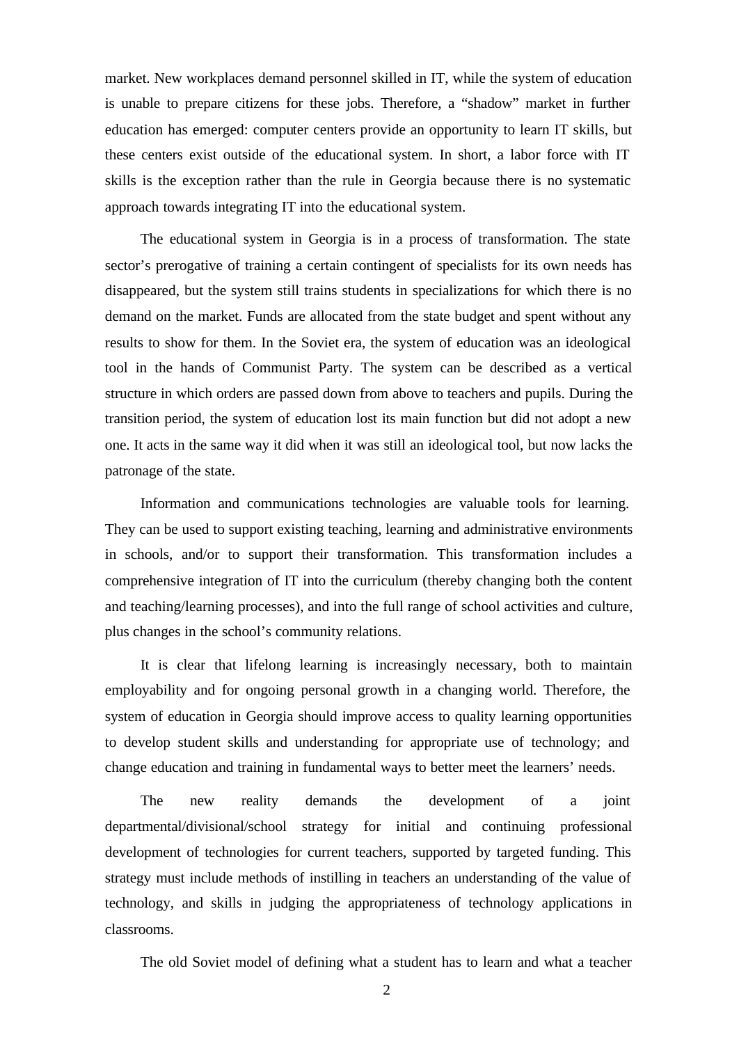market. New workplaces demand personnel skilled in IT, while the system of education is unable to prepare citizens for these jobs. Therefore, a "shadow" market in further education has emerged: computer centers provide an opportunity to learn IT skills, but these centers exist outside of the educational system. In short, a labor force with IT skills is the exception rather than the rule in Georgia because there is no systematic approach towards integrating IT into the educational system.

The educational system in Georgia is in a process of transformation. The state sector's prerogative of training a certain contingent of specialists for its own needs has disappeared, but the system still trains students in specializations for which there is no demand on the market. Funds are allocated from the state budget and spent without any results to show for them. In the Soviet era, the system of education was an ideological tool in the hands of Communist Party. The system can be described as a vertical structure in which orders are passed down from above to teachers and pupils. During the transition period, the system of education lost its main function but did not adopt a new one. It acts in the same way it did when it was still an ideological tool, but now lacks the patronage of the state.

Information and communications technologies are valuable tools for learning. They can be used to support existing teaching, learning and administrative environments in schools, and/or to support their transformation. This transformation includes a comprehensive integration of IT into the curriculum (thereby changing both the content and teaching/learning processes), and into the full range of school activities and culture, plus changes in the school's community relations.

It is clear that lifelong learning is increasingly necessary, both to maintain employability and for ongoing personal growth in a changing world. Therefore, the system of education in Georgia should improve access to quality learning opportunities to develop student skills and understanding for appropriate use of technology; and change education and training in fundamental ways to better meet the learners' needs.

The new reality demands the development of a joint departmental/divisional/school strategy for initial and continuing professional development of technologies for current teachers, supported by targeted funding. This strategy must include methods of instilling in teachers an understanding of the value of technology, and skills in judging the appropriateness of technology applications in classrooms.

The old Soviet model of defining what a student has to learn and what a teacher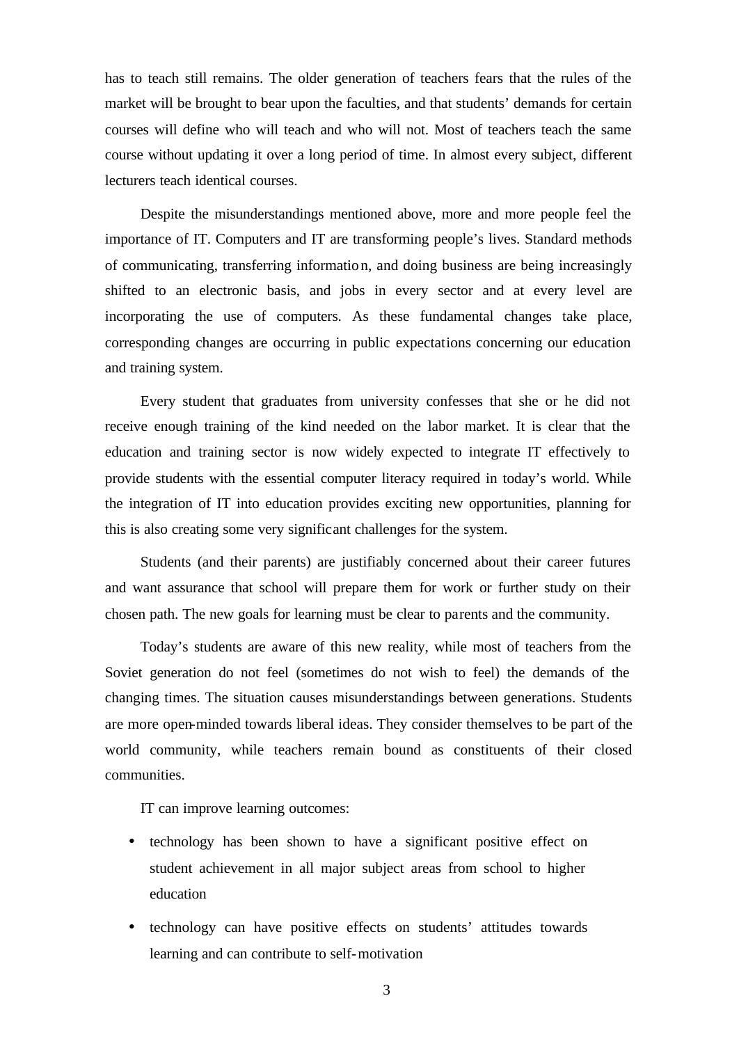has to teach still remains. The older generation of teachers fears that the rules of the market will be brought to bear upon the faculties, and that students' demands for certain courses will define who will teach and who will not. Most of teachers teach the same course without updating it over a long period of time. In almost every subject, different lecturers teach identical courses.

Despite the misunderstandings mentioned above, more and more people feel the importance of IT. Computers and IT are transforming people's lives. Standard methods of communicating, transferring information, and doing business are being increasingly shifted to an electronic basis, and jobs in every sector and at every level are incorporating the use of computers. As these fundamental changes take place, corresponding changes are occurring in public expectations concerning our education and training system.

Every student that graduates from university confesses that she or he did not receive enough training of the kind needed on the labor market. It is clear that the education and training sector is now widely expected to integrate IT effectively to provide students with the essential computer literacy required in today's world. While the integration of IT into education provides exciting new opportunities, planning for this is also creating some very significant challenges for the system.

Students (and their parents) are justifiably concerned about their career futures and want assurance that school will prepare them for work or further study on their chosen path. The new goals for learning must be clear to parents and the community.

Today's students are aware of this new reality, while most of teachers from the Soviet generation do not feel (sometimes do not wish to feel) the demands of the changing times. The situation causes misunderstandings between generations. Students are more open-minded towards liberal ideas. They consider themselves to be part of the world community, while teachers remain bound as constituents of their closed communities.

IT can improve learning outcomes:

- technology has been shown to have a significant positive effect on student achievement in all major subject areas from school to higher education
- technology can have positive effects on students' attitudes towards learning and can contribute to self-motivation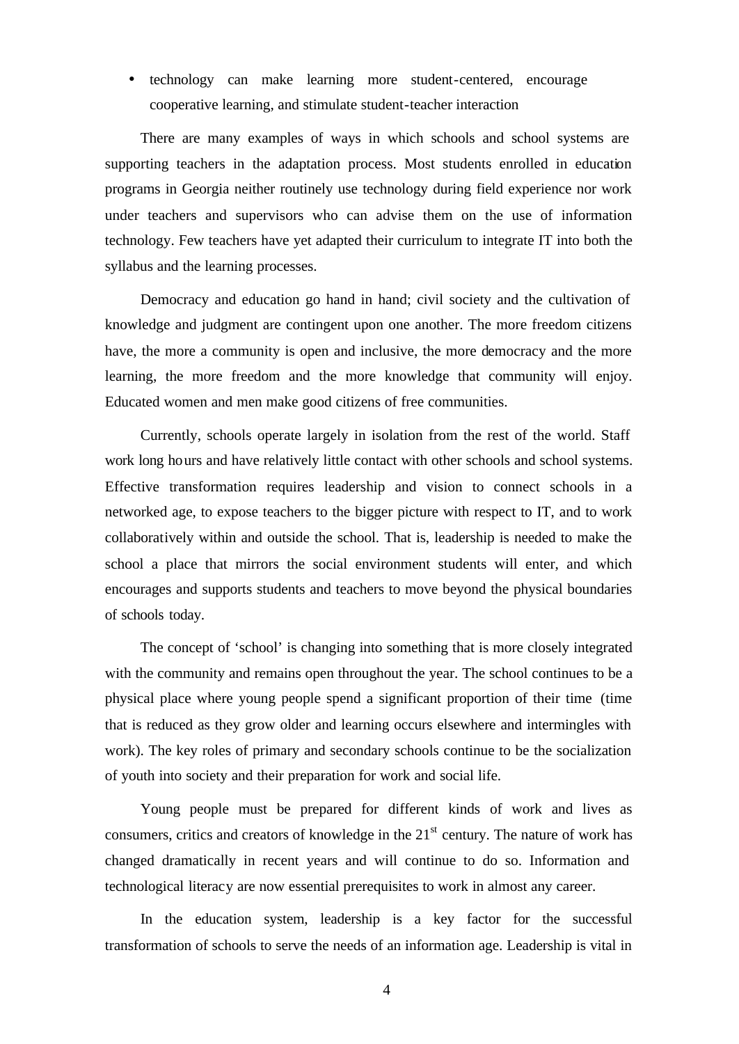• technology can make learning more student-centered, encourage cooperative learning, and stimulate student-teacher interaction

There are many examples of ways in which schools and school systems are supporting teachers in the adaptation process. Most students enrolled in education programs in Georgia neither routinely use technology during field experience nor work under teachers and supervisors who can advise them on the use of information technology. Few teachers have yet adapted their curriculum to integrate IT into both the syllabus and the learning processes.

Democracy and education go hand in hand; civil society and the cultivation of knowledge and judgment are contingent upon one another. The more freedom citizens have, the more a community is open and inclusive, the more democracy and the more learning, the more freedom and the more knowledge that community will enjoy. Educated women and men make good citizens of free communities.

Currently, schools operate largely in isolation from the rest of the world. Staff work long hours and have relatively little contact with other schools and school systems. Effective transformation requires leadership and vision to connect schools in a networked age, to expose teachers to the bigger picture with respect to IT, and to work collaboratively within and outside the school. That is, leadership is needed to make the school a place that mirrors the social environment students will enter, and which encourages and supports students and teachers to move beyond the physical boundaries of schools today.

The concept of 'school' is changing into something that is more closely integrated with the community and remains open throughout the year. The school continues to be a physical place where young people spend a significant proportion of their time (time that is reduced as they grow older and learning occurs elsewhere and intermingles with work). The key roles of primary and secondary schools continue to be the socialization of youth into society and their preparation for work and social life.

Young people must be prepared for different kinds of work and lives as consumers, critics and creators of knowledge in the  $21<sup>st</sup>$  century. The nature of work has changed dramatically in recent years and will continue to do so. Information and technological literacy are now essential prerequisites to work in almost any career.

In the education system, leadership is a key factor for the successful transformation of schools to serve the needs of an information age. Leadership is vital in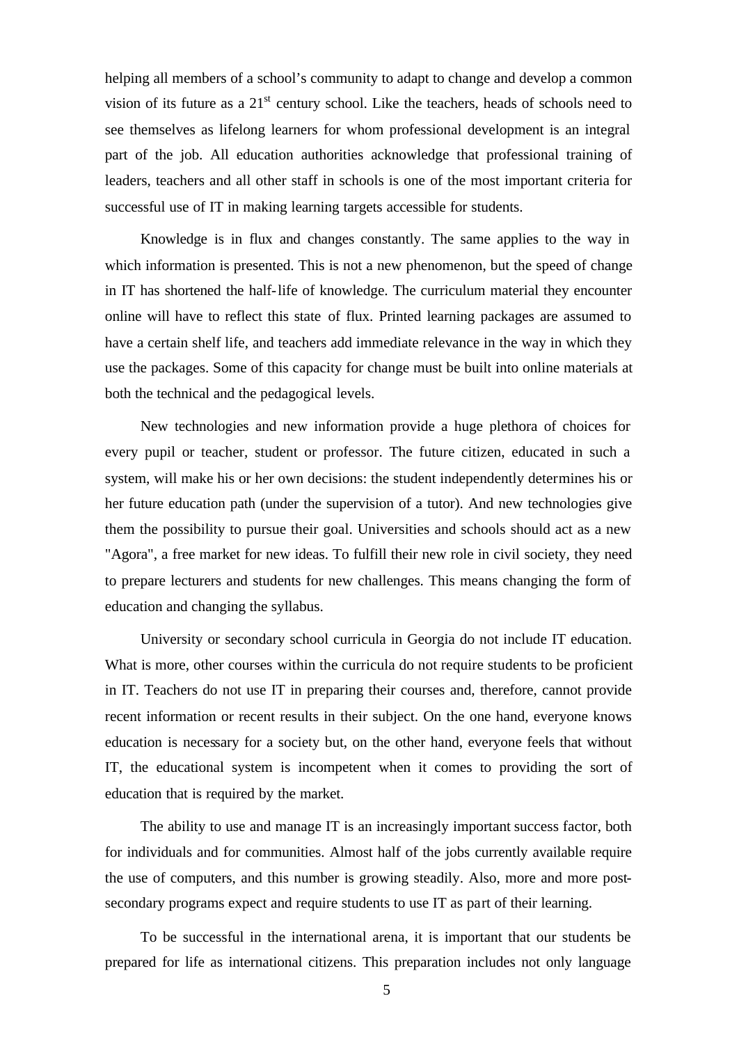helping all members of a school's community to adapt to change and develop a common vision of its future as a  $21<sup>st</sup>$  century school. Like the teachers, heads of schools need to see themselves as lifelong learners for whom professional development is an integral part of the job. All education authorities acknowledge that professional training of leaders, teachers and all other staff in schools is one of the most important criteria for successful use of IT in making learning targets accessible for students.

Knowledge is in flux and changes constantly. The same applies to the way in which information is presented. This is not a new phenomenon, but the speed of change in IT has shortened the half-life of knowledge. The curriculum material they encounter online will have to reflect this state of flux. Printed learning packages are assumed to have a certain shelf life, and teachers add immediate relevance in the way in which they use the packages. Some of this capacity for change must be built into online materials at both the technical and the pedagogical levels.

New technologies and new information provide a huge plethora of choices for every pupil or teacher, student or professor. The future citizen, educated in such a system, will make his or her own decisions: the student independently determines his or her future education path (under the supervision of a tutor). And new technologies give them the possibility to pursue their goal. Universities and schools should act as a new "Agora", a free market for new ideas. To fulfill their new role in civil society, they need to prepare lecturers and students for new challenges. This means changing the form of education and changing the syllabus.

University or secondary school curricula in Georgia do not include IT education. What is more, other courses within the curricula do not require students to be proficient in IT. Teachers do not use IT in preparing their courses and, therefore, cannot provide recent information or recent results in their subject. On the one hand, everyone knows education is necessary for a society but, on the other hand, everyone feels that without IT, the educational system is incompetent when it comes to providing the sort of education that is required by the market.

The ability to use and manage IT is an increasingly important success factor, both for individuals and for communities. Almost half of the jobs currently available require the use of computers, and this number is growing steadily. Also, more and more postsecondary programs expect and require students to use IT as part of their learning.

To be successful in the international arena, it is important that our students be prepared for life as international citizens. This preparation includes not only language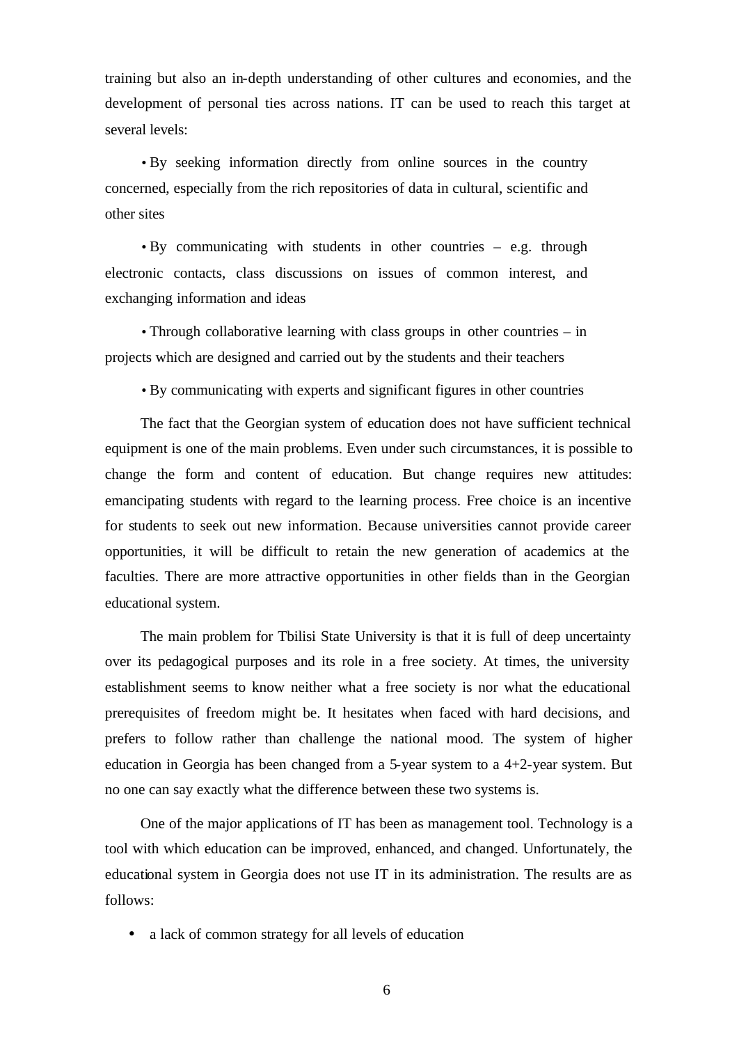training but also an in-depth understanding of other cultures and economies, and the development of personal ties across nations. IT can be used to reach this target at several levels:

• By seeking information directly from online sources in the country concerned, especially from the rich repositories of data in cultural, scientific and other sites

• By communicating with students in other countries – e.g. through electronic contacts, class discussions on issues of common interest, and exchanging information and ideas

• Through collaborative learning with class groups in other countries – in projects which are designed and carried out by the students and their teachers

• By communicating with experts and significant figures in other countries

The fact that the Georgian system of education does not have sufficient technical equipment is one of the main problems. Even under such circumstances, it is possible to change the form and content of education. But change requires new attitudes: emancipating students with regard to the learning process. Free choice is an incentive for students to seek out new information. Because universities cannot provide career opportunities, it will be difficult to retain the new generation of academics at the faculties. There are more attractive opportunities in other fields than in the Georgian educational system.

The main problem for Tbilisi State University is that it is full of deep uncertainty over its pedagogical purposes and its role in a free society. At times, the university establishment seems to know neither what a free society is nor what the educational prerequisites of freedom might be. It hesitates when faced with hard decisions, and prefers to follow rather than challenge the national mood. The system of higher education in Georgia has been changed from a 5-year system to a 4+2-year system. But no one can say exactly what the difference between these two systems is.

One of the major applications of IT has been as management tool. Technology is a tool with which education can be improved, enhanced, and changed. Unfortunately, the educational system in Georgia does not use IT in its administration. The results are as follows:

• a lack of common strategy for all levels of education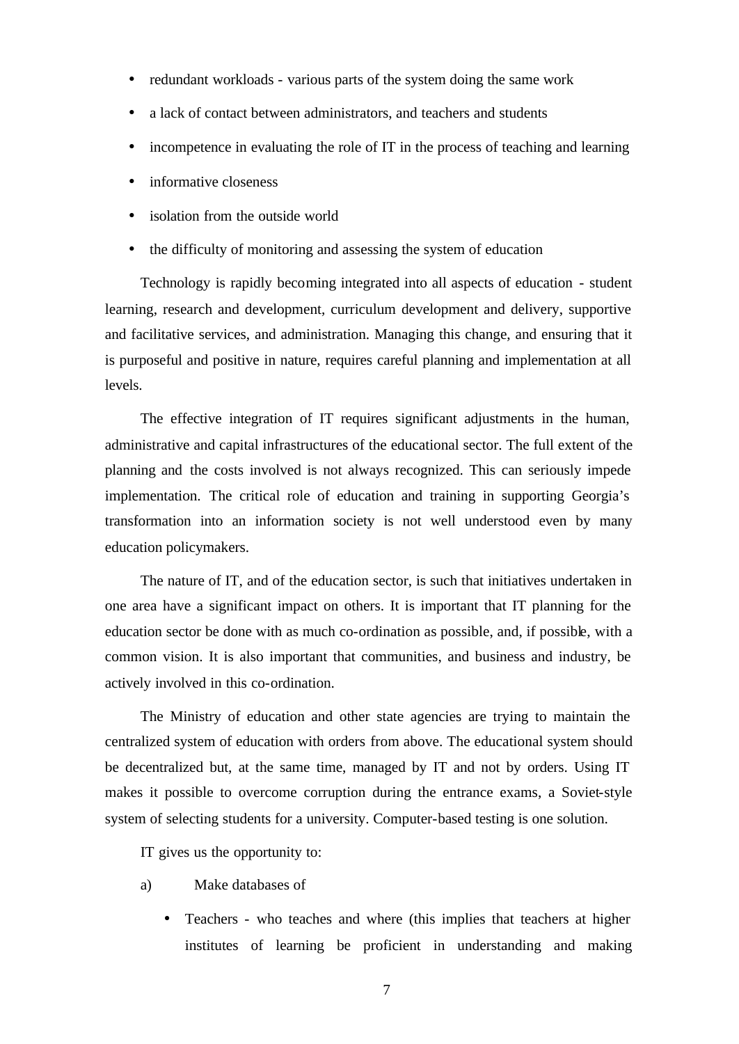- redundant workloads various parts of the system doing the same work
- a lack of contact between administrators, and teachers and students
- incompetence in evaluating the role of IT in the process of teaching and learning
- informative closeness
- isolation from the outside world
- the difficulty of monitoring and assessing the system of education

Technology is rapidly becoming integrated into all aspects of education - student learning, research and development, curriculum development and delivery, supportive and facilitative services, and administration. Managing this change, and ensuring that it is purposeful and positive in nature, requires careful planning and implementation at all levels.

The effective integration of IT requires significant adjustments in the human, administrative and capital infrastructures of the educational sector. The full extent of the planning and the costs involved is not always recognized. This can seriously impede implementation. The critical role of education and training in supporting Georgia's transformation into an information society is not well understood even by many education policymakers.

The nature of IT, and of the education sector, is such that initiatives undertaken in one area have a significant impact on others. It is important that IT planning for the education sector be done with as much co-ordination as possible, and, if possible, with a common vision. It is also important that communities, and business and industry, be actively involved in this co-ordination.

The Ministry of education and other state agencies are trying to maintain the centralized system of education with orders from above. The educational system should be decentralized but, at the same time, managed by IT and not by orders. Using IT makes it possible to overcome corruption during the entrance exams, a Soviet-style system of selecting students for a university. Computer-based testing is one solution.

IT gives us the opportunity to:

- a) Make databases of
	- Teachers who teaches and where (this implies that teachers at higher institutes of learning be proficient in understanding and making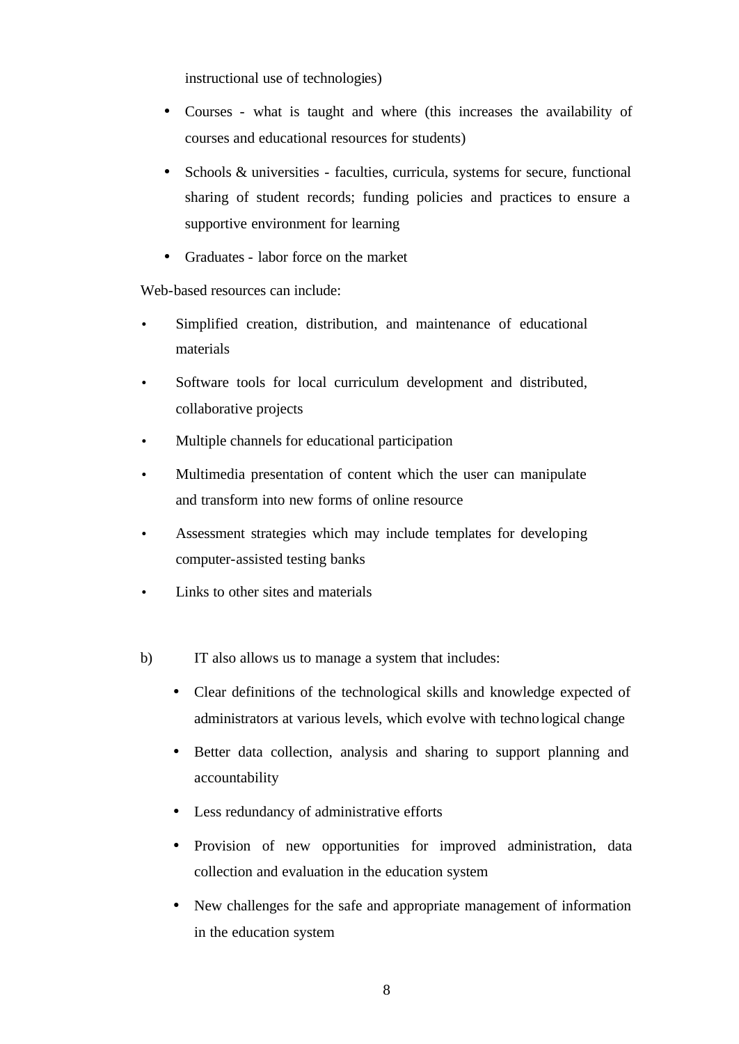instructional use of technologies)

- Courses what is taught and where (this increases the availability of courses and educational resources for students)
- Schools & universities faculties, curricula, systems for secure, functional sharing of student records; funding policies and practices to ensure a supportive environment for learning
- Graduates labor force on the market

Web-based resources can include:

- Simplified creation, distribution, and maintenance of educational materials
- Software tools for local curriculum development and distributed, collaborative projects
- Multiple channels for educational participation
- Multimedia presentation of content which the user can manipulate and transform into new forms of online resource
- Assessment strategies which may include templates for developing computer-assisted testing banks
- Links to other sites and materials
- b) IT also allows us to manage a system that includes:
	- Clear definitions of the technological skills and knowledge expected of administrators at various levels, which evolve with technological change
	- Better data collection, analysis and sharing to support planning and accountability
	- Less redundancy of administrative efforts
	- Provision of new opportunities for improved administration, data collection and evaluation in the education system
	- New challenges for the safe and appropriate management of information in the education system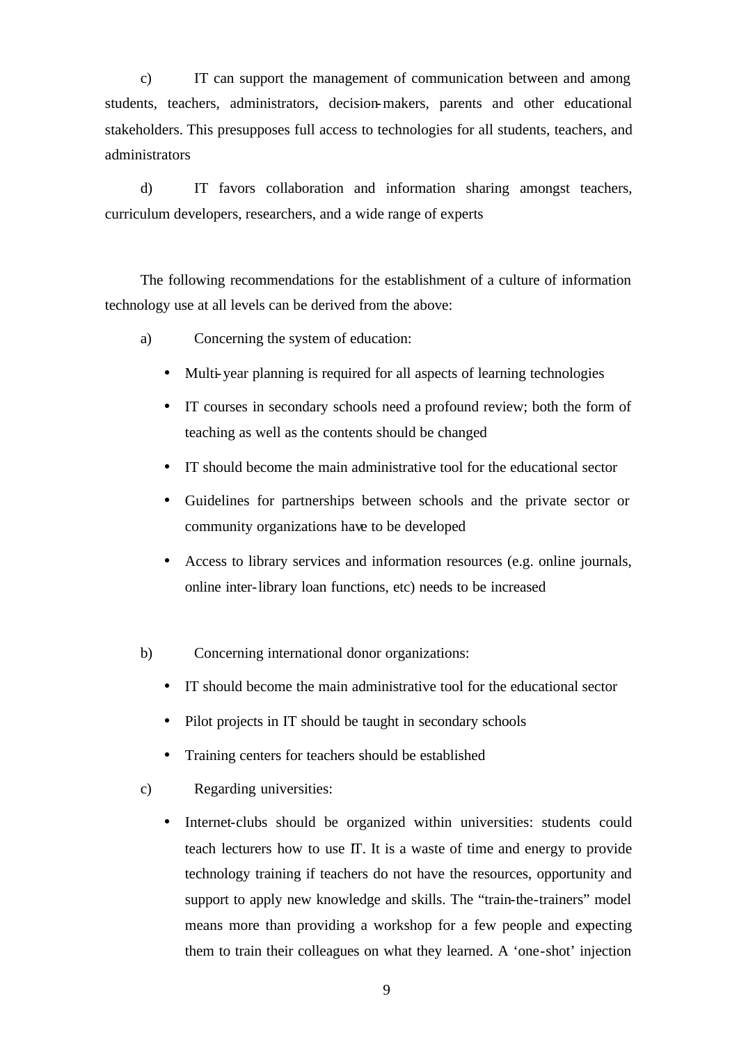c) IT can support the management of communication between and among students, teachers, administrators, decision-makers, parents and other educational stakeholders. This presupposes full access to technologies for all students, teachers, and administrators

d) IT favors collaboration and information sharing amongst teachers, curriculum developers, researchers, and a wide range of experts

The following recommendations for the establishment of a culture of information technology use at all levels can be derived from the above:

- a) Concerning the system of education:
	- Multi-year planning is required for all aspects of learning technologies
	- IT courses in secondary schools need a profound review; both the form of teaching as well as the contents should be changed
	- IT should become the main administrative tool for the educational sector
	- Guidelines for partnerships between schools and the private sector or community organizations have to be developed
	- Access to library services and information resources (e.g. online journals, online inter-library loan functions, etc) needs to be increased
- b) Concerning international donor organizations:
	- IT should become the main administrative tool for the educational sector
	- Pilot projects in IT should be taught in secondary schools
	- Training centers for teachers should be established
- c) Regarding universities:
	- Internet-clubs should be organized within universities: students could teach lecturers how to use IT. It is a waste of time and energy to provide technology training if teachers do not have the resources, opportunity and support to apply new knowledge and skills. The "train-the-trainers" model means more than providing a workshop for a few people and expecting them to train their colleagues on what they learned. A 'one-shot' injection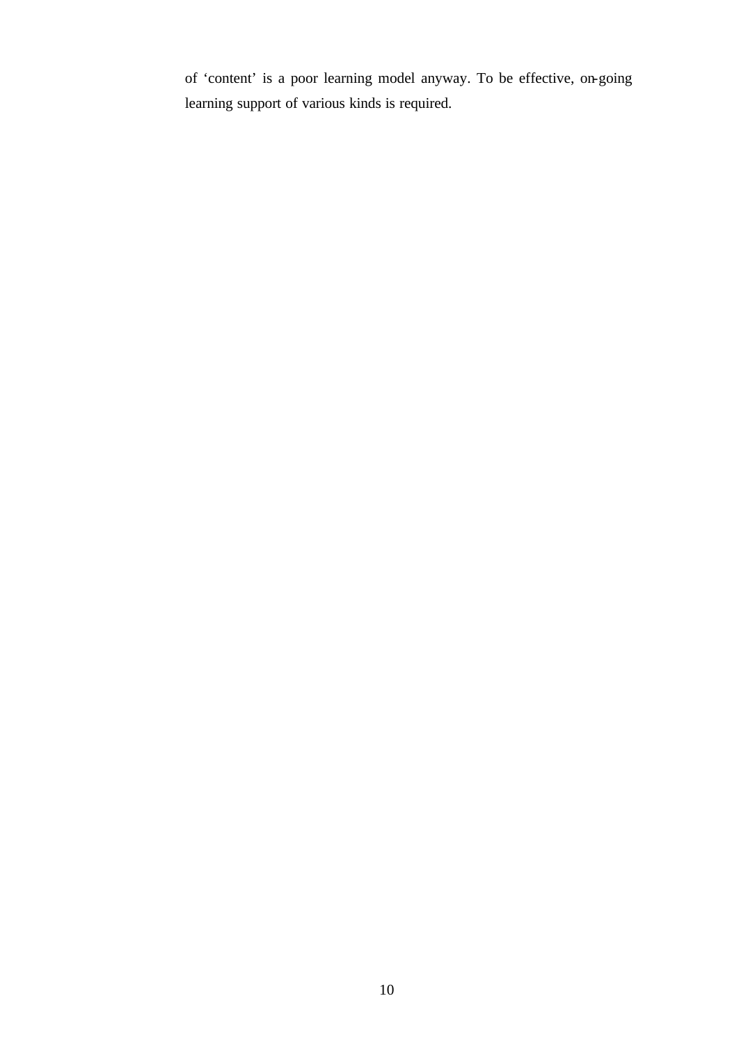of 'content' is a poor learning model anyway. To be effective, on-going learning support of various kinds is required.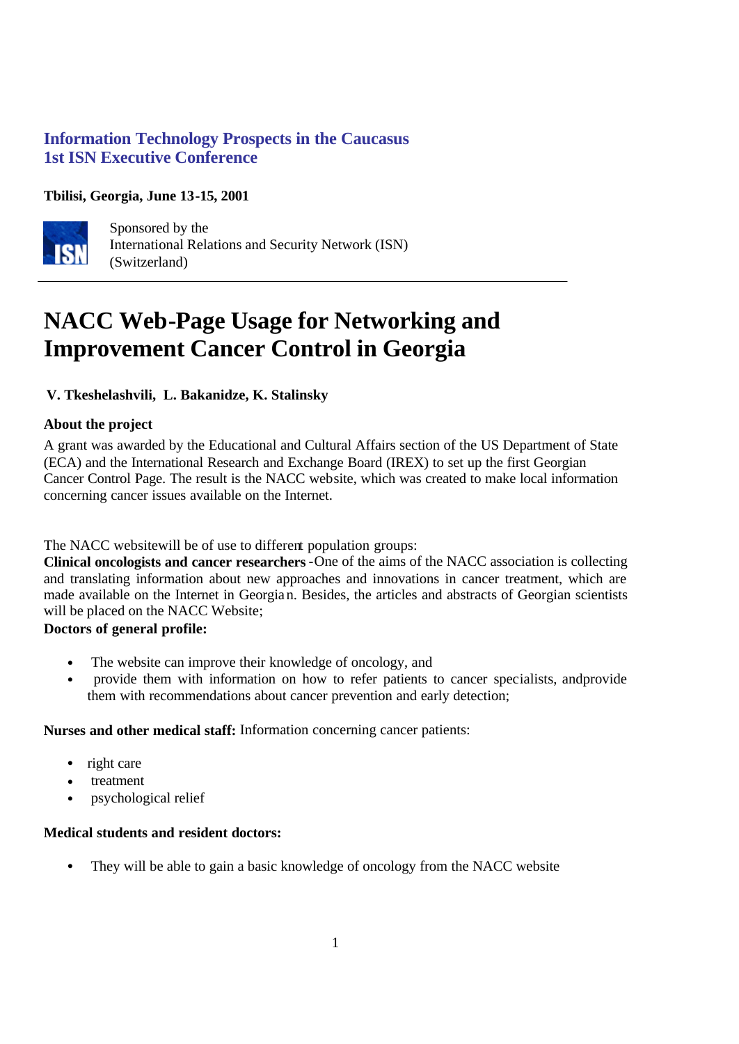# **Information Technology Prospects in the Caucasus 1st ISN Executive Conference**

# **Tbilisi, Georgia, June 13-15, 2001**



Sponsored by the International Relations and Security Network (ISN) (Switzerland)

# **NACC Web-Page Usage for Networking and Improvement Cancer Control in Georgia**

# **V. Tkeshelashvili, L. Bakanidze, K. Stalinsky**

# **About the project**

A grant was awarded by the Educational and Cultural Affairs section of the US Department of State (ECA) and the International Research and Exchange Board (IREX) to set up the first Georgian Cancer Control Page. The result is the NACC website, which was created to make local information concerning cancer issues available on the Internet.

## The NACC websitewill be of use to different population groups:

**Clinical oncologists and cancer researchers**-One of the aims of the NACC association is collecting and translating information about new approaches and innovations in cancer treatment, which are made available on the Internet in Georgian. Besides, the articles and abstracts of Georgian scientists will be placed on the NACC Website;

## **Doctors of general profile:**

- The website can improve their knowledge of oncology, and
- provide them with information on how to refer patients to cancer specialists, andprovide them with recommendations about cancer prevention and early detection;

## **Nurses and other medical staff:** Information concerning cancer patients:

- right care
- treatment
- psychological relief

## **Medical students and resident doctors:**

• They will be able to gain a basic knowledge of oncology from the NACC website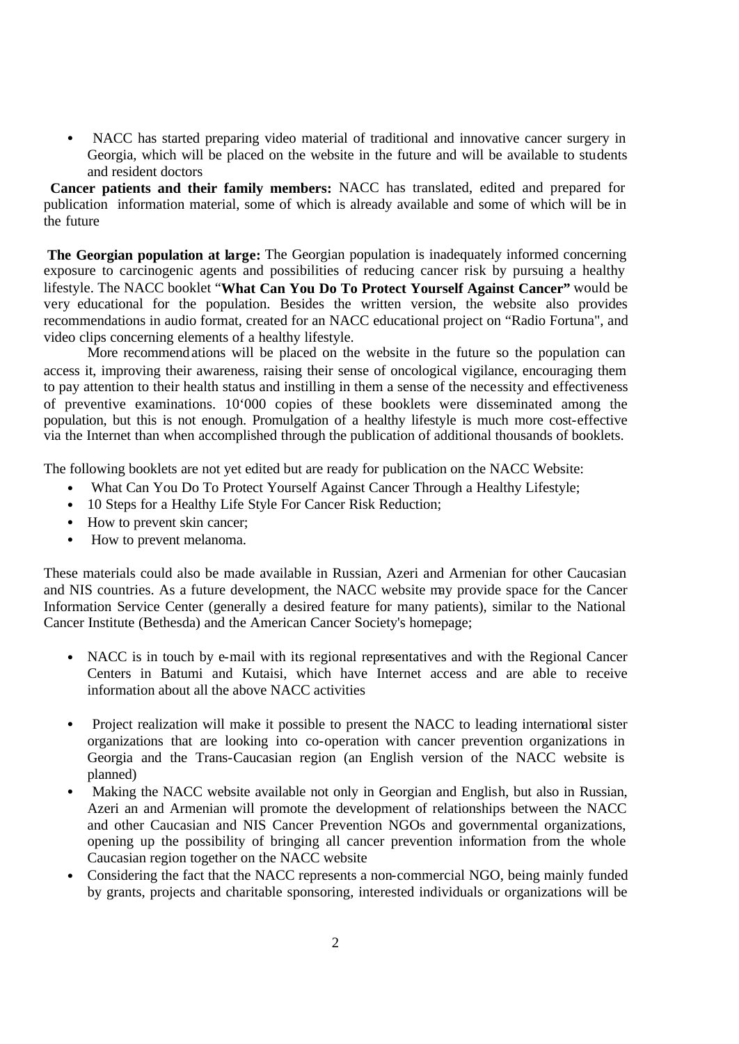• NACC has started preparing video material of traditional and innovative cancer surgery in Georgia, which will be placed on the website in the future and will be available to students and resident doctors

 **Cancer patients and their family members:** NACC has translated, edited and prepared for publication information material, some of which is already available and some of which will be in the future

**The Georgian population at large:** The Georgian population is inadequately informed concerning exposure to carcinogenic agents and possibilities of reducing cancer risk by pursuing a healthy lifestyle. The NACC booklet "**What Can You Do To Protect Yourself Against Cancer"** would be very educational for the population. Besides the written version, the website also provides recommendations in audio format, created for an NACC educational project on "Radio Fortuna", and video clips concerning elements of a healthy lifestyle.

More recommendations will be placed on the website in the future so the population can access it, improving their awareness, raising their sense of oncological vigilance, encouraging them to pay attention to their health status and instilling in them a sense of the necessity and effectiveness of preventive examinations. 10'000 copies of these booklets were disseminated among the population, but this is not enough. Promulgation of a healthy lifestyle is much more cost-effective via the Internet than when accomplished through the publication of additional thousands of booklets.

The following booklets are not yet edited but are ready for publication on the NACC Website:

- What Can You Do To Protect Yourself Against Cancer Through a Healthy Lifestyle;
- 10 Steps for a Healthy Life Style For Cancer Risk Reduction;
- How to prevent skin cancer;
- How to prevent melanoma.

These materials could also be made available in Russian, Azeri and Armenian for other Caucasian and NIS countries. As a future development, the NACC website may provide space for the Cancer Information Service Center (generally a desired feature for many patients), similar to the National Cancer Institute (Bethesda) and the American Cancer Society's homepage;

- NACC is in touch by e-mail with its regional representatives and with the Regional Cancer Centers in Batumi and Kutaisi, which have Internet access and are able to receive information about all the above NACC activities
- Project realization will make it possible to present the NACC to leading international sister organizations that are looking into co-operation with cancer prevention organizations in Georgia and the Trans-Caucasian region (an English version of the NACC website is planned)
- Making the NACC website available not only in Georgian and English, but also in Russian, Azeri an and Armenian will promote the development of relationships between the NACC and other Caucasian and NIS Cancer Prevention NGOs and governmental organizations, opening up the possibility of bringing all cancer prevention information from the whole Caucasian region together on the NACC website
- Considering the fact that the NACC represents a non-commercial NGO, being mainly funded by grants, projects and charitable sponsoring, interested individuals or organizations will be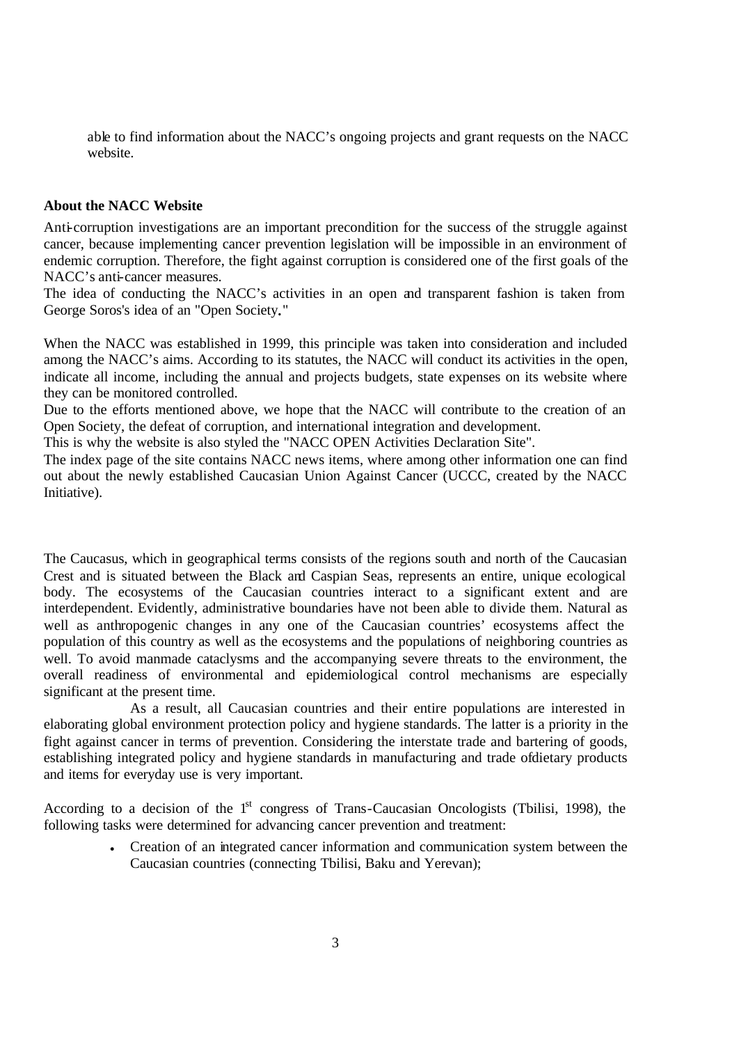able to find information about the NACC's ongoing projects and grant requests on the NACC website.

#### **About the NACC Website**

Anti-corruption investigations are an important precondition for the success of the struggle against cancer, because implementing cancer prevention legislation will be impossible in an environment of endemic corruption. Therefore, the fight against corruption is considered one of the first goals of the NACC's anti-cancer measures.

The idea of conducting the NACC's activities in an open and transparent fashion is taken from George Soros's idea of an "Open Society**.**"

When the NACC was established in 1999, this principle was taken into consideration and included among the NACC's aims. According to its statutes, the NACC will conduct its activities in the open, indicate all income, including the annual and projects budgets, state expenses on its website where they can be monitored controlled.

Due to the efforts mentioned above, we hope that the NACC will contribute to the creation of an Open Society, the defeat of corruption, and international integration and development.

This is why the website is also styled the "NACC OPEN Activities Declaration Site".

The index page of the site contains NACC news items, where among other information one can find out about the newly established Caucasian Union Against Cancer (UCCC, created by the NACC Initiative).

The Caucasus, which in geographical terms consists of the regions south and north of the Caucasian Crest and is situated between the Black and Caspian Seas, represents an entire, unique ecological body. The ecosystems of the Caucasian countries interact to a significant extent and are interdependent. Evidently, administrative boundaries have not been able to divide them. Natural as well as anthropogenic changes in any one of the Caucasian countries' ecosystems affect the population of this country as well as the ecosystems and the populations of neighboring countries as well. To avoid manmade cataclysms and the accompanying severe threats to the environment, the overall readiness of environmental and epidemiological control mechanisms are especially significant at the present time.

As a result, all Caucasian countries and their entire populations are interested in elaborating global environment protection policy and hygiene standards. The latter is a priority in the fight against cancer in terms of prevention. Considering the interstate trade and bartering of goods, establishing integrated policy and hygiene standards in manufacturing and trade ofdietary products and items for everyday use is very important.

According to a decision of the  $1<sup>st</sup>$  congress of Trans-Caucasian Oncologists (Tbilisi, 1998), the following tasks were determined for advancing cancer prevention and treatment:

> • Creation of an integrated cancer information and communication system between the Caucasian countries (connecting Tbilisi, Baku and Yerevan);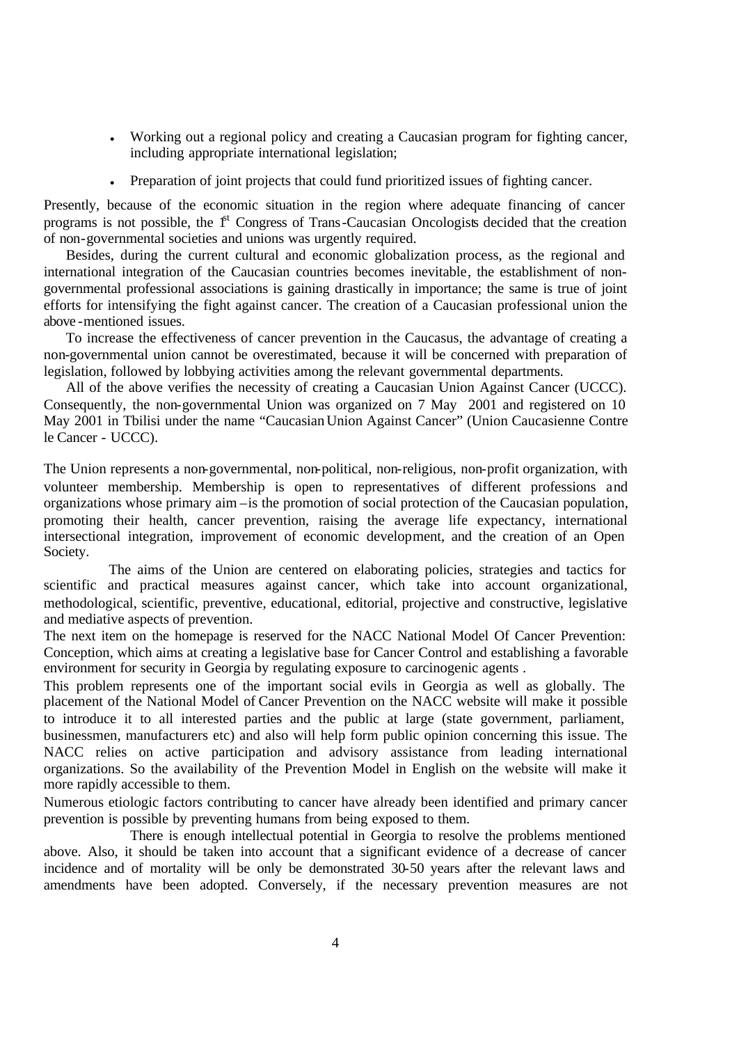- Working out a regional policy and creating a Caucasian program for fighting cancer, including appropriate international legislation;
- Preparation of joint projects that could fund prioritized issues of fighting cancer.

Presently, because of the economic situation in the region where adequate financing of cancer programs is not possible, the  $1<sup>st</sup>$  Congress of Trans-Caucasian Oncologists decided that the creation of non-governmental societies and unions was urgently required.

Besides, during the current cultural and economic globalization process, as the regional and international integration of the Caucasian countries becomes inevitable, the establishment of nongovernmental professional associations is gaining drastically in importance; the same is true of joint efforts for intensifying the fight against cancer. The creation of a Caucasian professional union the above -mentioned issues.

To increase the effectiveness of cancer prevention in the Caucasus, the advantage of creating a non-governmental union cannot be overestimated, because it will be concerned with preparation of legislation, followed by lobbying activities among the relevant governmental departments.

All of the above verifies the necessity of creating a Caucasian Union Against Cancer (UCCC). Consequently, the non-governmental Union was organized on 7 May 2001 and registered on 10 May 2001 in Tbilisi under the name "Caucasian Union Against Cancer" (Union Caucasienne Contre le Cancer - UCCC).

The Union represents a non-governmental, non-political, non-religious, non-profit organization, with volunteer membership. Membership is open to representatives of different professions and organizations whose primary aim –is the promotion of social protection of the Caucasian population, promoting their health, cancer prevention, raising the average life expectancy, international intersectional integration, improvement of economic development, and the creation of an Open Society.

The aims of the Union are centered on elaborating policies, strategies and tactics for scientific and practical measures against cancer, which take into account organizational, methodological, scientific, preventive, educational, editorial, projective and constructive, legislative and mediative aspects of prevention.

The next item on the homepage is reserved for the NACC National Model Of Cancer Prevention: Conception, which aims at creating a legislative base for Cancer Control and establishing a favorable environment for security in Georgia by regulating exposure to carcinogenic agents .

This problem represents one of the important social evils in Georgia as well as globally. The placement of the National Model of Cancer Prevention on the NACC website will make it possible to introduce it to all interested parties and the public at large (state government, parliament, businessmen, manufacturers etc) and also will help form public opinion concerning this issue. The NACC relies on active participation and advisory assistance from leading international organizations. So the availability of the Prevention Model in English on the website will make it more rapidly accessible to them.

Numerous etiologic factors contributing to cancer have already been identified and primary cancer prevention is possible by preventing humans from being exposed to them.

There is enough intellectual potential in Georgia to resolve the problems mentioned above. Also, it should be taken into account that a significant evidence of a decrease of cancer incidence and of mortality will be only be demonstrated 30-50 years after the relevant laws and amendments have been adopted. Conversely, if the necessary prevention measures are not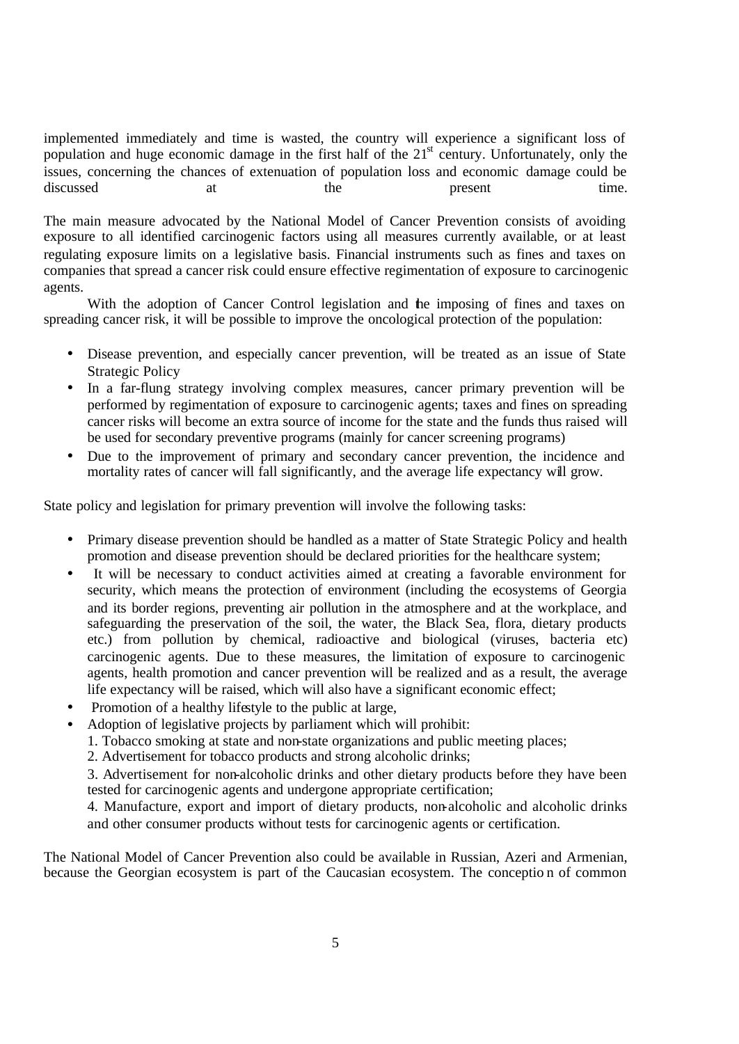implemented immediately and time is wasted, the country will experience a significant loss of population and huge economic damage in the first half of the  $21<sup>st</sup>$  century. Unfortunately, only the issues, concerning the chances of extenuation of population loss and economic damage could be discussed at the present time.

The main measure advocated by the National Model of Cancer Prevention consists of avoiding exposure to all identified carcinogenic factors using all measures currently available, or at least regulating exposure limits on a legislative basis. Financial instruments such as fines and taxes on companies that spread a cancer risk could ensure effective regimentation of exposure to carcinogenic agents.

With the adoption of Cancer Control legislation and the imposing of fines and taxes on spreading cancer risk, it will be possible to improve the oncological protection of the population:

- Disease prevention, and especially cancer prevention, will be treated as an issue of State Strategic Policy
- In a far-flung strategy involving complex measures, cancer primary prevention will be performed by regimentation of exposure to carcinogenic agents; taxes and fines on spreading cancer risks will become an extra source of income for the state and the funds thus raised will be used for secondary preventive programs (mainly for cancer screening programs)
- Due to the improvement of primary and secondary cancer prevention, the incidence and mortality rates of cancer will fall significantly, and the average life expectancy will grow.

State policy and legislation for primary prevention will involve the following tasks:

- Primary disease prevention should be handled as a matter of State Strategic Policy and health promotion and disease prevention should be declared priorities for the healthcare system;
- It will be necessary to conduct activities aimed at creating a favorable environment for security, which means the protection of environment (including the ecosystems of Georgia and its border regions, preventing air pollution in the atmosphere and at the workplace, and safeguarding the preservation of the soil, the water, the Black Sea, flora, dietary products etc.) from pollution by chemical, radioactive and biological (viruses, bacteria etc) carcinogenic agents. Due to these measures, the limitation of exposure to carcinogenic agents, health promotion and cancer prevention will be realized and as a result, the average life expectancy will be raised, which will also have a significant economic effect;
- Promotion of a healthy lifestyle to the public at large,
- Adoption of legislative projects by parliament which will prohibit:
	- 1. Tobacco smoking at state and non-state organizations and public meeting places;
	- 2. Advertisement for tobacco products and strong alcoholic drinks;

3. Advertisement for non-alcoholic drinks and other dietary products before they have been tested for carcinogenic agents and undergone appropriate certification;

4. Manufacture, export and import of dietary products, non-alcoholic and alcoholic drinks and other consumer products without tests for carcinogenic agents or certification.

The National Model of Cancer Prevention also could be available in Russian, Azeri and Armenian, because the Georgian ecosystem is part of the Caucasian ecosystem. The conceptio n of common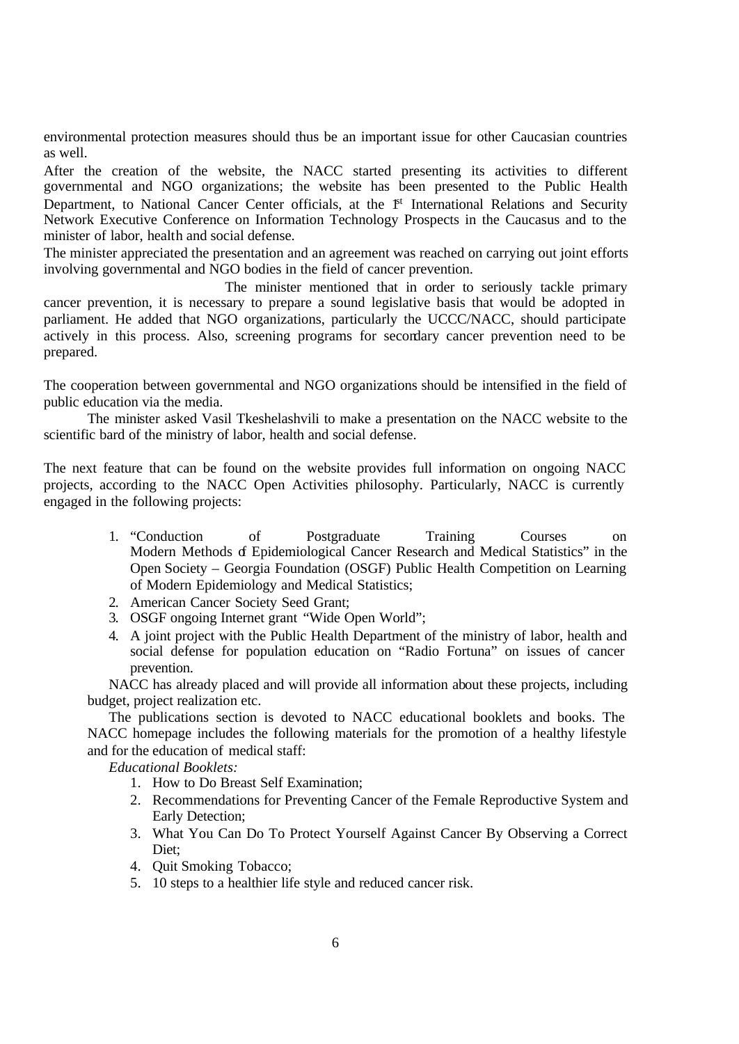environmental protection measures should thus be an important issue for other Caucasian countries as well.

After the creation of the website, the NACC started presenting its activities to different governmental and NGO organizations; the website has been presented to the Public Health Department, to National Cancer Center officials, at the <sup>1st</sup> International Relations and Security Network Executive Conference on Information Technology Prospects in the Caucasus and to the minister of labor, health and social defense.

The minister appreciated the presentation and an agreement was reached on carrying out joint efforts involving governmental and NGO bodies in the field of cancer prevention.

The minister mentioned that in order to seriously tackle primary cancer prevention, it is necessary to prepare a sound legislative basis that would be adopted in parliament. He added that NGO organizations, particularly the UCCC/NACC, should participate actively in this process. Also, screening programs for secondary cancer prevention need to be prepared.

The cooperation between governmental and NGO organizations should be intensified in the field of public education via the media.

The minister asked Vasil Tkeshelashvili to make a presentation on the NACC website to the scientific bard of the ministry of labor, health and social defense.

The next feature that can be found on the website provides full information on ongoing NACC projects, according to the NACC Open Activities philosophy. Particularly, NACC is currently engaged in the following projects:

- 1. "Conduction of Postgraduate Training Courses on Modern Methods of Epidemiological Cancer Research and Medical Statistics" in the Open Society – Georgia Foundation (OSGF) Public Health Competition on Learning of Modern Epidemiology and Medical Statistics;
- 2. American Cancer Society Seed Grant;
- 3. OSGF ongoing Internet grant "Wide Open World";
- 4. A joint project with the Public Health Department of the ministry of labor, health and social defense for population education on "Radio Fortuna" on issues of cancer prevention.

NACC has already placed and will provide all information about these projects, including budget, project realization etc.

The publications section is devoted to NACC educational booklets and books. The NACC homepage includes the following materials for the promotion of a healthy lifestyle and for the education of medical staff:

*Educational Booklets:*

- 1. How to Do Breast Self Examination;
- 2. Recommendations for Preventing Cancer of the Female Reproductive System and Early Detection;
- 3. What You Can Do To Protect Yourself Against Cancer By Observing a Correct Diet:
- 4. Quit Smoking Tobacco;
- 5. 10 steps to a healthier life style and reduced cancer risk.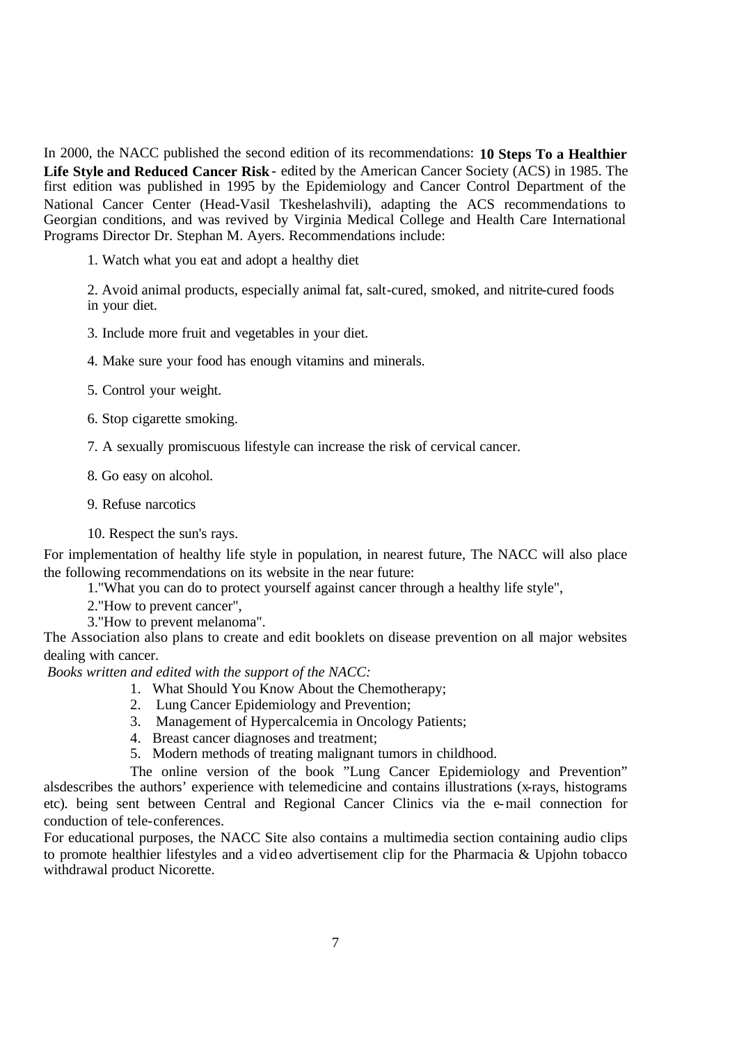In 2000, the NACC published the second edition of its recommendations: **10 Steps To a Healthier Life Style and Reduced Cancer Risk**- edited by the American Cancer Society (ACS) in 1985. The first edition was published in 1995 by the Epidemiology and Cancer Control Department of the National Cancer Center (Head-Vasil Tkeshelashvili), adapting the ACS recommendations to Georgian conditions, and was revived by Virginia Medical College and Health Care International Programs Director Dr. Stephan M. Ayers. Recommendations include:

1. Watch what you eat and adopt a healthy diet

2. Avoid animal products, especially animal fat, salt-cured, smoked, and nitrite-cured foods in your diet.

3. Include more fruit and vegetables in your diet.

4. Make sure your food has enough vitamins and minerals.

5. Control your weight.

6. Stop cigarette smoking.

7. A sexually promiscuous lifestyle can increase the risk of cervical cancer.

8. Go easy on alcohol.

9. Refuse narcotics

10. Respect the sun's rays.

For implementation of healthy life style in population, in nearest future, The NACC will also place the following recommendations on its website in the near future:

1."What you can do to protect yourself against cancer through a healthy life style",

2."How to prevent cancer",

3."How to prevent melanoma".

The Association also plans to create and edit booklets on disease prevention on all major websites dealing with cancer.

*Books written and edited with the support of the NACC:*

- 1. What Should You Know About the Chemotherapy;
- 2. Lung Cancer Epidemiology and Prevention;
- 3. Management of Hypercalcemia in Oncology Patients;
- 4. Breast cancer diagnoses and treatment;
- 5. Modern methods of treating malignant tumors in childhood.

The online version of the book "Lung Cancer Epidemiology and Prevention" alsdescribes the authors' experience with telemedicine and contains illustrations (x-rays, histograms etc). being sent between Central and Regional Cancer Clinics via the e-mail connection for conduction of tele-conferences.

For educational purposes, the NACC Site also contains a multimedia section containing audio clips to promote healthier lifestyles and a video advertisement clip for the Pharmacia & Upjohn tobacco withdrawal product Nicorette.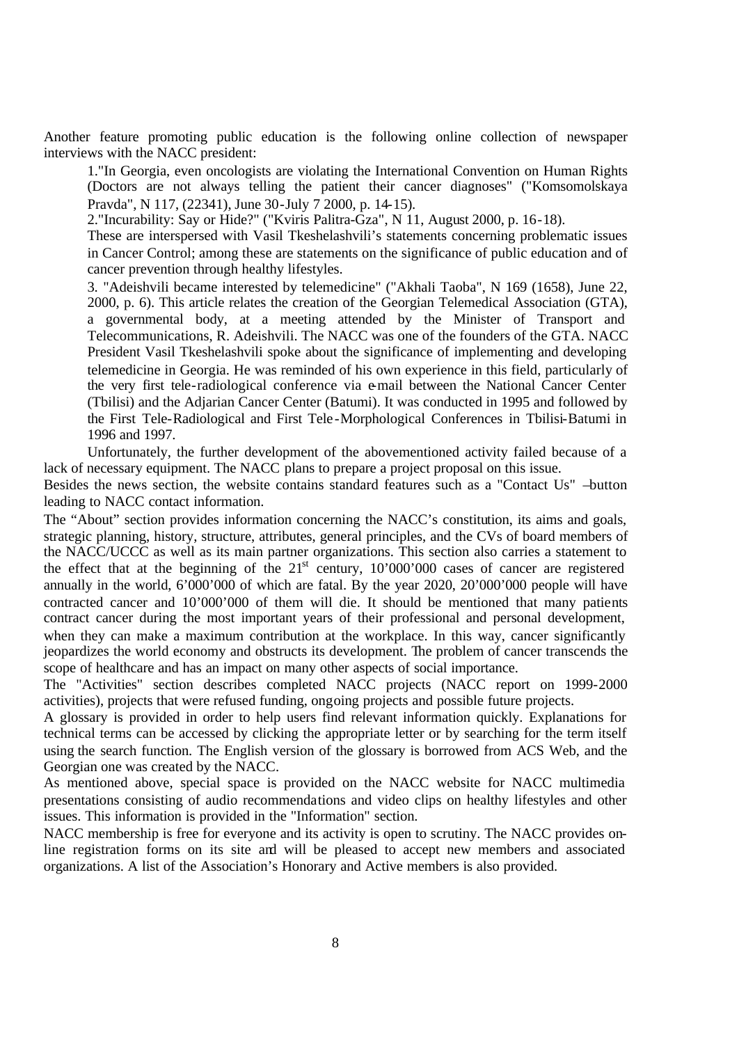Another feature promoting public education is the following online collection of newspaper interviews with the NACC president:

1."In Georgia, even oncologists are violating the International Convention on Human Rights (Doctors are not always telling the patient their cancer diagnoses" ("Komsomolskaya Pravda", N 117, (22341), June 30-July 7 2000, p. 14-15).

2."Incurability: Say or Hide?" ("Kviris Palitra-Gza", N 11, August 2000, p. 16-18).

These are interspersed with Vasil Tkeshelashvili's statements concerning problematic issues in Cancer Control; among these are statements on the significance of public education and of cancer prevention through healthy lifestyles.

3. "Adeishvili became interested by telemedicine" ("Akhali Taoba", N 169 (1658), June 22, 2000, p. 6). This article relates the creation of the Georgian Telemedical Association (GTA), a governmental body, at a meeting attended by the Minister of Transport and Telecommunications, R. Adeishvili. The NACC was one of the founders of the GTA. NACC President Vasil Tkeshelashvili spoke about the significance of implementing and developing telemedicine in Georgia. He was reminded of his own experience in this field, particularly of the very first tele-radiological conference via e-mail between the National Cancer Center (Tbilisi) and the Adjarian Cancer Center (Batumi). It was conducted in 1995 and followed by the First Tele-Radiological and First Tele -Morphological Conferences in Tbilisi-Batumi in 1996 and 1997.

Unfortunately, the further development of the abovementioned activity failed because of a lack of necessary equipment. The NACC plans to prepare a project proposal on this issue.

Besides the news section, the website contains standard features such as a "Contact Us" –button leading to NACC contact information.

The "About" section provides information concerning the NACC's constitution, its aims and goals, strategic planning, history, structure, attributes, general principles, and the CVs of board members of the NACC/UCCC as well as its main partner organizations. This section also carries a statement to the effect that at the beginning of the  $21<sup>st</sup>$  century, 10'000'000 cases of cancer are registered annually in the world, 6'000'000 of which are fatal. By the year 2020, 20'000'000 people will have contracted cancer and 10'000'000 of them will die. It should be mentioned that many patients contract cancer during the most important years of their professional and personal development, when they can make a maximum contribution at the workplace. In this way, cancer significantly jeopardizes the world economy and obstructs its development. The problem of cancer transcends the scope of healthcare and has an impact on many other aspects of social importance.

The "Activities" section describes completed NACC projects (NACC report on 1999-2000 activities), projects that were refused funding, ongoing projects and possible future projects.

A glossary is provided in order to help users find relevant information quickly. Explanations for technical terms can be accessed by clicking the appropriate letter or by searching for the term itself using the search function. The English version of the glossary is borrowed from ACS Web, and the Georgian one was created by the NACC.

As mentioned above, special space is provided on the NACC website for NACC multimedia presentations consisting of audio recommendations and video clips on healthy lifestyles and other issues. This information is provided in the "Information" section.

NACC membership is free for everyone and its activity is open to scrutiny. The NACC provides online registration forms on its site and will be pleased to accept new members and associated organizations. A list of the Association's Honorary and Active members is also provided.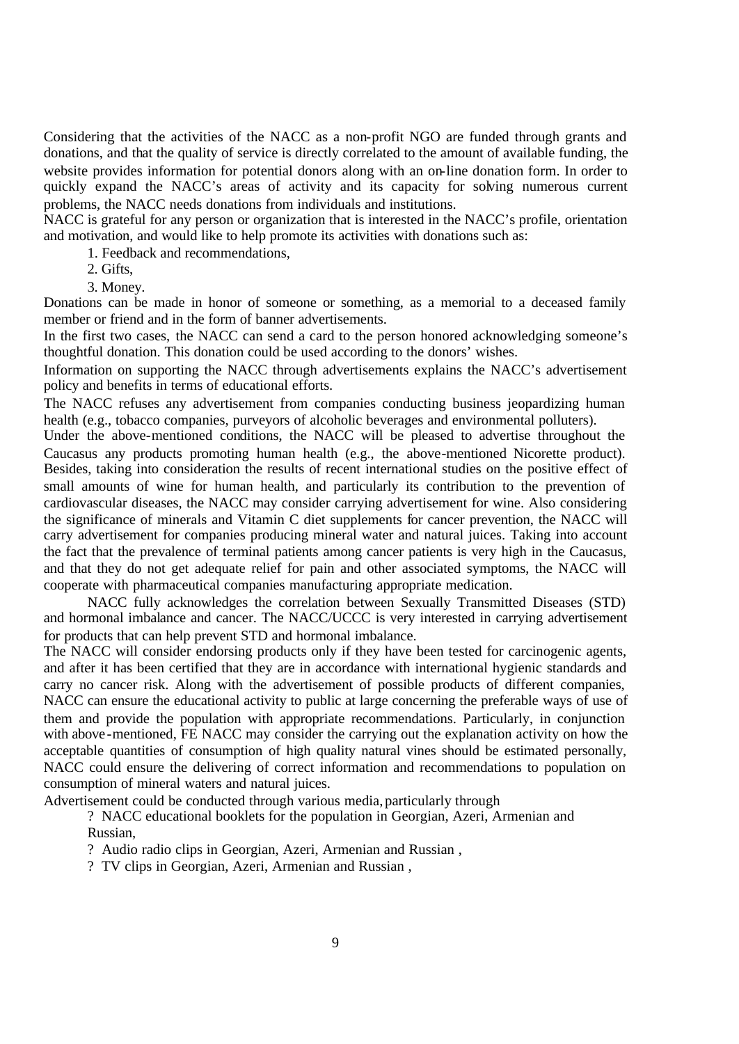Considering that the activities of the NACC as a non-profit NGO are funded through grants and donations, and that the quality of service is directly correlated to the amount of available funding, the website provides information for potential donors along with an on-line donation form. In order to quickly expand the NACC's areas of activity and its capacity for solving numerous current problems, the NACC needs donations from individuals and institutions.

NACC is grateful for any person or organization that is interested in the NACC's profile, orientation and motivation, and would like to help promote its activities with donations such as:

- 1. Feedback and recommendations,
- 2. Gifts,
- 3. Money.

Donations can be made in honor of someone or something, as a memorial to a deceased family member or friend and in the form of banner advertisements.

In the first two cases, the NACC can send a card to the person honored acknowledging someone's thoughtful donation. This donation could be used according to the donors' wishes.

Information on supporting the NACC through advertisements explains the NACC's advertisement policy and benefits in terms of educational efforts.

The NACC refuses any advertisement from companies conducting business jeopardizing human health (e.g., tobacco companies, purveyors of alcoholic beverages and environmental polluters).

Under the above-mentioned conditions, the NACC will be pleased to advertise throughout the Caucasus any products promoting human health (e.g., the above-mentioned Nicorette product). Besides, taking into consideration the results of recent international studies on the positive effect of small amounts of wine for human health, and particularly its contribution to the prevention of cardiovascular diseases, the NACC may consider carrying advertisement for wine. Also considering the significance of minerals and Vitamin C diet supplements for cancer prevention, the NACC will carry advertisement for companies producing mineral water and natural juices. Taking into account the fact that the prevalence of terminal patients among cancer patients is very high in the Caucasus, and that they do not get adequate relief for pain and other associated symptoms, the NACC will cooperate with pharmaceutical companies manufacturing appropriate medication.

NACC fully acknowledges the correlation between Sexually Transmitted Diseases (STD) and hormonal imbalance and cancer. The NACC/UCCC is very interested in carrying advertisement for products that can help prevent STD and hormonal imbalance.

The NACC will consider endorsing products only if they have been tested for carcinogenic agents, and after it has been certified that they are in accordance with international hygienic standards and carry no cancer risk. Along with the advertisement of possible products of different companies, NACC can ensure the educational activity to public at large concerning the preferable ways of use of them and provide the population with appropriate recommendations. Particularly, in conjunction with above-mentioned, FE NACC may consider the carrying out the explanation activity on how the acceptable quantities of consumption of high quality natural vines should be estimated personally, NACC could ensure the delivering of correct information and recommendations to population on consumption of mineral waters and natural juices.

Advertisement could be conducted through various media, particularly through

? NACC educational booklets for the population in Georgian, Azeri, Armenian and Russian,

? Audio radio clips in Georgian, Azeri, Armenian and Russian ,

? TV clips in Georgian, Azeri, Armenian and Russian ,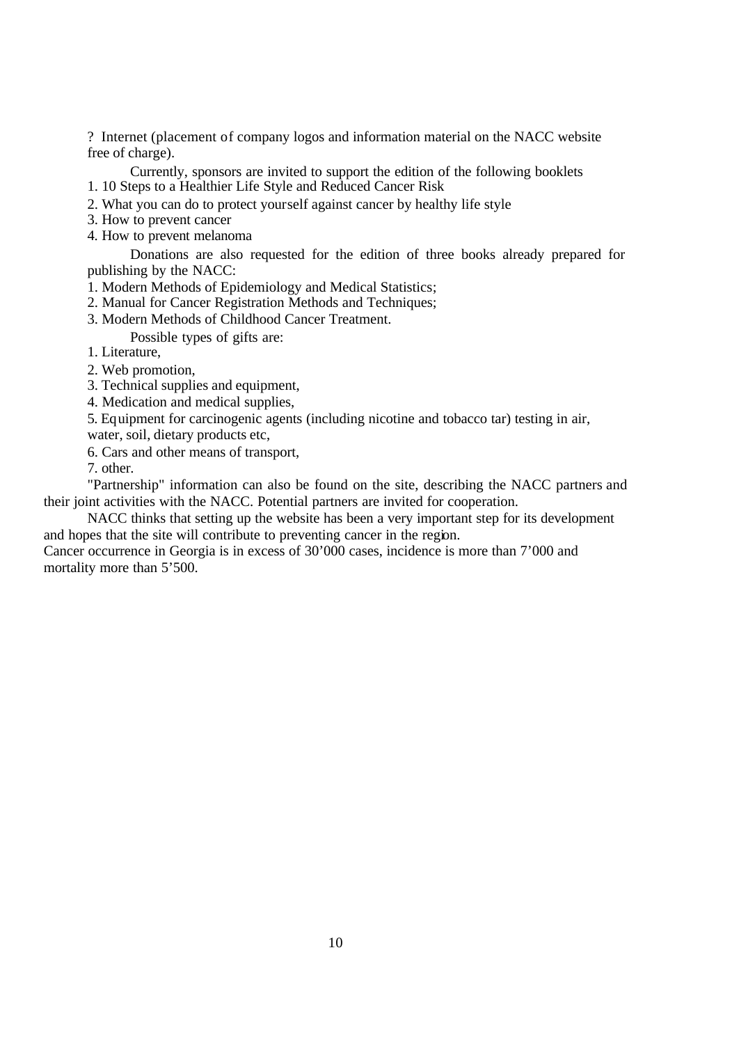? Internet (placement of company logos and information material on the NACC website free of charge).

Currently, sponsors are invited to support the edition of the following booklets 1. 10 Steps to a Healthier Life Style and Reduced Cancer Risk

2. What you can do to protect yourself against cancer by healthy life style

- 3. How to prevent cancer
- 4. How to prevent melanoma

Donations are also requested for the edition of three books already prepared for publishing by the NACC:

1. Modern Methods of Epidemiology and Medical Statistics;

- 2. Manual for Cancer Registration Methods and Techniques;
- 3. Modern Methods of Childhood Cancer Treatment.

Possible types of gifts are:

1. Literature,

2. Web promotion,

3. Technical supplies and equipment,

4. Medication and medical supplies,

5. Equipment for carcinogenic agents (including nicotine and tobacco tar) testing in air,

water, soil, dietary products etc,

6. Cars and other means of transport,

7. other.

"Partnership" information can also be found on the site, describing the NACC partners and their joint activities with the NACC. Potential partners are invited for cooperation.

NACC thinks that setting up the website has been a very important step for its development and hopes that the site will contribute to preventing cancer in the region.

Cancer occurrence in Georgia is in excess of 30'000 cases, incidence is more than 7'000 and mortality more than 5'500.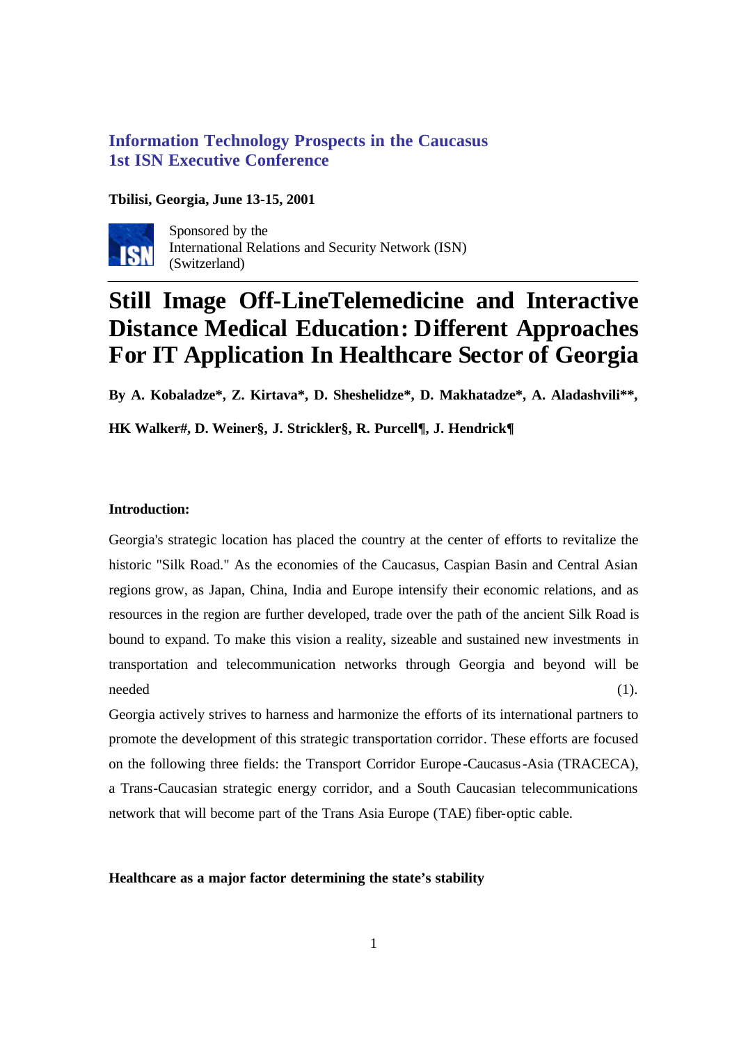# **Information Technology Prospects in the Caucasus 1st ISN Executive Conference**

#### **Tbilisi, Georgia, June 13-15, 2001**



Sponsored by the International Relations and Security Network (ISN) (Switzerland)

# **Still Image Off-LineTelemedicine and Interactive Distance Medical Education: Different Approaches For IT Application In Healthcare Sector of Georgia**

**By A. Kobaladze\*, Z. Kirtava\*, D. Sheshelidze\*, D. Makhatadze\*, A. Aladashvili\*\*,** 

**HK Walker#, D. Weiner§, J. Strickler§, R. Purcell¶, J. Hendrick¶**

## **Introduction:**

Georgia's strategic location has placed the country at the center of efforts to revitalize the historic "Silk Road." As the economies of the Caucasus, Caspian Basin and Central Asian regions grow, as Japan, China, India and Europe intensify their economic relations, and as resources in the region are further developed, trade over the path of the ancient Silk Road is bound to expand. To make this vision a reality, sizeable and sustained new investments in transportation and telecommunication networks through Georgia and beyond will be needed (1).

Georgia actively strives to harness and harmonize the efforts of its international partners to promote the development of this strategic transportation corridor. These efforts are focused on the following three fields: the Transport Corridor Europe -Caucasus-Asia (TRACECA), a Trans-Caucasian strategic energy corridor, and a South Caucasian telecommunications network that will become part of the Trans Asia Europe (TAE) fiber-optic cable.

#### **Healthcare as a major factor determining the state's stability**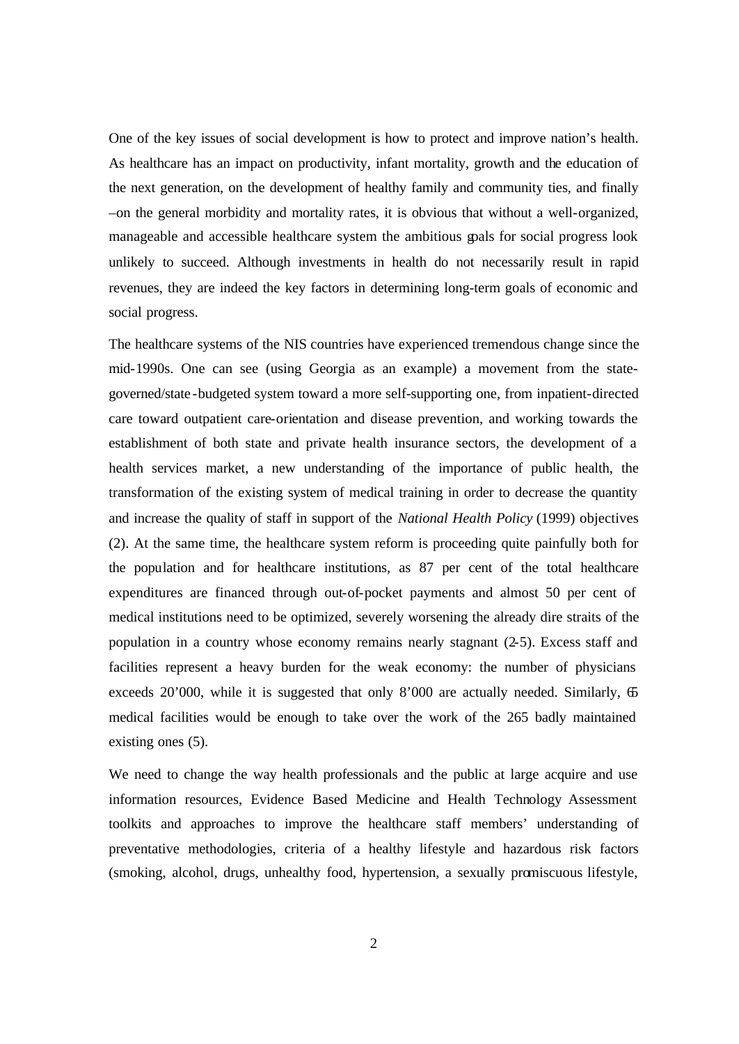One of the key issues of social development is how to protect and improve nation's health. As healthcare has an impact on productivity, infant mortality, growth and the education of the next generation, on the development of healthy family and community ties, and finally –on the general morbidity and mortality rates, it is obvious that without a well-organized, manageable and accessible healthcare system the ambitious goals for social progress look unlikely to succeed. Although investments in health do not necessarily result in rapid revenues, they are indeed the key factors in determining long-term goals of economic and social progress.

The healthcare systems of the NIS countries have experienced tremendous change since the mid-1990s. One can see (using Georgia as an example) a movement from the stategoverned/state -budgeted system toward a more self-supporting one, from inpatient-directed care toward outpatient care-orientation and disease prevention, and working towards the establishment of both state and private health insurance sectors, the development of a health services market, a new understanding of the importance of public health, the transformation of the existing system of medical training in order to decrease the quantity and increase the quality of staff in support of the *National Health Policy* (1999) objectives (2). At the same time, the healthcare system reform is proceeding quite painfully both for the population and for healthcare institutions, as 87 per cent of the total healthcare expenditures are financed through out-of-pocket payments and almost 50 per cent of medical institutions need to be optimized, severely worsening the already dire straits of the population in a country whose economy remains nearly stagnant (2-5). Excess staff and facilities represent a heavy burden for the weak economy: the number of physicians exceeds 20'000, while it is suggested that only 8'000 are actually needed. Similarly,  $65$ medical facilities would be enough to take over the work of the 265 badly maintained existing ones (5).

We need to change the way health professionals and the public at large acquire and use information resources, Evidence Based Medicine and Health Technology Assessment toolkits and approaches to improve the healthcare staff members' understanding of preventative methodologies, criteria of a healthy lifestyle and hazardous risk factors (smoking, alcohol, drugs, unhealthy food, hypertension, a sexually promiscuous lifestyle,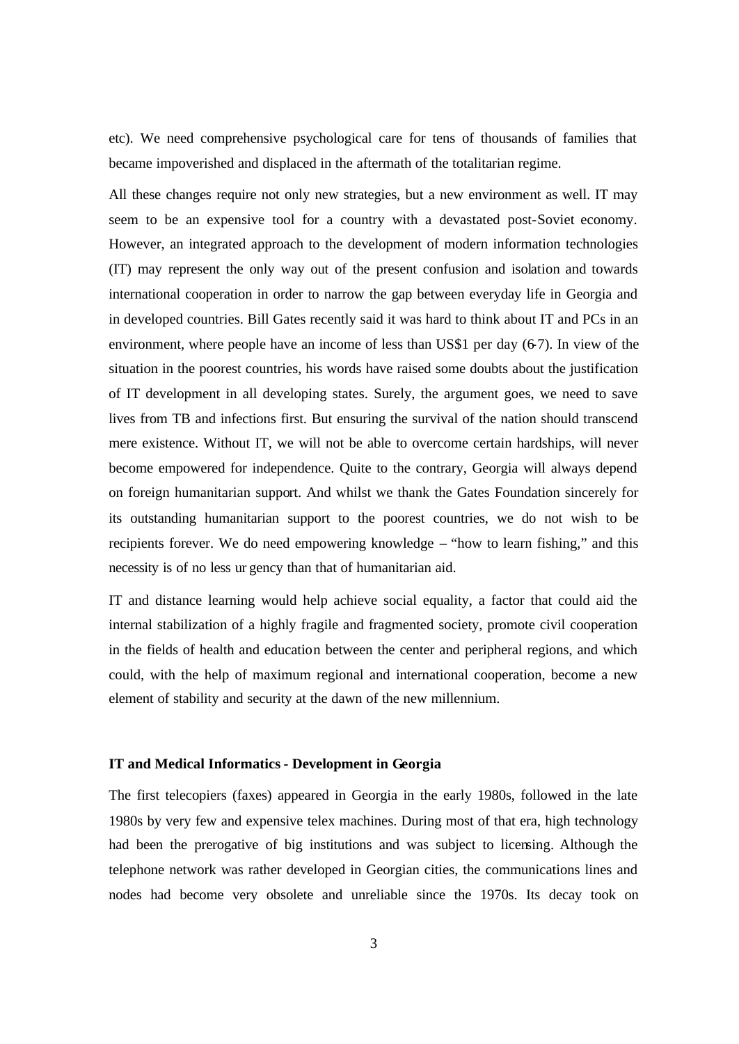etc). We need comprehensive psychological care for tens of thousands of families that became impoverished and displaced in the aftermath of the totalitarian regime.

All these changes require not only new strategies, but a new environment as well. IT may seem to be an expensive tool for a country with a devastated post-Soviet economy. However, an integrated approach to the development of modern information technologies (IT) may represent the only way out of the present confusion and isolation and towards international cooperation in order to narrow the gap between everyday life in Georgia and in developed countries. Bill Gates recently said it was hard to think about IT and PCs in an environment, where people have an income of less than US\$1 per day (6-7). In view of the situation in the poorest countries, his words have raised some doubts about the justification of IT development in all developing states. Surely, the argument goes, we need to save lives from TB and infections first. But ensuring the survival of the nation should transcend mere existence. Without IT, we will not be able to overcome certain hardships, will never become empowered for independence. Quite to the contrary, Georgia will always depend on foreign humanitarian support. And whilst we thank the Gates Foundation sincerely for its outstanding humanitarian support to the poorest countries, we do not wish to be recipients forever. We do need empowering knowledge – "how to learn fishing," and this necessity is of no less ur gency than that of humanitarian aid.

IT and distance learning would help achieve social equality, a factor that could aid the internal stabilization of a highly fragile and fragmented society, promote civil cooperation in the fields of health and education between the center and peripheral regions, and which could, with the help of maximum regional and international cooperation, become a new element of stability and security at the dawn of the new millennium.

#### **IT and Medical Informatics - Development in Georgia**

The first telecopiers (faxes) appeared in Georgia in the early 1980s, followed in the late 1980s by very few and expensive telex machines. During most of that era, high technology had been the prerogative of big institutions and was subject to licensing. Although the telephone network was rather developed in Georgian cities, the communications lines and nodes had become very obsolete and unreliable since the 1970s. Its decay took on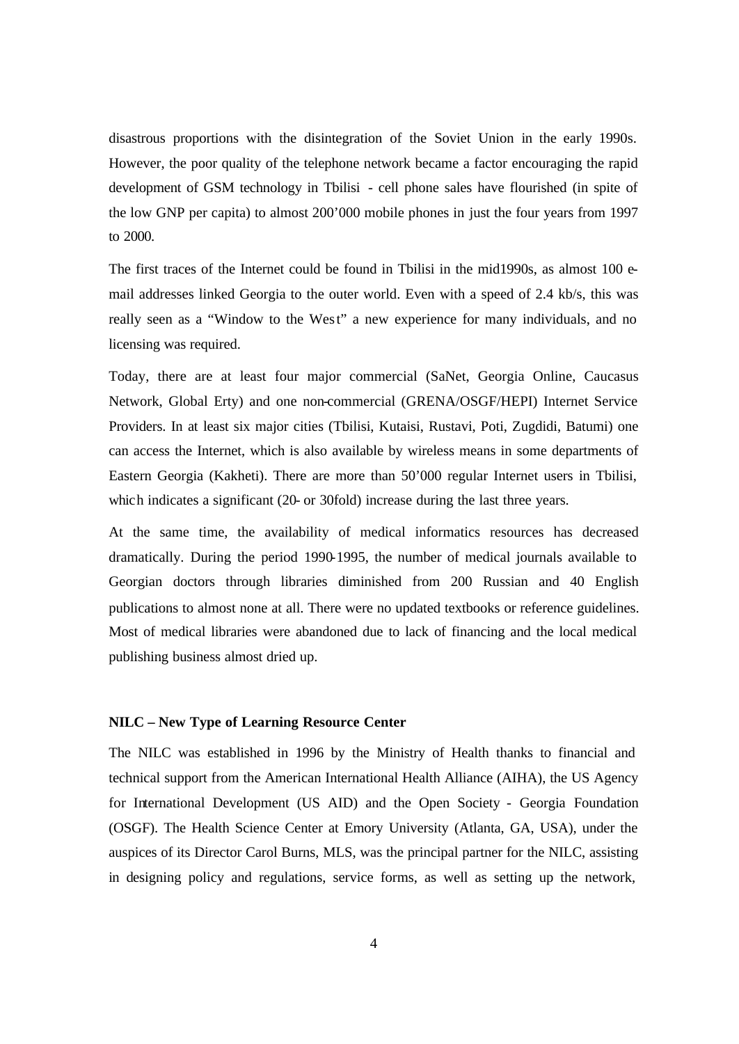disastrous proportions with the disintegration of the Soviet Union in the early 1990s. However, the poor quality of the telephone network became a factor encouraging the rapid development of GSM technology in Tbilisi - cell phone sales have flourished (in spite of the low GNP per capita) to almost 200'000 mobile phones in just the four years from 1997 to 2000.

The first traces of the Internet could be found in Tbilisi in the mid1990s, as almost 100 email addresses linked Georgia to the outer world. Even with a speed of 2.4 kb/s, this was really seen as a "Window to the West" a new experience for many individuals, and no licensing was required.

Today, there are at least four major commercial (SaNet, Georgia Online, Caucasus Network, Global Erty) and one non-commercial (GRENA/OSGF/HEPI) Internet Service Providers. In at least six major cities (Tbilisi, Kutaisi, Rustavi, Poti, Zugdidi, Batumi) one can access the Internet, which is also available by wireless means in some departments of Eastern Georgia (Kakheti). There are more than 50'000 regular Internet users in Tbilisi, which indicates a significant (20- or 30fold) increase during the last three years.

At the same time, the availability of medical informatics resources has decreased dramatically. During the period 1990-1995, the number of medical journals available to Georgian doctors through libraries diminished from 200 Russian and 40 English publications to almost none at all. There were no updated textbooks or reference guidelines. Most of medical libraries were abandoned due to lack of financing and the local medical publishing business almost dried up.

#### **NILC – New Type of Learning Resource Center**

The NILC was established in 1996 by the Ministry of Health thanks to financial and technical support from the American International Health Alliance (AIHA), the US Agency for International Development (US AID) and the Open Society - Georgia Foundation (OSGF). The Health Science Center at Emory University (Atlanta, GA, USA), under the auspices of its Director Carol Burns, MLS, was the principal partner for the NILC, assisting in designing policy and regulations, service forms, as well as setting up the network,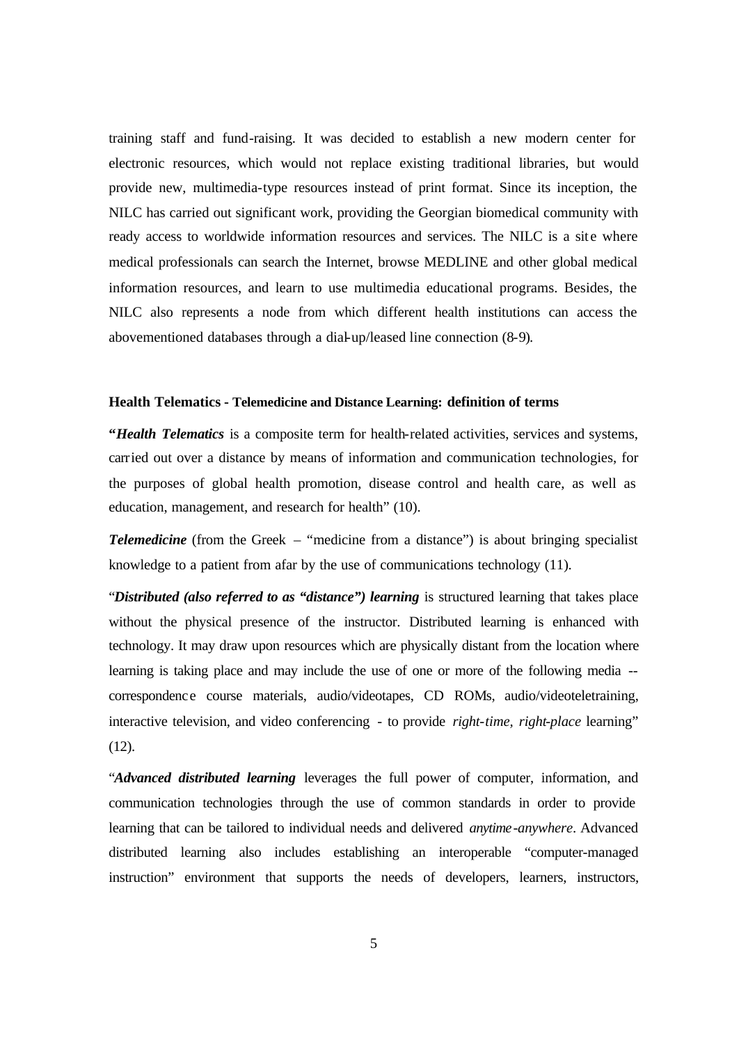training staff and fund-raising. It was decided to establish a new modern center for electronic resources, which would not replace existing traditional libraries, but would provide new, multimedia-type resources instead of print format. Since its inception, the NILC has carried out significant work, providing the Georgian biomedical community with ready access to worldwide information resources and services. The NILC is a site where medical professionals can search the Internet, browse MEDLINE and other global medical information resources, and learn to use multimedia educational programs. Besides, the NILC also represents a node from which different health institutions can access the abovementioned databases through a dial-up/leased line connection (8-9).

#### **Health Telematics - Telemedicine and Distance Learning: definition of terms**

**"***Health Telematics* is a composite term for health-related activities, services and systems, carried out over a distance by means of information and communication technologies, for the purposes of global health promotion, disease control and health care, as well as education, management, and research for health" (10).

*Telemedicine* (from the Greek – "medicine from a distance") is about bringing specialist knowledge to a patient from afar by the use of communications technology (11).

"*Distributed (also referred to as "distance") learning* is structured learning that takes place without the physical presence of the instructor. Distributed learning is enhanced with technology. It may draw upon resources which are physically distant from the location where learning is taking place and may include the use of one or more of the following media - correspondence course materials, audio/videotapes, CD ROMs, audio/videoteletraining, interactive television, and video conferencing - to provide *right-time, right-place* learning" (12).

"*Advanced distributed learning* leverages the full power of computer, information, and communication technologies through the use of common standards in order to provide learning that can be tailored to individual needs and delivered *anytime-anywhere*. Advanced distributed learning also includes establishing an interoperable "computer-managed instruction" environment that supports the needs of developers, learners, instructors,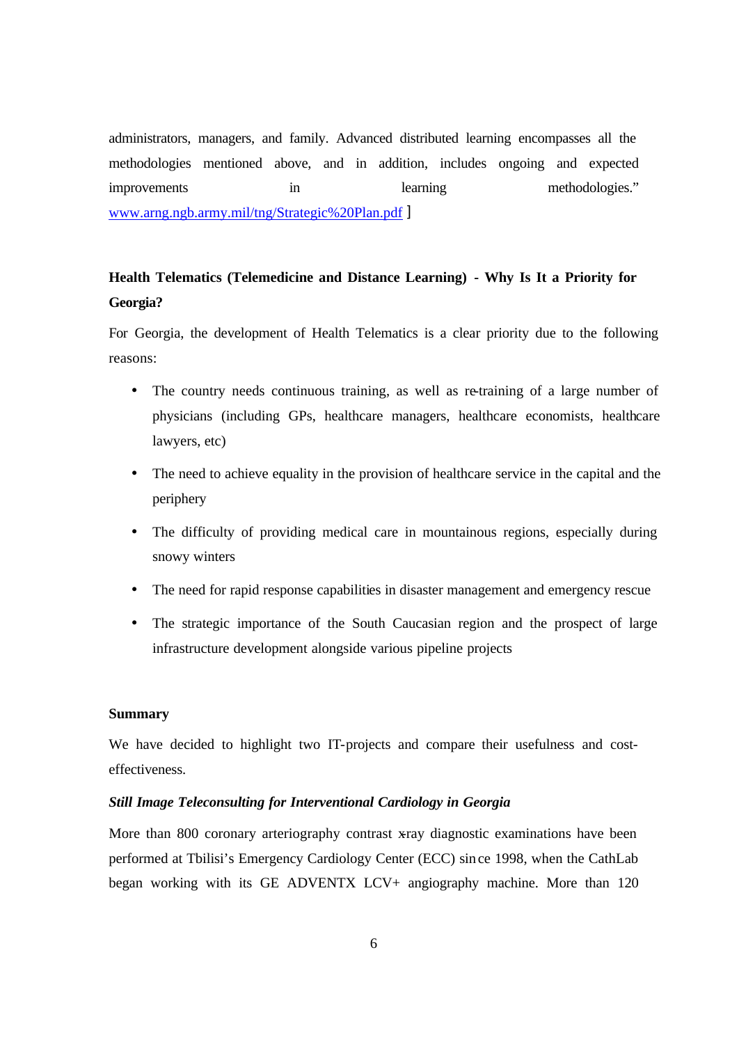administrators, managers, and family. Advanced distributed learning encompasses all the methodologies mentioned above, and in addition, includes ongoing and expected improvements in learning methodologies." www.arng.ngb.army.mil/tng/Strategic%20Plan.pdf ]

# **Health Telematics (Telemedicine and Distance Learning) - Why Is It a Priority for Georgia?**

For Georgia, the development of Health Telematics is a clear priority due to the following reasons:

- The country needs continuous training, as well as re-training of a large number of physicians (including GPs, healthcare managers, healthcare economists, healthcare lawyers, etc)
- The need to achieve equality in the provision of healthcare service in the capital and the periphery
- The difficulty of providing medical care in mountainous regions, especially during snowy winters
- The need for rapid response capabilities in disaster management and emergency rescue
- The strategic importance of the South Caucasian region and the prospect of large infrastructure development alongside various pipeline projects

#### **Summary**

We have decided to highlight two IT-projects and compare their usefulness and costeffectiveness.

#### *Still Image Teleconsulting for Interventional Cardiology in Georgia*

More than 800 coronary arteriography contrast x-ray diagnostic examinations have been performed at Tbilisi's Emergency Cardiology Center (ECC) since 1998, when the CathLab began working with its GE ADVENTX LCV+ angiography machine. More than 120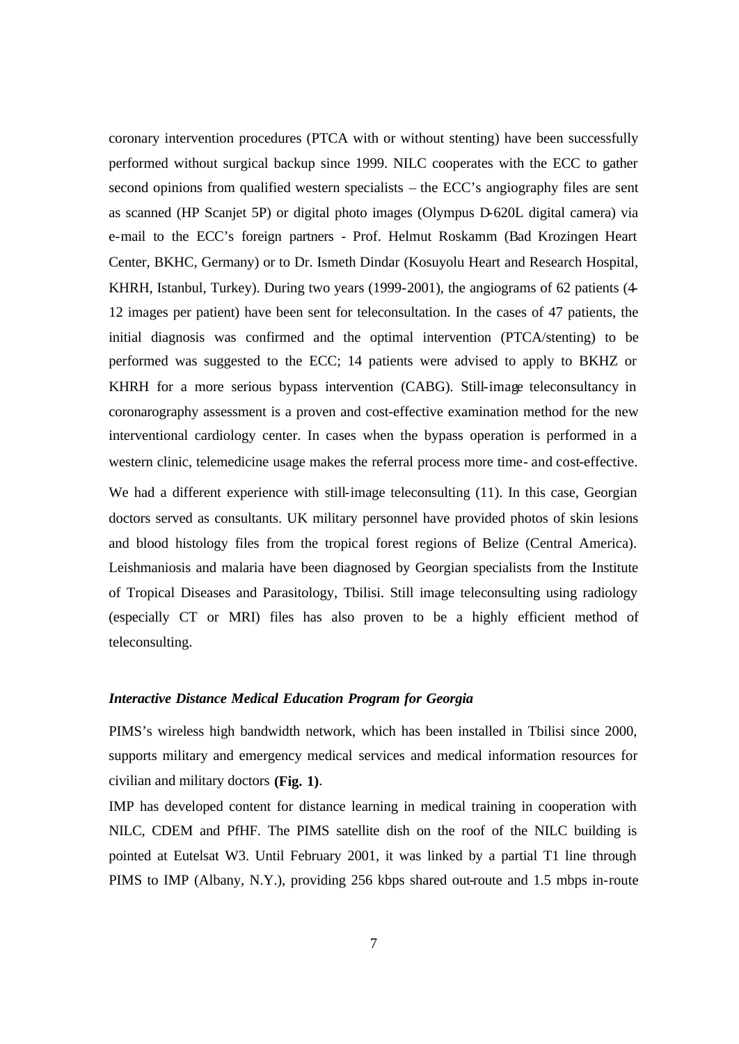coronary intervention procedures (PTCA with or without stenting) have been successfully performed without surgical backup since 1999. NILC cooperates with the ECC to gather second opinions from qualified western specialists – the ECC's angiography files are sent as scanned (HP Scanjet 5P) or digital photo images (Olympus D-620L digital camera) via e-mail to the ECC's foreign partners - Prof. Helmut Roskamm (Bad Krozingen Heart Center, BKHC, Germany) or to Dr. Ismeth Dindar (Kosuyolu Heart and Research Hospital, KHRH, Istanbul, Turkey). During two years (1999-2001), the angiograms of 62 patients (4- 12 images per patient) have been sent for teleconsultation. In the cases of 47 patients, the initial diagnosis was confirmed and the optimal intervention (PTCA/stenting) to be performed was suggested to the ECC; 14 patients were advised to apply to BKHZ or KHRH for a more serious bypass intervention (CABG). Still-image teleconsultancy in coronarography assessment is a proven and cost-effective examination method for the new interventional cardiology center. In cases when the bypass operation is performed in a western clinic, telemedicine usage makes the referral process more time- and cost-effective.

We had a different experience with still-image teleconsulting (11). In this case, Georgian doctors served as consultants. UK military personnel have provided photos of skin lesions and blood histology files from the tropical forest regions of Belize (Central America). Leishmaniosis and malaria have been diagnosed by Georgian specialists from the Institute of Tropical Diseases and Parasitology, Tbilisi. Still image teleconsulting using radiology (especially CT or MRI) files has also proven to be a highly efficient method of teleconsulting.

#### *Interactive Distance Medical Education Program for Georgia*

PIMS's wireless high bandwidth network, which has been installed in Tbilisi since 2000, supports military and emergency medical services and medical information resources for civilian and military doctors **(Fig. 1)**.

IMP has developed content for distance learning in medical training in cooperation with NILC, CDEM and PfHF. The PIMS satellite dish on the roof of the NILC building is pointed at Eutelsat W3. Until February 2001, it was linked by a partial T1 line through PIMS to IMP (Albany, N.Y.), providing 256 kbps shared out-route and 1.5 mbps in-route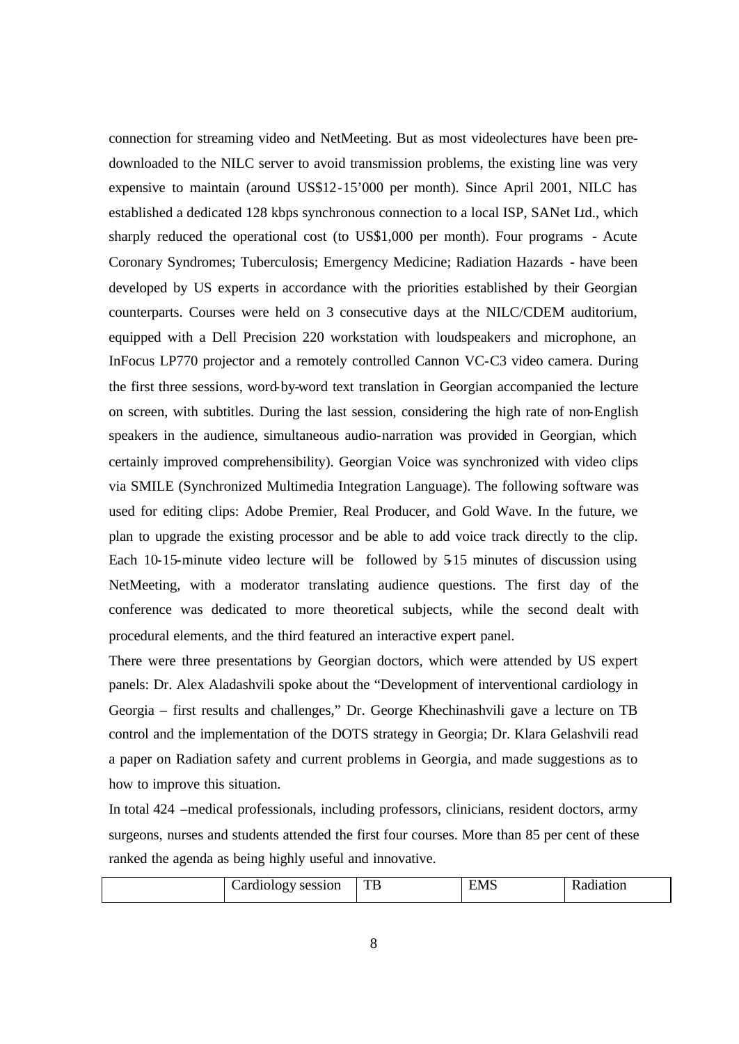connection for streaming video and NetMeeting. But as most videolectures have been predownloaded to the NILC server to avoid transmission problems, the existing line was very expensive to maintain (around US\$12-15'000 per month). Since April 2001, NILC has established a dedicated 128 kbps synchronous connection to a local ISP, SANet Ltd., which sharply reduced the operational cost (to US\$1,000 per month). Four programs - Acute Coronary Syndromes; Tuberculosis; Emergency Medicine; Radiation Hazards - have been developed by US experts in accordance with the priorities established by their Georgian counterparts. Courses were held on 3 consecutive days at the NILC/CDEM auditorium, equipped with a Dell Precision 220 workstation with loudspeakers and microphone, an InFocus LP770 projector and a remotely controlled Cannon VC-C3 video camera. During the first three sessions, word-by-word text translation in Georgian accompanied the lecture on screen, with subtitles. During the last session, considering the high rate of non-English speakers in the audience, simultaneous audio-narration was provided in Georgian, which certainly improved comprehensibility). Georgian Voice was synchronized with video clips via SMILE (Synchronized Multimedia Integration Language). The following software was used for editing clips: Adobe Premier, Real Producer, and Gold Wave. In the future, we plan to upgrade the existing processor and be able to add voice track directly to the clip. Each 10-15-minute video lecture will be followed by 5-15 minutes of discussion using NetMeeting, with a moderator translating audience questions. The first day of the conference was dedicated to more theoretical subjects, while the second dealt with procedural elements, and the third featured an interactive expert panel.

There were three presentations by Georgian doctors, which were attended by US expert panels: Dr. Alex Aladashvili spoke about the "Development of interventional cardiology in Georgia – first results and challenges," Dr. George Khechinashvili gave a lecture on TB control and the implementation of the DOTS strategy in Georgia; Dr. Klara Gelashvili read a paper on Radiation safety and current problems in Georgia, and made suggestions as to how to improve this situation.

In total 424 –medical professionals, including professors, clinicians, resident doctors, army surgeons, nurses and students attended the first four courses. More than 85 per cent of these ranked the agenda as being highly useful and innovative.

| - -<br>яr<br>:ss10n<br>--------<br>-- | <b>TL</b><br>I D | $\sim$<br>.N<br>-<br>$-1.7.7$ | ОП |
|---------------------------------------|------------------|-------------------------------|----|
|                                       |                  |                               |    |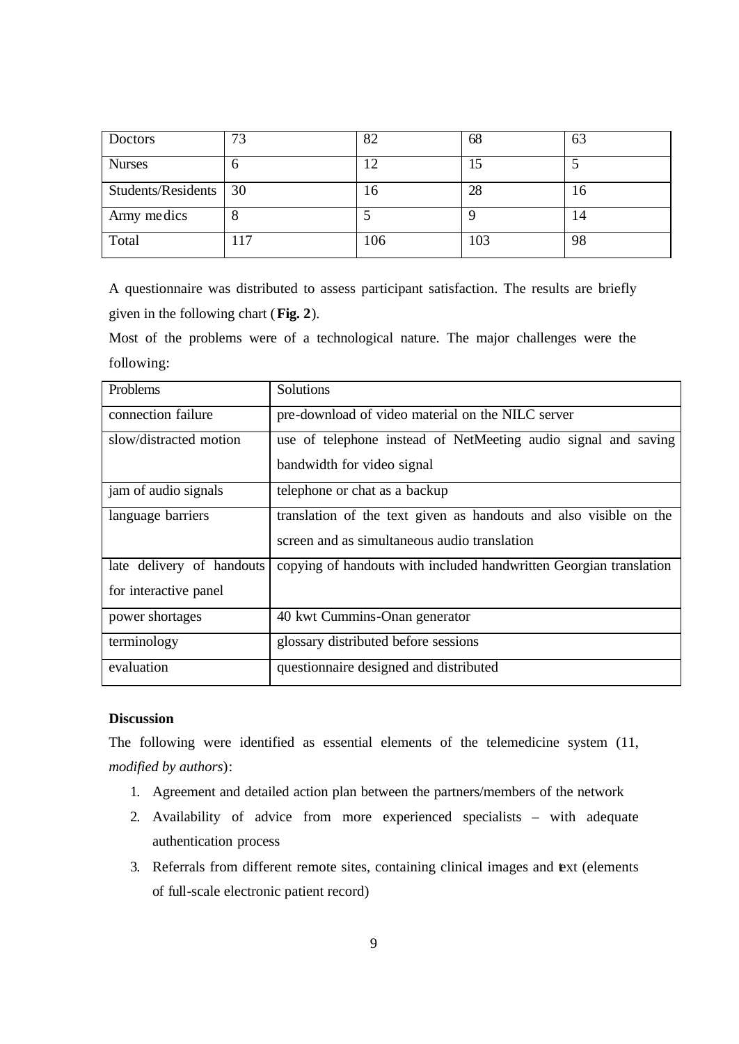| Doctors               | 73  | 82  | 68       | 63 |
|-----------------------|-----|-----|----------|----|
| <b>Nurses</b>         | O   |     | 15       | ر  |
| Students/Residents 30 |     | 16  | 28       | 16 |
| Army medics           | 8   |     | $\Omega$ | 14 |
| Total                 | 117 | 106 | 103      | 98 |

A questionnaire was distributed to assess participant satisfaction. The results are briefly given in the following chart (**Fig. 2**).

Most of the problems were of a technological nature. The major challenges were the following:

| <b>Problems</b>           | Solutions                                                          |  |
|---------------------------|--------------------------------------------------------------------|--|
| connection failure        | pre-download of video material on the NILC server                  |  |
| slow/distracted motion    | use of telephone instead of NetMeeting audio signal and saving     |  |
|                           | bandwidth for video signal                                         |  |
| jam of audio signals      | telephone or chat as a backup                                      |  |
| language barriers         | translation of the text given as handouts and also visible on the  |  |
|                           | screen and as simultaneous audio translation                       |  |
| late delivery of handouts | copying of handouts with included handwritten Georgian translation |  |
| for interactive panel     |                                                                    |  |
| power shortages           | 40 kwt Cummins-Onan generator                                      |  |
| terminology               | glossary distributed before sessions                               |  |
| evaluation                | questionnaire designed and distributed                             |  |

## **Discussion**

The following were identified as essential elements of the telemedicine system (11, *modified by authors*):

- 1. Agreement and detailed action plan between the partners/members of the network
- 2. Availability of advice from more experienced specialists with adequate authentication process
- 3. Referrals from different remote sites, containing clinical images and text (elements of full-scale electronic patient record)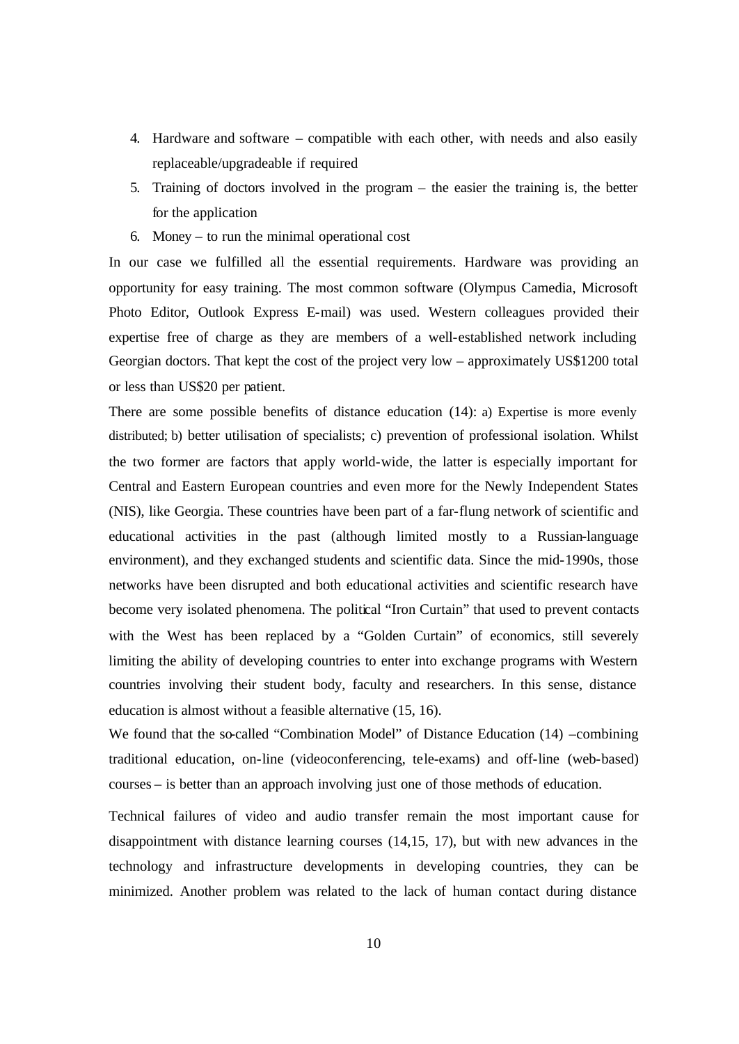- 4. Hardware and software compatible with each other, with needs and also easily replaceable/upgradeable if required
- 5. Training of doctors involved in the program the easier the training is, the better for the application
- 6. Money to run the minimal operational cost

In our case we fulfilled all the essential requirements. Hardware was providing an opportunity for easy training. The most common software (Olympus Camedia, Microsoft Photo Editor, Outlook Express E-mail) was used. Western colleagues provided their expertise free of charge as they are members of a well-established network including Georgian doctors. That kept the cost of the project very low – approximately US\$1200 total or less than US\$20 per patient.

There are some possible benefits of distance education (14): a) Expertise is more evenly distributed; b) better utilisation of specialists; c) prevention of professional isolation. Whilst the two former are factors that apply world-wide, the latter is especially important for Central and Eastern European countries and even more for the Newly Independent States (NIS), like Georgia. These countries have been part of a far-flung network of scientific and educational activities in the past (although limited mostly to a Russian-language environment), and they exchanged students and scientific data. Since the mid-1990s, those networks have been disrupted and both educational activities and scientific research have become very isolated phenomena. The political "Iron Curtain" that used to prevent contacts with the West has been replaced by a "Golden Curtain" of economics, still severely limiting the ability of developing countries to enter into exchange programs with Western countries involving their student body, faculty and researchers. In this sense, distance education is almost without a feasible alternative (15, 16).

We found that the so-called "Combination Model" of Distance Education (14) –combining traditional education, on-line (videoconferencing, tele-exams) and off-line (web-based) courses – is better than an approach involving just one of those methods of education.

Technical failures of video and audio transfer remain the most important cause for disappointment with distance learning courses (14,15, 17), but with new advances in the technology and infrastructure developments in developing countries, they can be minimized. Another problem was related to the lack of human contact during distance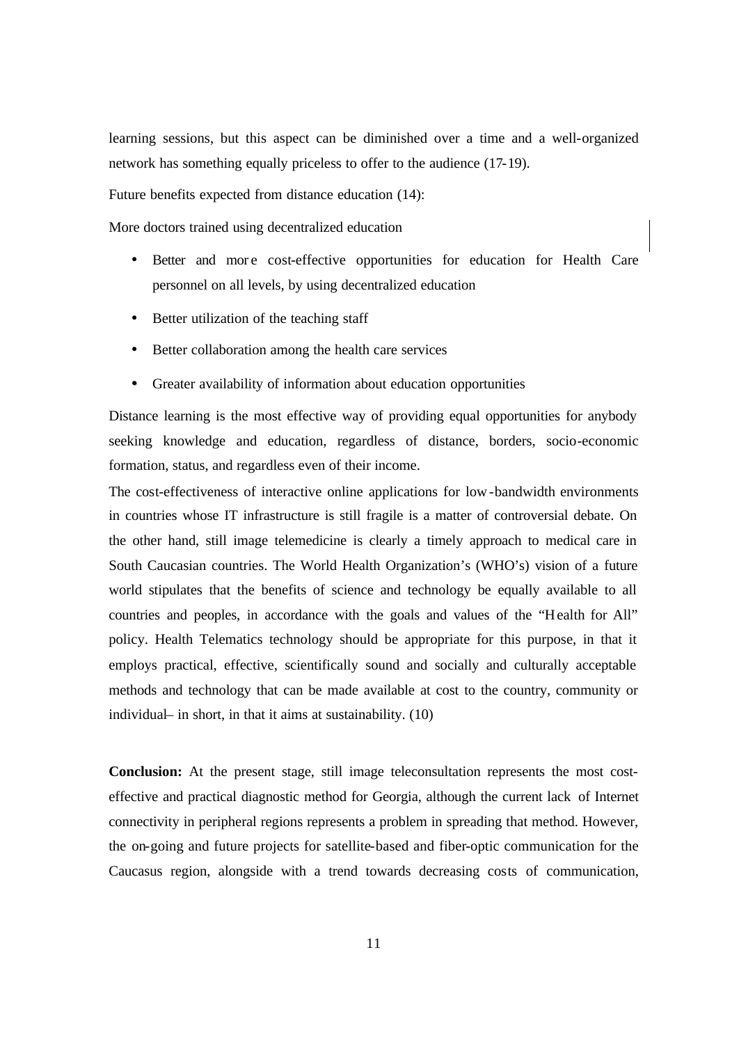learning sessions, but this aspect can be diminished over a time and a well-organized network has something equally priceless to offer to the audience (17-19).

Future benefits expected from distance education (14):

More doctors trained using decentralized education

- Better and more cost-effective opportunities for education for Health Care personnel on all levels, by using decentralized education
- Better utilization of the teaching staff
- Better collaboration among the health care services
- Greater availability of information about education opportunities

Distance learning is the most effective way of providing equal opportunities for anybody seeking knowledge and education, regardless of distance, borders, socio-economic formation, status, and regardless even of their income.

The cost-effectiveness of interactive online applications for low-bandwidth environments in countries whose IT infrastructure is still fragile is a matter of controversial debate. On the other hand, still image telemedicine is clearly a timely approach to medical care in South Caucasian countries. The World Health Organization's (WHO's) vision of a future world stipulates that the benefits of science and technology be equally available to all countries and peoples, in accordance with the goals and values of the "Health for All" policy. Health Telematics technology should be appropriate for this purpose, in that it employs practical, effective, scientifically sound and socially and culturally acceptable methods and technology that can be made available at cost to the country, community or individual– in short, in that it aims at sustainability. (10)

**Conclusion:** At the present stage, still image teleconsultation represents the most costeffective and practical diagnostic method for Georgia, although the current lack of Internet connectivity in peripheral regions represents a problem in spreading that method. However, the on-going and future projects for satellite-based and fiber-optic communication for the Caucasus region, alongside with a trend towards decreasing costs of communication,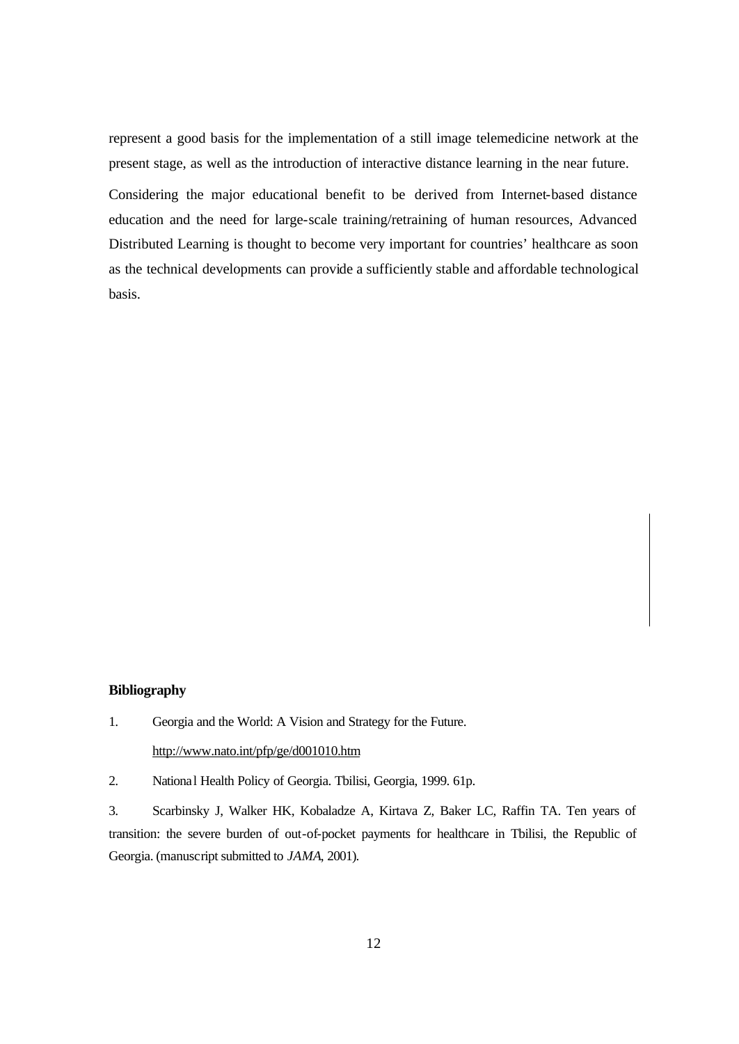represent a good basis for the implementation of a still image telemedicine network at the present stage, as well as the introduction of interactive distance learning in the near future.

Considering the major educational benefit to be derived from Internet-based distance education and the need for large-scale training/retraining of human resources, Advanced Distributed Learning is thought to become very important for countries' healthcare as soon as the technical developments can provide a sufficiently stable and affordable technological basis.

#### **Bibliography**

- 1. Georgia and the World: A Vision and Strategy for the Future. http://www.nato.int/pfp/ge/d001010.htm
- 2. National Health Policy of Georgia. Tbilisi, Georgia, 1999. 61p.

3. Scarbinsky J, Walker HK, Kobaladze A, Kirtava Z, Baker LC, Raffin TA. Ten years of transition: the severe burden of out-of-pocket payments for healthcare in Tbilisi, the Republic of Georgia. (manuscript submitted to *JAMA*, 2001).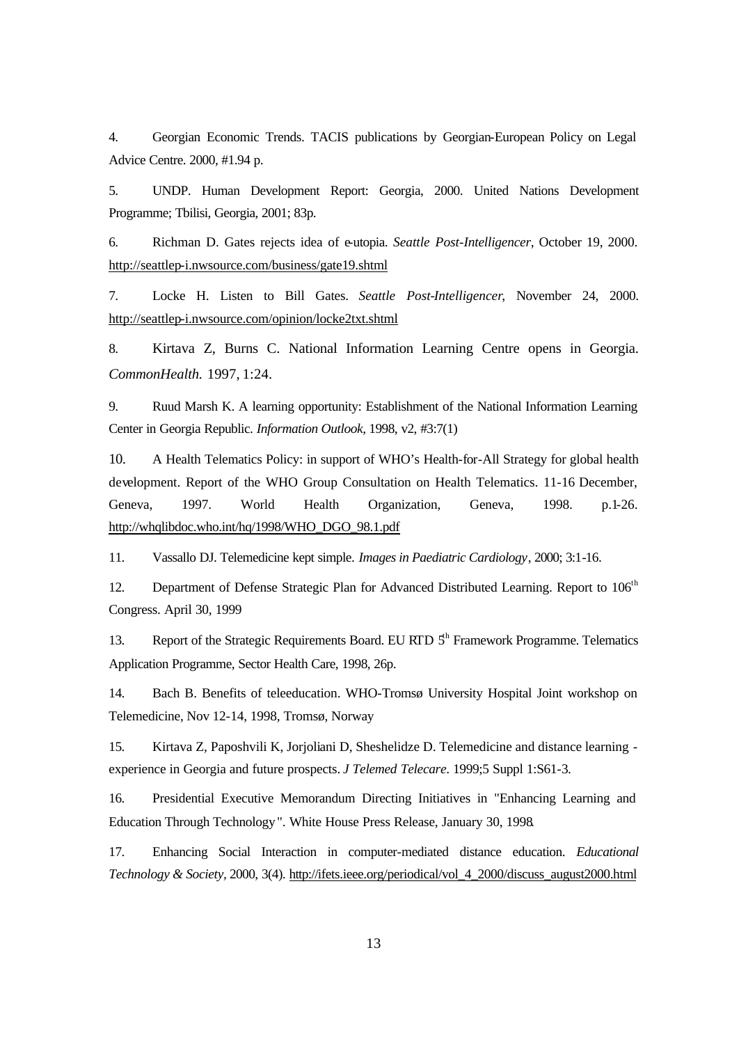4. Georgian Economic Trends. TACIS publications by Georgian-European Policy on Legal Advice Centre. 2000, #1.94 p.

5. UNDP. Human Development Report: Georgia, 2000. United Nations Development Programme; Tbilisi, Georgia, 2001; 83p.

6. Richman D. Gates rejects idea of e-utopia. *Seattle Post-Intelligencer*, October 19, 2000. http://seattlep-i.nwsource.com/business/gate19.shtml

7. Locke H. Listen to Bill Gates. *Seattle Post-Intelligencer*, November 24, 2000. http://seattlep-i.nwsource.com/opinion/locke2txt.shtml

8. Kirtava Z, Burns C. National Information Learning Centre opens in Georgia. *CommonHealth.* 1997, 1:24.

9. Ruud Marsh K. A learning opportunity: Establishment of the National Information Learning Center in Georgia Republic. *Information Outlook,* 1998, v2, #3:7(1)

10. A Health Telematics Policy: in support of WHO's Health-for-All Strategy for global health development. Report of the WHO Group Consultation on Health Telematics. 11-16 December, Geneva, 1997. World Health Organization, Geneva, 1998. p.1-26. http://whqlibdoc.who.int/hq/1998/WHO\_DGO\_98.1.pdf

11. Vassallo DJ. Telemedicine kept simple. *Images in Paediatric Cardiology*, 2000; 3:1-16.

12. Department of Defense Strategic Plan for Advanced Distributed Learning. Report to 106<sup>th</sup> Congress. April 30, 1999

13. Report of the Strategic Requirements Board. EU RTD  $5<sup>h</sup>$  Framework Programme. Telematics Application Programme, Sector Health Care, 1998, 26p.

14. Bach B. Benefits of teleeducation. WHO-Tromsø University Hospital Joint workshop on Telemedicine, Nov 12-14, 1998, Tromsø, Norway

15. Kirtava Z, Paposhvili K, Jorjoliani D, Sheshelidze D. Telemedicine and distance learning experience in Georgia and future prospects. *J Telemed Telecare*. 1999;5 Suppl 1:S61-3.

16. Presidential Executive Memorandum Directing Initiatives in "Enhancing Learning and Education Through Technology". White House Press Release, January 30, 1998.

17. Enhancing Social Interaction in computer-mediated distance education. *Educational Technology & Society,* 2000, 3(4). http://ifets.ieee.org/periodical/vol\_4\_2000/discuss\_august2000.html